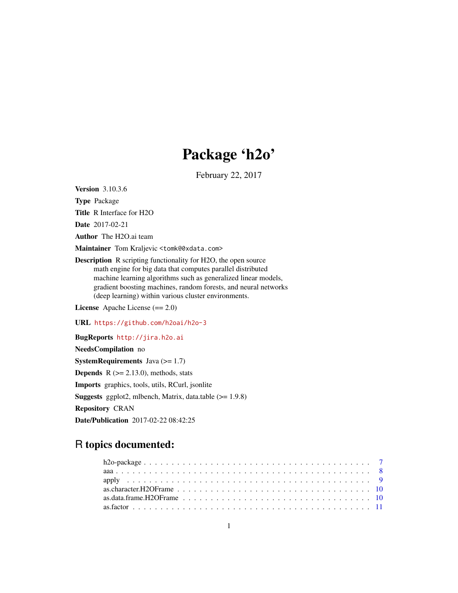# Package 'h2o'

February 22, 2017

<span id="page-0-0"></span>Version 3.10.3.6

Type Package Title R Interface for H2O

Date 2017-02-21

Author The H2O.ai team

Maintainer Tom Kraljevic <tomk@0xdata.com>

Description R scripting functionality for H2O, the open source math engine for big data that computes parallel distributed machine learning algorithms such as generalized linear models, gradient boosting machines, random forests, and neural networks (deep learning) within various cluster environments.

License Apache License (== 2.0)

URL <https://github.com/h2oai/h2o-3>

BugReports <http://jira.h2o.ai>

NeedsCompilation no **SystemRequirements** Java  $(>= 1.7)$ **Depends**  $R$  ( $>= 2.13.0$ ), methods, stats Imports graphics, tools, utils, RCurl, jsonlite **Suggests** ggplot2, mlbench, Matrix, data.table  $(>= 1.9.8)$ Repository CRAN Date/Publication 2017-02-22 08:42:25

# R topics documented:

| as character. H2O Frame $\ldots$ , $\ldots$ , $\ldots$ , $\ldots$ , $\ldots$ , $\ldots$ , $\ldots$ , $\ldots$ , $\ldots$ , $\ldots$ , $\ldots$ |  |
|------------------------------------------------------------------------------------------------------------------------------------------------|--|
|                                                                                                                                                |  |
|                                                                                                                                                |  |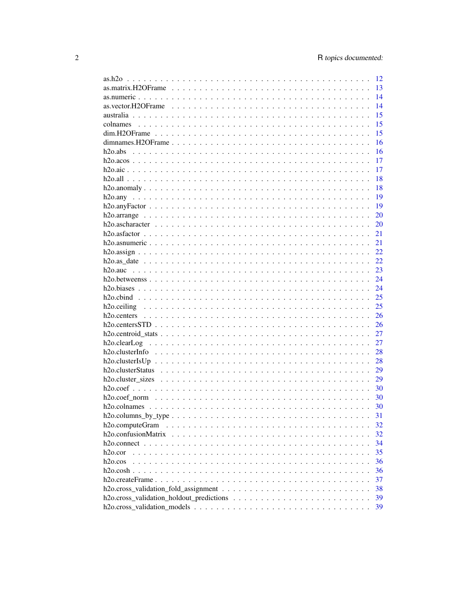|                       | 12 |
|-----------------------|----|
|                       | 13 |
|                       | 14 |
|                       | 14 |
|                       | 15 |
|                       | 15 |
|                       | 15 |
|                       | 16 |
|                       | 16 |
|                       | 17 |
|                       | 17 |
|                       | 18 |
|                       | 18 |
|                       | 19 |
|                       | 19 |
|                       | 20 |
|                       | 20 |
|                       | 21 |
|                       | 21 |
|                       | 22 |
|                       | 22 |
|                       | 23 |
|                       | 24 |
|                       | 24 |
|                       | 25 |
|                       | 25 |
|                       | 26 |
|                       | 26 |
|                       | 27 |
|                       | 27 |
|                       | 28 |
|                       | 28 |
|                       | 29 |
|                       | 29 |
|                       | 30 |
|                       |    |
|                       | 30 |
|                       | 30 |
| $h2o.columns_by_type$ | 31 |
| h2o.computeGram       | 32 |
|                       | 32 |
|                       | 34 |
| h2o.cor               | 35 |
| h2o.co                | 36 |
| $h2o.cosh$ .          | 36 |
|                       | 37 |
|                       | 38 |
|                       | 39 |
|                       | 39 |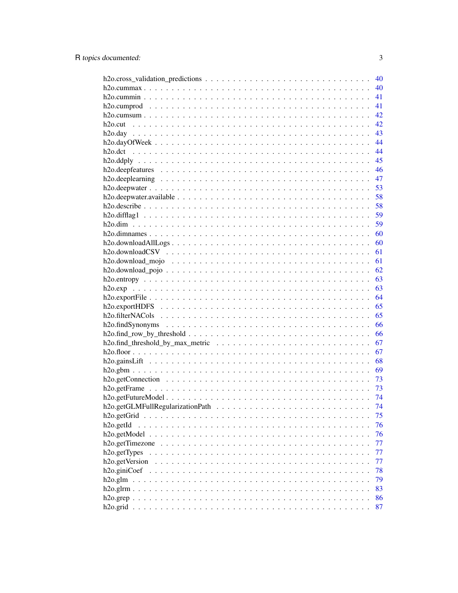|                                                                                                                      | 40 |
|----------------------------------------------------------------------------------------------------------------------|----|
|                                                                                                                      | 40 |
|                                                                                                                      | 41 |
|                                                                                                                      | 41 |
|                                                                                                                      | 42 |
|                                                                                                                      | 42 |
|                                                                                                                      | 43 |
|                                                                                                                      | 44 |
|                                                                                                                      | 44 |
|                                                                                                                      | 45 |
|                                                                                                                      | 46 |
|                                                                                                                      | 47 |
|                                                                                                                      | 53 |
|                                                                                                                      | 58 |
|                                                                                                                      | 58 |
|                                                                                                                      | 59 |
|                                                                                                                      | 59 |
|                                                                                                                      | 60 |
| $h2o.$ download $AllLogs \ldots \ldots \ldots \ldots \ldots \ldots \ldots \ldots \ldots \ldots \ldots \ldots \ldots$ | 60 |
|                                                                                                                      | 61 |
|                                                                                                                      | 61 |
|                                                                                                                      | 62 |
|                                                                                                                      | 63 |
|                                                                                                                      | 63 |
|                                                                                                                      |    |
|                                                                                                                      | 64 |
| h2o.exportHDFS $\ldots \ldots \ldots \ldots \ldots \ldots \ldots \ldots \ldots \ldots \ldots \ldots \ldots$          | 65 |
|                                                                                                                      | 65 |
|                                                                                                                      | 66 |
|                                                                                                                      | 66 |
|                                                                                                                      | 67 |
|                                                                                                                      | 67 |
|                                                                                                                      | 68 |
|                                                                                                                      | 69 |
|                                                                                                                      | 73 |
|                                                                                                                      | 73 |
|                                                                                                                      | 74 |
|                                                                                                                      | 74 |
|                                                                                                                      | 75 |
| h <sub>2</sub> o.getId<br>.<br>$\mathbf{r}$ . $\mathbf{r}$ . $\mathbf{r}$                                            | 76 |
|                                                                                                                      | 76 |
| h <sub>2</sub> o.getTimezone                                                                                         | 77 |
| h2o.getTypes<br>$\cdots$                                                                                             | 77 |
| h <sub>2o.get</sub> Version                                                                                          | 77 |
| h <sub>2</sub> o.giniCoef<br>$\cdot$ $\cdot$ $\cdot$                                                                 | 78 |
| $h2o$ .glm                                                                                                           | 79 |
| $h2o.$ gl $rm.$ .                                                                                                    | 83 |
|                                                                                                                      | 86 |
|                                                                                                                      | 87 |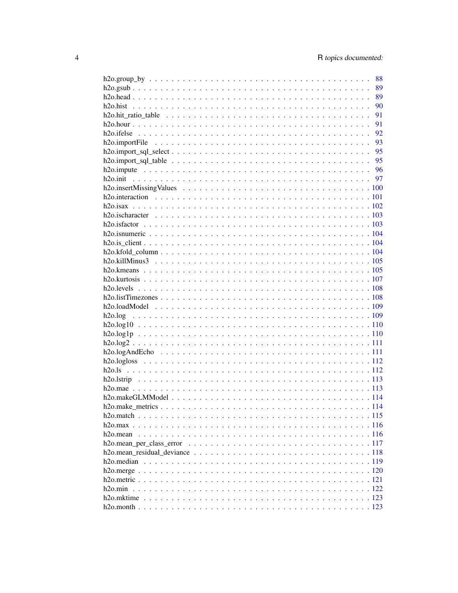|                          | 88 |
|--------------------------|----|
|                          | 89 |
|                          | 89 |
|                          | 90 |
|                          | 91 |
|                          | 91 |
|                          | 92 |
|                          | 93 |
|                          |    |
|                          |    |
|                          |    |
|                          |    |
|                          |    |
|                          |    |
|                          |    |
|                          |    |
|                          |    |
|                          |    |
|                          |    |
|                          |    |
|                          |    |
|                          |    |
|                          |    |
|                          |    |
|                          |    |
|                          |    |
|                          |    |
|                          |    |
|                          |    |
|                          |    |
|                          |    |
|                          |    |
|                          |    |
|                          |    |
|                          |    |
|                          |    |
|                          |    |
|                          |    |
|                          |    |
|                          |    |
|                          |    |
|                          |    |
| h <sub>20</sub> . median |    |
|                          |    |
|                          |    |
| h2o.min                  |    |
|                          |    |
|                          |    |
|                          |    |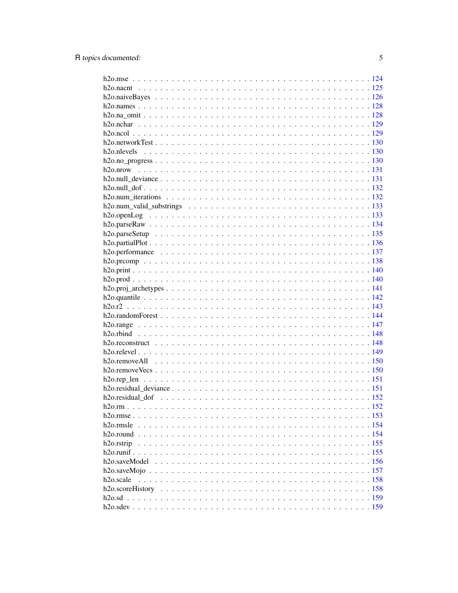| h <sub>20</sub> .rmsle  |  |
|-------------------------|--|
|                         |  |
| h <sub>2</sub> o.rstrip |  |
|                         |  |
|                         |  |
|                         |  |
| h <sub>2</sub> o.scale  |  |
|                         |  |
|                         |  |
|                         |  |
|                         |  |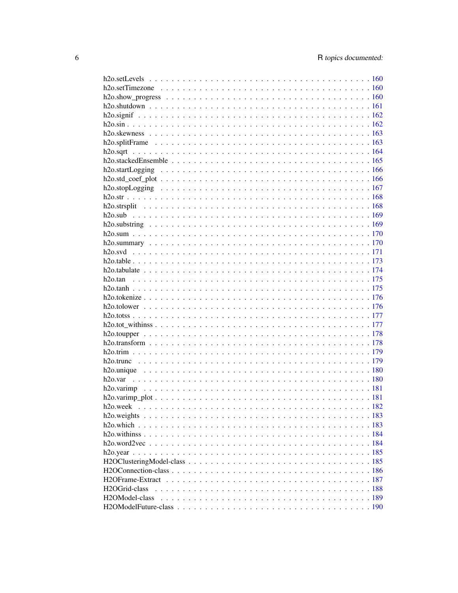| H <sub>2</sub> OGrid-class  |  |
|-----------------------------|--|
| H <sub>2</sub> OModel-class |  |
|                             |  |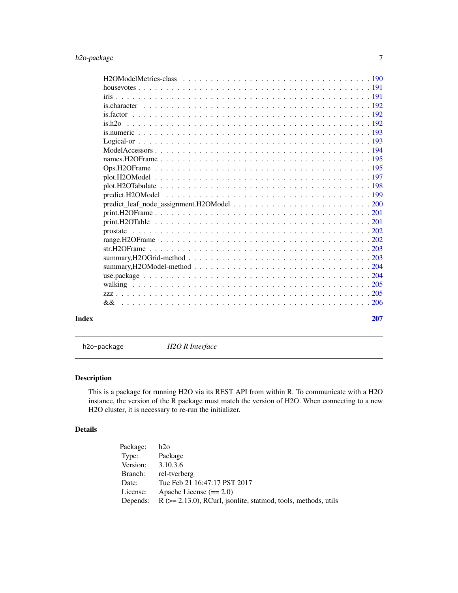<span id="page-6-0"></span>

| Index | 207 |
|-------|-----|

h2o-package *H2O R Interface*

# Description

This is a package for running H2O via its REST API from within R. To communicate with a H2O instance, the version of the R package must match the version of H2O. When connecting to a new H2O cluster, it is necessary to re-run the initializer.

# Details

| Package: | h2o                                                                  |
|----------|----------------------------------------------------------------------|
| Type:    | Package                                                              |
| Version: | 3.10.3.6                                                             |
| Branch:  | rel-tverberg                                                         |
| Date:    | Tue Feb 21 16:47:17 PST 2017                                         |
| License: | Apache License $(== 2.0)$                                            |
| Depends: | $R$ ( $>= 2.13.0$ ), RCurl, jsonlite, statmod, tools, methods, utils |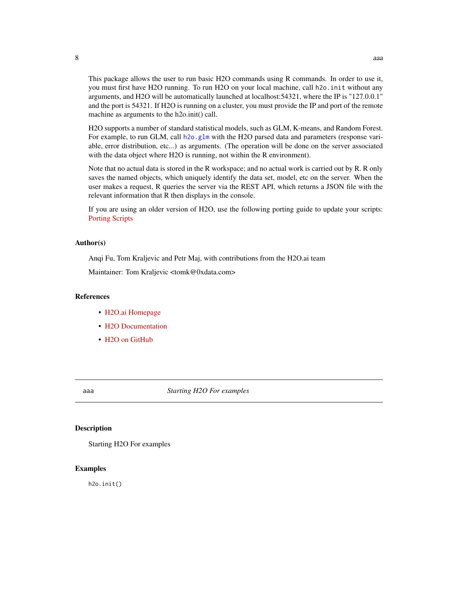<span id="page-7-0"></span>This package allows the user to run basic H2O commands using R commands. In order to use it, you must first have H2O running. To run H2O on your local machine, call h2o.init without any arguments, and H2O will be automatically launched at localhost:54321, where the IP is "127.0.0.1" and the port is 54321. If H2O is running on a cluster, you must provide the IP and port of the remote machine as arguments to the h2o.init() call.

H2O supports a number of standard statistical models, such as GLM, K-means, and Random Forest. For example, to run GLM, call [h2o.glm](#page-78-1) with the H2O parsed data and parameters (response variable, error distribution, etc...) as arguments. (The operation will be done on the server associated with the data object where H2O is running, not within the R environment).

Note that no actual data is stored in the R workspace; and no actual work is carried out by R. R only saves the named objects, which uniquely identify the data set, model, etc on the server. When the user makes a request, R queries the server via the REST API, which returns a JSON file with the relevant information that R then displays in the console.

If you are using an older version of H2O, use the following porting guide to update your scripts: [Porting Scripts](https://github.com/h2oai/h2o-dev/blob/master/h2o-docs/src/product/upgrade/H2ODevPortingRScripts.md)

#### Author(s)

Anqi Fu, Tom Kraljevic and Petr Maj, with contributions from the H2O.ai team

Maintainer: Tom Kraljevic <tomk@0xdata.com>

# References

- [H2O.ai Homepage](http://www.h2o.ai)
- [H2O Documentation](http://docs.h2o.ai)
- H<sub>2</sub>O on GitHub

aaa *Starting H2O For examples*

#### Description

Starting H2O For examples

#### Examples

h2o.init()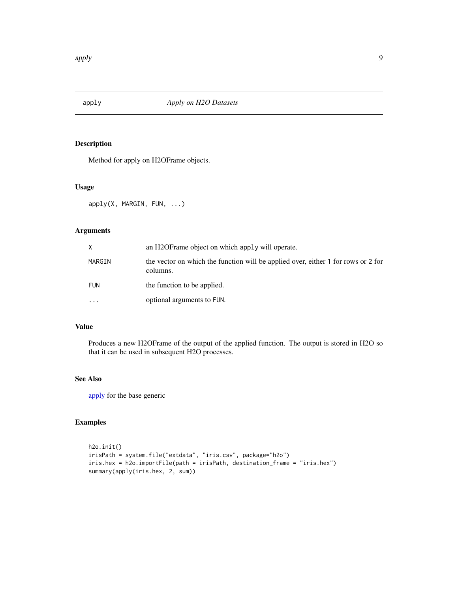<span id="page-8-1"></span><span id="page-8-0"></span>

Method for apply on H2OFrame objects.

#### Usage

apply(X, MARGIN, FUN, ...)

# Arguments

| X          | an H2OF rame object on which apply will operate.                                              |
|------------|-----------------------------------------------------------------------------------------------|
| MARGIN     | the vector on which the function will be applied over, either 1 for rows or 2 for<br>columns. |
| <b>FUN</b> | the function to be applied.                                                                   |
| $\ddotsc$  | optional arguments to FUN.                                                                    |

#### Value

Produces a new H2OFrame of the output of the applied function. The output is stored in H2O so that it can be used in subsequent H2O processes.

# See Also

[apply](#page-8-1) for the base generic

```
h2o.init()
irisPath = system.file("extdata", "iris.csv", package="h2o")
iris.hex = h2o.importFile(path = irisPath, destination_frame = "iris.hex")
summary(apply(iris.hex, 2, sum))
```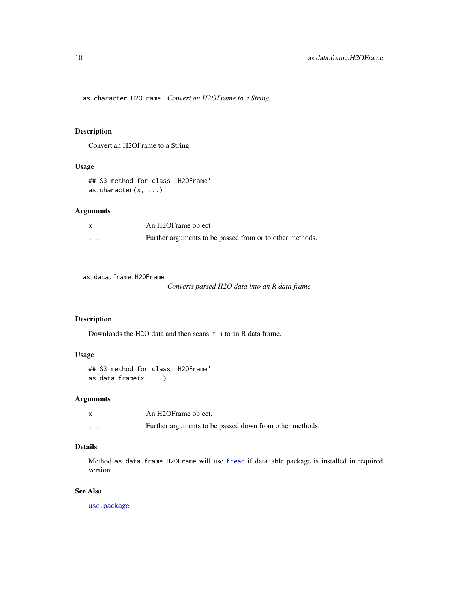<span id="page-9-0"></span>as.character.H2OFrame *Convert an H2OFrame to a String*

# Description

Convert an H2OFrame to a String

#### Usage

## S3 method for class 'H2OFrame' as.character(x, ...)

#### Arguments

| x                       | An H2OFrame object                                       |
|-------------------------|----------------------------------------------------------|
| $\cdot$ $\cdot$ $\cdot$ | Further arguments to be passed from or to other methods. |

as.data.frame.H2OFrame

*Converts parsed H2O data into an R data frame*

# Description

Downloads the H2O data and then scans it in to an R data frame.

# Usage

```
## S3 method for class 'H2OFrame'
as.data.frame(x, ...)
```
# Arguments

|          | An H2OFrame object.                                     |
|----------|---------------------------------------------------------|
| $\cdots$ | Further arguments to be passed down from other methods. |

# Details

Method as.data.frame.H2OFrame will use [fread](#page-0-0) if data.table package is installed in required version.

# See Also

[use.package](#page-203-1)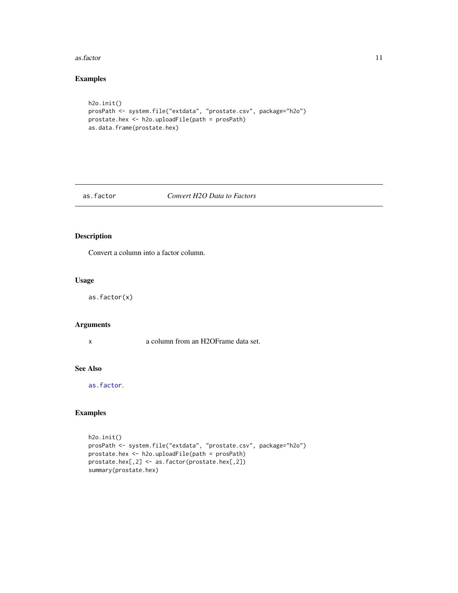#### <span id="page-10-0"></span>as.factor 11

# Examples

```
h2o.init()
prosPath <- system.file("extdata", "prostate.csv", package="h2o")
prostate.hex <- h2o.uploadFile(path = prosPath)
as.data.frame(prostate.hex)
```
#### <span id="page-10-1"></span>as.factor *Convert H2O Data to Factors*

#### Description

Convert a column into a factor column.

#### Usage

as.factor(x)

# Arguments

x a column from an H2OFrame data set.

# See Also

[as.factor](#page-10-1).

```
h2o.init()
prosPath <- system.file("extdata", "prostate.csv", package="h2o")
prostate.hex <- h2o.uploadFile(path = prosPath)
prostate.hex[,2] <- as.factor(prostate.hex[,2])
summary(prostate.hex)
```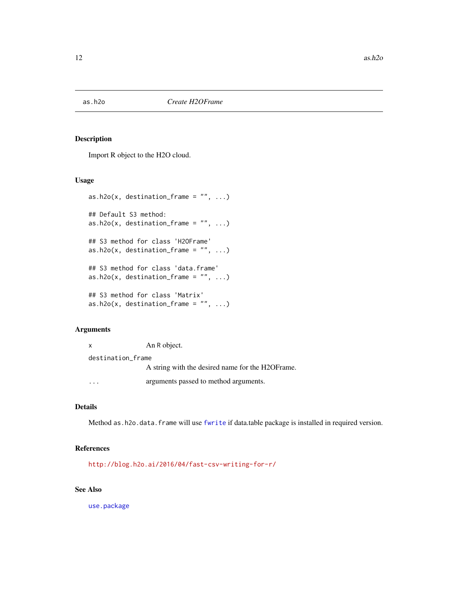<span id="page-11-0"></span>

Import R object to the H2O cloud.

#### Usage

```
as.h2o(x, destination_frame = ", ...)
## Default S3 method:
as.h2o(x, destination_frame = ", ...)
## S3 method for class 'H2OFrame'
as.h2o(x, destination_frame = ", ...)
## S3 method for class 'data.frame'
as.h2o(x, destination_frame = ", ...)
## S3 method for class 'Matrix'
as.h2o(x, destination_frame = ", ...)
```
# Arguments

| X                 | An R object.                                      |  |
|-------------------|---------------------------------------------------|--|
| destination frame |                                                   |  |
|                   | A string with the desired name for the H2OF rame. |  |
|                   | arguments passed to method arguments.             |  |

# Details

Method as.h2o.data.frame will use [fwrite](#page-0-0) if data.table package is installed in required version.

# References

<http://blog.h2o.ai/2016/04/fast-csv-writing-for-r/>

#### See Also

[use.package](#page-203-1)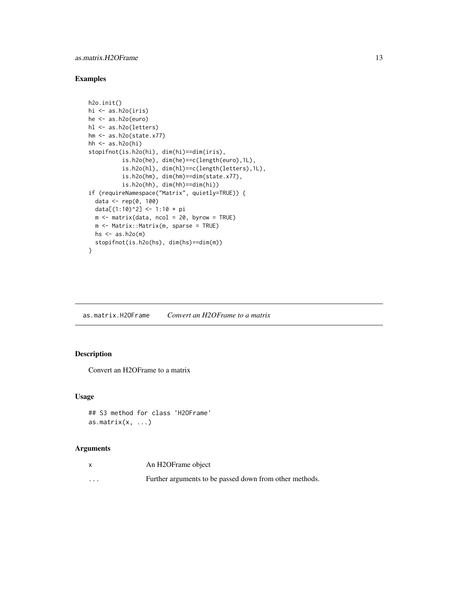#### <span id="page-12-0"></span>as.matrix.H2OFrame 13

# Examples

```
h2o.init()
hi <- as.h2o(iris)
he <- as.h2o(euro)
hl <- as.h2o(letters)
hm <- as.h2o(state.x77)
hh \leftarrow as.h2o(hi)stopifnot(is.h2o(hi), dim(hi)==dim(iris),
          is.h2o(he), dim(he)==c(length(euro),1L),
          is.h2o(hl), dim(hl)==c(length(letters),1L),
          is.h2o(hm), dim(hm)==dim(state.x77),
          is.h2o(hh), dim(hh)==dim(hi))
if (requireNamespace("Matrix", quietly=TRUE)) {
  data <- rep(0, 100)
  data[(1:10)^2] <- 1:10 * pi
  m <- matrix(data, ncol = 20, byrow = TRUE)
  m <- Matrix::Matrix(m, sparse = TRUE)
  hs \leq as.h2o(m)
  stopifnot(is.h2o(hs), dim(hs)==dim(m))
}
```
as.matrix.H2OFrame *Convert an H2OFrame to a matrix*

# Description

Convert an H2OFrame to a matrix

#### Usage

```
## S3 method for class 'H2OFrame'
as.matrix(x, ...)
```
# Arguments

| $\mathsf{x}$ | An H2OFrame object                                      |
|--------------|---------------------------------------------------------|
| $\cdots$     | Further arguments to be passed down from other methods. |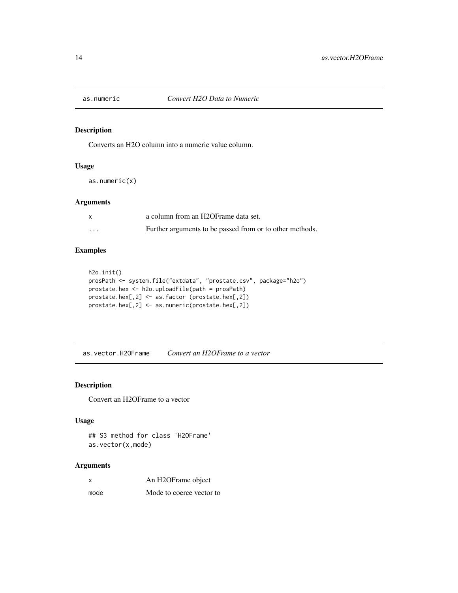<span id="page-13-1"></span><span id="page-13-0"></span>

Converts an H2O column into a numeric value column.

#### Usage

as.numeric(x)

#### Arguments

|   | a column from an H2OFrame data set.                      |
|---|----------------------------------------------------------|
| . | Further arguments to be passed from or to other methods. |

# Examples

```
h2o.init()
prosPath <- system.file("extdata", "prostate.csv", package="h2o")
prostate.hex <- h2o.uploadFile(path = prosPath)
prostate.hex[,2] <- as.factor (prostate.hex[,2])
prostate.hex[,2] <- as.numeric(prostate.hex[,2])
```
as.vector.H2OFrame *Convert an H2OFrame to a vector*

#### Description

Convert an H2OFrame to a vector

#### Usage

## S3 method for class 'H2OFrame' as.vector(x,mode)

#### Arguments

| An H2OFrame object |
|--------------------|
|                    |

mode Mode to coerce vector to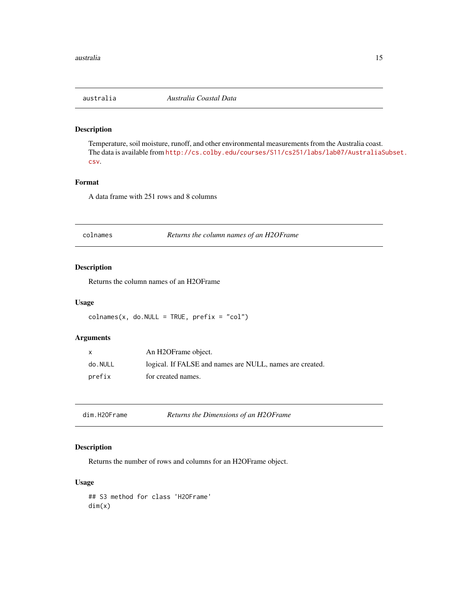<span id="page-14-0"></span>

Temperature, soil moisture, runoff, and other environmental measurements from the Australia coast. The data is available from [http://cs.colby.edu/courses/S11/cs251/labs/lab07/AustraliaS](http://cs.colby.edu/courses/S11/cs251/labs/lab07/AustraliaSubset.csv)ubset. [csv](http://cs.colby.edu/courses/S11/cs251/labs/lab07/AustraliaSubset.csv).

#### Format

A data frame with 251 rows and 8 columns

<span id="page-14-1"></span>colnames *Returns the column names of an H2OFrame*

# Description

Returns the column names of an H2OFrame

#### Usage

```
colnames(x, do.NULL = TRUE, prefix = "col")
```
# Arguments

|         | An H2OFrame object.                                      |
|---------|----------------------------------------------------------|
| do.NULL | logical. If FALSE and names are NULL, names are created. |
| prefix  | for created names.                                       |

| dim.H2OFrame | Returns the Dimensions of an H2OFrame |
|--------------|---------------------------------------|
|--------------|---------------------------------------|

# Description

Returns the number of rows and columns for an H2OFrame object.

# Usage

## S3 method for class 'H2OFrame' dim(x)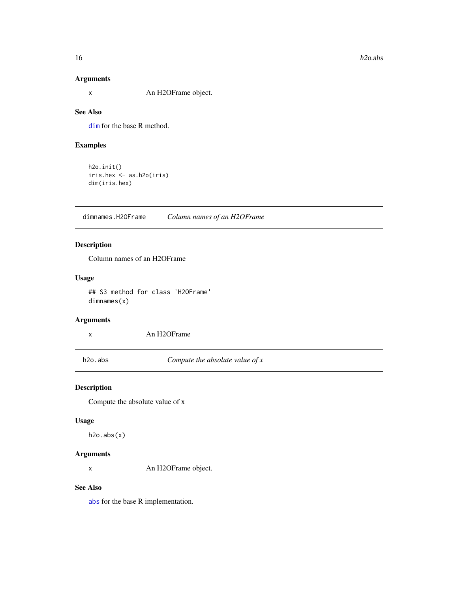#### <span id="page-15-0"></span>Arguments

x An H2OFrame object.

#### See Also

[dim](#page-0-0) for the base R method.

# Examples

```
h2o.init()
iris.hex <- as.h2o(iris)
dim(iris.hex)
```
dimnames.H2OFrame *Column names of an H2OFrame*

# Description

Column names of an H2OFrame

#### Usage

## S3 method for class 'H2OFrame' dimnames(x)

#### Arguments

x An H2OFrame

h2o.abs *Compute the absolute value of x*

# Description

Compute the absolute value of x

#### Usage

h2o.abs(x)

#### Arguments

x An H2OFrame object.

# See Also

[abs](#page-0-0) for the base R implementation.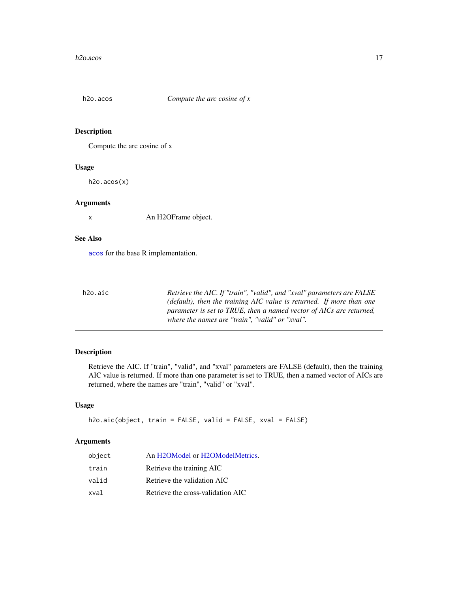<span id="page-16-0"></span>

Compute the arc cosine of x

#### Usage

h2o.acos(x)

#### Arguments

x An H2OFrame object.

# See Also

[acos](#page-0-0) for the base R implementation.

| h2o.aic | Retrieve the AIC. If "train", "valid", and "xval" parameters are FALSE |
|---------|------------------------------------------------------------------------|
|         | (default), then the training AIC value is returned. If more than one   |
|         | parameter is set to TRUE, then a named vector of AICs are returned,    |
|         | where the names are "train". "valid" or "xval".                        |

# Description

Retrieve the AIC. If "train", "valid", and "xval" parameters are FALSE (default), then the training AIC value is returned. If more than one parameter is set to TRUE, then a named vector of AICs are returned, where the names are "train", "valid" or "xval".

# Usage

```
h2o.aic(object, train = FALSE, valid = FALSE, xval = FALSE)
```
#### Arguments

| object | An H2OModel or H2OModelMetrics.   |
|--------|-----------------------------------|
| train  | Retrieve the training AIC         |
| valid  | Retrieve the validation AIC       |
| xval   | Retrieve the cross-validation AIC |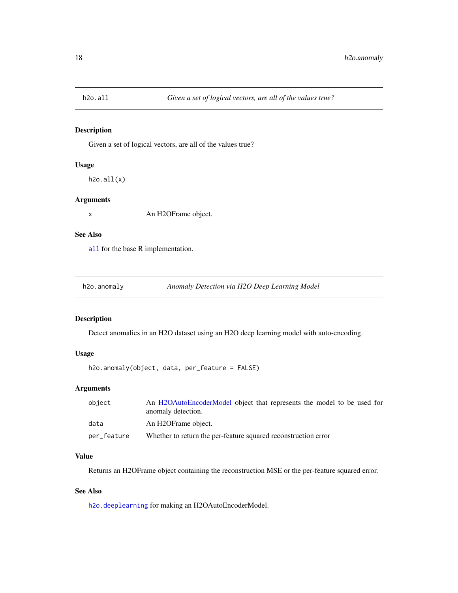<span id="page-17-0"></span>

Given a set of logical vectors, are all of the values true?

# Usage

h2o.all(x)

#### Arguments

x An H2OFrame object.

#### See Also

[all](#page-0-0) for the base R implementation.

h2o.anomaly *Anomaly Detection via H2O Deep Learning Model*

# Description

Detect anomalies in an H2O dataset using an H2O deep learning model with auto-encoding.

#### Usage

```
h2o.anomaly(object, data, per_feature = FALSE)
```
#### Arguments

| object      | An H2OAutoEncoderModel object that represents the model to be used for<br>anomaly detection. |
|-------------|----------------------------------------------------------------------------------------------|
| data        | An H2OFrame object.                                                                          |
| per_feature | Whether to return the per-feature squared reconstruction error                               |

#### Value

Returns an H2OFrame object containing the reconstruction MSE or the per-feature squared error.

#### See Also

[h2o.deeplearning](#page-46-1) for making an H2OAutoEncoderModel.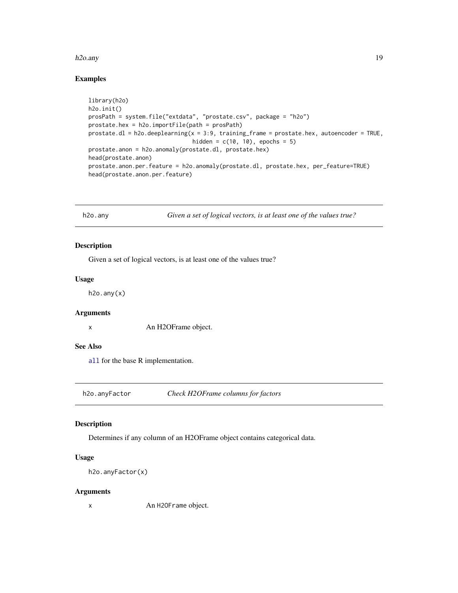#### <span id="page-18-0"></span>h2o.any 19

# Examples

```
library(h2o)
h2o.init()
prosPath = system.file("extdata", "prostate.csv", package = "h2o")
prostate.hex = h2o.importFile(path = prosPath)
prostate.dl = h2o.deeplearning(x = 3:9, training_fram = prostate.hex, autoencoder = TRUE,hidden = c(10, 10), epochs = 5)
prostate.anon = h2o.anomaly(prostate.dl, prostate.hex)
head(prostate.anon)
prostate.anon.per.feature = h2o.anomaly(prostate.dl, prostate.hex, per_feature=TRUE)
head(prostate.anon.per.feature)
```
h2o.any *Given a set of logical vectors, is at least one of the values true?*

#### Description

Given a set of logical vectors, is at least one of the values true?

#### Usage

 $h2o.$ any $(x)$ 

#### Arguments

x An H2OFrame object.

#### See Also

[all](#page-0-0) for the base R implementation.

h2o.anyFactor *Check H2OFrame columns for factors*

# Description

Determines if any column of an H2OFrame object contains categorical data.

# Usage

```
h2o.anyFactor(x)
```
#### Arguments

x An H2OFrame object.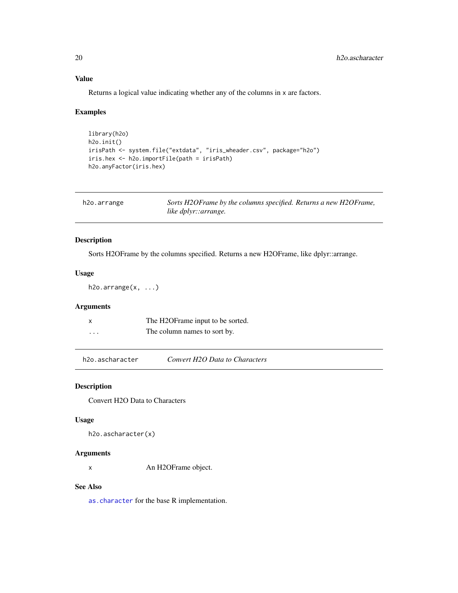# Value

Returns a logical value indicating whether any of the columns in x are factors.

# Examples

```
library(h2o)
h2o.init()
irisPath <- system.file("extdata", "iris_wheader.csv", package="h2o")
iris.hex <- h2o.importFile(path = irisPath)
h2o.anyFactor(iris.hex)
```

| h2o.arrange | Sorts H2OFrame by the columns specified. Returns a new H2OFrame, |
|-------------|------------------------------------------------------------------|
|             | like dplyr::arrange.                                             |

# Description

Sorts H2OFrame by the columns specified. Returns a new H2OFrame, like dplyr::arrange.

#### Usage

h2o.arrange(x, ...)

# Arguments

| x        | The H2OFrame input to be sorted. |
|----------|----------------------------------|
| $\cdots$ | The column names to sort by.     |

h2o.ascharacter *Convert H2O Data to Characters*

#### Description

Convert H2O Data to Characters

#### Usage

h2o.ascharacter(x)

#### Arguments

x An H2OFrame object.

# See Also

[as.character](#page-0-0) for the base R implementation.

<span id="page-19-0"></span>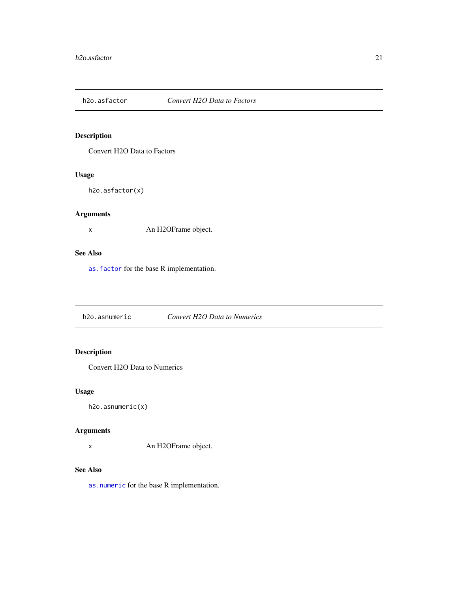<span id="page-20-0"></span>

Convert H2O Data to Factors

# Usage

h2o.asfactor(x)

# Arguments

x An H2OFrame object.

#### See Also

[as.factor](#page-10-1) for the base R implementation.

h2o.asnumeric *Convert H2O Data to Numerics*

# Description

Convert H2O Data to Numerics

# Usage

h2o.asnumeric(x)

# Arguments

x An H2OFrame object.

# See Also

[as.numeric](#page-13-1) for the base R implementation.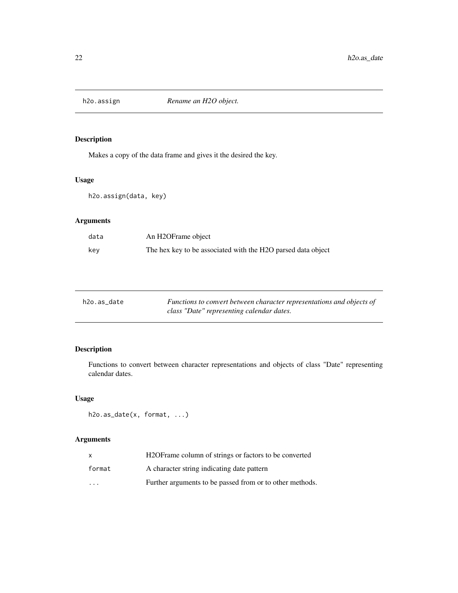<span id="page-21-0"></span>

Makes a copy of the data frame and gives it the desired the key.

# Usage

h2o.assign(data, key)

# Arguments

| data | An H2OFrame object                                           |
|------|--------------------------------------------------------------|
| kev  | The hex key to be associated with the H2O parsed data object |

| h2o.as date | Functions to convert between character representations and objects of |
|-------------|-----------------------------------------------------------------------|
|             | class "Date" representing calendar dates.                             |

# Description

Functions to convert between character representations and objects of class "Date" representing calendar dates.

# Usage

```
h2o.as_date(x, format, ...)
```
# Arguments

|                         | H <sub>2</sub> OF rame column of strings or factors to be converted |
|-------------------------|---------------------------------------------------------------------|
| format                  | A character string indicating date pattern                          |
| $\cdot$ $\cdot$ $\cdot$ | Further arguments to be passed from or to other methods.            |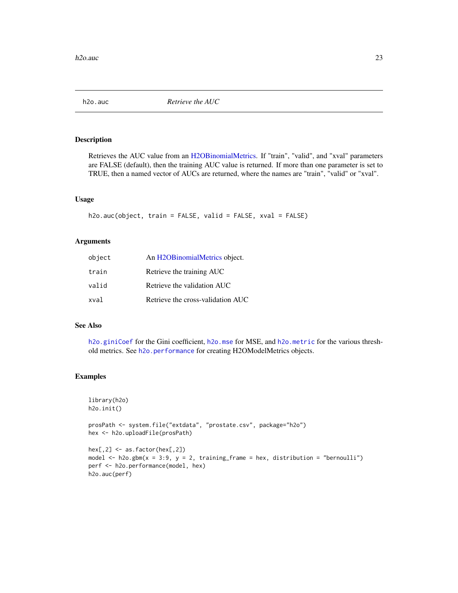<span id="page-22-0"></span>

Retrieves the AUC value from an [H2OBinomialMetrics.](#page-189-2) If "train", "valid", and "xval" parameters are FALSE (default), then the training AUC value is returned. If more than one parameter is set to TRUE, then a named vector of AUCs are returned, where the names are "train", "valid" or "xval".

#### Usage

```
h2o.auc(object, train = FALSE, valid = FALSE, xval = FALSE)
```
#### Arguments

| object | An H <sub>2</sub> OBinomialMetrics object. |
|--------|--------------------------------------------|
| train  | Retrieve the training AUC                  |
| valid  | Retrieve the validation AUC                |
| xval   | Retrieve the cross-validation AUC          |

#### See Also

[h2o.giniCoef](#page-77-1) for the Gini coefficient, [h2o.mse](#page-123-1) for MSE, and [h2o.metric](#page-120-1) for the various threshold metrics. See [h2o.performance](#page-136-1) for creating H2OModelMetrics objects.

#### Examples

```
library(h2o)
h2o.init()
```
prosPath <- system.file("extdata", "prostate.csv", package="h2o") hex <- h2o.uploadFile(prosPath)

```
hex[, 2] \leq -as.factor(hex[, 2])model \leq h2o.gbm(x = 3:9, y = 2, training_frame = hex, distribution = "bernoulli")
perf <- h2o.performance(model, hex)
h2o.auc(perf)
```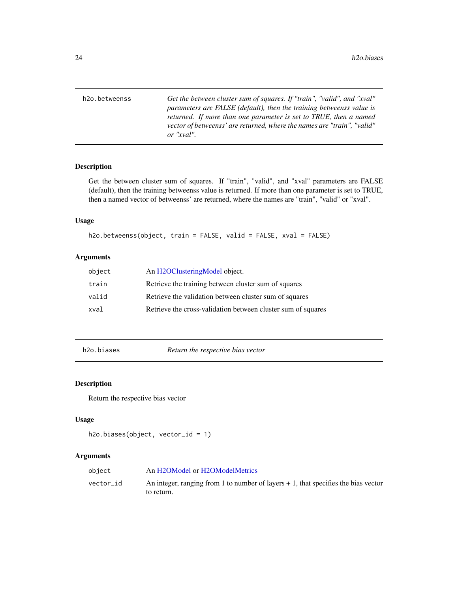<span id="page-23-0"></span>h2o.betweenss *Get the between cluster sum of squares. If "train", "valid", and "xval" parameters are FALSE (default), then the training betweenss value is returned. If more than one parameter is set to TRUE, then a named vector of betweenss' are returned, where the names are "train", "valid" or "xval".*

# Description

Get the between cluster sum of squares. If "train", "valid", and "xval" parameters are FALSE (default), then the training betweenss value is returned. If more than one parameter is set to TRUE, then a named vector of betweenss' are returned, where the names are "train", "valid" or "xval".

#### Usage

```
h2o.betweenss(object, train = FALSE, valid = FALSE, xval = FALSE)
```
#### Arguments

| object | An H2OClusteringModel object.                                |
|--------|--------------------------------------------------------------|
| train  | Retrieve the training between cluster sum of squares         |
| valid  | Retrieve the validation between cluster sum of squares       |
| xval   | Retrieve the cross-validation between cluster sum of squares |

h2o.biases *Return the respective bias vector*

#### Description

Return the respective bias vector

#### Usage

```
h2o.biases(object, vector_id = 1)
```
#### Arguments

| object    | An H2OModel or H2OModelMetrics                                                       |
|-----------|--------------------------------------------------------------------------------------|
| vector id | An integer, ranging from 1 to number of layers $+1$ , that specifies the bias vector |
|           | to return.                                                                           |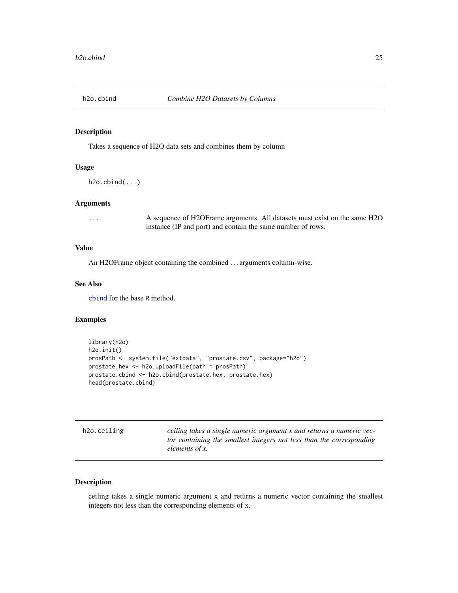<span id="page-24-0"></span>

Takes a sequence of H2O data sets and combines them by column

#### Usage

h2o.cbind(...)

#### Arguments

... A sequence of H2OFrame arguments. All datasets must exist on the same H2O instance (IP and port) and contain the same number of rows.

#### Value

An H2OFrame object containing the combined . . . arguments column-wise.

#### See Also

[cbind](#page-0-0) for the base R method.

#### Examples

```
library(h2o)
h2o.init()
prosPath <- system.file("extdata", "prostate.csv", package="h2o")
prostate.hex <- h2o.uploadFile(path = prosPath)
prostate.cbind <- h2o.cbind(prostate.hex, prostate.hex)
head(prostate.cbind)
```

| h2o.ceiling |  |
|-------------|--|
|             |  |
|             |  |
|             |  |

ceiling takes a single numeric argument x and returns a numeric vec*tor containing the smallest integers not less than the corresponding elements of x.*

#### Description

ceiling takes a single numeric argument x and returns a numeric vector containing the smallest integers not less than the corresponding elements of x.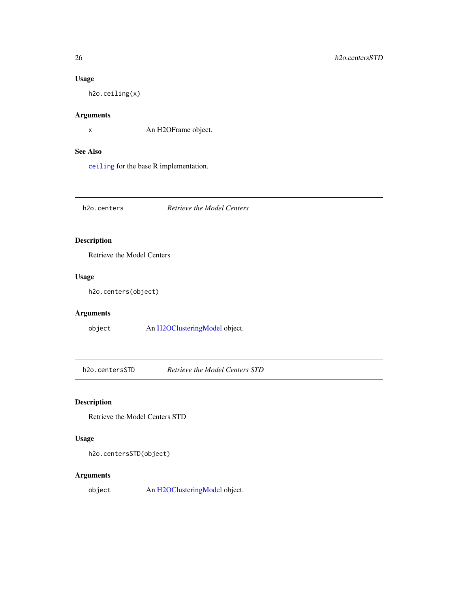# Usage

h2o.ceiling(x)

# Arguments

x An H2OFrame object.

#### See Also

[ceiling](#page-0-0) for the base R implementation.

h2o.centers *Retrieve the Model Centers*

# Description

Retrieve the Model Centers

#### Usage

h2o.centers(object)

# Arguments

object An [H2OClusteringModel](#page-184-1) object.

h2o.centersSTD *Retrieve the Model Centers STD*

# Description

Retrieve the Model Centers STD

# Usage

h2o.centersSTD(object)

# Arguments

object An [H2OClusteringModel](#page-184-1) object.

<span id="page-25-0"></span>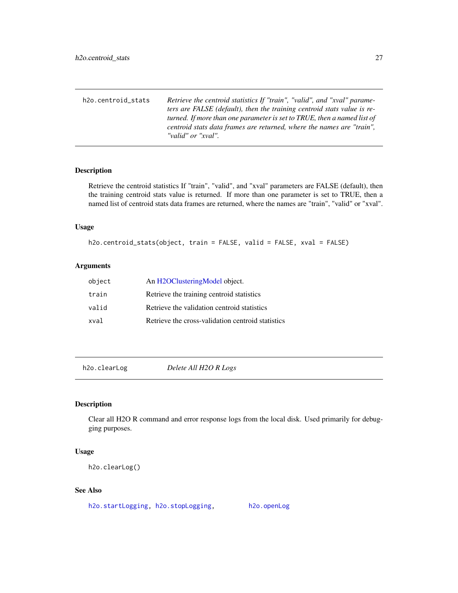<span id="page-26-0"></span>h2o.centroid\_stats *Retrieve the centroid statistics If "train", "valid", and "xval" parameters are FALSE (default), then the training centroid stats value is returned. If more than one parameter is set to TRUE, then a named list of centroid stats data frames are returned, where the names are "train", "valid" or "xval".*

#### Description

Retrieve the centroid statistics If "train", "valid", and "xval" parameters are FALSE (default), then the training centroid stats value is returned. If more than one parameter is set to TRUE, then a named list of centroid stats data frames are returned, where the names are "train", "valid" or "xval".

#### Usage

```
h2o.centroid_stats(object, train = FALSE, valid = FALSE, xval = FALSE)
```
#### Arguments

| object | An H2OClusteringModel object.                     |
|--------|---------------------------------------------------|
| train  | Retrieve the training centroid statistics         |
| valid  | Retrieve the validation centroid statistics       |
| xval   | Retrieve the cross-validation centroid statistics |

h2o.clearLog *Delete All H2O R Logs*

#### Description

Clear all H2O R command and error response logs from the local disk. Used primarily for debugging purposes.

#### Usage

h2o.clearLog()

#### See Also

[h2o.startLogging,](#page-165-1) [h2o.stopLogging,](#page-166-1) [h2o.openLog](#page-132-1)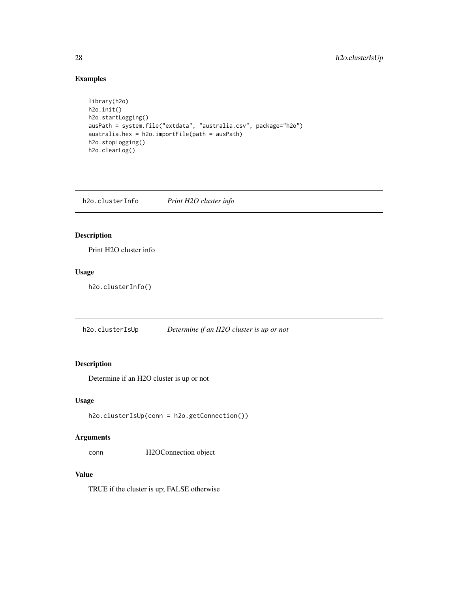# Examples

```
library(h2o)
h2o.init()
h2o.startLogging()
ausPath = system.file("extdata", "australia.csv", package="h2o")
australia.hex = h2o.importFile(path = ausPath)
h2o.stopLogging()
h2o.clearLog()
```
h2o.clusterInfo *Print H2O cluster info*

# Description

Print H2O cluster info

# Usage

h2o.clusterInfo()

h2o.clusterIsUp *Determine if an H2O cluster is up or not*

# Description

Determine if an H2O cluster is up or not

#### Usage

```
h2o.clusterIsUp(conn = h2o.getConnection())
```
#### Arguments

conn H2OConnection object

#### Value

TRUE if the cluster is up; FALSE otherwise

<span id="page-27-0"></span>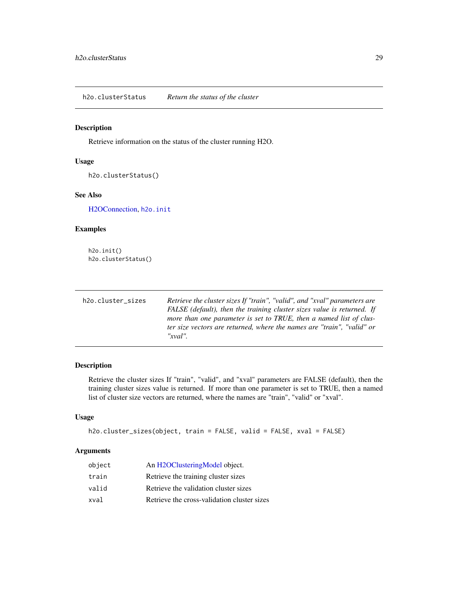<span id="page-28-0"></span>h2o.clusterStatus *Return the status of the cluster*

# Description

Retrieve information on the status of the cluster running H2O.

#### Usage

h2o.clusterStatus()

# See Also

[H2OConnection,](#page-185-1) [h2o.init](#page-96-1)

#### Examples

h2o.init() h2o.clusterStatus()

| h2o.cluster_sizes | Retrieve the cluster sizes If "train", "valid", and "xval" parameters are |
|-------------------|---------------------------------------------------------------------------|
|                   | FALSE (default), then the training cluster sizes value is returned. If    |
|                   | more than one parameter is set to TRUE, then a named list of clus-        |
|                   | ter size vectors are returned, where the names are "train", "valid" or    |
|                   | $''$ xval".                                                               |

#### Description

Retrieve the cluster sizes If "train", "valid", and "xval" parameters are FALSE (default), then the training cluster sizes value is returned. If more than one parameter is set to TRUE, then a named list of cluster size vectors are returned, where the names are "train", "valid" or "xval".

#### Usage

```
h2o.cluster_sizes(object, train = FALSE, valid = FALSE, xval = FALSE)
```
#### Arguments

| object | An H2OClusteringModel object.               |
|--------|---------------------------------------------|
| train  | Retrieve the training cluster sizes         |
| valid  | Retrieve the validation cluster sizes       |
| xval   | Retrieve the cross-validation cluster sizes |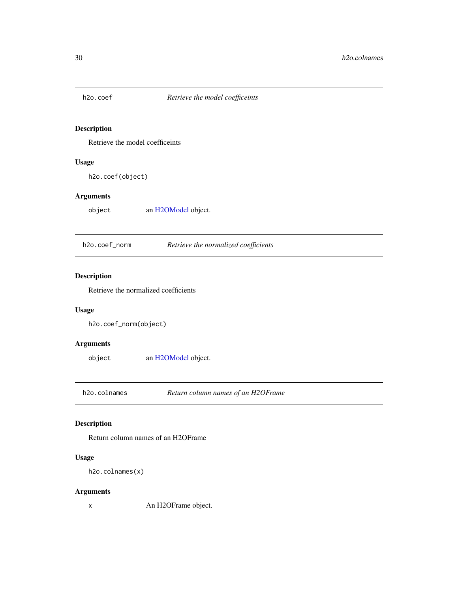<span id="page-29-0"></span>

Retrieve the model coefficeints

# Usage

h2o.coef(object)

# Arguments

object an [H2OModel](#page-188-1) object.

h2o.coef\_norm *Retrieve the normalized coefficients*

# Description

Retrieve the normalized coefficients

#### Usage

h2o.coef\_norm(object)

# Arguments

object an [H2OModel](#page-188-1) object.

h2o.colnames *Return column names of an H2OFrame*

# Description

Return column names of an H2OFrame

# Usage

h2o.colnames(x)

#### Arguments

x An H2OFrame object.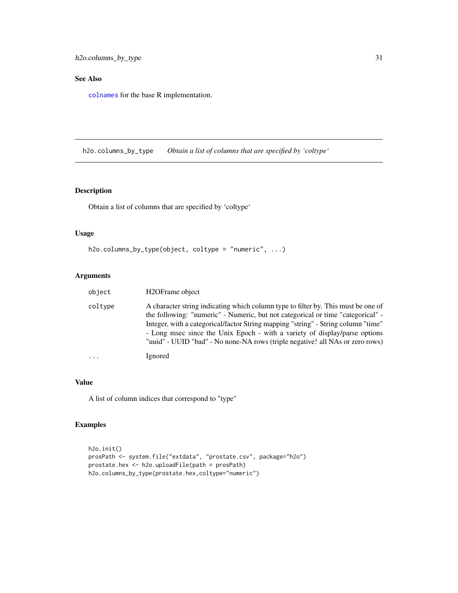# <span id="page-30-0"></span>See Also

[colnames](#page-14-1) for the base R implementation.

h2o.columns\_by\_type *Obtain a list of columns that are specified by 'coltype'*

# Description

Obtain a list of columns that are specified by 'coltype'

#### Usage

```
h2o.columns_by_type(object, coltype = "numeric", ...)
```
# Arguments

| object  | H2OFrame object                                                                                                                                                                                                                                                                                                                                                                                                          |
|---------|--------------------------------------------------------------------------------------------------------------------------------------------------------------------------------------------------------------------------------------------------------------------------------------------------------------------------------------------------------------------------------------------------------------------------|
| coltype | A character string indicating which column type to filter by. This must be one of<br>the following: "numeric" - Numeric, but not categorical or time "categorical" -<br>Integer, with a categorical/factor String mapping "string" - String column "time"<br>- Long msec since the Unix Epoch - with a variety of display/parse options<br>"uuid" - UUID "bad" - No none-NA rows (triple negative! all NAs or zero rows) |
| .       | Ignored                                                                                                                                                                                                                                                                                                                                                                                                                  |

#### Value

A list of column indices that correspond to "type"

```
h2o.init()
prosPath <- system.file("extdata", "prostate.csv", package="h2o")
prostate.hex <- h2o.uploadFile(path = prosPath)
h2o.columns_by_type(prostate.hex,coltype="numeric")
```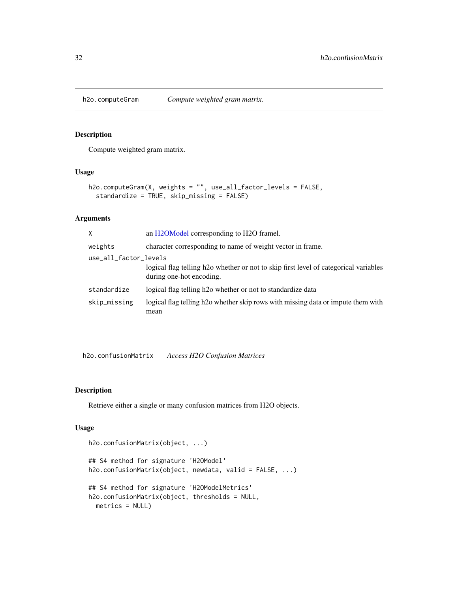<span id="page-31-0"></span>

Compute weighted gram matrix.

# Usage

```
h2o.computeGram(X, weights = "", use_all_factor_levels = FALSE,
  standardize = TRUE, skip_missing = FALSE)
```
# Arguments

| X                     | an H2OModel corresponding to H2O framel.                                                                                      |  |
|-----------------------|-------------------------------------------------------------------------------------------------------------------------------|--|
| weights               | character corresponding to name of weight vector in frame.                                                                    |  |
| use_all_factor_levels |                                                                                                                               |  |
|                       | logical flag telling h <sub>2</sub> o whether or not to skip first level of categorical variables<br>during one-hot encoding. |  |
| standardize           | logical flag telling h <sub>20</sub> whether or not to standardize data                                                       |  |
| skip_missing          | logical flag telling h <sub>20</sub> whether skip rows with missing data or impute them with<br>mean                          |  |
|                       |                                                                                                                               |  |

h2o.confusionMatrix *Access H2O Confusion Matrices*

#### Description

Retrieve either a single or many confusion matrices from H2O objects.

# Usage

```
h2o.confusionMatrix(object, ...)
## S4 method for signature 'H2OModel'
h2o.confusionMatrix(object, newdata, valid = FALSE, ...)
## S4 method for signature 'H2OModelMetrics'
h2o.confusionMatrix(object, thresholds = NULL,
 metrics = NULL)
```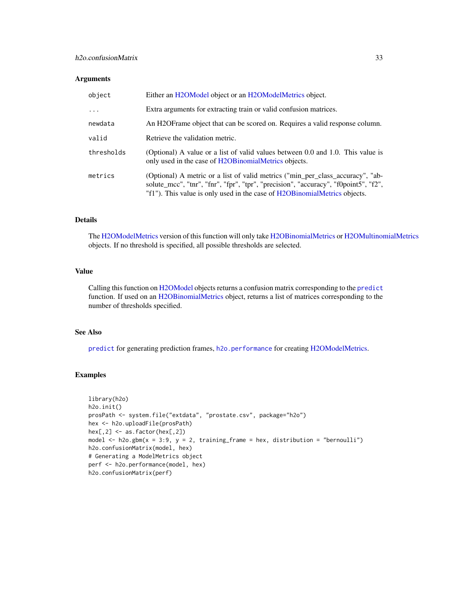#### h2o.confusionMatrix 33

#### Arguments

| object     | Either an H2OModel object or an H2OModelMetrics object.                                                                                                                                                                                            |
|------------|----------------------------------------------------------------------------------------------------------------------------------------------------------------------------------------------------------------------------------------------------|
| $\ddots$   | Extra arguments for extracting train or valid confusion matrices.                                                                                                                                                                                  |
| newdata    | An H2OF rame object that can be scored on. Requires a valid response column.                                                                                                                                                                       |
| valid      | Retrieve the validation metric.                                                                                                                                                                                                                    |
| thresholds | (Optional) A value or a list of valid values between 0.0 and 1.0. This value is<br>only used in the case of H2OB inomialMetrics objects.                                                                                                           |
| metrics    | (Optional) A metric or a list of valid metrics ("min_per_class_accuracy", "ab-<br>solute_mcc", "tnr", "fnr", "fpr", "tpr", "precision", "accuracy", "f0point5", "f2",<br>"f1"). This value is only used in the case of H2OBinomialMetrics objects. |

#### Details

The [H2OModelMetrics](#page-189-1) version of this function will only take [H2OBinomialMetrics](#page-189-2) or [H2OMultinomialMetrics](#page-189-2) objects. If no threshold is specified, all possible thresholds are selected.

# Value

Calling this function on [H2OModel](#page-188-1) objects returns a confusion matrix corresponding to the [predict](#page-0-0) function. If used on an [H2OBinomialMetrics](#page-189-2) object, returns a list of matrices corresponding to the number of thresholds specified.

#### See Also

[predict](#page-0-0) for generating prediction frames, [h2o.performance](#page-136-1) for creating [H2OModelMetrics.](#page-189-1)

```
library(h2o)
h2o.init()
prosPath <- system.file("extdata", "prostate.csv", package="h2o")
hex <- h2o.uploadFile(prosPath)
hex[,2] <- as.factor(hex[,2])
model \leq h2o.gbm(x = 3:9, y = 2, training_frame = hex, distribution = "bernoulli")
h2o.confusionMatrix(model, hex)
# Generating a ModelMetrics object
perf <- h2o.performance(model, hex)
h2o.confusionMatrix(perf)
```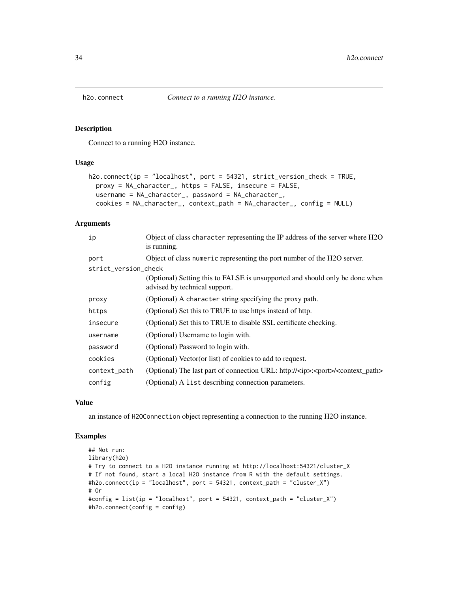<span id="page-33-0"></span>

Connect to a running H2O instance.

#### Usage

```
h2o.connect(ip = "localhost", port = 54321, strict_version_check = TRUE,
  proxy = NA_character_, https = FALSE, insecure = FALSE,
  username = NA_character_, password = NA_character_,
  cookies = NA_character_, context_path = NA_character_, config = NULL)
```
#### Arguments

| ip                   | Object of class character representing the IP address of the server where H2O<br>is running.                  |
|----------------------|---------------------------------------------------------------------------------------------------------------|
| port                 | Object of class numeric representing the port number of the H2O server.                                       |
| strict_version_check |                                                                                                               |
|                      | (Optional) Setting this to FALSE is unsupported and should only be done when<br>advised by technical support. |
| proxy                | (Optional) A character string specifying the proxy path.                                                      |
| https                | (Optional) Set this to TRUE to use https instead of http.                                                     |
| insecure             | (Optional) Set this to TRUE to disable SSL certificate checking.                                              |
| username             | (Optional) Username to login with.                                                                            |
| password             | (Optional) Password to login with.                                                                            |
| cookies              | (Optional) Vector (or list) of cookies to add to request.                                                     |
| context_path         | (Optional) The last part of connection URL: http:// <ip>:<port>/<context_path></context_path></port></ip>     |
| config               | (Optional) A list describing connection parameters.                                                           |

#### Value

an instance of H2OConnection object representing a connection to the running H2O instance.

```
## Not run:
library(h2o)
# Try to connect to a H2O instance running at http://localhost:54321/cluster_X
# If not found, start a local H2O instance from R with the default settings.
#h2o.connect(ip = "localhost", port = 54321, context_path = "cluster_X")
# Or
#config = list(ip = "localhost", port = 54321, context_path = "cluster_X")
#h2o.connect(config = config)
```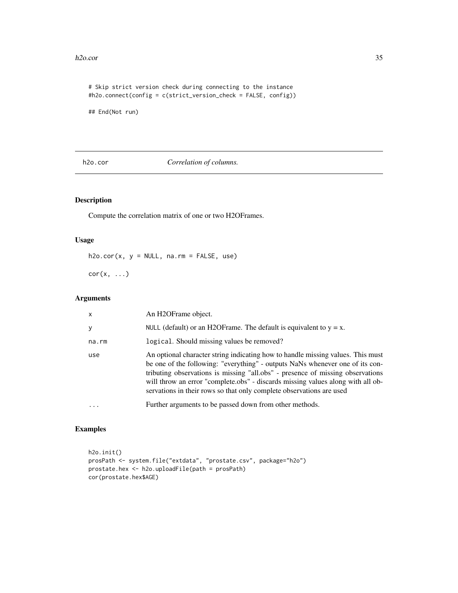#### <span id="page-34-0"></span>h2o.cor 35

```
# Skip strict version check during connecting to the instance
#h2o.connect(config = c(strict_version_check = FALSE, config))
```
## End(Not run)

h2o.cor *Correlation of columns.*

# Description

Compute the correlation matrix of one or two H2OFrames.

#### Usage

 $h2o.cor(x, y = NULL, na.rm = FALSE, use)$ 

 $cor(x, \ldots)$ 

# Arguments

| $\mathsf{x}$ | An H <sub>2</sub> OFrame object.                                                                                                                                                                                                                                                                                                                                                                              |
|--------------|---------------------------------------------------------------------------------------------------------------------------------------------------------------------------------------------------------------------------------------------------------------------------------------------------------------------------------------------------------------------------------------------------------------|
| y            | NULL (default) or an H2OF rame. The default is equivalent to $y = x$ .                                                                                                                                                                                                                                                                                                                                        |
| na.rm        | logical. Should missing values be removed?                                                                                                                                                                                                                                                                                                                                                                    |
| use          | An optional character string indicating how to handle missing values. This must<br>be one of the following: "everything" - outputs NaNs whenever one of its con-<br>tributing observations is missing "all.obs" - presence of missing observations<br>will throw an error "complete.obs" - discards missing values along with all ob-<br>servations in their rows so that only complete observations are used |
| $\ddotsc$    | Further arguments to be passed down from other methods.                                                                                                                                                                                                                                                                                                                                                       |

```
h2o.init()
prosPath <- system.file("extdata", "prostate.csv", package="h2o")
prostate.hex <- h2o.uploadFile(path = prosPath)
cor(prostate.hex$AGE)
```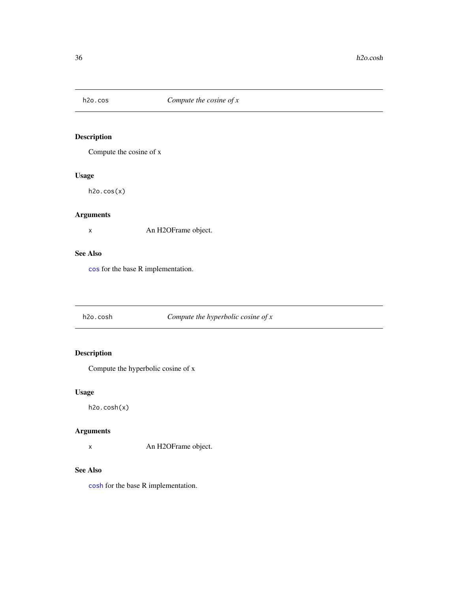<span id="page-35-0"></span>

Compute the cosine of x

# Usage

h2o.cos(x)

# Arguments

x An H2OFrame object.

#### See Also

[cos](#page-0-0) for the base R implementation.

# h2o.cosh *Compute the hyperbolic cosine of x*

# Description

Compute the hyperbolic cosine of x

# Usage

h2o.cosh(x)

# Arguments

x An H2OFrame object.

#### See Also

[cosh](#page-0-0) for the base R implementation.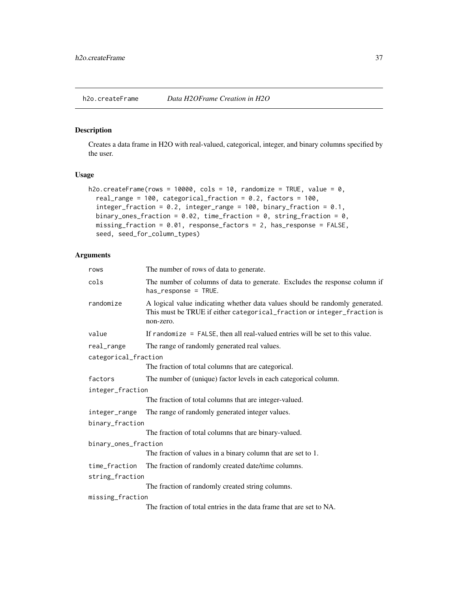h2o.createFrame *Data H2OFrame Creation in H2O*

## Description

Creates a data frame in H2O with real-valued, categorical, integer, and binary columns specified by the user.

### Usage

```
h2o.createFrame(rows = 10000, cols = 10, randomize = TRUE, value = 0,
  real_range = 100, categorical_fraction = 0.2, factors = 100,
  integer_fraction = 0.2, integer_range = 100, binary_fraction = 0.1,
 binary_ones_fraction = 0.02, time_fraction = 0, string_fraction = 0,
 missing_fraction = 0.01, response_factors = 2, has_response = FALSE,
  seed, seed_for_column_types)
```

| rows                 | The number of rows of data to generate.                                                                                                                              |  |
|----------------------|----------------------------------------------------------------------------------------------------------------------------------------------------------------------|--|
| cols                 | The number of columns of data to generate. Excludes the response column if<br>has_response = TRUE.                                                                   |  |
| randomize            | A logical value indicating whether data values should be randomly generated.<br>This must be TRUE if either categorical_fraction or integer_fraction is<br>non-zero. |  |
| value                | If randomize $=$ FALSE, then all real-valued entries will be set to this value.                                                                                      |  |
| real_range           | The range of randomly generated real values.                                                                                                                         |  |
| categorical_fraction |                                                                                                                                                                      |  |
|                      | The fraction of total columns that are categorical.                                                                                                                  |  |
| factors              | The number of (unique) factor levels in each categorical column.                                                                                                     |  |
| integer_fraction     |                                                                                                                                                                      |  |
|                      | The fraction of total columns that are integer-valued.                                                                                                               |  |
| integer_range        | The range of randomly generated integer values.                                                                                                                      |  |
| binary_fraction      |                                                                                                                                                                      |  |
|                      | The fraction of total columns that are binary-valued.                                                                                                                |  |
| binary_ones_fraction |                                                                                                                                                                      |  |
|                      | The fraction of values in a binary column that are set to 1.                                                                                                         |  |
| time_fraction        | The fraction of randomly created date/time columns.                                                                                                                  |  |
| string_fraction      |                                                                                                                                                                      |  |
|                      | The fraction of randomly created string columns.                                                                                                                     |  |
| missing_fraction     |                                                                                                                                                                      |  |
|                      | The fraction of total entries in the data frame that are set to NA.                                                                                                  |  |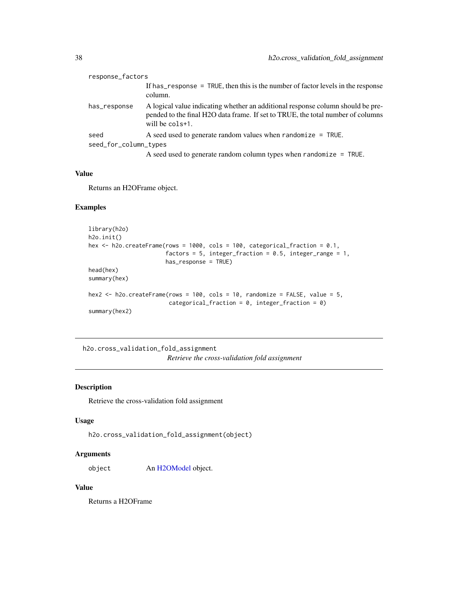| response_factors      |                                                                                                                                                                                       |
|-----------------------|---------------------------------------------------------------------------------------------------------------------------------------------------------------------------------------|
|                       | If has response = TRUE, then this is the number of factor levels in the response<br>column.                                                                                           |
| has_response          | A logical value indicating whether an additional response column should be pre-<br>pended to the final H2O data frame. If set to TRUE, the total number of columns<br>will be cols+1. |
| seed                  | A seed used to generate random values when randomize $=$ TRUE.                                                                                                                        |
| seed_for_column_types |                                                                                                                                                                                       |
|                       | A seed used to generate random column types when randomize $=$ TRUE.                                                                                                                  |

### Value

Returns an H2OFrame object.

#### Examples

```
library(h2o)
h2o.init()
hex <- h2o.createFrame(rows = 1000, cols = 100, categorical_fraction = 0.1,
                       factors = 5, integer_fraction = 0.5, integer_range = 1,
                       has_response = TRUE)
head(hex)
summary(hex)
hex2 <- h2o.createFrame(rows = 100, cols = 10, randomize = FALSE, value = 5,
                        categorical_fraction = 0, integer_fraction = 0)
summary(hex2)
```
h2o.cross\_validation\_fold\_assignment *Retrieve the cross-validation fold assignment*

## Description

Retrieve the cross-validation fold assignment

#### Usage

```
h2o.cross_validation_fold_assignment(object)
```
#### Arguments

object An [H2OModel](#page-188-0) object.

#### Value

Returns a H2OFrame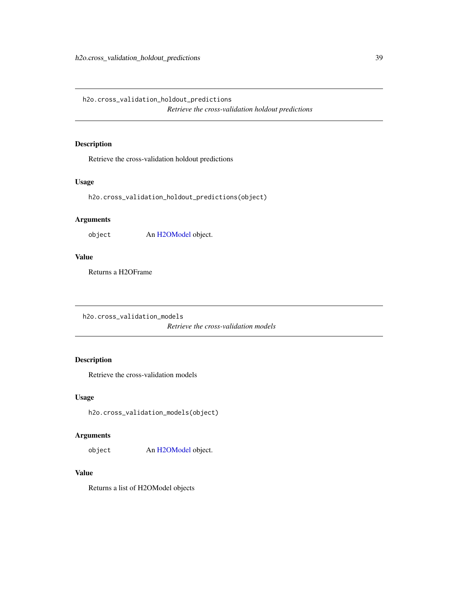h2o.cross\_validation\_holdout\_predictions *Retrieve the cross-validation holdout predictions*

## Description

Retrieve the cross-validation holdout predictions

## Usage

h2o.cross\_validation\_holdout\_predictions(object)

## Arguments

object An [H2OModel](#page-188-0) object.

#### Value

Returns a H2OFrame

h2o.cross\_validation\_models *Retrieve the cross-validation models*

## Description

Retrieve the cross-validation models

#### Usage

h2o.cross\_validation\_models(object)

## Arguments

object An [H2OModel](#page-188-0) object.

#### Value

Returns a list of H2OModel objects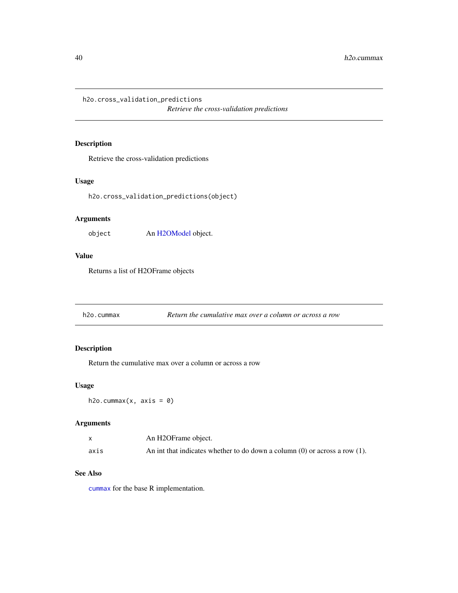h2o.cross\_validation\_predictions

*Retrieve the cross-validation predictions*

## Description

Retrieve the cross-validation predictions

## Usage

h2o.cross\_validation\_predictions(object)

## Arguments

object An [H2OModel](#page-188-0) object.

## Value

Returns a list of H2OFrame objects

h2o.cummax *Return the cumulative max over a column or across a row*

## Description

Return the cumulative max over a column or across a row

## Usage

 $h2o.cummax(x, axis = 0)$ 

## Arguments

|      | An H2OFrame object.                                                             |
|------|---------------------------------------------------------------------------------|
| axis | An int that indicates whether to do down a column $(0)$ or across a row $(1)$ . |

#### See Also

[cummax](#page-0-0) for the base R implementation.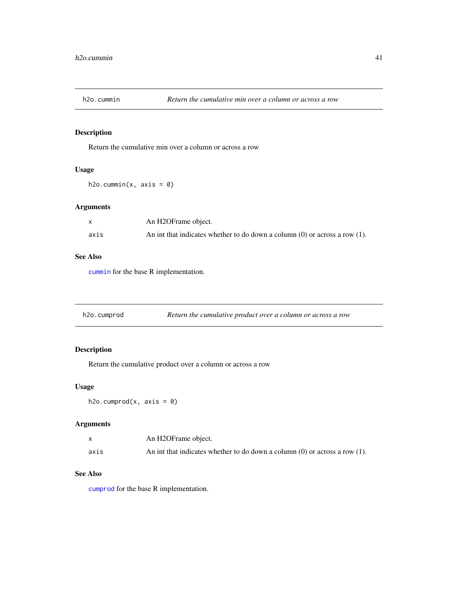Return the cumulative min over a column or across a row

## Usage

 $h2o.cummin(x, axis = 0)$ 

## Arguments

|      | An H2OFrame object.                                                             |
|------|---------------------------------------------------------------------------------|
| axis | An int that indicates whether to do down a column $(0)$ or across a row $(1)$ . |

#### See Also

[cummin](#page-0-0) for the base R implementation.

|  | h2o.cumprod | Return the cumulative product over a column or across a row |
|--|-------------|-------------------------------------------------------------|
|--|-------------|-------------------------------------------------------------|

## Description

Return the cumulative product over a column or across a row

#### Usage

 $h2o.cumprod(x, axis = 0)$ 

## Arguments

|      | An H2OFrame object.                                                             |
|------|---------------------------------------------------------------------------------|
| axis | An int that indicates whether to do down a column $(0)$ or across a row $(1)$ . |

## See Also

[cumprod](#page-0-0) for the base R implementation.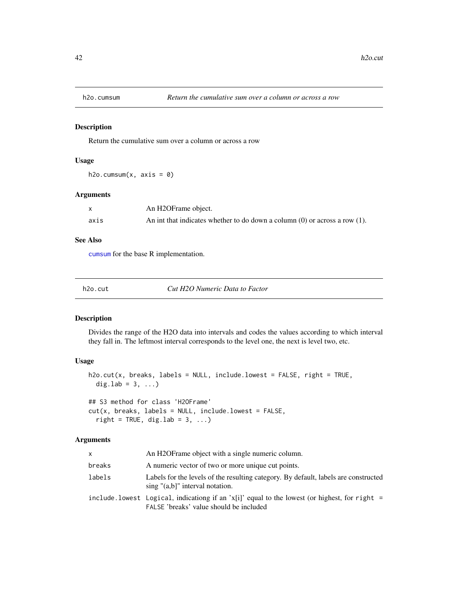Return the cumulative sum over a column or across a row

## Usage

h2o.cumsum $(x, axis = 0)$ 

#### Arguments

|      | An H2OFrame object.                                                             |
|------|---------------------------------------------------------------------------------|
| axis | An int that indicates whether to do down a column $(0)$ or across a row $(1)$ . |

## See Also

[cumsum](#page-0-0) for the base R implementation.

| h2o.cut | Cut H2O Numeric Data to Factor |
|---------|--------------------------------|
|         |                                |

## Description

Divides the range of the H2O data into intervals and codes the values according to which interval they fall in. The leftmost interval corresponds to the level one, the next is level two, etc.

#### Usage

```
h2o.cut(x, breaks, labels = NULL, include.lowest = FALSE, right = TRUE,
 dig.lab = 3, ...)
## S3 method for class 'H2OFrame'
cut(x, breaks, labels = NULL, include.lowest = FALSE,
  right = TRUE, dig.lab = 3, ...)
```

| x.     | An H2OF rame object with a single numeric column.                                                                                        |  |
|--------|------------------------------------------------------------------------------------------------------------------------------------------|--|
| breaks | A numeric vector of two or more unique cut points.                                                                                       |  |
| labels | Labels for the levels of the resulting category. By default, labels are constructed<br>$\sin g$ " $(a,b)$ " interval notation.           |  |
|        | include lowest Logical, indicationg if an $x[i]$ equal to the lowest (or highest, for right =<br>FALSE 'breaks' value should be included |  |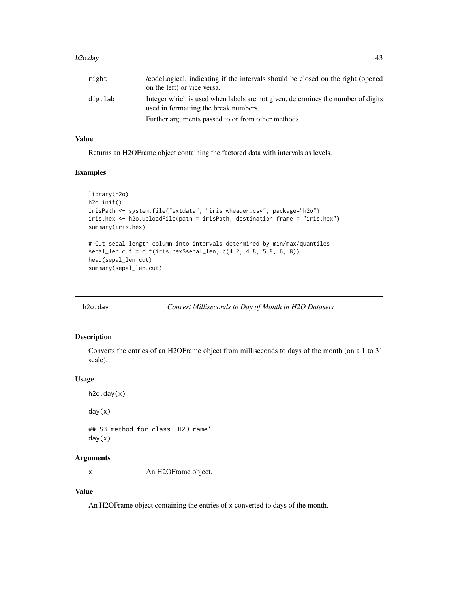#### h2o.day 43

| right     | code Logical, indicating if the intervals should be closed on the right (opened<br>on the left) or vice versa.            |
|-----------|---------------------------------------------------------------------------------------------------------------------------|
| dig.lab   | Integer which is used when labels are not given, determines the number of digits<br>used in formatting the break numbers. |
| $\ddotsc$ | Further arguments passed to or from other methods.                                                                        |

## Value

Returns an H2OFrame object containing the factored data with intervals as levels.

## Examples

```
library(h2o)
h2o.init()
irisPath <- system.file("extdata", "iris_wheader.csv", package="h2o")
iris.hex <- h2o.uploadFile(path = irisPath, destination_frame = "iris.hex")
summary(iris.hex)
# Cut sepal length column into intervals determined by min/max/quantiles
sepal_len.cut = cut(iris.hex$sepal_len, c(4.2, 4.8, 5.8, 6, 8))
head(sepal_len.cut)
summary(sepal_len.cut)
```
<span id="page-42-0"></span>

h2o.day *Convert Milliseconds to Day of Month in H2O Datasets*

## Description

Converts the entries of an H2OFrame object from milliseconds to days of the month (on a 1 to 31 scale).

#### Usage

```
h2o.day(x)day(x)
## S3 method for class 'H2OFrame'
day(x)
```
## Arguments

x An H2OFrame object.

## Value

An H2OFrame object containing the entries of x converted to days of the month.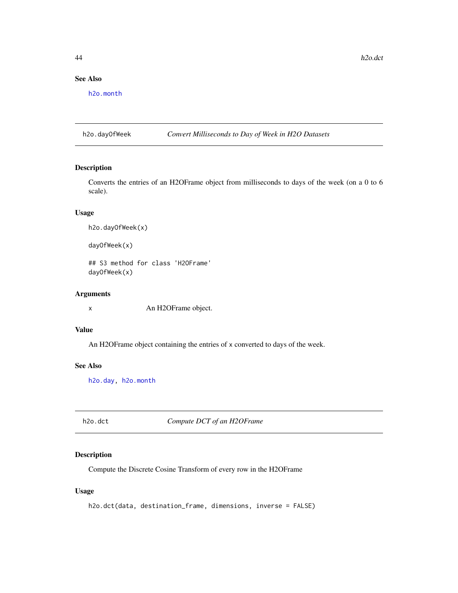## See Also

[h2o.month](#page-122-0)

h2o.dayOfWeek *Convert Milliseconds to Day of Week in H2O Datasets*

#### Description

Converts the entries of an H2OFrame object from milliseconds to days of the week (on a 0 to 6 scale).

### Usage

```
h2o.dayOfWeek(x)
```
dayOfWeek(x)

## S3 method for class 'H2OFrame' dayOfWeek(x)

### Arguments

x An H2OFrame object.

### Value

An H2OFrame object containing the entries of x converted to days of the week.

### See Also

[h2o.day,](#page-42-0) [h2o.month](#page-122-0)

h2o.dct *Compute DCT of an H2OFrame*

#### Description

Compute the Discrete Cosine Transform of every row in the H2OFrame

### Usage

```
h2o.dct(data, destination_frame, dimensions, inverse = FALSE)
```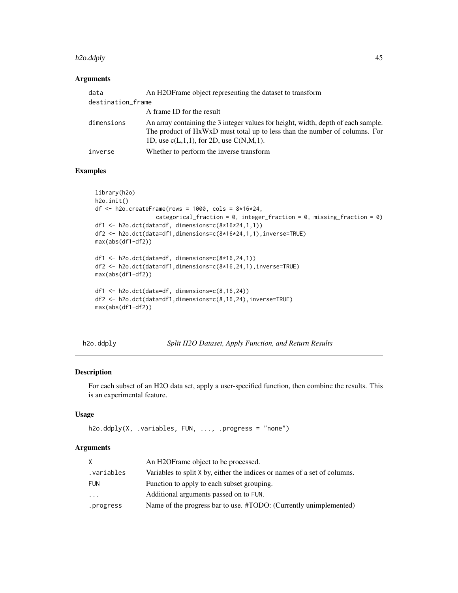#### h2o.ddply 45

### Arguments

| data              | An H2OFrame object representing the dataset to transform                                                                                                                                                         |  |
|-------------------|------------------------------------------------------------------------------------------------------------------------------------------------------------------------------------------------------------------|--|
| destination_frame |                                                                                                                                                                                                                  |  |
|                   | A frame ID for the result                                                                                                                                                                                        |  |
| dimensions        | An array containing the 3 integer values for height, width, depth of each sample.<br>The product of HxWxD must total up to less than the number of columns. For<br>1D, use $c(L,1,1)$ , for 2D, use $C(N,M,1)$ . |  |
| inverse           | Whether to perform the inverse transform                                                                                                                                                                         |  |
|                   |                                                                                                                                                                                                                  |  |

## Examples

```
library(h2o)
h2o.init()
df <- h2o.createFrame(rows = 1000, cols = 8*16*24,
                  categorical_fraction = 0, integer_fraction = 0, missing_fraction = 0)
df1 <- h2o.dct(data=df, dimensions=c(8*16*24,1,1))
df2 <- h2o.dct(data=df1,dimensions=c(8*16*24,1,1),inverse=TRUE)
max(abs(df1-df2))
df1 <- h2o.dct(data=df, dimensions=c(8*16,24,1))
df2 <- h2o.dct(data=df1,dimensions=c(8*16,24,1),inverse=TRUE)
max(abs(df1-df2))
df1 <- h2o.dct(data=df, dimensions=c(8,16,24))
df2 <- h2o.dct(data=df1,dimensions=c(8,16,24),inverse=TRUE)
max(abs(df1-df2))
```
h2o.ddply *Split H2O Dataset, Apply Function, and Return Results*

#### Description

For each subset of an H2O data set, apply a user-specified function, then combine the results. This is an experimental feature.

### Usage

```
h2o.ddply(X, .variables, FUN, ..., .progress = "none")
```

| An H2OFrame object to be processed.                                       |
|---------------------------------------------------------------------------|
| Variables to split X by, either the indices or names of a set of columns. |
| Function to apply to each subset grouping.                                |
| Additional arguments passed on to FUN.                                    |
| Name of the progress bar to use. #TODO: (Currently unimplemented)         |
|                                                                           |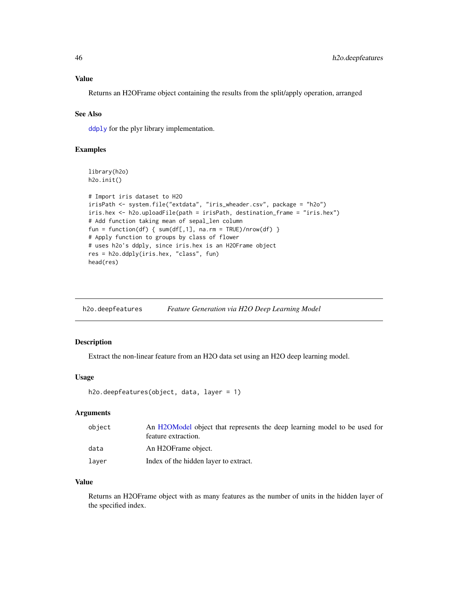## Value

Returns an H2OFrame object containing the results from the split/apply operation, arranged

#### See Also

[ddply](#page-0-0) for the plyr library implementation.

#### Examples

```
library(h2o)
h2o.init()
# Import iris dataset to H2O
irisPath <- system.file("extdata", "iris_wheader.csv", package = "h2o")
iris.hex <- h2o.uploadFile(path = irisPath, destination_frame = "iris.hex")
# Add function taking mean of sepal_len column
fun = function(df) { sum(df[,1], na.rm = TRUE)/nrow(df) }
# Apply function to groups by class of flower
# uses h2o's ddply, since iris.hex is an H2OFrame object
res = h2o.ddply(iris.hex, "class", fun)
head(res)
```
h2o.deepfeatures *Feature Generation via H2O Deep Learning Model*

#### Description

Extract the non-linear feature from an H2O data set using an H2O deep learning model.

#### Usage

```
h2o.deepfeatures(object, data, layer = 1)
```
#### Arguments

| object | An H2OModel object that represents the deep learning model to be used for<br>feature extraction. |
|--------|--------------------------------------------------------------------------------------------------|
| data   | An H2OFrame object.                                                                              |
| laver  | Index of the hidden layer to extract.                                                            |

## Value

Returns an H2OFrame object with as many features as the number of units in the hidden layer of the specified index.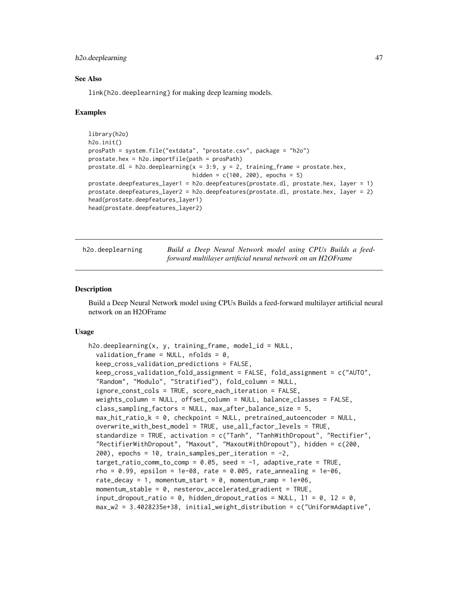#### h2o.deeplearning 47

#### See Also

link{h2o.deeplearning} for making deep learning models.

#### Examples

```
library(h2o)
h2o.init()
prosPath = system.file("extdata", "prostate.csv", package = "h2o")
prostate.hex = h2o.importFile(path = prosPath)
prostate.dl = h2o.deeplearning(x = 3:9, y = 2, training_frame = prostate.hex,
                               hidden = c(100, 200), epochs = 5)
prostate.deepfeatures_layer1 = h2o.deepfeatures(prostate.dl, prostate.hex, layer = 1)
prostate.deepfeatures_layer2 = h2o.deepfeatures(prostate.dl, prostate.hex, layer = 2)
head(prostate.deepfeatures_layer1)
head(prostate.deepfeatures_layer2)
```
h2o.deeplearning *Build a Deep Neural Network model using CPUs Builds a feedforward multilayer artificial neural network on an H2OFrame*

#### **Description**

Build a Deep Neural Network model using CPUs Builds a feed-forward multilayer artificial neural network on an H2OFrame

#### Usage

```
h2o.deeplearning(x, y, training_frame, model_id = NULL,
  validation_frame = NULL, nfolds = 0,
 keep_cross_validation_predictions = FALSE,
  keep_cross_validation_fold_assignment = FALSE, fold_assignment = c("AUTO",
  "Random", "Modulo", "Stratified"), fold_column = NULL,
  ignore_const_cols = TRUE, score_each_iteration = FALSE,
  weights_column = NULL, offset_column = NULL, balance_classes = FALSE,
  class_sampling_factors = NULL, max_after_balance_size = 5,
  max_hit_ratio_k = 0, checkpoint = NULL, pretrained_autoencoder = NULL,
  overwrite_with_best_model = TRUE, use_all_factor_levels = TRUE,
  standardize = TRUE, activation = c("Tanh", "TanhWithDropout", "Rectifier",
  "RectifierWithDropout", "Maxout", "MaxoutWithDropout"), hidden = c(200,
  200), epochs = 10, train_samples_per_iteration = -2,
  target_ratio_comm_to_comp = 0.05, seed = -1, adaptive_rate = TRUE,
  rho = 0.99, epsilon = 1e-08, rate = 0.005, rate_annealing = 1e-06,
  rate_decay = 1, momentum_start = 0, momentum_ramp = 1e+06,
  momentum_stable = 0, nesterov_accelerated_gradient = TRUE,
  input_dropout_ratio = 0, hidden_dropout_ratios = NULL, 11 = 0, 12 = 0,
  max_w2 = 3.4028235e+38, initial_weight_distribution = c("UniformAdaptive",
```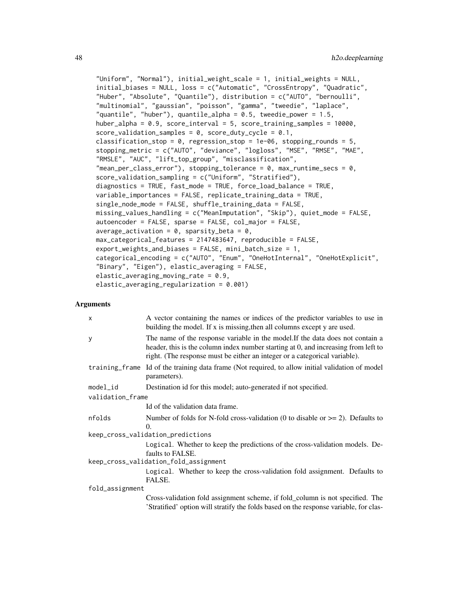```
"Uniform", "Normal"), initial_weight_scale = 1, initial_weights = NULL,
initial_biases = NULL, loss = c("Automatic", "CrossEntropy", "Quadratic",
"Huber", "Absolute", "Quantile"), distribution = c("AUTO", "bernoulli",
"multinomial", "gaussian", "poisson", "gamma", "tweedie", "laplace",
"quantile", "huber"), quantile_alpha = 0.5, tweedie_power = 1.5,
huber_alpha = 0.9, score_interval = 5, score_training_samples = 10000,
score_validation_samples = 0, score_duty_cycle = 0.1,
classification_stop = 0, regression_stop = 1e-06, stopping_rounds = 5,
stopping_metric = c("AUTO", "deviance", "logloss", "MSE", "RMSE", "MAE",
"RMSLE", "AUC", "lift_top_group", "misclassification",
"mean_per_class_error"), stopping_tolerance = 0, max_runtime_secs = 0,
score_validation_sampling = c("Uniform", "Stratified"),
diagnostics = TRUE, fast_mode = TRUE, force_load_balance = TRUE,
variable_importances = FALSE, replicate_training_data = TRUE,
single_node_mode = FALSE, shuffle_training_data = FALSE,
missing_values_handling = c("MeanImputation", "Skip"), quiet_mode = FALSE,
autoencoder = FALSE, sparse = FALSE, col_major = FALSE,
average\_activation = 0, sparsity\_beta = 0,
max_categorical_features = 2147483647, reproducible = FALSE,
export_weights_and_biases = FALSE, mini_batch_size = 1,
categorical_encoding = c("AUTO", "Enum", "OneHotInternal", "OneHotExplicit",
"Binary", "Eigen"), elastic_averaging = FALSE,
elastic_averaging_moving_rate = 0.9,
elastic_averaging_regularization = 0.001)
```

| $\boldsymbol{\mathsf{x}}$ | A vector containing the names or indices of the predictor variables to use in<br>building the model. If x is missing, then all columns except y are used.                                                                                          |
|---------------------------|----------------------------------------------------------------------------------------------------------------------------------------------------------------------------------------------------------------------------------------------------|
| У                         | The name of the response variable in the model. If the data does not contain a<br>header, this is the column index number starting at 0, and increasing from left to<br>right. (The response must be either an integer or a categorical variable). |
|                           | training_frame Id of the training data frame (Not required, to allow initial validation of model<br>parameters).                                                                                                                                   |
| model_id                  | Destination id for this model; auto-generated if not specified.                                                                                                                                                                                    |
| validation_frame          |                                                                                                                                                                                                                                                    |
|                           | Id of the validation data frame.                                                                                                                                                                                                                   |
| nfolds                    | Number of folds for N-fold cross-validation (0 to disable or $\geq$ 2). Defaults to<br>$\Omega$ .                                                                                                                                                  |
|                           | keep_cross_validation_predictions                                                                                                                                                                                                                  |
|                           | Logical. Whether to keep the predictions of the cross-validation models. De-<br>faults to FALSE.                                                                                                                                                   |
|                           | keep_cross_validation_fold_assignment                                                                                                                                                                                                              |
|                           | Logical. Whether to keep the cross-validation fold assignment. Defaults to<br>FALSE.                                                                                                                                                               |
| fold_assignment           |                                                                                                                                                                                                                                                    |
|                           | Cross-validation fold assignment scheme, if fold_column is not specified. The<br>'Stratified' option will stratify the folds based on the response variable, for clas-                                                                             |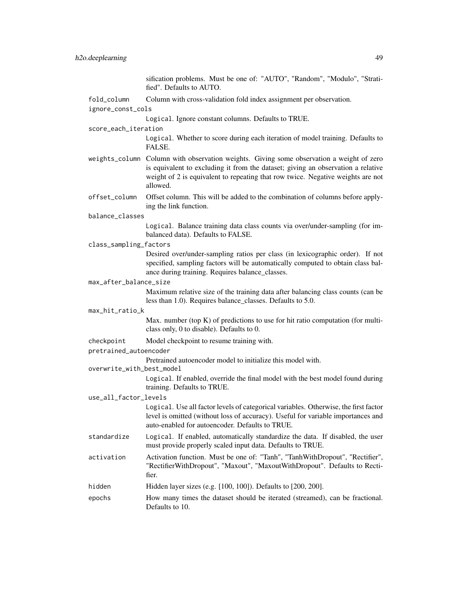|                           | sification problems. Must be one of: "AUTO", "Random", "Modulo", "Strati-<br>fied". Defaults to AUTO.                                                                                                                                                                       |
|---------------------------|-----------------------------------------------------------------------------------------------------------------------------------------------------------------------------------------------------------------------------------------------------------------------------|
| fold_column               | Column with cross-validation fold index assignment per observation.                                                                                                                                                                                                         |
| ignore_const_cols         |                                                                                                                                                                                                                                                                             |
|                           | Logical. Ignore constant columns. Defaults to TRUE.                                                                                                                                                                                                                         |
| score_each_iteration      |                                                                                                                                                                                                                                                                             |
|                           | Logical. Whether to score during each iteration of model training. Defaults to<br>FALSE.                                                                                                                                                                                    |
|                           | weights_column Column with observation weights. Giving some observation a weight of zero<br>is equivalent to excluding it from the dataset; giving an observation a relative<br>weight of 2 is equivalent to repeating that row twice. Negative weights are not<br>allowed. |
| offset_column             | Offset column. This will be added to the combination of columns before apply-<br>ing the link function.                                                                                                                                                                     |
| balance_classes           |                                                                                                                                                                                                                                                                             |
|                           | Logical. Balance training data class counts via over/under-sampling (for im-<br>balanced data). Defaults to FALSE.                                                                                                                                                          |
| class_sampling_factors    |                                                                                                                                                                                                                                                                             |
|                           | Desired over/under-sampling ratios per class (in lexicographic order). If not<br>specified, sampling factors will be automatically computed to obtain class bal-<br>ance during training. Requires balance_classes.                                                         |
| max_after_balance_size    |                                                                                                                                                                                                                                                                             |
|                           | Maximum relative size of the training data after balancing class counts (can be<br>less than 1.0). Requires balance_classes. Defaults to 5.0.                                                                                                                               |
| max_hit_ratio_k           |                                                                                                                                                                                                                                                                             |
|                           | Max. number (top $K$ ) of predictions to use for hit ratio computation (for multi-<br>class only, 0 to disable). Defaults to 0.                                                                                                                                             |
| checkpoint                | Model checkpoint to resume training with.                                                                                                                                                                                                                                   |
| pretrained_autoencoder    |                                                                                                                                                                                                                                                                             |
| overwrite_with_best_model | Pretrained autoencoder model to initialize this model with.                                                                                                                                                                                                                 |
|                           | Logical. If enabled, override the final model with the best model found during<br>training. Defaults to TRUE.                                                                                                                                                               |
| use_all_factor_levels     |                                                                                                                                                                                                                                                                             |
|                           | Logical. Use all factor levels of categorical variables. Otherwise, the first factor<br>level is omitted (without loss of accuracy). Useful for variable importances and<br>auto-enabled for autoencoder. Defaults to TRUE.                                                 |
| standardize               | Logical. If enabled, automatically standardize the data. If disabled, the user<br>must provide properly scaled input data. Defaults to TRUE.                                                                                                                                |
| activation                | Activation function. Must be one of: "Tanh", "TanhWithDropout", "Rectifier",<br>"RectifierWithDropout", "Maxout", "MaxoutWithDropout". Defaults to Recti-<br>fier.                                                                                                          |
| hidden                    | Hidden layer sizes (e.g. [100, 100]). Defaults to [200, 200].                                                                                                                                                                                                               |
| epochs                    | How many times the dataset should be iterated (streamed), can be fractional.<br>Defaults to 10.                                                                                                                                                                             |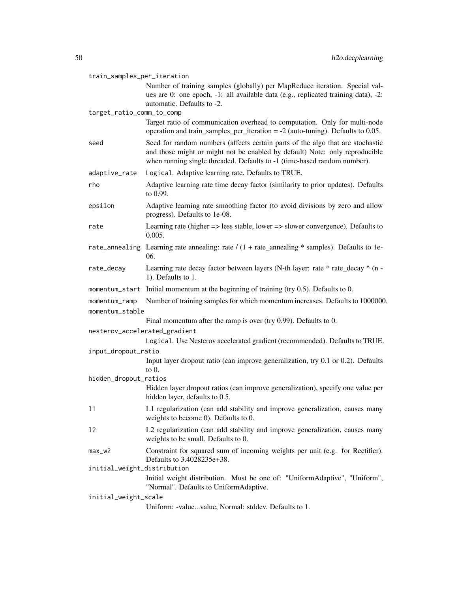| train_samples_per_iteration      |                                                                                                                                                                                                                                           |  |
|----------------------------------|-------------------------------------------------------------------------------------------------------------------------------------------------------------------------------------------------------------------------------------------|--|
|                                  | Number of training samples (globally) per MapReduce iteration. Special val-<br>ues are 0: one epoch, -1: all available data (e.g., replicated training data), -2:                                                                         |  |
|                                  | automatic. Defaults to -2.                                                                                                                                                                                                                |  |
| target_ratio_comm_to_comp        |                                                                                                                                                                                                                                           |  |
|                                  | Target ratio of communication overhead to computation. Only for multi-node<br>operation and train_samples_per_iteration = $-2$ (auto-tuning). Defaults to 0.05.                                                                           |  |
| seed                             | Seed for random numbers (affects certain parts of the algo that are stochastic<br>and those might or might not be enabled by default) Note: only reproducible<br>when running single threaded. Defaults to -1 (time-based random number). |  |
| adaptive_rate                    | Logical. Adaptive learning rate. Defaults to TRUE.                                                                                                                                                                                        |  |
| rho                              | Adaptive learning rate time decay factor (similarity to prior updates). Defaults<br>to 0.99.                                                                                                                                              |  |
| epsilon                          | Adaptive learning rate smoothing factor (to avoid divisions by zero and allow<br>progress). Defaults to 1e-08.                                                                                                                            |  |
| rate                             | Learning rate (higher $\Rightarrow$ less stable, lower $\Rightarrow$ slower convergence). Defaults to<br>0.005.                                                                                                                           |  |
|                                  | rate_annealing Learning rate annealing: rate $/(1 + rate$ _annealing * samples). Defaults to 1e-<br>06.                                                                                                                                   |  |
| rate_decay                       | Learning rate decay factor between layers (N-th layer: rate * rate_decay ^ (n -<br>1). Defaults to 1.                                                                                                                                     |  |
|                                  | momentum_start Initial momentum at the beginning of training (try 0.5). Defaults to 0.                                                                                                                                                    |  |
| momentum_ramp<br>momentum_stable | Number of training samples for which momentum increases. Defaults to 1000000.                                                                                                                                                             |  |
|                                  | Final momentum after the ramp is over (try $0.99$ ). Defaults to 0.                                                                                                                                                                       |  |
| nesterov_accelerated_gradient    |                                                                                                                                                                                                                                           |  |
|                                  | Logical. Use Nesterov accelerated gradient (recommended). Defaults to TRUE.                                                                                                                                                               |  |
| input_dropout_ratio              |                                                                                                                                                                                                                                           |  |
|                                  | Input layer dropout ratio (can improve generalization, try 0.1 or 0.2). Defaults<br>to $0$ .                                                                                                                                              |  |
| hidden_dropout_ratios            |                                                                                                                                                                                                                                           |  |
|                                  | Hidden layer dropout ratios (can improve generalization), specify one value per<br>hidden layer, defaults to 0.5.                                                                                                                         |  |
| 11                               | L1 regularization (can add stability and improve generalization, causes many<br>weights to become 0). Defaults to 0.                                                                                                                      |  |
| 12                               | L2 regularization (can add stability and improve generalization, causes many<br>weights to be small. Defaults to 0.                                                                                                                       |  |
| $max_w2$                         | Constraint for squared sum of incoming weights per unit (e.g. for Rectifier).<br>Defaults to 3.4028235e+38.                                                                                                                               |  |
| initial_weight_distribution      |                                                                                                                                                                                                                                           |  |
|                                  | Initial weight distribution. Must be one of: "UniformAdaptive", "Uniform",<br>"Normal". Defaults to UniformAdaptive.                                                                                                                      |  |
| initial_weight_scale             |                                                                                                                                                                                                                                           |  |
|                                  | Uniform: -valuevalue, Normal: stddev. Defaults to 1.                                                                                                                                                                                      |  |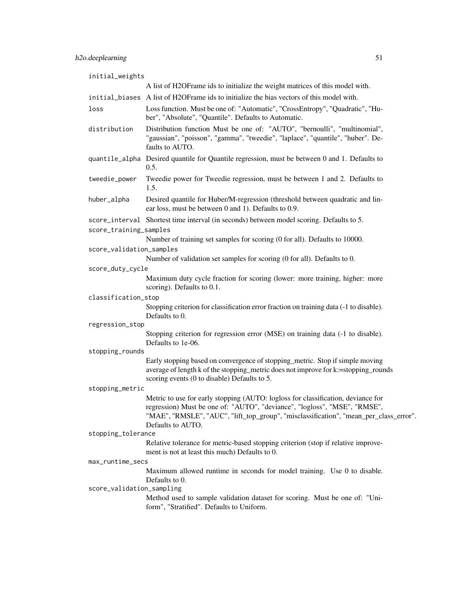| initial_weights           |                                                                                                                                                                                                                                                                            |
|---------------------------|----------------------------------------------------------------------------------------------------------------------------------------------------------------------------------------------------------------------------------------------------------------------------|
|                           | A list of H2OFrame ids to initialize the weight matrices of this model with.                                                                                                                                                                                               |
|                           | initial_biases A list of H2OFrame ids to initialize the bias vectors of this model with.                                                                                                                                                                                   |
| loss                      | Loss function. Must be one of: "Automatic", "CrossEntropy", "Quadratic", "Hu-<br>ber", "Absolute", "Quantile". Defaults to Automatic.                                                                                                                                      |
| distribution              | Distribution function Must be one of: "AUTO", "bernoulli", "multinomial",<br>"gaussian", "poisson", "gamma", "tweedie", "laplace", "quantile", "huber". De-<br>faults to AUTO.                                                                                             |
|                           | quantile_alpha Desired quantile for Quantile regression, must be between 0 and 1. Defaults to<br>0.5.                                                                                                                                                                      |
| tweedie_power             | Tweedie power for Tweedie regression, must be between 1 and 2. Defaults to<br>1.5.                                                                                                                                                                                         |
| huber_alpha               | Desired quantile for Huber/M-regression (threshold between quadratic and lin-<br>ear loss, must be between 0 and 1). Defaults to 0.9.                                                                                                                                      |
|                           | score_interval Shortest time interval (in seconds) between model scoring. Defaults to 5.                                                                                                                                                                                   |
| score_training_samples    | Number of training set samples for scoring (0 for all). Defaults to 10000.                                                                                                                                                                                                 |
| score_validation_samples  |                                                                                                                                                                                                                                                                            |
|                           | Number of validation set samples for scoring (0 for all). Defaults to 0.                                                                                                                                                                                                   |
| score_duty_cycle          |                                                                                                                                                                                                                                                                            |
|                           | Maximum duty cycle fraction for scoring (lower: more training, higher: more<br>scoring). Defaults to 0.1.                                                                                                                                                                  |
| classification_stop       |                                                                                                                                                                                                                                                                            |
|                           | Stopping criterion for classification error fraction on training data (-1 to disable).<br>Defaults to 0.                                                                                                                                                                   |
| regression_stop           |                                                                                                                                                                                                                                                                            |
|                           | Stopping criterion for regression error (MSE) on training data (-1 to disable).<br>Defaults to 1e-06.                                                                                                                                                                      |
| stopping_rounds           |                                                                                                                                                                                                                                                                            |
|                           | Early stopping based on convergence of stopping_metric. Stop if simple moving<br>average of length k of the stopping_metric does not improve for k:=stopping_rounds<br>scoring events (0 to disable) Defaults to 5.                                                        |
| stopping_metric           |                                                                                                                                                                                                                                                                            |
|                           | Metric to use for early stopping (AUTO: logloss for classification, deviance for<br>regression) Must be one of: "AUTO", "deviance", "logloss", "MSE", "RMSE"<br>"MAE", "RMSLE", "AUC", "lift_top_group", "misclassification", "mean_per_class_error".<br>Defaults to AUTO. |
| stopping_tolerance        |                                                                                                                                                                                                                                                                            |
|                           | Relative tolerance for metric-based stopping criterion (stop if relative improve-<br>ment is not at least this much) Defaults to 0.                                                                                                                                        |
| max_runtime_secs          |                                                                                                                                                                                                                                                                            |
|                           | Maximum allowed runtime in seconds for model training. Use 0 to disable.<br>Defaults to 0.                                                                                                                                                                                 |
| score_validation_sampling |                                                                                                                                                                                                                                                                            |
|                           | Method used to sample validation dataset for scoring. Must be one of: "Uni-<br>form", "Stratified". Defaults to Uniform.                                                                                                                                                   |
|                           |                                                                                                                                                                                                                                                                            |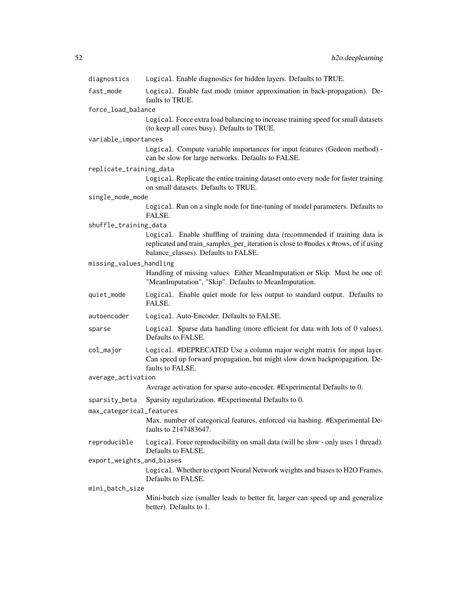| diagnostics               | Logical. Enable diagnostics for hidden layers. Defaults to TRUE.                                                                                                                                          |
|---------------------------|-----------------------------------------------------------------------------------------------------------------------------------------------------------------------------------------------------------|
| fast_mode                 | Logical. Enable fast mode (minor approximation in back-propagation). De-<br>faults to TRUE.                                                                                                               |
| force_load_balance        |                                                                                                                                                                                                           |
|                           | Logical. Force extra load balancing to increase training speed for small datasets<br>(to keep all cores busy). Defaults to TRUE.                                                                          |
| variable_importances      |                                                                                                                                                                                                           |
|                           | Logical. Compute variable importances for input features (Gedeon method) -<br>can be slow for large networks. Defaults to FALSE.                                                                          |
| replicate_training_data   |                                                                                                                                                                                                           |
|                           | Logical. Replicate the entire training dataset onto every node for faster training<br>on small datasets. Defaults to TRUE.                                                                                |
| single_node_mode          |                                                                                                                                                                                                           |
|                           | Logical. Run on a single node for fine-tuning of model parameters. Defaults to<br>FALSE.                                                                                                                  |
| shuffle_training_data     |                                                                                                                                                                                                           |
|                           | Logical. Enable shuffling of training data (recommended if training data is<br>replicated and train_samples_per_iteration is close to #nodes x #rows, of if using<br>balance_classes). Defaults to FALSE. |
| missing_values_handling   |                                                                                                                                                                                                           |
|                           | Handling of missing values. Either MeanImputation or Skip. Must be one of:<br>"MeanImputation", "Skip". Defaults to MeanImputation.                                                                       |
| quiet_mode                | Logical. Enable quiet mode for less output to standard output. Defaults to<br>FALSE.                                                                                                                      |
| autoencoder               | Logical. Auto-Encoder. Defaults to FALSE.                                                                                                                                                                 |
| sparse                    | Logical. Sparse data handling (more efficient for data with lots of 0 values).<br>Defaults to FALSE.                                                                                                      |
| col_major                 | Logical. #DEPRECATED Use a column major weight matrix for input layer.<br>Can speed up forward propagation, but might slow down backpropagation. De-<br>faults to FALSE.                                  |
| average_activation        |                                                                                                                                                                                                           |
|                           | Average activation for sparse auto-encoder. #Experimental Defaults to 0.                                                                                                                                  |
| sparsity_beta             | Sparsity regularization. #Experimental Defaults to 0.                                                                                                                                                     |
| max_categorical_features  |                                                                                                                                                                                                           |
|                           | Max. number of categorical features, enforced via hashing. #Experimental De-<br>faults to 2147483647.                                                                                                     |
| reproducible              | Logical. Force reproducibility on small data (will be slow - only uses 1 thread).<br>Defaults to FALSE.                                                                                                   |
| export_weights_and_biases |                                                                                                                                                                                                           |
|                           | Logical. Whether to export Neural Network weights and biases to H2O Frames.<br>Defaults to FALSE.                                                                                                         |
| mini_batch_size           |                                                                                                                                                                                                           |
|                           | Mini-batch size (smaller leads to better fit, larger can speed up and generalize<br>better). Defaults to 1.                                                                                               |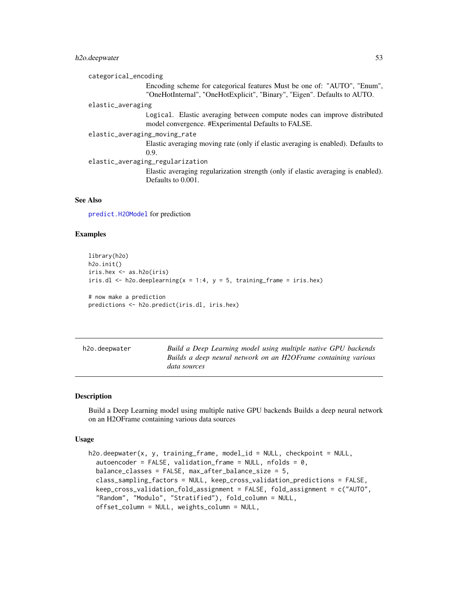## h2o.deepwater 53

| categorical_encoding                                                                                                            |
|---------------------------------------------------------------------------------------------------------------------------------|
| Encoding scheme for categorical features Must be one of: "AUTO", "Enum",                                                        |
| "OneHotInternal", "OneHotExplicit", "Binary", "Eigen". Defaults to AUTO.                                                        |
| elastic_averaging                                                                                                               |
| Logical. Elastic averaging between compute nodes can improve distributed<br>model convergence. #Experimental Defaults to FALSE. |
| elastic_averaging_moving_rate                                                                                                   |
| Elastic averaging moving rate (only if elastic averaging is enabled). Defaults to                                               |
| 0.9.                                                                                                                            |
| elastic_averaging_regularization                                                                                                |
| Elastic averaging regularization strength (only if elastic averaging is enabled).                                               |
| Defaults to 0.001.                                                                                                              |
|                                                                                                                                 |

#### See Also

[predict.H2OModel](#page-198-0) for prediction

## Examples

```
library(h2o)
h2o.init()
iris.hex <- as.h2o(iris)
iris.dl \leq h2o.deeplearning(x = 1:4, y = 5, training_frame = iris.hex)
# now make a prediction
```
predictions <- h2o.predict(iris.dl, iris.hex)

| h2o.deepwater | Build a Deep Learning model using multiple native GPU backends |
|---------------|----------------------------------------------------------------|
|               | Builds a deep neural network on an H2OFrame containing various |
|               | data sources                                                   |

### Description

Build a Deep Learning model using multiple native GPU backends Builds a deep neural network on an H2OFrame containing various data sources

#### Usage

```
h2o.deepwater(x, y, training_frame, model_id = NULL, checkpoint = NULL,
  autoencoder = FALSE, validation_frame = NULL, nfolds = 0,
  balance_classes = FALSE, max_after_balance_size = 5,
  class_sampling_factors = NULL, keep_cross_validation_predictions = FALSE,
  keep_cross_validation_fold_assignment = FALSE, fold_assignment = c("AUTO",
  "Random", "Modulo", "Stratified"), fold_column = NULL,
  offset_column = NULL, weights_column = NULL,
```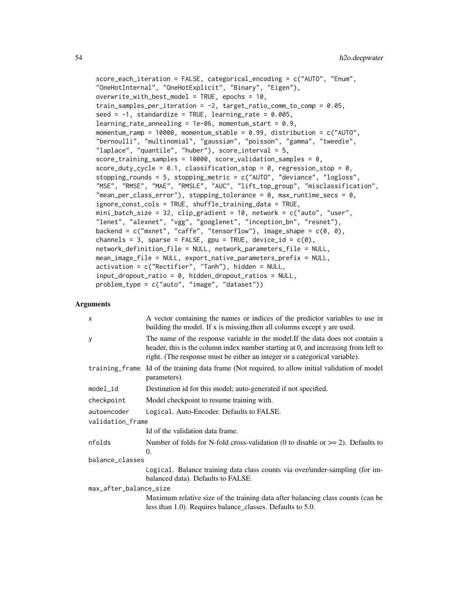```
score_each_iteration = FALSE, categorical_encoding = c("AUTO", "Enum",
"OneHotInternal", "OneHotExplicit", "Binary", "Eigen"),
overwrite\_with\_best\_model = TRUE, epochs = 10,train_samples_per_iteration = -2, target_ratio_comm_to_comp = 0.05,
seed = -1, standardize = TRUE, learning_rate = 0.005,
learning_rate_annealing = 1e-06, momentum_start = 0.9,
momentum_ramp = 10000, momentum_stable = 0.99, distribution = c("AUTO",
"bernoulli", "multinomial", "gaussian", "poisson", "gamma", "tweedie",
"laplace", "quantile", "huber"), score_interval = 5,
score_training_samples = 10000, score_validation_samples = 0,
score_duty_cycle = 0.1, classification_stop = 0, regression_stop = 0,
stopping_rounds = 5, stopping_metric = c("AUTO", "deviance", "logloss",
"MSE", "RMSE", "MAE", "RMSLE", "AUC", "lift_top_group", "misclassification",
"mean_per_class_error"), stopping_tolerance = 0, max_runtime_secs = 0,
ignore_const_cols = TRUE, shuffle_training_data = TRUE,
min\_batch\_size = 32, clip\_gradient = 10, network = c("auto", "user","lenet", "alexnet", "vgg", "googlenet", "inception_bn", "resnet"),
backend = c("mxnet", "caffe", "tensorflow"), image\_shape = <math>c(0, 0)</math>,channels = 3, sparse = FALSE, gpu = TRUE, device_id = c(\emptyset),
network_definition_file = NULL, network_parameters_file = NULL,
mean_image_file = NULL, export_native_parameters_prefix = NULL,
activation = c("Rectifier", "Tanh"), hidden = NULL,
input_dropout_ratio = 0, hidden_dropout_ratios = NULL,
problem_type = c("auto", "image", "dataset"))
```

| $\times$               | A vector containing the names or indices of the predictor variables to use in<br>building the model. If x is missing, then all columns except y are used.                                                                                          |
|------------------------|----------------------------------------------------------------------------------------------------------------------------------------------------------------------------------------------------------------------------------------------------|
| y                      | The name of the response variable in the model. If the data does not contain a<br>header, this is the column index number starting at 0, and increasing from left to<br>right. (The response must be either an integer or a categorical variable). |
|                        | training_frame Id of the training data frame (Not required, to allow initial validation of model<br>parameters).                                                                                                                                   |
| $model_id$             | Destination id for this model; auto-generated if not specified.                                                                                                                                                                                    |
| checkpoint             | Model checkpoint to resume training with.                                                                                                                                                                                                          |
| autoencoder            | Logical. Auto-Encoder. Defaults to FALSE.                                                                                                                                                                                                          |
| validation_frame       |                                                                                                                                                                                                                                                    |
|                        | Id of the validation data frame.                                                                                                                                                                                                                   |
| nfolds                 | Number of folds for N-fold cross-validation (0 to disable or $\geq$ 2). Defaults to<br>$\Omega$ .                                                                                                                                                  |
| balance_classes        |                                                                                                                                                                                                                                                    |
|                        | Logical. Balance training data class counts via over/under-sampling (for im-<br>balanced data). Defaults to FALSE.                                                                                                                                 |
| max_after_balance_size |                                                                                                                                                                                                                                                    |
|                        | Maximum relative size of the training data after balancing class counts (can be<br>less than 1.0). Requires balance classes. Defaults to 5.0.                                                                                                      |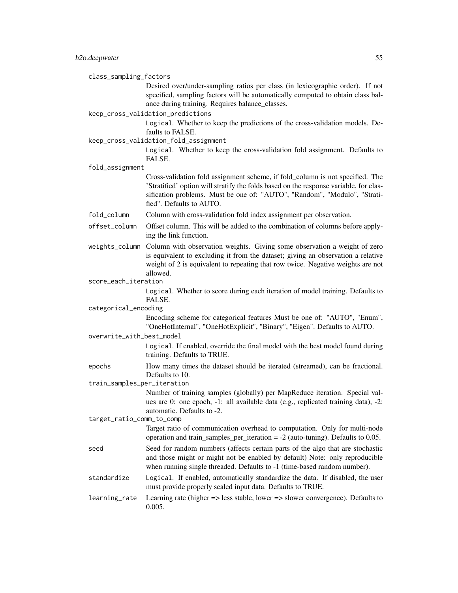class\_sampling\_factors

Desired over/under-sampling ratios per class (in lexicographic order). If not specified, sampling factors will be automatically computed to obtain class balance during training. Requires balance\_classes.

keep\_cross\_validation\_predictions

Logical. Whether to keep the predictions of the cross-validation models. Defaults to FALSE.

keep\_cross\_validation\_fold\_assignment

Logical. Whether to keep the cross-validation fold assignment. Defaults to FALSE.

fold\_assignment

Cross-validation fold assignment scheme, if fold\_column is not specified. The 'Stratified' option will stratify the folds based on the response variable, for classification problems. Must be one of: "AUTO", "Random", "Modulo", "Stratified". Defaults to AUTO.

fold\_column Column with cross-validation fold index assignment per observation.

- offset\_column Offset column. This will be added to the combination of columns before applying the link function.
- weights\_column Column with observation weights. Giving some observation a weight of zero is equivalent to excluding it from the dataset; giving an observation a relative weight of 2 is equivalent to repeating that row twice. Negative weights are not allowed.
- score\_each\_iteration

Logical. Whether to score during each iteration of model training. Defaults to FALSE.

categorical\_encoding

Encoding scheme for categorical features Must be one of: "AUTO", "Enum", "OneHotInternal", "OneHotExplicit", "Binary", "Eigen". Defaults to AUTO.

overwrite\_with\_best\_model

Logical. If enabled, override the final model with the best model found during training. Defaults to TRUE.

epochs How many times the dataset should be iterated (streamed), can be fractional. Defaults to 10.

train\_samples\_per\_iteration

Number of training samples (globally) per MapReduce iteration. Special values are 0: one epoch, -1: all available data (e.g., replicated training data), -2: automatic. Defaults to -2.

target\_ratio\_comm\_to\_comp

Target ratio of communication overhead to computation. Only for multi-node operation and train\_samples\_per\_iteration = -2 (auto-tuning). Defaults to 0.05.

- seed Seed for random numbers (affects certain parts of the algo that are stochastic and those might or might not be enabled by default) Note: only reproducible when running single threaded. Defaults to  $-1$  (time-based random number).
- standardize Logical. If enabled, automatically standardize the data. If disabled, the user must provide properly scaled input data. Defaults to TRUE.
- learning\_rate Learning rate (higher => less stable, lower => slower convergence). Defaults to 0.005.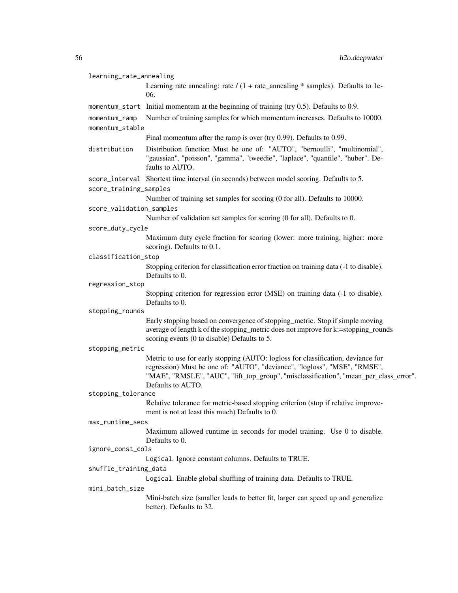| learning_rate_annealing          |                                                                                                                                                                                                                                                                             |  |
|----------------------------------|-----------------------------------------------------------------------------------------------------------------------------------------------------------------------------------------------------------------------------------------------------------------------------|--|
|                                  | Learning rate annealing: rate $/(1 + \text{rate\_annealing} * \text{samples})$ . Defaults to 1e-<br>06.                                                                                                                                                                     |  |
|                                  | momentum_start Initial momentum at the beginning of training (try 0.5). Defaults to 0.9.                                                                                                                                                                                    |  |
| momentum_ramp<br>momentum_stable | Number of training samples for which momentum increases. Defaults to 10000.                                                                                                                                                                                                 |  |
|                                  | Final momentum after the ramp is over (try 0.99). Defaults to 0.99.                                                                                                                                                                                                         |  |
| distribution                     | Distribution function Must be one of: "AUTO", "bernoulli", "multinomial",<br>"gaussian", "poisson", "gamma", "tweedie", "laplace", "quantile", "huber". De-<br>faults to AUTO.                                                                                              |  |
|                                  | score_interval Shortest time interval (in seconds) between model scoring. Defaults to 5.                                                                                                                                                                                    |  |
| score_training_samples           |                                                                                                                                                                                                                                                                             |  |
|                                  | Number of training set samples for scoring (0 for all). Defaults to 10000.                                                                                                                                                                                                  |  |
| score_validation_samples         |                                                                                                                                                                                                                                                                             |  |
|                                  | Number of validation set samples for scoring (0 for all). Defaults to 0.                                                                                                                                                                                                    |  |
| score_duty_cycle                 |                                                                                                                                                                                                                                                                             |  |
|                                  | Maximum duty cycle fraction for scoring (lower: more training, higher: more<br>scoring). Defaults to 0.1.                                                                                                                                                                   |  |
| classification_stop              |                                                                                                                                                                                                                                                                             |  |
|                                  | Stopping criterion for classification error fraction on training data (-1 to disable).<br>Defaults to 0.                                                                                                                                                                    |  |
| regression_stop                  |                                                                                                                                                                                                                                                                             |  |
|                                  | Stopping criterion for regression error (MSE) on training data (-1 to disable).<br>Defaults to 0.                                                                                                                                                                           |  |
| stopping_rounds                  |                                                                                                                                                                                                                                                                             |  |
|                                  | Early stopping based on convergence of stopping_metric. Stop if simple moving<br>average of length k of the stopping_metric does not improve for k:=stopping_rounds<br>scoring events (0 to disable) Defaults to 5.                                                         |  |
| stopping_metric                  |                                                                                                                                                                                                                                                                             |  |
|                                  | Metric to use for early stopping (AUTO: logloss for classification, deviance for<br>regression) Must be one of: "AUTO", "deviance", "logloss", "MSE", "RMSE",<br>"MAE", "RMSLE", "AUC", "lift_top_group", "misclassification", "mean_per_class_error".<br>Defaults to AUTO. |  |
| stopping_tolerance               |                                                                                                                                                                                                                                                                             |  |
|                                  | Relative tolerance for metric-based stopping criterion (stop if relative improve-<br>ment is not at least this much) Defaults to 0.                                                                                                                                         |  |
| max_runtime_secs                 |                                                                                                                                                                                                                                                                             |  |
|                                  | Maximum allowed runtime in seconds for model training. Use 0 to disable.<br>Defaults to 0.                                                                                                                                                                                  |  |
| ignore_const_cols                |                                                                                                                                                                                                                                                                             |  |
|                                  | Logical. Ignore constant columns. Defaults to TRUE.                                                                                                                                                                                                                         |  |
| shuffle_training_data            |                                                                                                                                                                                                                                                                             |  |
|                                  | Logical. Enable global shuffling of training data. Defaults to TRUE.                                                                                                                                                                                                        |  |
| mini_batch_size                  |                                                                                                                                                                                                                                                                             |  |
|                                  | Mini-batch size (smaller leads to better fit, larger can speed up and generalize<br>better). Defaults to 32.                                                                                                                                                                |  |
|                                  |                                                                                                                                                                                                                                                                             |  |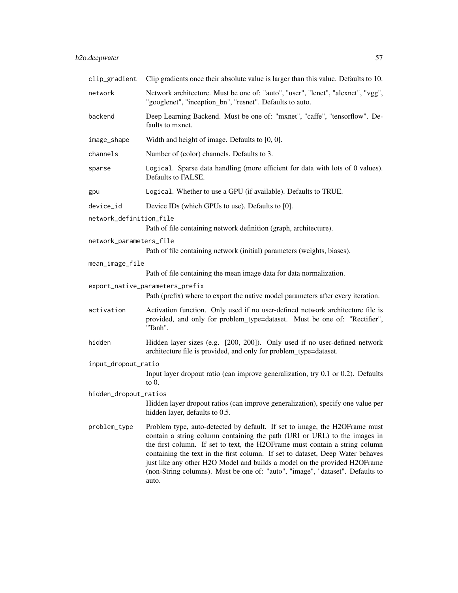| clip_gradient           | Clip gradients once their absolute value is larger than this value. Defaults to 10.                                                                                                                                                                                                                                                                                                                                                                                                             |  |
|-------------------------|-------------------------------------------------------------------------------------------------------------------------------------------------------------------------------------------------------------------------------------------------------------------------------------------------------------------------------------------------------------------------------------------------------------------------------------------------------------------------------------------------|--|
| network                 | Network architecture. Must be one of: "auto", "user", "lenet", "alexnet", "vgg",<br>"googlenet", "inception_bn", "resnet". Defaults to auto.                                                                                                                                                                                                                                                                                                                                                    |  |
| backend                 | Deep Learning Backend. Must be one of: "mxnet", "caffe", "tensorflow". De-<br>faults to mxnet.                                                                                                                                                                                                                                                                                                                                                                                                  |  |
| image_shape             | Width and height of image. Defaults to $[0, 0]$ .                                                                                                                                                                                                                                                                                                                                                                                                                                               |  |
| channels                | Number of (color) channels. Defaults to 3.                                                                                                                                                                                                                                                                                                                                                                                                                                                      |  |
| sparse                  | Logical. Sparse data handling (more efficient for data with lots of 0 values).<br>Defaults to FALSE.                                                                                                                                                                                                                                                                                                                                                                                            |  |
| gpu                     | Logical. Whether to use a GPU (if available). Defaults to TRUE.                                                                                                                                                                                                                                                                                                                                                                                                                                 |  |
| device_id               | Device IDs (which GPUs to use). Defaults to [0].                                                                                                                                                                                                                                                                                                                                                                                                                                                |  |
| network_definition_file | Path of file containing network definition (graph, architecture).                                                                                                                                                                                                                                                                                                                                                                                                                               |  |
| network_parameters_file | Path of file containing network (initial) parameters (weights, biases).                                                                                                                                                                                                                                                                                                                                                                                                                         |  |
| mean_image_file         | Path of file containing the mean image data for data normalization.                                                                                                                                                                                                                                                                                                                                                                                                                             |  |
|                         | export_native_parameters_prefix<br>Path (prefix) where to export the native model parameters after every iteration.                                                                                                                                                                                                                                                                                                                                                                             |  |
| activation              | Activation function. Only used if no user-defined network architecture file is<br>provided, and only for problem_type=dataset. Must be one of: "Rectifier",<br>"Tanh".                                                                                                                                                                                                                                                                                                                          |  |
| hidden                  | Hidden layer sizes (e.g. [200, 200]). Only used if no user-defined network<br>architecture file is provided, and only for problem_type=dataset.                                                                                                                                                                                                                                                                                                                                                 |  |
| input_dropout_ratio     |                                                                                                                                                                                                                                                                                                                                                                                                                                                                                                 |  |
|                         | Input layer dropout ratio (can improve generalization, try 0.1 or 0.2). Defaults<br>to $0$ .                                                                                                                                                                                                                                                                                                                                                                                                    |  |
| hidden_dropout_ratios   | Hidden layer dropout ratios (can improve generalization), specify one value per<br>hidden layer, defaults to 0.5.                                                                                                                                                                                                                                                                                                                                                                               |  |
| problem_type            | Problem type, auto-detected by default. If set to image, the H2OFrame must<br>contain a string column containing the path (URI or URL) to the images in<br>the first column. If set to text, the H2OFrame must contain a string column<br>containing the text in the first column. If set to dataset, Deep Water behaves<br>just like any other H2O Model and builds a model on the provided H2OFrame<br>(non-String columns). Must be one of: "auto", "image", "dataset". Defaults to<br>auto. |  |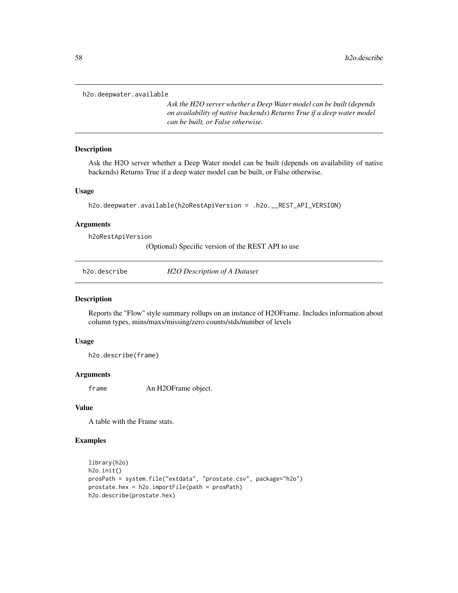h2o.deepwater.available

*Ask the H2O server whether a Deep Water model can be built (depends on availability of native backends) Returns True if a deep water model can be built, or False otherwise.*

### Description

Ask the H2O server whether a Deep Water model can be built (depends on availability of native backends) Returns True if a deep water model can be built, or False otherwise.

#### Usage

```
h2o.deepwater.available(h2oRestApiVersion = .h2o.__REST_API_VERSION)
```
#### Arguments

h2oRestApiVersion

(Optional) Specific version of the REST API to use

| h2o.describe | H2O Description of A Dataset |
|--------------|------------------------------|
|--------------|------------------------------|

#### Description

Reports the "Flow" style summary rollups on an instance of H2OFrame. Includes information about column types, mins/maxs/missing/zero counts/stds/number of levels

#### Usage

h2o.describe(frame)

## Arguments

frame An H2OFrame object.

### Value

A table with the Frame stats.

## Examples

```
library(h2o)
h2o.init()
prosPath = system.file("extdata", "prostate.csv", package="h2o")
prostate.hex = h2o.importFile(path = prosPath)
h2o.describe(prostate.hex)
```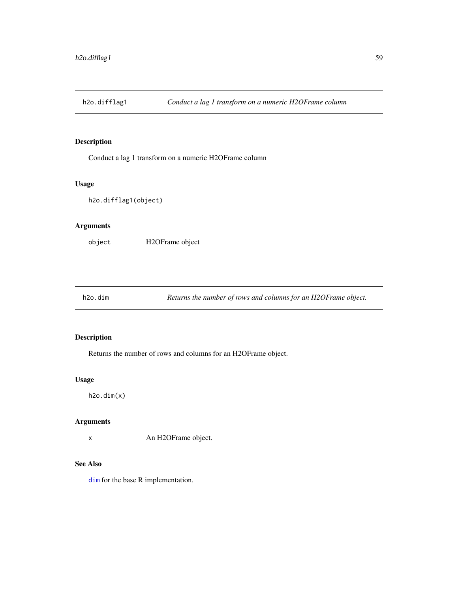Conduct a lag 1 transform on a numeric H2OFrame column

#### Usage

h2o.difflag1(object)

## Arguments

object H2OFrame object

h2o.dim *Returns the number of rows and columns for an H2OFrame object.*

## Description

Returns the number of rows and columns for an H2OFrame object.

#### Usage

h2o.dim(x)

## Arguments

x An H2OFrame object.

## See Also

[dim](#page-0-0) for the base R implementation.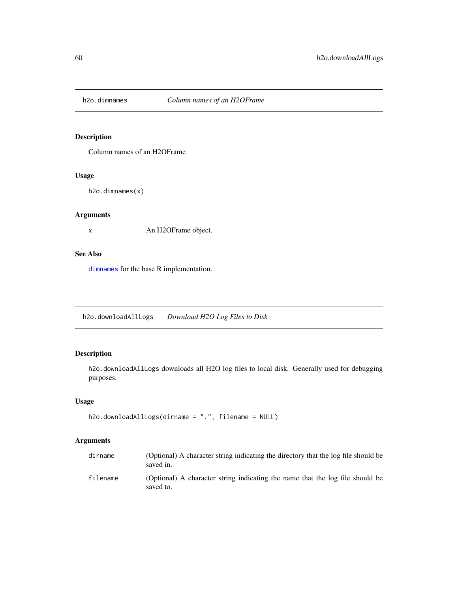Column names of an H2OFrame

#### Usage

h2o.dimnames(x)

## Arguments

x An H2OFrame object.

### See Also

[dimnames](#page-0-0) for the base R implementation.

h2o.downloadAllLogs *Download H2O Log Files to Disk*

## Description

h2o.downloadAllLogs downloads all H2O log files to local disk. Generally used for debugging purposes.

## Usage

```
h2o.downloadAllLogs(dirname = ".", filename = NULL)
```

| dirname  | (Optional) A character string indicating the directory that the log file should be<br>saved in. |
|----------|-------------------------------------------------------------------------------------------------|
| filename | (Optional) A character string indicating the name that the log file should be<br>saved to.      |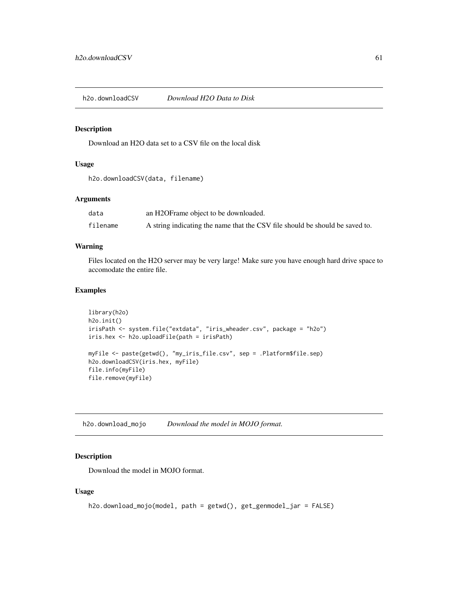h2o.downloadCSV *Download H2O Data to Disk*

#### Description

Download an H2O data set to a CSV file on the local disk

## Usage

```
h2o.downloadCSV(data, filename)
```
### Arguments

| data     | an H2OFrame object to be downloaded.                                         |
|----------|------------------------------------------------------------------------------|
| filename | A string indicating the name that the CSV file should be should be saved to. |

### Warning

Files located on the H2O server may be very large! Make sure you have enough hard drive space to accomodate the entire file.

#### Examples

```
library(h2o)
h2o.init()
irisPath <- system.file("extdata", "iris_wheader.csv", package = "h2o")
iris.hex <- h2o.uploadFile(path = irisPath)
myFile <- paste(getwd(), "my_iris_file.csv", sep = .Platform$file.sep)
h2o.downloadCSV(iris.hex, myFile)
file.info(myFile)
file.remove(myFile)
```
h2o.download\_mojo *Download the model in MOJO format.*

#### Description

Download the model in MOJO format.

### Usage

```
h2o.download_mojo(model, path = getwd(), get_genmodel_jar = FALSE)
```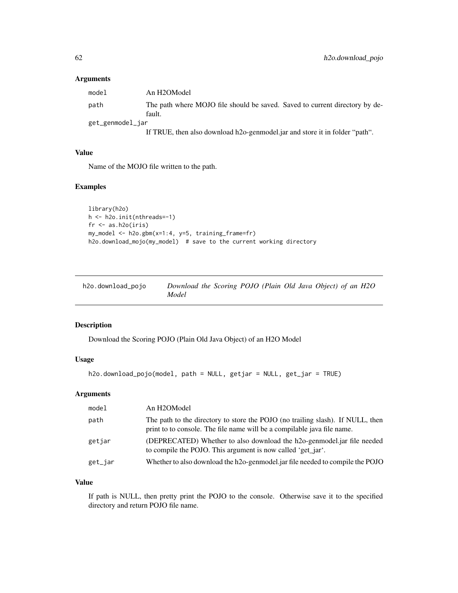## Arguments

| model            | An H2OModel                                                                           |
|------------------|---------------------------------------------------------------------------------------|
| path             | The path where MOJO file should be saved. Saved to current directory by de-<br>fault. |
| get_genmodel_jar |                                                                                       |
|                  | If TRUE, then also download h2o-genmodel.jar and store it in folder "path".           |

#### Value

Name of the MOJO file written to the path.

#### Examples

```
library(h2o)
h <- h2o.init(nthreads=-1)
fr < - as.h2o(iris)
my_model <- h2o.gbm(x=1:4, y=5, training_frame=fr)
h2o.download_mojo(my_model) # save to the current working directory
```

| h2o.download_pojo | Download the Scoring POJO (Plain Old Java Object) of an H2O |  |  |  |  |  |
|-------------------|-------------------------------------------------------------|--|--|--|--|--|
|                   | Model                                                       |  |  |  |  |  |

## Description

Download the Scoring POJO (Plain Old Java Object) of an H2O Model

#### Usage

```
h2o.download_pojo(model, path = NULL, getjar = NULL, get_jar = TRUE)
```
## Arguments

| model   | An H2OModel                                                                                                                                               |
|---------|-----------------------------------------------------------------------------------------------------------------------------------------------------------|
| path    | The path to the directory to store the POJO (no trailing slash). If NULL, then<br>print to to console. The file name will be a compilable java file name. |
| getjar  | (DEPRECATED) Whether to also download the h2o-genmodel.jar file needed<br>to compile the POJO. This argument is now called 'get jar'.                     |
| get_jar | Whether to also download the h2o-genmodel.jar file needed to compile the POJO                                                                             |

## Value

If path is NULL, then pretty print the POJO to the console. Otherwise save it to the specified directory and return POJO file name.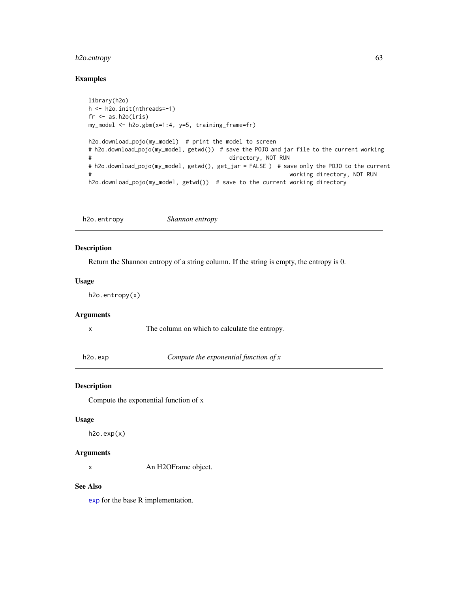## h2o.entropy 63

## Examples

```
library(h2o)
h <- h2o.init(nthreads=-1)
fr < - as.h2o(iris)
my_model <- h2o.gbm(x=1:4, y=5, training_frame=fr)
h2o.download_pojo(my_model) # print the model to screen
# h2o.download_pojo(my_model, getwd()) # save the POJO and jar file to the current working
# directory, NOT RUN
# h2o.download_pojo(my_model, getwd(), get_jar = FALSE ) # save only the POJO to the current
# working directory, NOT RUN
h2o.download_pojo(my_model, getwd()) # save to the current working directory
```
h2o.entropy *Shannon entropy*

### Description

Return the Shannon entropy of a string column. If the string is empty, the entropy is 0.

#### Usage

h2o.entropy(x)

## Arguments

x The column on which to calculate the entropy.

h2o.exp *Compute the exponential function of x*

#### Description

Compute the exponential function of x

#### Usage

 $h2o.exp(x)$ 

## Arguments

x An H2OFrame object.

#### See Also

[exp](#page-0-0) for the base R implementation.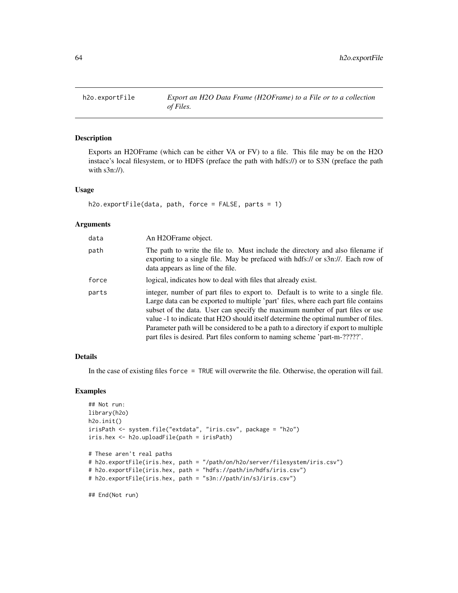Exports an H2OFrame (which can be either VA or FV) to a file. This file may be on the H2O instace's local filesystem, or to HDFS (preface the path with hdfs://) or to S3N (preface the path with s3n://).

#### Usage

```
h2o.exportFile(data, path, force = FALSE, parts = 1)
```
#### Arguments

| data  | An H2OFrame object.                                                                                                                                                                                                                                                                                                                                                                                                                                                                                                |
|-------|--------------------------------------------------------------------------------------------------------------------------------------------------------------------------------------------------------------------------------------------------------------------------------------------------------------------------------------------------------------------------------------------------------------------------------------------------------------------------------------------------------------------|
| path  | The path to write the file to. Must include the directory and also filename if<br>exporting to a single file. May be prefaced with hdfs:// or s3n://. Each row of<br>data appears as line of the file.                                                                                                                                                                                                                                                                                                             |
| force | logical, indicates how to deal with files that already exist.                                                                                                                                                                                                                                                                                                                                                                                                                                                      |
| parts | integer, number of part files to export to. Default is to write to a single file.<br>Large data can be exported to multiple 'part' files, where each part file contains<br>subset of the data. User can specify the maximum number of part files or use<br>value -1 to indicate that H2O should itself determine the optimal number of files.<br>Parameter path will be considered to be a path to a directory if export to multiple<br>part files is desired. Part files conform to naming scheme 'part-m-?????'. |

#### Details

In the case of existing files force = TRUE will overwrite the file. Otherwise, the operation will fail.

#### Examples

```
## Not run:
library(h2o)
h2o.init()
irisPath <- system.file("extdata", "iris.csv", package = "h2o")
iris.hex <- h2o.uploadFile(path = irisPath)
# These aren't real paths
# h2o.exportFile(iris.hex, path = "/path/on/h2o/server/filesystem/iris.csv")
# h2o.exportFile(iris.hex, path = "hdfs://path/in/hdfs/iris.csv")
# h2o.exportFile(iris.hex, path = "s3n://path/in/s3/iris.csv")
```

```
## End(Not run)
```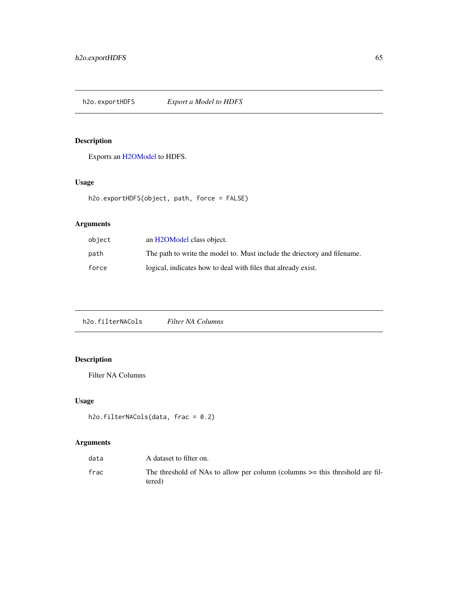h2o.exportHDFS *Export a Model to HDFS*

## Description

Exports an [H2OModel](#page-188-0) to HDFS.

## Usage

```
h2o.exportHDFS(object, path, force = FALSE)
```
## Arguments

| object | an H <sub>2</sub> OM odel class object.                                  |
|--------|--------------------------------------------------------------------------|
| path   | The path to write the model to. Must include the driectory and filename. |
| force  | logical, indicates how to deal with files that already exist.            |

h2o.filterNACols *Filter NA Columns*

# Description

Filter NA Columns

## Usage

h2o.filterNACols(data, frac = 0.2)

| data | A dataset to filter on.                                                                    |
|------|--------------------------------------------------------------------------------------------|
| frac | The threshold of NAs to allow per column (columns $\geq$ this threshold are fil-<br>tered) |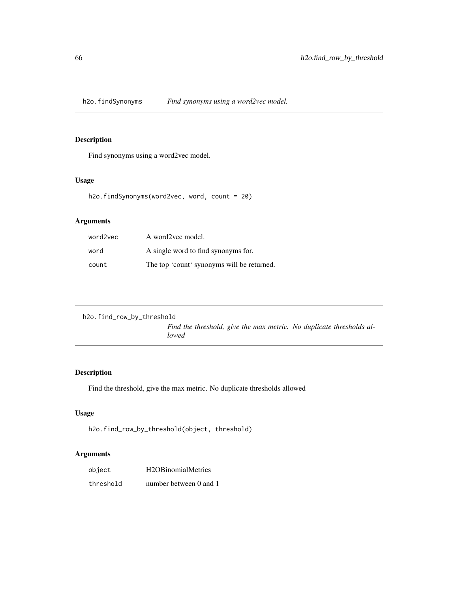h2o.findSynonyms *Find synonyms using a word2vec model.*

## Description

Find synonyms using a word2vec model.

## Usage

h2o.findSynonyms(word2vec, word, count = 20)

## Arguments

| word2vec | A word2vec model.                          |
|----------|--------------------------------------------|
| word     | A single word to find synonyms for.        |
| count    | The top 'count' synonyms will be returned. |

```
h2o.find_row_by_threshold
                          Find the threshold, give the max metric. No duplicate thresholds al-
                          lowed
```
## Description

Find the threshold, give the max metric. No duplicate thresholds allowed

## Usage

```
h2o.find_row_by_threshold(object, threshold)
```

| object    | H <sub>2</sub> OB <sub>inomial</sub> Metrics |
|-----------|----------------------------------------------|
| threshold | number between 0 and 1                       |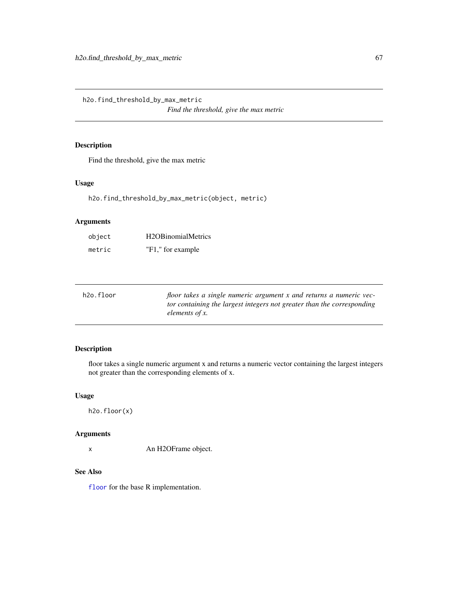h2o.find\_threshold\_by\_max\_metric *Find the threshold, give the max metric*

## Description

Find the threshold, give the max metric

#### Usage

h2o.find\_threshold\_by\_max\_metric(object, metric)

#### Arguments

| object | H <sub>2</sub> OB <sub>inomial</sub> Metrics |
|--------|----------------------------------------------|
| metric | "F1," for example                            |

| h2o.floor | floor takes a single numeric argument x and returns a numeric vec-     |
|-----------|------------------------------------------------------------------------|
|           | tor containing the largest integers not greater than the corresponding |
|           | elements of x.                                                         |

## Description

floor takes a single numeric argument x and returns a numeric vector containing the largest integers not greater than the corresponding elements of x.

#### Usage

h2o.floor(x)

### Arguments

x An H2OFrame object.

### See Also

[floor](#page-0-0) for the base R implementation.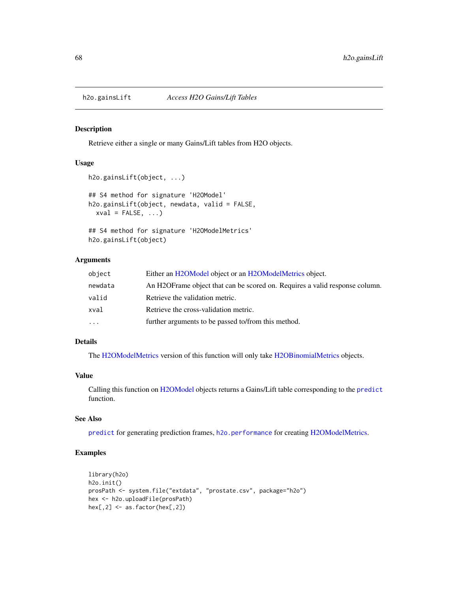Retrieve either a single or many Gains/Lift tables from H2O objects.

#### Usage

```
h2o.gainsLift(object, ...)
## S4 method for signature 'H2OModel'
h2o.gainsLift(object, newdata, valid = FALSE,
 xval = FALSE, ...)## S4 method for signature 'H2OModelMetrics'
```
h2o.gainsLift(object)

## Arguments

| object   | Either an H2OModel object or an H2OModelMetrics object.                     |
|----------|-----------------------------------------------------------------------------|
| newdata  | An H2OFrame object that can be scored on. Requires a valid response column. |
| valid    | Retrieve the validation metric.                                             |
| xval     | Retrieve the cross-validation metric.                                       |
| $\cdots$ | further arguments to be passed to/from this method.                         |

## Details

The [H2OModelMetrics](#page-189-0) version of this function will only take [H2OBinomialMetrics](#page-189-1) objects.

#### Value

Calling this function on [H2OModel](#page-188-0) objects returns a Gains/Lift table corresponding to the [predict](#page-0-0) function.

#### See Also

[predict](#page-0-0) for generating prediction frames, [h2o.performance](#page-136-0) for creating [H2OModelMetrics.](#page-189-0)

## Examples

```
library(h2o)
h2o.init()
prosPath <- system.file("extdata", "prostate.csv", package="h2o")
hex <- h2o.uploadFile(prosPath)
hex[, 2] \leftarrow as.factor(hex[, 2])
```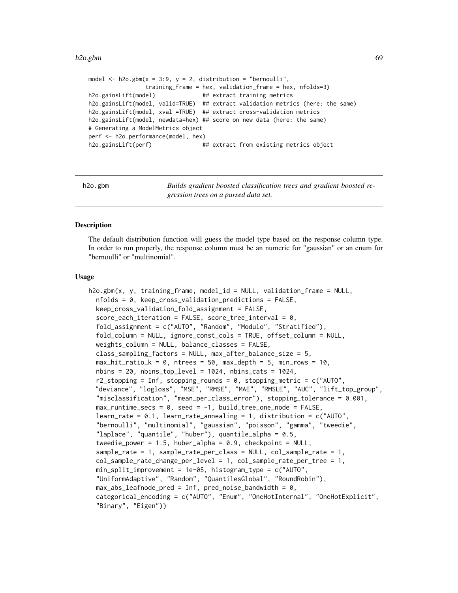#### h2o.gbm 69

```
model \leq h2o.gbm(x = 3:9, y = 2, distribution = "bernoulli",
                training_frame = hex, validation_frame = hex, nfolds=3)
h2o.gainsLift(model) ## extract training metrics
h2o.gainsLift(model, valid=TRUE) ## extract validation metrics (here: the same)
h2o.gainsLift(model, xval =TRUE) ## extract cross-validation metrics
h2o.gainsLift(model, newdata=hex) ## score on new data (here: the same)
# Generating a ModelMetrics object
perf <- h2o.performance(model, hex)
h2o.gainsLift(perf) ## extract from existing metrics object
```
h2o.gbm *Builds gradient boosted classification trees and gradient boosted regression trees on a parsed data set.*

#### **Description**

The default distribution function will guess the model type based on the response column type. In order to run properly, the response column must be an numeric for "gaussian" or an enum for "bernoulli" or "multinomial".

#### Usage

```
h2o.gbm(x, y, training_frame, model_id = NULL, validation_frame = NULL,
  nfolds = 0, keep_cross_validation_predictions = FALSE,
  keep_cross_validation_fold_assignment = FALSE,
  score_each_iteration = FALSE, score_tree_interval = 0,
  fold_assignment = c("AUTO", "Random", "Modulo", "Stratified"),
  fold_column = NULL, ignore_const_cols = TRUE, offset_column = NULL,
  weights_column = NULL, balance_classes = FALSE,
  class_sampling_factors = NULL, max_after_balance_size = 5,
  max\_hit\_ratio\_k = 0, ntrees = 50, max_{def}th = 5, min_{cross} = 10,
  nbins = 20, nbins\_top\_level = 1024, nbins\_cats = 1024,
  r2_stopping = Inf, stopping_rounds = 0, stopping_metric = c("AUTO","deviance", "logloss", "MSE", "RMSE", "MAE", "RMSLE", "AUC", "lift_top_group",
  "misclassification", "mean_per_class_error"), stopping_tolerance = 0.001,
  max_runtime_secs = 0, seed = -1, build_tree_one_node = FALSE,
  learn_rate = 0.1, learn_rate_annealing = 1, distribution = c("AUTO",
  "bernoulli", "multinomial", "gaussian", "poisson", "gamma", "tweedie",
  "laplace", "quantile", "huber"), quantile_alpha = 0.5,
  tweedie_power = 1.5, huber_alpha = 0.9, checkpoint = NULL,
  sample_rate = 1, sample_rate_per_class = NULL, col_sample_rate = 1,
  col_sample_rate_change_per_level = 1, col_sample_rate_per_tree = 1,
  min_split_improvement = 1e-05, histogram_type = c("AUTO",
  "UniformAdaptive", "Random", "QuantilesGlobal", "RoundRobin"),
  max\_abs\_leafnode\_pred = Inf, pred\_noise\_bandwidth = 0,
  categorical_encoding = c("AUTO", "Enum", "OneHotInternal", "OneHotExplicit",
  "Binary", "Eigen"))
```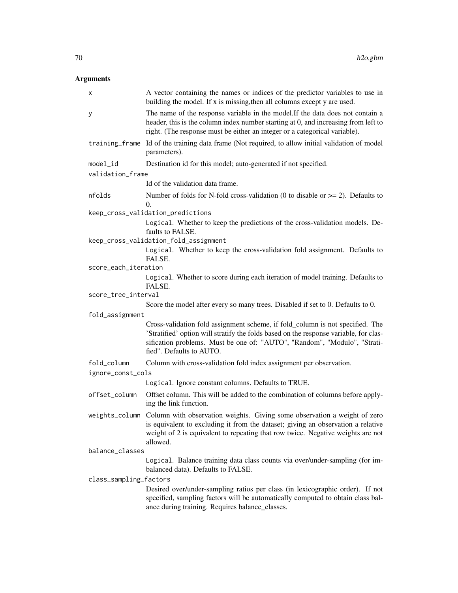| X                      | A vector containing the names or indices of the predictor variables to use in<br>building the model. If x is missing, then all columns except y are used.                                                                                                                       |  |  |  |
|------------------------|---------------------------------------------------------------------------------------------------------------------------------------------------------------------------------------------------------------------------------------------------------------------------------|--|--|--|
| У                      | The name of the response variable in the model. If the data does not contain a<br>header, this is the column index number starting at 0, and increasing from left to<br>right. (The response must be either an integer or a categorical variable).                              |  |  |  |
| training_frame         | Id of the training data frame (Not required, to allow initial validation of model<br>parameters).                                                                                                                                                                               |  |  |  |
| model_id               | Destination id for this model; auto-generated if not specified.                                                                                                                                                                                                                 |  |  |  |
| validation_frame       |                                                                                                                                                                                                                                                                                 |  |  |  |
|                        | Id of the validation data frame.                                                                                                                                                                                                                                                |  |  |  |
| nfolds                 | Number of folds for N-fold cross-validation (0 to disable or $\geq$ = 2). Defaults to<br>$\Omega$ .                                                                                                                                                                             |  |  |  |
|                        | keep_cross_validation_predictions                                                                                                                                                                                                                                               |  |  |  |
|                        | Logical. Whether to keep the predictions of the cross-validation models. De-<br>faults to FALSE.                                                                                                                                                                                |  |  |  |
|                        | keep_cross_validation_fold_assignment                                                                                                                                                                                                                                           |  |  |  |
|                        | Logical. Whether to keep the cross-validation fold assignment. Defaults to<br>FALSE.                                                                                                                                                                                            |  |  |  |
| score_each_iteration   |                                                                                                                                                                                                                                                                                 |  |  |  |
|                        | Logical. Whether to score during each iteration of model training. Defaults to<br>FALSE.                                                                                                                                                                                        |  |  |  |
| score_tree_interval    |                                                                                                                                                                                                                                                                                 |  |  |  |
|                        | Score the model after every so many trees. Disabled if set to 0. Defaults to 0.                                                                                                                                                                                                 |  |  |  |
| fold_assignment        | Cross-validation fold assignment scheme, if fold_column is not specified. The<br>'Stratified' option will stratify the folds based on the response variable, for clas-<br>sification problems. Must be one of: "AUTO", "Random", "Modulo", "Strati-<br>fied". Defaults to AUTO. |  |  |  |
| fold_column            | Column with cross-validation fold index assignment per observation.                                                                                                                                                                                                             |  |  |  |
| ignore_const_cols      |                                                                                                                                                                                                                                                                                 |  |  |  |
|                        | Logical. Ignore constant columns. Defaults to TRUE.                                                                                                                                                                                                                             |  |  |  |
| offset_column          | Offset column. This will be added to the combination of columns before apply-<br>ing the link function.                                                                                                                                                                         |  |  |  |
|                        | weights_column Column with observation weights. Giving some observation a weight of zero<br>is equivalent to excluding it from the dataset; giving an observation a relative<br>weight of 2 is equivalent to repeating that row twice. Negative weights are not<br>allowed.     |  |  |  |
| balance_classes        |                                                                                                                                                                                                                                                                                 |  |  |  |
|                        | Logical. Balance training data class counts via over/under-sampling (for im-<br>balanced data). Defaults to FALSE.                                                                                                                                                              |  |  |  |
| class_sampling_factors |                                                                                                                                                                                                                                                                                 |  |  |  |
|                        | Desired over/under-sampling ratios per class (in lexicographic order). If not<br>specified, sampling factors will be automatically computed to obtain class bal-<br>ance during training. Requires balance_classes.                                                             |  |  |  |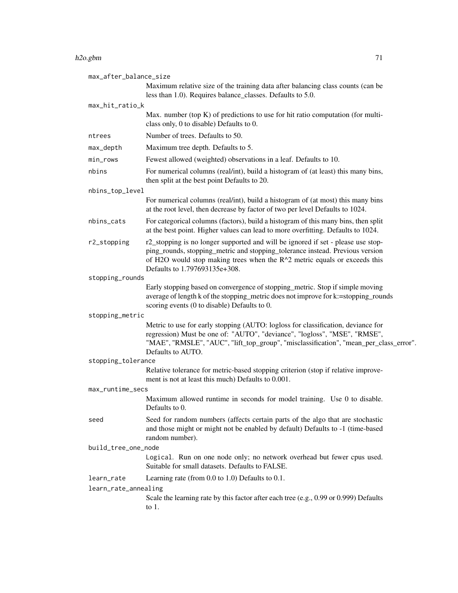#### h2o.gbm 71

| max_after_balance_size |                                                                                                                                                                                                                                                                                 |  |
|------------------------|---------------------------------------------------------------------------------------------------------------------------------------------------------------------------------------------------------------------------------------------------------------------------------|--|
|                        | Maximum relative size of the training data after balancing class counts (can be<br>less than 1.0). Requires balance_classes. Defaults to 5.0.                                                                                                                                   |  |
| max_hit_ratio_k        |                                                                                                                                                                                                                                                                                 |  |
|                        | Max. number (top $K$ ) of predictions to use for hit ratio computation (for multi-<br>class only, 0 to disable) Defaults to 0.                                                                                                                                                  |  |
| ntrees                 | Number of trees. Defaults to 50.                                                                                                                                                                                                                                                |  |
| max_depth              | Maximum tree depth. Defaults to 5.                                                                                                                                                                                                                                              |  |
| min_rows               | Fewest allowed (weighted) observations in a leaf. Defaults to 10.                                                                                                                                                                                                               |  |
| nbins                  | For numerical columns (real/int), build a histogram of (at least) this many bins,<br>then split at the best point Defaults to 20.                                                                                                                                               |  |
| nbins_top_level        |                                                                                                                                                                                                                                                                                 |  |
|                        | For numerical columns (real/int), build a histogram of (at most) this many bins<br>at the root level, then decrease by factor of two per level Defaults to 1024.                                                                                                                |  |
| nbins_cats             | For categorical columns (factors), build a histogram of this many bins, then split<br>at the best point. Higher values can lead to more overfitting. Defaults to 1024.                                                                                                          |  |
| r2_stopping            | r2_stopping is no longer supported and will be ignored if set - please use stop-<br>ping_rounds, stopping_metric and stopping_tolerance instead. Previous version<br>of H2O would stop making trees when the R^2 metric equals or exceeds this<br>Defaults to 1.797693135e+308. |  |
| stopping_rounds        |                                                                                                                                                                                                                                                                                 |  |
|                        | Early stopping based on convergence of stopping_metric. Stop if simple moving<br>average of length k of the stopping_metric does not improve for k:=stopping_rounds<br>scoring events (0 to disable) Defaults to 0.                                                             |  |
| stopping_metric        |                                                                                                                                                                                                                                                                                 |  |
|                        | Metric to use for early stopping (AUTO: logloss for classification, deviance for<br>regression) Must be one of: "AUTO", "deviance", "logloss", "MSE", "RMSE",<br>"MAE", "RMSLE", "AUC", "lift_top_group", "misclassification", "mean_per_class_error".<br>Defaults to AUTO.     |  |
| stopping_tolerance     |                                                                                                                                                                                                                                                                                 |  |
|                        | Relative tolerance for metric-based stopping criterion (stop if relative improve-<br>ment is not at least this much) Defaults to 0.001.                                                                                                                                         |  |
| max_runtime_secs       |                                                                                                                                                                                                                                                                                 |  |
|                        | Maximum allowed runtime in seconds for model training. Use 0 to disable.<br>Defaults to 0.                                                                                                                                                                                      |  |
| seed                   | Seed for random numbers (affects certain parts of the algo that are stochastic<br>and those might or might not be enabled by default) Defaults to -1 (time-based<br>random number).                                                                                             |  |
| build_tree_one_node    |                                                                                                                                                                                                                                                                                 |  |
|                        | Logical. Run on one node only; no network overhead but fewer cpus used.<br>Suitable for small datasets. Defaults to FALSE.                                                                                                                                                      |  |
| learn_rate             | Learning rate (from $0.0$ to $1.0$ ) Defaults to $0.1$ .                                                                                                                                                                                                                        |  |
| learn_rate_annealing   |                                                                                                                                                                                                                                                                                 |  |
|                        | Scale the learning rate by this factor after each tree (e.g., 0.99 or 0.999) Defaults<br>to $1$ .                                                                                                                                                                               |  |
|                        |                                                                                                                                                                                                                                                                                 |  |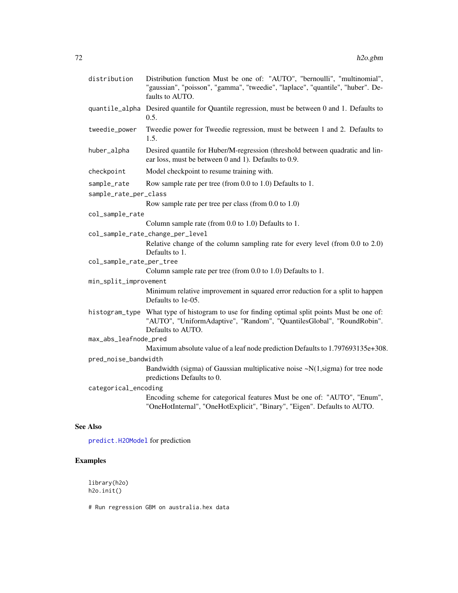| distribution    | Distribution function Must be one of: "AUTO", "bernoulli", "multinomial",<br>"gaussian", "poisson", "gamma", "tweedie", "laplace", "quantile", "huber". De-<br>faults to AUTO.              |
|-----------------|---------------------------------------------------------------------------------------------------------------------------------------------------------------------------------------------|
|                 | quantile_alpha Desired quantile for Quantile regression, must be between 0 and 1. Defaults to<br>0.5.                                                                                       |
| tweedie_power   | Tweedie power for Tweedie regression, must be between 1 and 2. Defaults to<br>1.5.                                                                                                          |
| huber_alpha     | Desired quantile for Huber/M-regression (threshold between quadratic and lin-<br>ear loss, must be between 0 and 1). Defaults to 0.9.                                                       |
| checkpoint      | Model checkpoint to resume training with.                                                                                                                                                   |
| sample_rate     | Row sample rate per tree (from 0.0 to 1.0) Defaults to 1.                                                                                                                                   |
|                 | sample_rate_per_class                                                                                                                                                                       |
|                 | Row sample rate per tree per class (from 0.0 to 1.0)                                                                                                                                        |
| col_sample_rate |                                                                                                                                                                                             |
|                 | Column sample rate (from 0.0 to 1.0) Defaults to 1.                                                                                                                                         |
|                 | col_sample_rate_change_per_level                                                                                                                                                            |
|                 | Relative change of the column sampling rate for every level (from 0.0 to 2.0)<br>Defaults to 1.                                                                                             |
|                 | col_sample_rate_per_tree                                                                                                                                                                    |
|                 | Column sample rate per tree (from 0.0 to 1.0) Defaults to 1.                                                                                                                                |
|                 | min_split_improvement                                                                                                                                                                       |
|                 | Minimum relative improvement in squared error reduction for a split to happen<br>Defaults to 1e-05.                                                                                         |
|                 | histogram_type What type of histogram to use for finding optimal split points Must be one of:<br>"AUTO", "UniformAdaptive", "Random", "QuantilesGlobal", "RoundRobin".<br>Defaults to AUTO. |
|                 | max_abs_leafnode_pred                                                                                                                                                                       |
|                 | Maximum absolute value of a leaf node prediction Defaults to 1.797693135e+308.                                                                                                              |
|                 | pred_noise_bandwidth                                                                                                                                                                        |
|                 | Bandwidth (sigma) of Gaussian multiplicative noise $\sim N(1, sigma)$ for tree node<br>predictions Defaults to 0.                                                                           |
|                 | categorical_encoding                                                                                                                                                                        |
|                 | Encoding scheme for categorical features Must be one of: "AUTO", "Enum",<br>"OneHotInternal", "OneHotExplicit", "Binary", "Eigen". Defaults to AUTO.                                        |
| <b>See Also</b> |                                                                                                                                                                                             |

[predict.H2OModel](#page-198-0) for prediction

# Examples

library(h2o) h2o.init()

# Run regression GBM on australia.hex data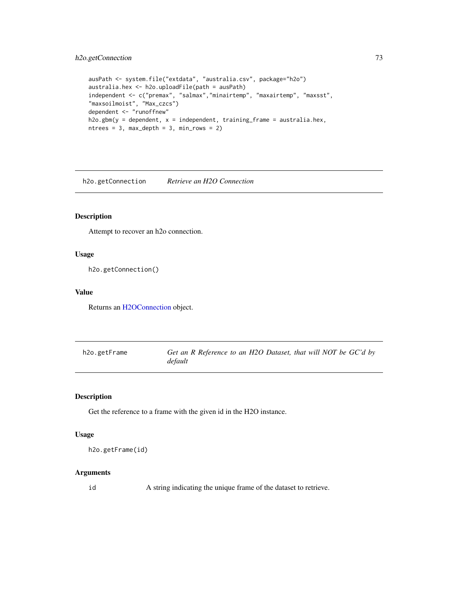# h2o.getConnection 73

```
ausPath <- system.file("extdata", "australia.csv", package="h2o")
australia.hex <- h2o.uploadFile(path = ausPath)
independent <- c("premax", "salmax","minairtemp", "maxairtemp", "maxsst",
"maxsoilmoist", "Max_czcs")
dependent <- "runoffnew"
h2o.gbm(y = dependent, x = independent, training-frame = australia.hex,ntrees = 3, max\_depth = 3, min\_rows = 2)
```
h2o.getConnection *Retrieve an H2O Connection*

# Description

Attempt to recover an h2o connection.

### Usage

h2o.getConnection()

## Value

Returns an [H2OConnection](#page-185-0) object.

| h2o.getFrame | Get an R Reference to an H2O Dataset, that will NOT be GC'd by |  |  |
|--------------|----------------------------------------------------------------|--|--|
|              | default                                                        |  |  |

### Description

Get the reference to a frame with the given id in the H2O instance.

#### Usage

```
h2o.getFrame(id)
```
#### Arguments

id A string indicating the unique frame of the dataset to retrieve.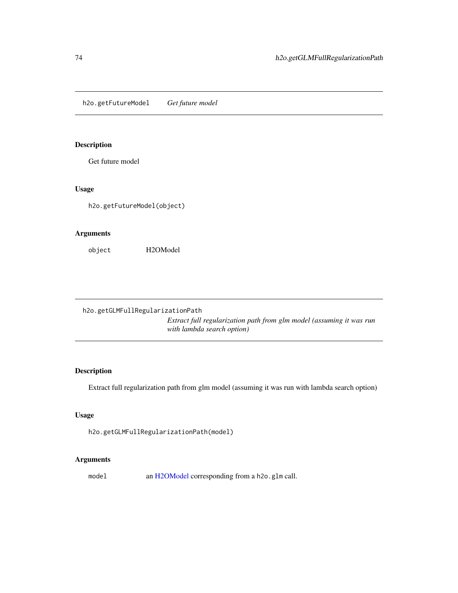h2o.getFutureModel *Get future model*

# Description

Get future model

# Usage

h2o.getFutureModel(object)

# Arguments

object H2OModel

h2o.getGLMFullRegularizationPath *Extract full regularization path from glm model (assuming it was run with lambda search option)*

# Description

Extract full regularization path from glm model (assuming it was run with lambda search option)

# Usage

h2o.getGLMFullRegularizationPath(model)

# Arguments

model an [H2OModel](#page-188-0) corresponding from a h2o.glm call.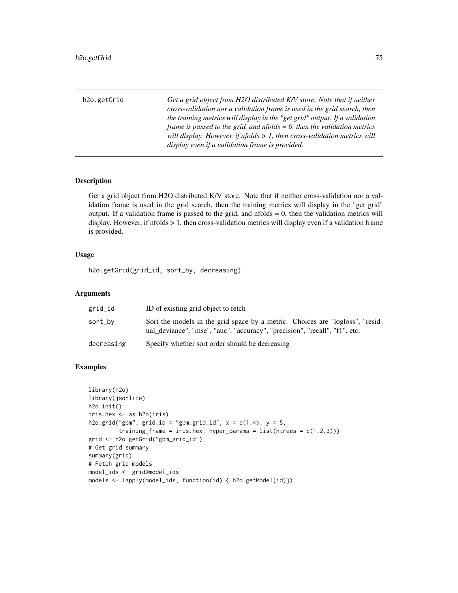h2o.getGrid *Get a grid object from H2O distributed K/V store. Note that if neither cross-validation nor a validation frame is used in the grid search, then the training metrics will display in the "get grid" output. If a validation frame is passed to the grid, and nfolds = 0, then the validation metrics will display. However, if nfolds > 1, then cross-validation metrics will display even if a validation frame is provided.*

## Description

Get a grid object from H2O distributed K/V store. Note that if neither cross-validation nor a validation frame is used in the grid search, then the training metrics will display in the "get grid" output. If a validation frame is passed to the grid, and  $n_{\text{folds}} = 0$ , then the validation metrics will display. However, if nfolds > 1, then cross-validation metrics will display even if a validation frame is provided.

#### Usage

h2o.getGrid(grid\_id, sort\_by, decreasing)

#### Arguments

| grid_id    | ID of existing grid object to fetch                                                                                                                         |
|------------|-------------------------------------------------------------------------------------------------------------------------------------------------------------|
| sort_bv    | Sort the models in the grid space by a metric. Choices are "logloss", "resid-<br>ual_deviance", "mse", "auc", "accuracy", "precision", "recall", "f1", etc. |
| decreasing | Specify whether sort order should be decreasing                                                                                                             |

```
library(h2o)
library(jsonlite)
h2o.init()
iris.hex <- as.h2o(iris)
h2o.grid("gbm", grid_id = "gbm_grid_id", x = c(1:4), y = 5,
         training_frame = iris.hex, hyper_params = list(ntrees = c(1,2,3)))
grid <- h2o.getGrid("gbm_grid_id")
# Get grid summary
summary(grid)
# Fetch grid models
model_ids <- grid@model_ids
models <- lapply(model_ids, function(id) { h2o.getModel(id)})
```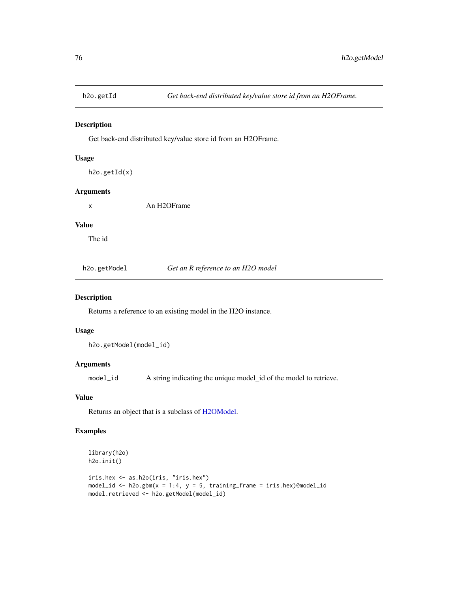Get back-end distributed key/value store id from an H2OFrame.

#### Usage

h2o.getId(x)

### Arguments

x An H2OFrame

#### Value

The id

h2o.getModel *Get an R reference to an H2O model*

### Description

Returns a reference to an existing model in the H2O instance.

# Usage

h2o.getModel(model\_id)

# Arguments

model\_id A string indicating the unique model\_id of the model to retrieve.

#### Value

Returns an object that is a subclass of [H2OModel.](#page-188-0)

```
library(h2o)
h2o.init()
iris.hex <- as.h2o(iris, "iris.hex")
model_id <- h2o.gbm(x = 1:4, y = 5, training_frame = iris.hex)@model_id
model.retrieved <- h2o.getModel(model_id)
```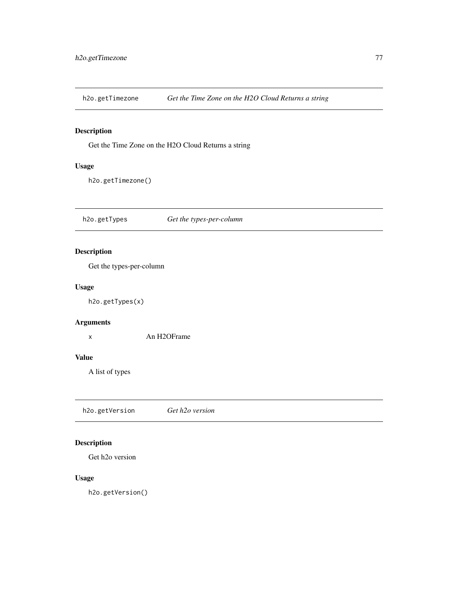h2o.getTimezone *Get the Time Zone on the H2O Cloud Returns a string*

# Description

Get the Time Zone on the H2O Cloud Returns a string

# Usage

h2o.getTimezone()

h2o.getTypes *Get the types-per-column*

# Description

Get the types-per-column

# Usage

h2o.getTypes(x)

# Arguments

x An H2OFrame

### Value

A list of types

h2o.getVersion *Get h2o version*

# Description

Get h2o version

# Usage

h2o.getVersion()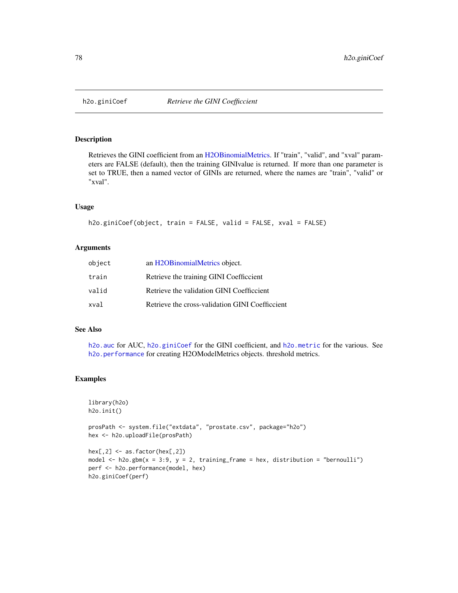<span id="page-77-0"></span>

Retrieves the GINI coefficient from an [H2OBinomialMetrics.](#page-189-0) If "train", "valid", and "xval" parameters are FALSE (default), then the training GINIvalue is returned. If more than one parameter is set to TRUE, then a named vector of GINIs are returned, where the names are "train", "valid" or "xval".

#### Usage

```
h2o.giniCoef(object, train = FALSE, valid = FALSE, xval = FALSE)
```
# Arguments

| object | an H2OBinomialMetrics object.                   |
|--------|-------------------------------------------------|
| train  | Retrieve the training GINI Coefficcient         |
| valid  | Retrieve the validation GINI Coefficcient       |
| xval   | Retrieve the cross-validation GINI Coefficcient |

## See Also

[h2o.auc](#page-22-0) for AUC, [h2o.giniCoef](#page-77-0) for the GINI coefficient, and [h2o.metric](#page-120-0) for the various. See [h2o.performance](#page-136-0) for creating H2OModelMetrics objects. threshold metrics.

### Examples

```
library(h2o)
h2o.init()
```
prosPath <- system.file("extdata", "prostate.csv", package="h2o") hex <- h2o.uploadFile(prosPath)

```
hex[, 2] <- as.factor(hex[, 2])
model \leq h2o.gbm(x = 3:9, y = 2, training_frame = hex, distribution = "bernoulli")
perf <- h2o.performance(model, hex)
h2o.giniCoef(perf)
```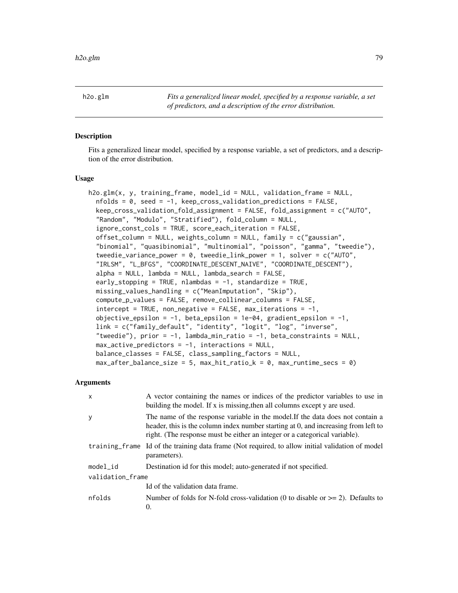h2o.glm *Fits a generalized linear model, specified by a response variable, a set of predictors, and a description of the error distribution.*

## Description

Fits a generalized linear model, specified by a response variable, a set of predictors, and a description of the error distribution.

#### Usage

```
h2o.glm(x, y, training_frame, model_id = NULL, validation_frame = NULL,
  nfolds = 0, seed = -1, keep_cross_validation_predictions = FALSE,
  keep_cross_validation_fold_assignment = FALSE, fold_assignment = c("AUTO",
  "Random", "Modulo", "Stratified"), fold_column = NULL,
  ignore_const_cols = TRUE, score_each_iteration = FALSE,
  offset_column = NULL, weights_column = NULL, family = c("gaussian",
  "binomial", "quasibinomial", "multinomial", "poisson", "gamma", "tweedie"),
  tweedie_variance_power = 0, tweedie_link_power = 1, solver = c("AUTO",
  "IRLSM", "L_BFGS", "COORDINATE_DESCENT_NAIVE", "COORDINATE_DESCENT"),
  alpha = NULL, lambda = NULL, lambda_search = FALSE,
  early_stopping = TRUE, nlambdas = -1, standardize = TRUE,
 missing_values_handling = c("MeanImputation", "Skip"),
  compute_p_values = FALSE, remove_collinear_columns = FALSE,
  intercept = TRUE, non-negative = FALSE, max\_iterations = -1,objective_epsilon = -1, beta_epsilon = 1e-04, gradient_epsilon = -1,
  link = c("family_default", "identity", "logit", "log", "inverse",
  "tweedie"), prior = -1, lambda_min_ratio = -1, beta_constraints = NULL,
  max_active_predictors = -1, interactions = NULL,
  balance_classes = FALSE, class_sampling_factors = NULL,
  max_{a} after_balance_size = 5, max_hit_ratio_k = 0, max_runtime_secs = 0)
```

| X                | A vector containing the names or indices of the predictor variables to use in<br>building the model. If x is missing, then all columns except y are used.                                                                                          |  |
|------------------|----------------------------------------------------------------------------------------------------------------------------------------------------------------------------------------------------------------------------------------------------|--|
| y                | The name of the response variable in the model. If the data does not contain a<br>header, this is the column index number starting at 0, and increasing from left to<br>right. (The response must be either an integer or a categorical variable). |  |
|                  | training frame Id of the training data frame (Not required, to allow initial validation of model<br>parameters).                                                                                                                                   |  |
| model id         | Destination id for this model; auto-generated if not specified.                                                                                                                                                                                    |  |
| validation frame |                                                                                                                                                                                                                                                    |  |
|                  | Id of the validation data frame.                                                                                                                                                                                                                   |  |
| nfolds           | Number of folds for N-fold cross-validation (0 to disable or $\geq$ 2). Defaults to<br>$\Omega$ .                                                                                                                                                  |  |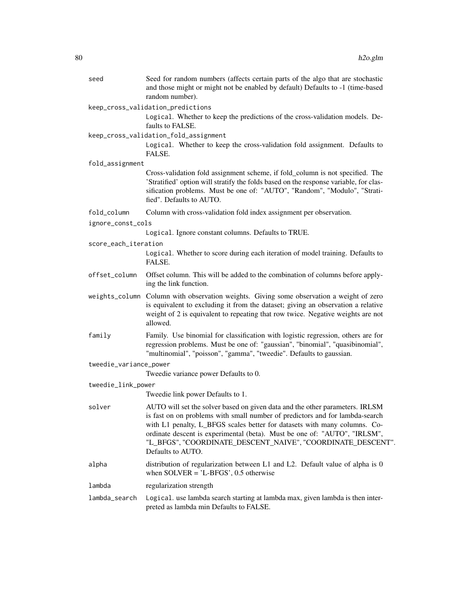| seed                   | Seed for random numbers (affects certain parts of the algo that are stochastic<br>and those might or might not be enabled by default) Defaults to -1 (time-based<br>random number).                                                                                                                                                                                                                        |  |
|------------------------|------------------------------------------------------------------------------------------------------------------------------------------------------------------------------------------------------------------------------------------------------------------------------------------------------------------------------------------------------------------------------------------------------------|--|
|                        | keep_cross_validation_predictions<br>Logical. Whether to keep the predictions of the cross-validation models. De-                                                                                                                                                                                                                                                                                          |  |
|                        | faults to FALSE.                                                                                                                                                                                                                                                                                                                                                                                           |  |
|                        | keep_cross_validation_fold_assignment                                                                                                                                                                                                                                                                                                                                                                      |  |
|                        | Logical. Whether to keep the cross-validation fold assignment. Defaults to<br>FALSE.                                                                                                                                                                                                                                                                                                                       |  |
| fold_assignment        |                                                                                                                                                                                                                                                                                                                                                                                                            |  |
|                        | Cross-validation fold assignment scheme, if fold_column is not specified. The<br>'Stratified' option will stratify the folds based on the response variable, for clas-<br>sification problems. Must be one of: "AUTO", "Random", "Modulo", "Strati-<br>fied". Defaults to AUTO.                                                                                                                            |  |
| fold_column            | Column with cross-validation fold index assignment per observation.                                                                                                                                                                                                                                                                                                                                        |  |
| ignore_const_cols      |                                                                                                                                                                                                                                                                                                                                                                                                            |  |
|                        | Logical. Ignore constant columns. Defaults to TRUE.                                                                                                                                                                                                                                                                                                                                                        |  |
| score_each_iteration   |                                                                                                                                                                                                                                                                                                                                                                                                            |  |
|                        | Logical. Whether to score during each iteration of model training. Defaults to<br>FALSE.                                                                                                                                                                                                                                                                                                                   |  |
| offset_column          | Offset column. This will be added to the combination of columns before apply-<br>ing the link function.                                                                                                                                                                                                                                                                                                    |  |
|                        | weights_column Column with observation weights. Giving some observation a weight of zero<br>is equivalent to excluding it from the dataset; giving an observation a relative<br>weight of 2 is equivalent to repeating that row twice. Negative weights are not<br>allowed.                                                                                                                                |  |
| family                 | Family. Use binomial for classification with logistic regression, others are for<br>regression problems. Must be one of: "gaussian", "binomial", "quasibinomial",<br>"multinomial", "poisson", "gamma", "tweedie". Defaults to gaussian.                                                                                                                                                                   |  |
| tweedie_variance_power |                                                                                                                                                                                                                                                                                                                                                                                                            |  |
|                        | Tweedie variance power Defaults to 0.                                                                                                                                                                                                                                                                                                                                                                      |  |
| tweedie_link_power     |                                                                                                                                                                                                                                                                                                                                                                                                            |  |
|                        | Tweedie link power Defaults to 1.                                                                                                                                                                                                                                                                                                                                                                          |  |
| solver                 | AUTO will set the solver based on given data and the other parameters. IRLSM<br>is fast on on problems with small number of predictors and for lambda-search<br>with L1 penalty, L_BFGS scales better for datasets with many columns. Co-<br>ordinate descent is experimental (beta). Must be one of: "AUTO", "IRLSM",<br>"L_BFGS", "COORDINATE_DESCENT_NAIVE", "COORDINATE_DESCENT".<br>Defaults to AUTO. |  |
| alpha                  | distribution of regularization between L1 and L2. Default value of alpha is 0<br>when $SOLVER = 'L-BFGS', 0.5$ otherwise                                                                                                                                                                                                                                                                                   |  |
| lambda                 | regularization strength                                                                                                                                                                                                                                                                                                                                                                                    |  |
| lambda_search          | Logical. use lambda search starting at lambda max, given lambda is then inter-<br>preted as lambda min Defaults to FALSE.                                                                                                                                                                                                                                                                                  |  |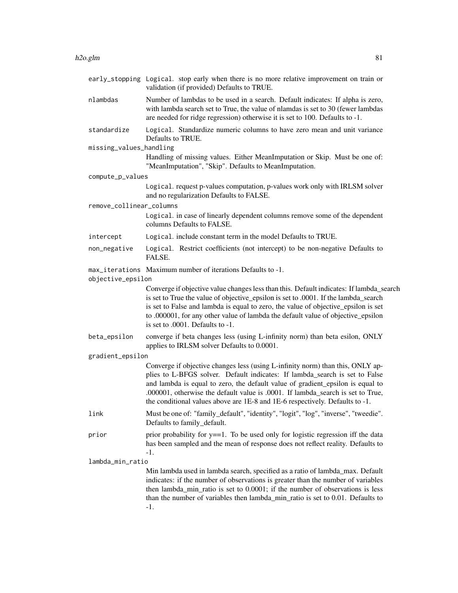|                          | early_stopping Logical. stop early when there is no more relative improvement on train or<br>validation (if provided) Defaults to TRUE.                                                                                                                                                                                                                                                                            |  |
|--------------------------|--------------------------------------------------------------------------------------------------------------------------------------------------------------------------------------------------------------------------------------------------------------------------------------------------------------------------------------------------------------------------------------------------------------------|--|
| nlambdas                 | Number of lambdas to be used in a search. Default indicates: If alpha is zero,<br>with lambda search set to True, the value of nlamdas is set to 30 (fewer lambdas<br>are needed for ridge regression) otherwise it is set to 100. Defaults to -1.                                                                                                                                                                 |  |
| standardize              | Logical. Standardize numeric columns to have zero mean and unit variance<br>Defaults to TRUE.                                                                                                                                                                                                                                                                                                                      |  |
| missing_values_handling  |                                                                                                                                                                                                                                                                                                                                                                                                                    |  |
|                          | Handling of missing values. Either MeanImputation or Skip. Must be one of:<br>"MeanImputation", "Skip". Defaults to MeanImputation.                                                                                                                                                                                                                                                                                |  |
| compute_p_values         |                                                                                                                                                                                                                                                                                                                                                                                                                    |  |
|                          | Logical. request p-values computation, p-values work only with IRLSM solver<br>and no regularization Defaults to FALSE.                                                                                                                                                                                                                                                                                            |  |
| remove_collinear_columns |                                                                                                                                                                                                                                                                                                                                                                                                                    |  |
|                          | Logical. in case of linearly dependent columns remove some of the dependent<br>columns Defaults to FALSE.                                                                                                                                                                                                                                                                                                          |  |
| intercept                | Logical. include constant term in the model Defaults to TRUE.                                                                                                                                                                                                                                                                                                                                                      |  |
| non_negative             | Logical. Restrict coefficients (not intercept) to be non-negative Defaults to<br>FALSE.                                                                                                                                                                                                                                                                                                                            |  |
| objective_epsilon        | max_iterations Maximum number of iterations Defaults to -1.                                                                                                                                                                                                                                                                                                                                                        |  |
|                          | Converge if objective value changes less than this. Default indicates: If lambda_search<br>is set to True the value of objective_epsilon is set to .0001. If the lambda_search<br>is set to False and lambda is equal to zero, the value of objective_epsilon is set<br>to .000001, for any other value of lambda the default value of objective_epsilon<br>is set to .0001. Defaults to -1.                       |  |
| beta_epsilon             | converge if beta changes less (using L-infinity norm) than beta esilon, ONLY<br>applies to IRLSM solver Defaults to 0.0001.                                                                                                                                                                                                                                                                                        |  |
| gradient_epsilon         |                                                                                                                                                                                                                                                                                                                                                                                                                    |  |
|                          | Converge if objective changes less (using L-infinity norm) than this, ONLY ap-<br>plies to L-BFGS solver. Default indicates: If lambda_search is set to False<br>and lambda is equal to zero, the default value of gradient_epsilon is equal to<br>.000001, otherwise the default value is .0001. If lambda_search is set to True,<br>the conditional values above are 1E-8 and 1E-6 respectively. Defaults to -1. |  |
| link                     | Must be one of: "family_default", "identity", "logit", "log", "inverse", "tweedie".<br>Defaults to family_default.                                                                                                                                                                                                                                                                                                 |  |
| prior                    | prior probability for $y = 1$ . To be used only for logistic regression iff the data<br>has been sampled and the mean of response does not reflect reality. Defaults to<br>-1.                                                                                                                                                                                                                                     |  |
| lambda_min_ratio         |                                                                                                                                                                                                                                                                                                                                                                                                                    |  |
|                          | Min lambda used in lambda search, specified as a ratio of lambda_max. Default<br>indicates: if the number of observations is greater than the number of variables<br>then lambda_min_ratio is set to 0.0001; if the number of observations is less<br>than the number of variables then lambda_min_ratio is set to 0.01. Defaults to<br>$-1$ .                                                                     |  |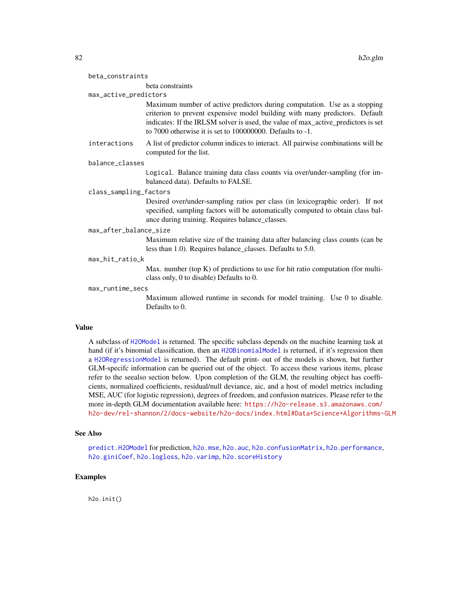|                        | beta constraints                                                                                                                                                                                                                                                                                                 |
|------------------------|------------------------------------------------------------------------------------------------------------------------------------------------------------------------------------------------------------------------------------------------------------------------------------------------------------------|
| max_active_predictors  |                                                                                                                                                                                                                                                                                                                  |
|                        | Maximum number of active predictors during computation. Use as a stopping<br>criterion to prevent expensive model building with many predictors. Default<br>indicates: If the IRLSM solver is used, the value of max_active_predictors is set<br>to 7000 otherwise it is set to $100000000$ . Defaults to $-1$ . |
| interactions           | A list of predictor column indices to interact. All pairwise combinations will be<br>computed for the list.                                                                                                                                                                                                      |
| balance_classes        |                                                                                                                                                                                                                                                                                                                  |
|                        | Logical. Balance training data class counts via over/under-sampling (for im-<br>balanced data). Defaults to FALSE.                                                                                                                                                                                               |
| class_sampling_factors |                                                                                                                                                                                                                                                                                                                  |
|                        | Desired over/under-sampling ratios per class (in lexicographic order). If not<br>specified, sampling factors will be automatically computed to obtain class bal-<br>ance during training. Requires balance_classes.                                                                                              |
| max_after_balance_size |                                                                                                                                                                                                                                                                                                                  |
|                        | Maximum relative size of the training data after balancing class counts (can be<br>less than 1.0). Requires balance_classes. Defaults to 5.0.                                                                                                                                                                    |
| may hit ratio k        |                                                                                                                                                                                                                                                                                                                  |

max\_hit\_ratio\_k

beta\_constraints

Max. number (top K) of predictions to use for hit ratio computation (for multiclass only, 0 to disable) Defaults to 0.

### max\_runtime\_secs

Maximum allowed runtime in seconds for model training. Use 0 to disable. Defaults to 0.

#### Value

A subclass of [H2OModel](#page-188-0) is returned. The specific subclass depends on the machine learning task at hand (if it's binomial classification, then an [H2OBinomialModel](#page-188-1) is returned, if it's regression then a [H2ORegressionModel](#page-188-1) is returned). The default print- out of the models is shown, but further GLM-specifc information can be queried out of the object. To access these various items, please refer to the seealso section below. Upon completion of the GLM, the resulting object has coefficients, normalized coefficients, residual/null deviance, aic, and a host of model metrics including MSE, AUC (for logistic regression), degrees of freedom, and confusion matrices. Please refer to the more in-depth GLM documentation available here: [https://h2o-release.s3.amazonaws.com/](https://h2o-release.s3.amazonaws.com/h2o-dev/rel-shannon/2/docs-website/h2o-docs/index.html#Data+Science+Algorithms-GLM) [h2o-dev/rel-shannon/2/docs-website/h2o-docs/index.html#Data+Science+Algorithms-GLM](https://h2o-release.s3.amazonaws.com/h2o-dev/rel-shannon/2/docs-website/h2o-docs/index.html#Data+Science+Algorithms-GLM)

## See Also

[predict.H2OModel](#page-198-0) for prediction, [h2o.mse](#page-123-0), [h2o.auc](#page-22-0), [h2o.confusionMatrix](#page-31-0), [h2o.performance](#page-136-0), [h2o.giniCoef](#page-77-0), [h2o.logloss](#page-111-0), [h2o.varimp](#page-180-0), [h2o.scoreHistory](#page-157-0)

# Examples

h2o.init()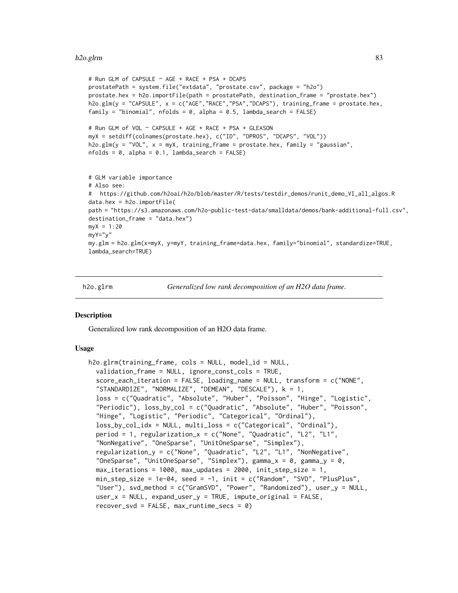```
# Run GLM of CAPSULE ~ AGE + RACE + PSA + DCAPS
prostatePath = system.file("extdata", "prostate.csv", package = "h2o")
prostate.hex = h2o.importFile(path = prostatePath, destination_frame = "prostate.hex")
h2o.glm(y = "CAPSULE", x = c("AGE","RACE","PSA","DCAPS"), training_frame = prostate.hex,
family = "binomial", nfolds = 0, alpha = 0.5, lambda_s = 0 and s = 0.5# Run GLM of VOL ~ CAPSULE + AGE + RACE + PSA + GLEASON
myX = setdiff(colnames(prostate.hex), c("ID", "DPROS", "DCAPS", "VOL"))
h2o.glm(y = "VOL", x = myX, training_frame = prostate.hex, family = "gaussian",
nfolds = 0, alpha = 0.1, lambda_search = FALSE)
# GLM variable importance
# Also see:
# https://github.com/h2oai/h2o/blob/master/R/tests/testdir_demos/runit_demo_VI_all_algos.R
data.hex = h2o.importFile(
path = "https://s3.amazonaws.com/h2o-public-test-data/smalldata/demos/bank-additional-full.csv",
destination_frame = "data.hex")
myX = 1:20myY="y"my.glm = h2o.glm(x=myX, y=myY, training_frame=data.hex, family="binomial", standardize=TRUE,
lambda_search=TRUE)
```
h2o.glrm *Generalized low rank decomposition of an H2O data frame.*

#### **Description**

Generalized low rank decomposition of an H2O data frame.

### Usage

```
h2o.glrm(training_frame, cols = NULL, model_id = NULL,
  validation_frame = NULL, ignore_const_cols = TRUE,
  score_each_iteration = FALSE, loading_name = NULL, transform = c("NONE",
  "STANDARDIZE", "NORMALIZE", "DEMEAN", "DESCALE"), k = 1,
  loss = c("Quadratic", "Absolute", "Huber", "Poisson", "Hinge", "Logistic",
  "Periodic"), loss_by_col = c("Quadratic", "Absolute", "Huber", "Poisson",
  "Hinge", "Logistic", "Periodic", "Categorical", "Ordinal"),
  loss_by_col_idx = NULL, multi_loss = c("Categorical", "Ordinal"),
  period = 1, regularization_x = c("None", "Quadratic", "L2", "L1",
  "NonNegative", "OneSparse", "UnitOneSparse", "Simplex"),
  regularization_y = c("None", "Quadratic", "L2", "L1", "NonNegative",
  "OneSparse", "UnitOneSparse", "Simplex"), gamma_x = 0, gamma_y = 0,
  max_iterations = 1000, max_updates = 2000, init_step_size = 1,
  min_step_size = 1e-04, seed = -1, init = c("Random", "SVD", "PlusPlus",
  "User"), svd_method = c("GramSVD", "Power", "Randomized"), user_y = NULL,
  user_x = NULL, expand_user_y = TRUE, impute_coriginal = FALSE,
  recover\_svd = FALSE, max\_runtime\_secs = 0
```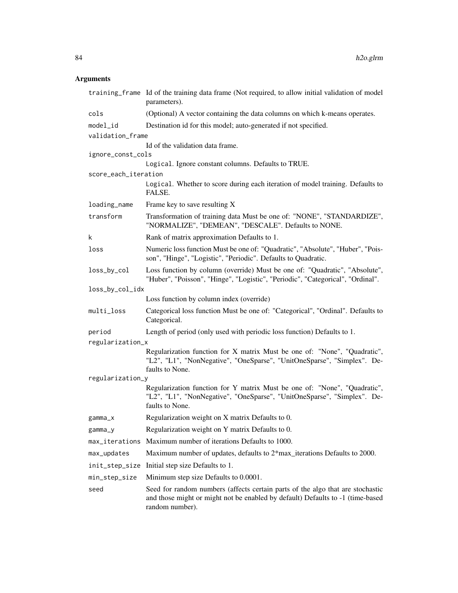|                      | training_frame Id of the training data frame (Not required, to allow initial validation of model<br>parameters).                                                                    |  |
|----------------------|-------------------------------------------------------------------------------------------------------------------------------------------------------------------------------------|--|
| cols                 | (Optional) A vector containing the data columns on which k-means operates.                                                                                                          |  |
| model_id             | Destination id for this model; auto-generated if not specified.                                                                                                                     |  |
| validation_frame     |                                                                                                                                                                                     |  |
|                      | Id of the validation data frame.                                                                                                                                                    |  |
| ignore_const_cols    |                                                                                                                                                                                     |  |
|                      | Logical. Ignore constant columns. Defaults to TRUE.                                                                                                                                 |  |
| score_each_iteration | Logical. Whether to score during each iteration of model training. Defaults to<br>FALSE.                                                                                            |  |
| loading_name         | Frame key to save resulting X                                                                                                                                                       |  |
| transform            | Transformation of training data Must be one of: "NONE", "STANDARDIZE",<br>"NORMALIZE", "DEMEAN", "DESCALE". Defaults to NONE.                                                       |  |
| k                    | Rank of matrix approximation Defaults to 1.                                                                                                                                         |  |
| loss                 | Numeric loss function Must be one of: "Quadratic", "Absolute", "Huber", "Pois-<br>son", "Hinge", "Logistic", "Periodic". Defaults to Quadratic.                                     |  |
| loss_by_col          | Loss function by column (override) Must be one of: "Quadratic", "Absolute",<br>"Huber", "Poisson", "Hinge", "Logistic", "Periodic", "Categorical", "Ordinal".                       |  |
| loss_by_col_idx      |                                                                                                                                                                                     |  |
|                      | Loss function by column index (override)                                                                                                                                            |  |
| multi_loss           | Categorical loss function Must be one of: "Categorical", "Ordinal". Defaults to<br>Categorical.                                                                                     |  |
| period               | Length of period (only used with periodic loss function) Defaults to 1.                                                                                                             |  |
| regularization_x     |                                                                                                                                                                                     |  |
|                      | Regularization function for X matrix Must be one of: "None", "Quadratic",<br>"L2", "L1", "NonNegative", "OneSparse", "UnitOneSparse", "Simplex". De-<br>faults to None.             |  |
| regularization_y     |                                                                                                                                                                                     |  |
|                      | Regularization function for Y matrix Must be one of: "None", "Quadratic",<br>"L2", "L1", "NonNegative", "OneSparse", "UnitOneSparse", "Simplex". De-<br>faults to None.             |  |
| gamma_x              | Regularization weight on X matrix Defaults to 0.                                                                                                                                    |  |
| gamma_y              | Regularization weight on Y matrix Defaults to 0.                                                                                                                                    |  |
| max_iterations       | Maximum number of iterations Defaults to 1000.                                                                                                                                      |  |
| max_updates          | Maximum number of updates, defaults to 2*max_iterations Defaults to 2000.                                                                                                           |  |
| init_step_size       | Initial step size Defaults to 1.                                                                                                                                                    |  |
| min_step_size        | Minimum step size Defaults to 0.0001.                                                                                                                                               |  |
| seed                 | Seed for random numbers (affects certain parts of the algo that are stochastic<br>and those might or might not be enabled by default) Defaults to -1 (time-based<br>random number). |  |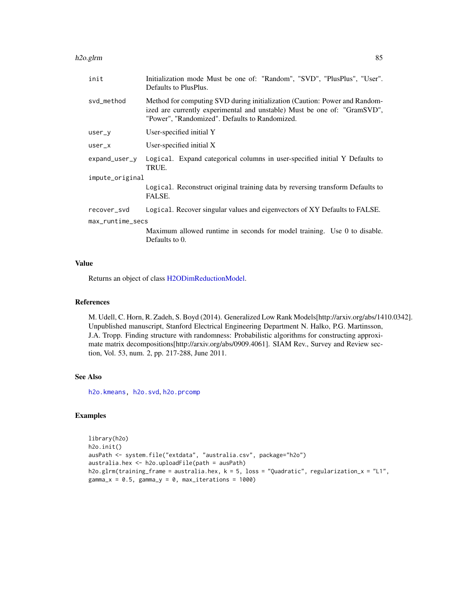#### h2o.glrm 85

| init             | Initialization mode Must be one of: "Random", "SVD", "PlusPlus", "User".<br>Defaults to PlusPlus.                                                                                                        |  |
|------------------|----------------------------------------------------------------------------------------------------------------------------------------------------------------------------------------------------------|--|
| svd_method       | Method for computing SVD during initialization (Caution: Power and Random-<br>ized are currently experimental and unstable) Must be one of: "GramSVD",<br>"Power", "Randomized". Defaults to Randomized. |  |
| user_y           | User-specified initial Y                                                                                                                                                                                 |  |
| $user_x$         | User-specified initial X                                                                                                                                                                                 |  |
| expand_user_y    | Logical. Expand categorical columns in user-specified initial Y Defaults to<br>TRUE.                                                                                                                     |  |
| impute_original  |                                                                                                                                                                                                          |  |
|                  | Logical. Reconstruct original training data by reversing transform Defaults to<br>FALSE.                                                                                                                 |  |
| recover_svd      | Logical. Recover singular values and eigenvectors of XY Defaults to FALSE.                                                                                                                               |  |
| max_runtime_secs |                                                                                                                                                                                                          |  |
|                  | Maximum allowed runtime in seconds for model training. Use 0 to disable.<br>Defaults to 0.                                                                                                               |  |

## Value

Returns an object of class [H2ODimReductionModel.](#page-188-1)

#### References

M. Udell, C. Horn, R. Zadeh, S. Boyd (2014). Generalized Low Rank Models[http://arxiv.org/abs/1410.0342]. Unpublished manuscript, Stanford Electrical Engineering Department N. Halko, P.G. Martinsson, J.A. Tropp. Finding structure with randomness: Probabilistic algorithms for constructing approximate matrix decompositions[http://arxiv.org/abs/0909.4061]. SIAM Rev., Survey and Review section, Vol. 53, num. 2, pp. 217-288, June 2011.

## See Also

[h2o.kmeans,](#page-104-0) [h2o.svd](#page-170-0), [h2o.prcomp](#page-137-0)

```
library(h2o)
h2o.init()
ausPath <- system.file("extdata", "australia.csv", package="h2o")
australia.hex <- h2o.uploadFile(path = ausPath)
h2o.glrm(training_frame = australia.hex, k = 5, loss = "Quadratic", regularization_x = "L1",
gamma_x = 0.5, gamma_y = 0, max_i terations = 1000)
```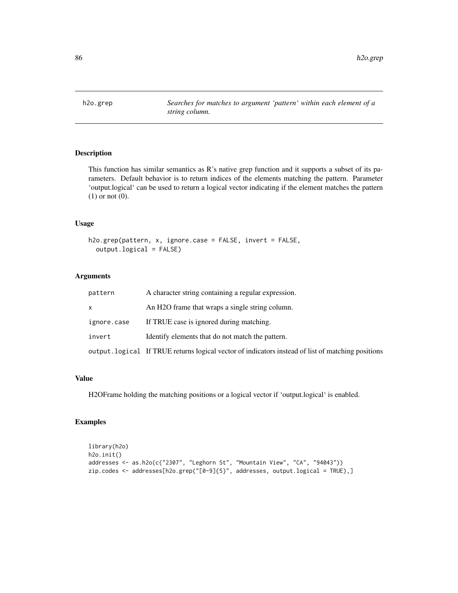This function has similar semantics as R's native grep function and it supports a subset of its parameters. Default behavior is to return indices of the elements matching the pattern. Parameter 'output.logical' can be used to return a logical vector indicating if the element matches the pattern (1) or not (0).

# Usage

```
h2o.grep(pattern, x, ignore.case = FALSE, invert = FALSE,
  output.logical = FALSE)
```
# Arguments

| pattern     | A character string containing a regular expression.                                                |
|-------------|----------------------------------------------------------------------------------------------------|
| <b>X</b>    | An H <sub>2</sub> O frame that wraps a single string column.                                       |
| ignore.case | If TRUE case is ignored during matching.                                                           |
| invert      | Identify elements that do not match the pattern.                                                   |
|             | output. logical If TRUE returns logical vector of indicators instead of list of matching positions |

#### Value

H2OFrame holding the matching positions or a logical vector if 'output.logical' is enabled.

```
library(h2o)
h2o.init()
addresses <- as.h2o(c("2307", "Leghorn St", "Mountain View", "CA", "94043"))
zip.codes <- addresses[h2o.grep("[0-9]{5}", addresses, output.logical = TRUE),]
```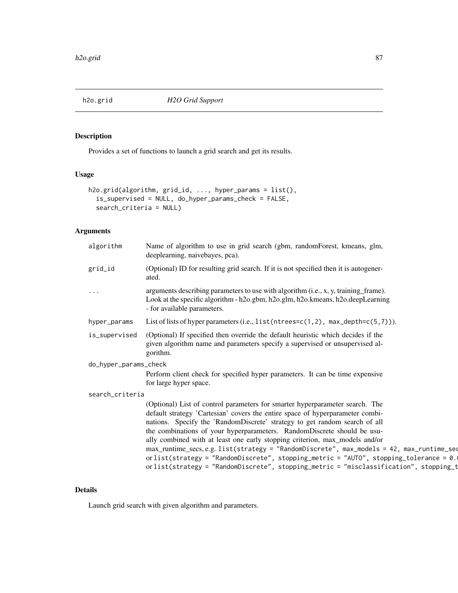Provides a set of functions to launch a grid search and get its results.

# Usage

```
h2o.grid(algorithm, grid_id, ..., hyper_params = list(),
  is_supervised = NULL, do_hyper_params_check = FALSE,
  search_criteria = NULL)
```
# Arguments

| algorithm             | Name of algorithm to use in grid search (gbm, randomForest, kmeans, glm,<br>deeplearning, naivebayes, pca).                                                                                                                                                                                                                                                                                                                                                                                                                                                                                                                                                                              |
|-----------------------|------------------------------------------------------------------------------------------------------------------------------------------------------------------------------------------------------------------------------------------------------------------------------------------------------------------------------------------------------------------------------------------------------------------------------------------------------------------------------------------------------------------------------------------------------------------------------------------------------------------------------------------------------------------------------------------|
| grid_id               | (Optional) ID for resulting grid search. If it is not specified then it is autogener-<br>ated.                                                                                                                                                                                                                                                                                                                                                                                                                                                                                                                                                                                           |
| $\cdots$              | arguments describing parameters to use with algorithm (i.e., x, y, training frame).<br>Look at the specific algorithm - h2o.gbm, h2o.glm, h2o.kmeans, h2o.deepLearning<br>- for available parameters.                                                                                                                                                                                                                                                                                                                                                                                                                                                                                    |
| hyper_params          | List of lists of hyper parameters (i.e., $list(intrees=c(1,2), max\_depth=c(5,7))).$                                                                                                                                                                                                                                                                                                                                                                                                                                                                                                                                                                                                     |
| is_supervised         | (Optional) If specified then override the default heuristic which decides if the<br>given algorithm name and parameters specify a supervised or unsupervised al-<br>gorithm.                                                                                                                                                                                                                                                                                                                                                                                                                                                                                                             |
| do_hyper_params_check |                                                                                                                                                                                                                                                                                                                                                                                                                                                                                                                                                                                                                                                                                          |
|                       | Perform client check for specified hyper parameters. It can be time expensive<br>for large hyper space.                                                                                                                                                                                                                                                                                                                                                                                                                                                                                                                                                                                  |
| search_criteria       |                                                                                                                                                                                                                                                                                                                                                                                                                                                                                                                                                                                                                                                                                          |
|                       | (Optional) List of control parameters for smarter hyperparameter search. The<br>default strategy 'Cartesian' covers the entire space of hyperparameter combi-<br>nations. Specify the 'RandomDiscrete' strategy to get random search of all<br>the combinations of your hyperparameters. RandomDiscrete should be usu-<br>ally combined with at least one early stopping criterion, max_models and/or<br>max_runtime_secs, e.g. list(strategy = "RandomDiscrete", max_models = 42, max_runtime_seq<br>or list(strategy = "RandomDiscrete", stopping_metric = "AUTO", stopping_tolerance = $0$ .<br>orlist(strategy = "RandomDiscrete", stopping_metric = "misclassification", stopping_t |

# Details

Launch grid search with given algorithm and parameters.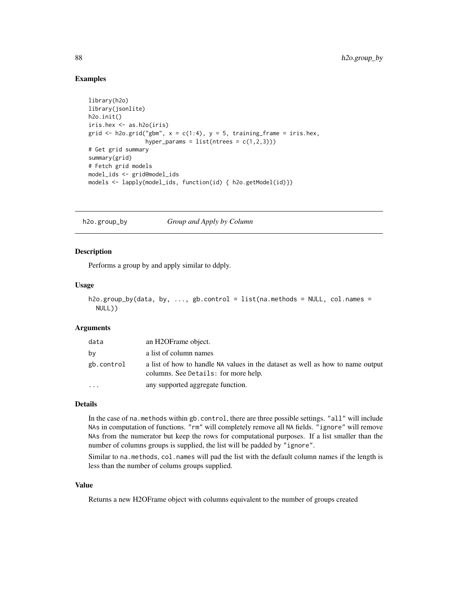## Examples

```
library(h2o)
library(jsonlite)
h2o.init()
iris.hex <- as.h2o(iris)
grid \le h2o.grid("gbm", x = c(1:4), y = 5, training_frame = iris.hex,
                 hyper_params = list(ntrees = c(1,2,3)))# Get grid summary
summary(grid)
# Fetch grid models
model_ids <- grid@model_ids
models <- lapply(model_ids, function(id) { h2o.getModel(id)})
```
h2o.group\_by *Group and Apply by Column*

### Description

Performs a group by and apply similar to ddply.

#### Usage

```
h2o.group_by(data, by, ..., gb.control = list(na.methods = NULL, col.names =
 NULL))
```
#### Arguments

| data       | an H2OFrame object.                                                                                                    |
|------------|------------------------------------------------------------------------------------------------------------------------|
| by         | a list of column names                                                                                                 |
| gb.control | a list of how to handle NA values in the dataset as well as how to name output<br>columns. See Details: for more help. |
| $\cdots$   | any supported aggregate function.                                                                                      |

## Details

In the case of na.methods within gb.control, there are three possible settings. "all" will include NAs in computation of functions. "rm" will completely remove all NA fields. "ignore" will remove NAs from the numerator but keep the rows for computational purposes. If a list smaller than the number of columns groups is supplied, the list will be padded by "ignore".

Similar to na.methods, col.names will pad the list with the default column names if the length is less than the number of colums groups supplied.

## Value

Returns a new H2OFrame object with columns equivalent to the number of groups created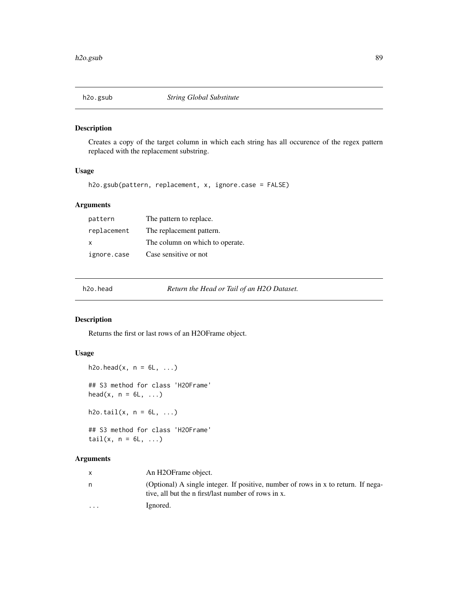Creates a copy of the target column in which each string has all occurence of the regex pattern replaced with the replacement substring.

# Usage

h2o.gsub(pattern, replacement, x, ignore.case = FALSE)

## Arguments

| pattern     | The pattern to replace.         |
|-------------|---------------------------------|
| replacement | The replacement pattern.        |
| X           | The column on which to operate. |
| ignore.case | Case sensitive or not           |

h2o.head *Return the Head or Tail of an H2O Dataset.*

# Description

Returns the first or last rows of an H2OFrame object.

## Usage

```
h2o.head(x, n = 6L, ...)## S3 method for class 'H2OFrame'
head(x, n = 6L, ...)
h2o.tail(x, n = 6L, ...)## S3 method for class 'H2OFrame'
tail(x, n = 6L, ...)
```

|                      | An H2OFrame object.                                                                                                                      |
|----------------------|------------------------------------------------------------------------------------------------------------------------------------------|
|                      | (Optional) A single integer. If positive, number of rows in x to return. If nega-<br>tive, all but the n first/last number of rows in x. |
| $\ddot{\phantom{0}}$ | Ignored.                                                                                                                                 |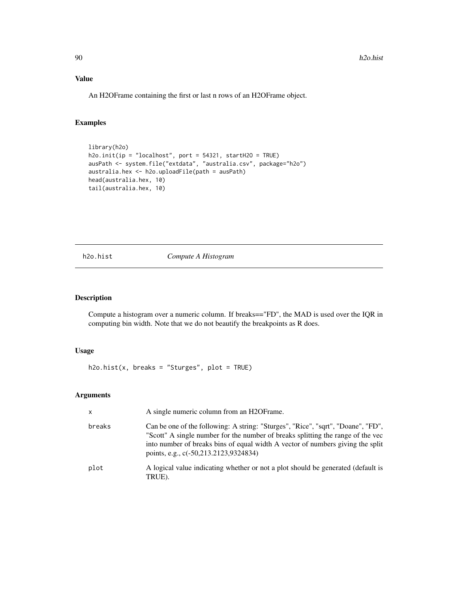# Value

An H2OFrame containing the first or last n rows of an H2OFrame object.

# Examples

```
library(h2o)
h2o.init(ip = "localhost", port = 54321, startH2O = TRUE)
ausPath <- system.file("extdata", "australia.csv", package="h2o")
australia.hex <- h2o.uploadFile(path = ausPath)
head(australia.hex, 10)
tail(australia.hex, 10)
```
h2o.hist *Compute A Histogram*

### Description

Compute a histogram over a numeric column. If breaks=="FD", the MAD is used over the IQR in computing bin width. Note that we do not beautify the breakpoints as R does.

## Usage

 $h2o.hist(x, breaks = "Sturges", plot = TRUE)$ 

| $\mathsf{x}$ | A single numeric column from an H2OF rame.                                                                                                                                                                                                                                                     |
|--------------|------------------------------------------------------------------------------------------------------------------------------------------------------------------------------------------------------------------------------------------------------------------------------------------------|
| breaks       | Can be one of the following: A string: "Sturges", "Rice", "sqrt", "Doane", "FD",<br>"Scott" A single number for the number of breaks splitting the range of the vec<br>into number of breaks bins of equal width A vector of numbers giving the split<br>points, e.g., c(-50,213.2123,9324834) |
| plot         | A logical value indicating whether or not a plot should be generated (default is<br>TRUE).                                                                                                                                                                                                     |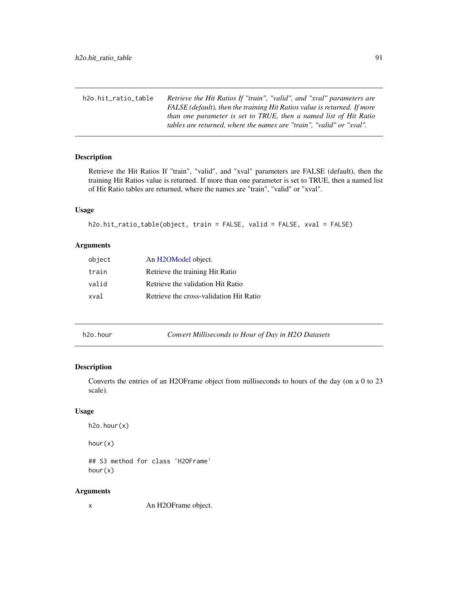| h2o.hit ratio table | Retrieve the Hit Ratios If "train", "valid", and "xval" parameters are   |
|---------------------|--------------------------------------------------------------------------|
|                     | FALSE (default), then the training Hit Ratios value is returned. If more |
|                     | than one parameter is set to TRUE, then a named list of Hit Ratio        |
|                     | tables are returned, where the names are "train", "valid" or "xval".     |

Retrieve the Hit Ratios If "train", "valid", and "xval" parameters are FALSE (default), then the training Hit Ratios value is returned. If more than one parameter is set to TRUE, then a named list of Hit Ratio tables are returned, where the names are "train", "valid" or "xval".

# Usage

```
h2o.hit_ratio_table(object, train = FALSE, valid = FALSE, xval = FALSE)
```
# Arguments

| object | An H <sub>2</sub> OM <sub>odel</sub> object. |
|--------|----------------------------------------------|
| train  | Retrieve the training Hit Ratio              |
| valid  | Retrieve the validation Hit Ratio            |
| xval   | Retrieve the cross-validation Hit Ratio      |

h2o.hour *Convert Milliseconds to Hour of Day in H2O Datasets*

# Description

Converts the entries of an H2OFrame object from milliseconds to hours of the day (on a 0 to 23 scale).

# Usage

h2o.hour(x)

hour(x)

## S3 method for class 'H2OFrame' hour(x)

#### Arguments

x An H2OFrame object.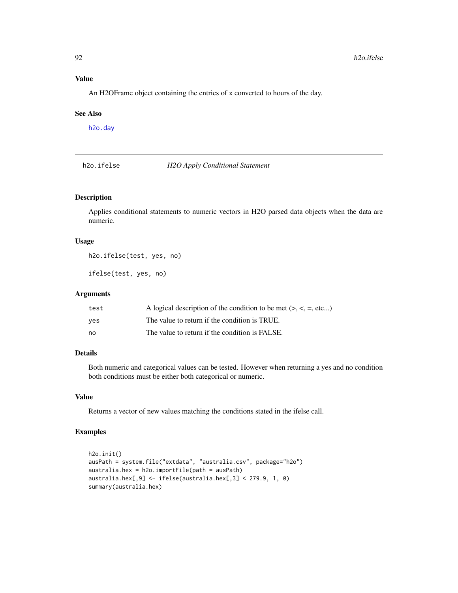## Value

An H2OFrame object containing the entries of x converted to hours of the day.

## See Also

[h2o.day](#page-42-0)

h2o.ifelse *H2O Apply Conditional Statement*

# Description

Applies conditional statements to numeric vectors in H2O parsed data objects when the data are numeric.

#### Usage

h2o.ifelse(test, yes, no)

ifelse(test, yes, no)

#### Arguments

| test | A logical description of the condition to be met $(> , < , = , etc )$ |
|------|-----------------------------------------------------------------------|
| ves  | The value to return if the condition is TRUE.                         |
| no   | The value to return if the condition is FALSE.                        |

## Details

Both numeric and categorical values can be tested. However when returning a yes and no condition both conditions must be either both categorical or numeric.

#### Value

Returns a vector of new values matching the conditions stated in the ifelse call.

```
h2o.init()
ausPath = system.file("extdata", "australia.csv", package="h2o")
australia.hex = h2o.importFile(path = ausPath)
australia.hex[,9] <- ifelse(australia.hex[,3] < 279.9, 1, 0)
summary(australia.hex)
```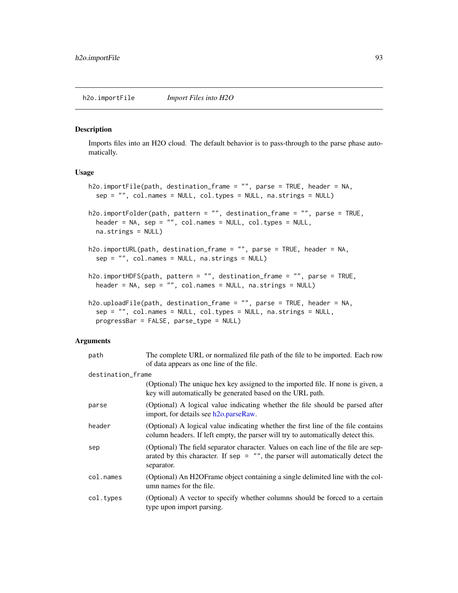Imports files into an H2O cloud. The default behavior is to pass-through to the parse phase automatically.

## Usage

```
h2o.importFile(path, destination_frame = "", parse = TRUE, header = NA,
  sep = "", col.name = NULL, col_type = NULL, na.strings = NULL)h2o.importFolder(path, pattern = "", destination_frame = "", parse = TRUE,
  header = NA, sep = "", col.names = NULL, col.types = NULL,
 na.strings = NULL)
h2o.importURL(path, destination_frame = "", parse = TRUE, header = NA,
  sep = "", col.name = NULL, na.strings = NULL)h2o.importHDFS(path, pattern = "", destination_frame = "", parse = TRUE,
 header = NA, sep = "", col.names = NULL, na.strings = NULL)
h2o.uploadFile(path, destination_frame = "", parse = TRUE, header = NA,
  sep = "", col.names = NULL, col.types = NULL, na.strings = NULL,
  progressBar = FALSE, parse_type = NULL)
```

| path              | The complete URL or normalized file path of the file to be imported. Each row<br>of data appears as one line of the file.                                                             |
|-------------------|---------------------------------------------------------------------------------------------------------------------------------------------------------------------------------------|
| destination_frame |                                                                                                                                                                                       |
|                   | (Optional) The unique hex key assigned to the imported file. If none is given, a<br>key will automatically be generated based on the URL path.                                        |
| parse             | (Optional) A logical value indicating whether the file should be parsed after<br>import, for details see h2o.parseRaw.                                                                |
| header            | (Optional) A logical value indicating whether the first line of the file contains<br>column headers. If left empty, the parser will try to automatically detect this.                 |
| sep               | (Optional) The field separator character. Values on each line of the file are sep-<br>arated by this character. If sep $=$ "", the parser will automatically detect the<br>separator. |
| col.names         | (Optional) An H2OFrame object containing a single delimited line with the col-<br>umn names for the file.                                                                             |
| col.types         | (Optional) A vector to specify whether columns should be forced to a certain<br>type upon import parsing.                                                                             |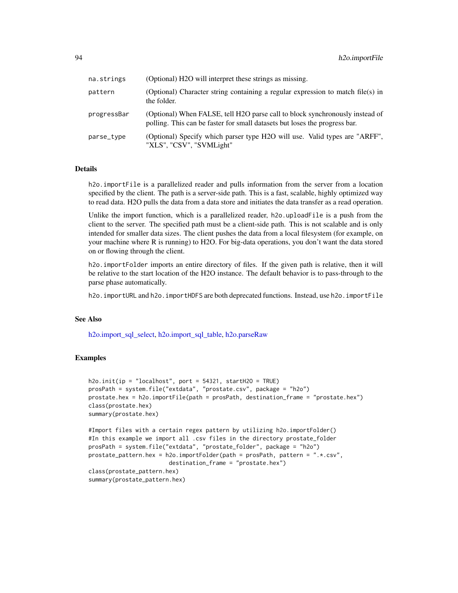| na.strings  | (Optional) H2O will interpret these strings as missing.                                                                                                    |
|-------------|------------------------------------------------------------------------------------------------------------------------------------------------------------|
| pattern     | (Optional) Character string containing a regular expression to match file(s) in<br>the folder.                                                             |
| progressBar | (Optional) When FALSE, tell H2O parse call to block synchronously instead of<br>polling. This can be faster for small datasets but loses the progress bar. |
| parse_type  | (Optional) Specify which parser type H2O will use. Valid types are "ARFF",<br>"XLS", "CSV", "SVMLight"                                                     |

## Details

h2o.importFile is a parallelized reader and pulls information from the server from a location specified by the client. The path is a server-side path. This is a fast, scalable, highly optimized way to read data. H2O pulls the data from a data store and initiates the data transfer as a read operation.

Unlike the import function, which is a parallelized reader, h2o.uploadFile is a push from the client to the server. The specified path must be a client-side path. This is not scalable and is only intended for smaller data sizes. The client pushes the data from a local filesystem (for example, on your machine where R is running) to H2O. For big-data operations, you don't want the data stored on or flowing through the client.

h2o.importFolder imports an entire directory of files. If the given path is relative, then it will be relative to the start location of the H2O instance. The default behavior is to pass-through to the parse phase automatically.

h2o.importURL and h2o.importHDFS are both deprecated functions. Instead, use h2o.importFile

# See Also

[h2o.import\\_sql\\_select,](#page-94-0) [h2o.import\\_sql\\_table,](#page-94-1) [h2o.parseRaw](#page-133-0)

```
h2o.init(ip = "localhost", port = 54321, startH2O = TRUE)prosPath = system.file("extdata", "prostate.csv", package = "h2o")
prostate.hex = h2o.importFile(path = prosPath, destination_frame = "prostate.hex")
class(prostate.hex)
summary(prostate.hex)
```

```
#Import files with a certain regex pattern by utilizing h2o.importFolder()
#In this example we import all .csv files in the directory prostate_folder
prosPath = system.file("extdata", "prostate_folder", package = "h2o")
prostate_pattern.hex = h2o.importFolder(path = prosPath, pattern = ".*.csv",
                        destination_frame = "prostate.hex")
class(prostate_pattern.hex)
summary(prostate_pattern.hex)
```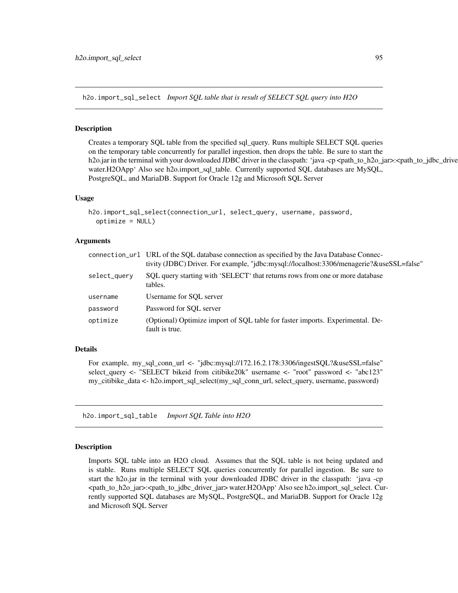<span id="page-94-0"></span>h2o.import\_sql\_select *Import SQL table that is result of SELECT SQL query into H2O*

### **Description**

Creates a temporary SQL table from the specified sql\_query. Runs multiple SELECT SQL queries on the temporary table concurrently for parallel ingestion, then drops the table. Be sure to start the h2o.jar in the terminal with your downloaded JDBC driver in the classpath: 'java -cp <path\_to\_h2o\_jar>:<path\_to\_jdbc\_drive water.H2OApp' Also see h2o.import\_sql\_table. Currently supported SQL databases are MySQL, PostgreSQL, and MariaDB. Support for Oracle 12g and Microsoft SQL Server

## Usage

```
h2o.import_sql_select(connection_url, select_query, username, password,
  optimize = NULL)
```
#### Arguments

|              | connection_url URL of the SQL database connection as specified by the Java Database Connec-<br>tivity (JDBC) Driver. For example, "jdbc:mysql://localhost:3306/menagerie?&useSSL=false" |
|--------------|-----------------------------------------------------------------------------------------------------------------------------------------------------------------------------------------|
| select_query | SQL query starting with 'SELECT' that returns rows from one or more database<br>tables.                                                                                                 |
| username     | Username for SOL server                                                                                                                                                                 |
| password     | Password for SOL server                                                                                                                                                                 |
| optimize     | (Optional) Optimize import of SOL table for faster imports. Experimental. De-<br>fault is true.                                                                                         |

### Details

For example, my sql\_conn\_url <- "jdbc:mysql://172.16.2.178:3306/ingestSQL?&useSSL=false" select\_query <- "SELECT bikeid from citibike20k" username <- "root" password <- "abc123" my\_citibike\_data <- h2o.import\_sql\_select(my\_sql\_conn\_url, select\_query, username, password)

<span id="page-94-1"></span>h2o.import\_sql\_table *Import SQL Table into H2O*

#### **Description**

Imports SQL table into an H2O cloud. Assumes that the SQL table is not being updated and is stable. Runs multiple SELECT SQL queries concurrently for parallel ingestion. Be sure to start the h2o.jar in the terminal with your downloaded JDBC driver in the classpath: 'java -cp <path\_to\_h2o\_jar>:<path\_to\_jdbc\_driver\_jar> water.H2OApp' Also see h2o.import\_sql\_select. Currently supported SQL databases are MySQL, PostgreSQL, and MariaDB. Support for Oracle 12g and Microsoft SQL Server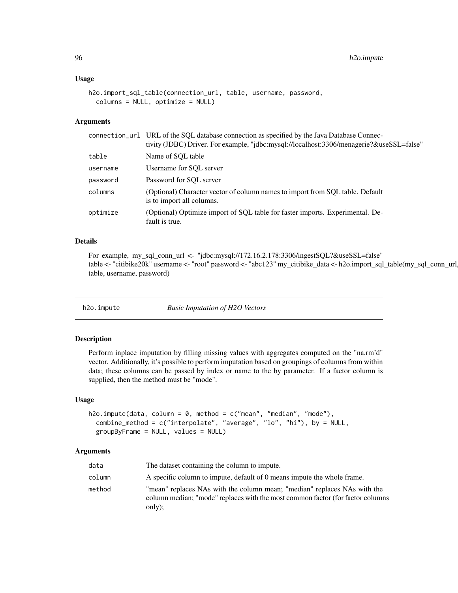#### Usage

```
h2o.import_sql_table(connection_url, table, username, password,
  columns = NULL, optimize = NULL)
```
## Arguments

|          | connection_url URL of the SQL database connection as specified by the Java Database Connec-<br>tivity (JDBC) Driver. For example, "jdbc:mysql://localhost:3306/menagerie?&useSSL=false" |
|----------|-----------------------------------------------------------------------------------------------------------------------------------------------------------------------------------------|
| table    | Name of SOL table                                                                                                                                                                       |
| username | Username for SOL server                                                                                                                                                                 |
| password | Password for SOL server                                                                                                                                                                 |
| columns  | (Optional) Character vector of column names to import from SOL table. Default<br>is to import all columns.                                                                              |
| optimize | (Optional) Optimize import of SQL table for faster imports. Experimental. De-<br>fault is true.                                                                                         |

### Details

For example, my\_sql\_conn\_url <- "jdbc:mysql://172.16.2.178:3306/ingestSQL?&useSSL=false" table <- "citibike20k" username <- "root" password <- "abc123" my\_citibike\_data <- h2o.import\_sql\_table(my\_sql\_conn\_url, table, username, password)

h2o.impute *Basic Imputation of H2O Vectors*

## Description

Perform inplace imputation by filling missing values with aggregates computed on the "na.rm'd" vector. Additionally, it's possible to perform imputation based on groupings of columns from within data; these columns can be passed by index or name to the by parameter. If a factor column is supplied, then the method must be "mode".

## Usage

```
h2o.impute(data, column = 0, method = c("mean", "model", "mode"),
  combine_method = c("interpolate", "average", "lo", "hi"), by = NULL,
  groupByFrame = NULL, values = NULL)
```

| data   | The dataset containing the column to impute.                                                                                                                         |
|--------|----------------------------------------------------------------------------------------------------------------------------------------------------------------------|
| column | A specific column to impute, default of 0 means impute the whole frame.                                                                                              |
| method | "mean" replaces NAs with the column mean; "median" replaces NAs with the<br>column median; "mode" replaces with the most common factor (for factor columns<br>only); |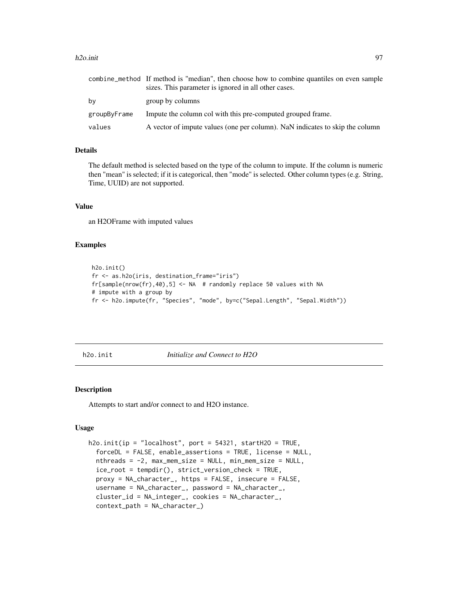#### h2o.init 97

|              | combine_method If method is "median", then choose how to combine quantiles on even sample<br>sizes. This parameter is ignored in all other cases. |
|--------------|---------------------------------------------------------------------------------------------------------------------------------------------------|
| bν           | group by columns                                                                                                                                  |
| groupByFrame | Impute the column col with this pre-computed grouped frame.                                                                                       |
| values       | A vector of impute values (one per column). NaN indicates to skip the column                                                                      |

## Details

The default method is selected based on the type of the column to impute. If the column is numeric then "mean" is selected; if it is categorical, then "mode" is selected. Other column types (e.g. String, Time, UUID) are not supported.

## Value

an H2OFrame with imputed values

#### Examples

```
h2o.init()
fr <- as.h2o(iris, destination_frame="iris")
fr[sample(nrow(fr),40),5] \leq NA # randomly replace 50 values with NA
# impute with a group by
fr <- h2o.impute(fr, "Species", "mode", by=c("Sepal.Length", "Sepal.Width"))
```
h2o.init *Initialize and Connect to H2O*

#### Description

Attempts to start and/or connect to and H2O instance.

### Usage

```
h2o.init(ip = "localhost", port = 54321, startH2O = TRUE,forceDL = FALSE, enable_assertions = TRUE, license = NULL,
  nthreads = -2, max_mem_size = NULL, min_mem_size = NULL,
  ice_root = tempdir(), strict_version_check = TRUE,
  proxy = NA_character_, https = FALSE, insecure = FALSE,
  username = NA_character_, password = NA_character_,
  cluster_id = NA_integer_, cookies = NA_character_,
  context_path = NA_character_)
```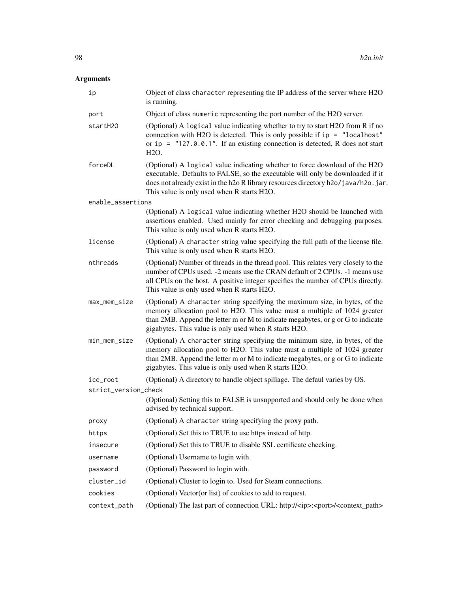| ip                   | Object of class character representing the IP address of the server where H2O<br>is running.                                                                                                                                                                                                         |
|----------------------|------------------------------------------------------------------------------------------------------------------------------------------------------------------------------------------------------------------------------------------------------------------------------------------------------|
| port                 | Object of class numeric representing the port number of the H2O server.                                                                                                                                                                                                                              |
| startH20             | (Optional) A logical value indicating whether to try to start H2O from R if no<br>connection with H2O is detected. This is only possible if $ip = "localhost"$<br>or ip = $"127.0.0.1"$ . If an existing connection is detected, R does not start<br>H2O.                                            |
| forceDL              | (Optional) A logical value indicating whether to force download of the H2O<br>executable. Defaults to FALSE, so the executable will only be downloaded if it<br>does not already exist in the h2o R library resources directory h2o/java/h2o.jar.<br>This value is only used when R starts H2O.      |
| enable_assertions    |                                                                                                                                                                                                                                                                                                      |
|                      | (Optional) A logical value indicating whether H2O should be launched with<br>assertions enabled. Used mainly for error checking and debugging purposes.<br>This value is only used when R starts H2O.                                                                                                |
| license              | (Optional) A character string value specifying the full path of the license file.<br>This value is only used when R starts H2O.                                                                                                                                                                      |
| nthreads             | (Optional) Number of threads in the thread pool. This relates very closely to the<br>number of CPUs used. -2 means use the CRAN default of 2 CPUs. -1 means use<br>all CPUs on the host. A positive integer specifies the number of CPUs directly.<br>This value is only used when R starts H2O.     |
| max_mem_size         | (Optional) A character string specifying the maximum size, in bytes, of the<br>memory allocation pool to H2O. This value must a multiple of 1024 greater<br>than 2MB. Append the letter m or M to indicate megabytes, or g or G to indicate<br>gigabytes. This value is only used when R starts H2O. |
| min_mem_size         | (Optional) A character string specifying the minimum size, in bytes, of the<br>memory allocation pool to H2O. This value must a multiple of 1024 greater<br>than 2MB. Append the letter m or M to indicate megabytes, or g or G to indicate<br>gigabytes. This value is only used when R starts H2O. |
| ice_root             | (Optional) A directory to handle object spillage. The defaul varies by OS.                                                                                                                                                                                                                           |
| strict_version_check |                                                                                                                                                                                                                                                                                                      |
|                      | (Optional) Setting this to FALSE is unsupported and should only be done when<br>advised by technical support.                                                                                                                                                                                        |
| proxy                | (Optional) A character string specifying the proxy path.                                                                                                                                                                                                                                             |
| https                | (Optional) Set this to TRUE to use https instead of http.                                                                                                                                                                                                                                            |
| insecure             | (Optional) Set this to TRUE to disable SSL certificate checking.                                                                                                                                                                                                                                     |
| username             | (Optional) Username to login with.                                                                                                                                                                                                                                                                   |
| password             | (Optional) Password to login with.                                                                                                                                                                                                                                                                   |
| cluster_id           | (Optional) Cluster to login to. Used for Steam connections.                                                                                                                                                                                                                                          |
| cookies              | (Optional) Vector(or list) of cookies to add to request.                                                                                                                                                                                                                                             |
| context_path         | (Optional) The last part of connection URL: http:// <ip>:<port>/<context_path></context_path></port></ip>                                                                                                                                                                                            |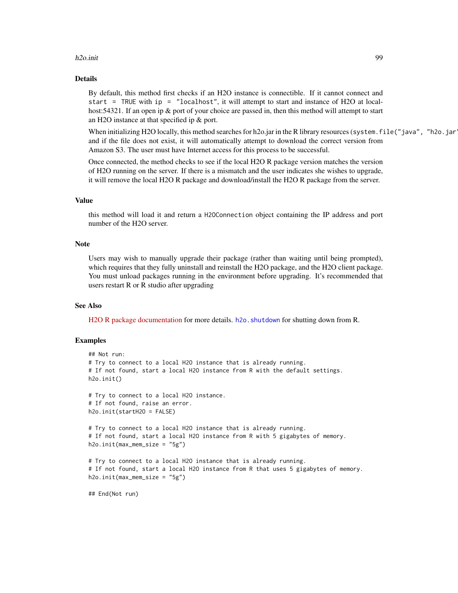#### h2o.init 999

## Details

By default, this method first checks if an H2O instance is connectible. If it cannot connect and start = TRUE with ip = "localhost", it will attempt to start and instance of H2O at localhost:54321. If an open ip & port of your choice are passed in, then this method will attempt to start an H2O instance at that specified ip & port.

When initializing H2O locally, this method searches for h2o.jar in the R library resources (system.file("java", "h2o.jar and if the file does not exist, it will automatically attempt to download the correct version from Amazon S3. The user must have Internet access for this process to be successful.

Once connected, the method checks to see if the local H2O R package version matches the version of H2O running on the server. If there is a mismatch and the user indicates she wishes to upgrade, it will remove the local H2O R package and download/install the H2O R package from the server.

### Value

this method will load it and return a H2OConnection object containing the IP address and port number of the H2O server.

## Note

Users may wish to manually upgrade their package (rather than waiting until being prompted), which requires that they fully uninstall and reinstall the H2O package, and the H2O client package. You must unload packages running in the environment before upgrading. It's recommended that users restart R or R studio after upgrading

#### See Also

[H2O R package documentation](http://h2o-release.s3.amazonaws.com/h2o-dev/rel-shannon/2/docs-website/h2o-r/h2o_package.pdf) for more details. h2o. shutdown for shutting down from R.

#### Examples

```
## Not run:
# Try to connect to a local H2O instance that is already running.
# If not found, start a local H2O instance from R with the default settings.
h2o.init()
# Try to connect to a local H2O instance.
# If not found, raise an error.
h2o.init(startH2O = FALSE)
# Try to connect to a local H2O instance that is already running.
# If not found, start a local H2O instance from R with 5 gigabytes of memory.
h2o.init(max_mem_size = "5g")
# Try to connect to a local H2O instance that is already running.
# If not found, start a local H2O instance from R that uses 5 gigabytes of memory.
h2o.init(max_mem_size = "5g")
```
## End(Not run)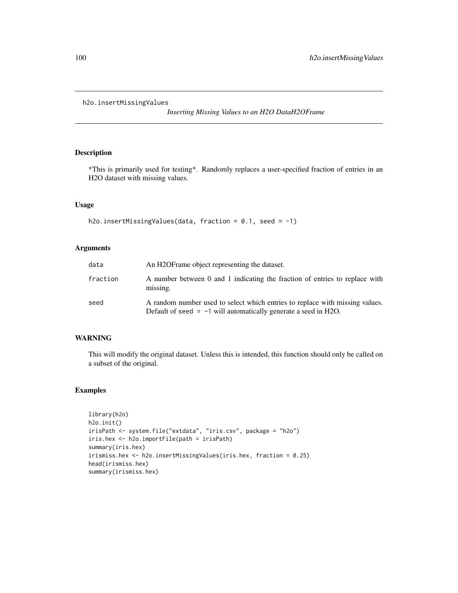h2o.insertMissingValues

*Inserting Missing Values to an H2O DataH2OFrame*

## Description

\*This is primarily used for testing\*. Randomly replaces a user-specified fraction of entries in an H2O dataset with missing values.

#### Usage

```
h2o.insertMissingValues(data, fraction = 0.1, seed = -1)
```
## Arguments

| data     | An H <sub>2</sub> OF rame object representing the dataset.                                                                                        |
|----------|---------------------------------------------------------------------------------------------------------------------------------------------------|
| fraction | A number between 0 and 1 indicating the fraction of entries to replace with<br>missing.                                                           |
| seed     | A random number used to select which entries to replace with missing values.<br>Default of seed $= -1$ will automatically generate a seed in H2O. |

## WARNING

This will modify the original dataset. Unless this is intended, this function should only be called on a subset of the original.

```
library(h2o)
h2o.init()
irisPath <- system.file("extdata", "iris.csv", package = "h2o")
iris.hex <- h2o.importFile(path = irisPath)
summary(iris.hex)
irismiss.hex <- h2o.insertMissingValues(iris.hex, fraction = 0.25)
head(irismiss.hex)
summary(irismiss.hex)
```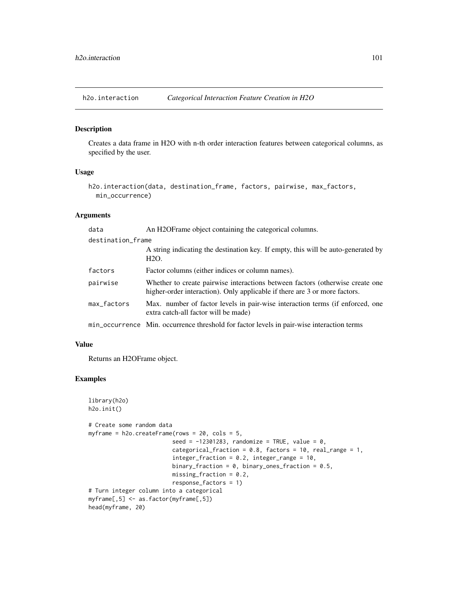h2o.interaction *Categorical Interaction Feature Creation in H2O*

## Description

Creates a data frame in H2O with n-th order interaction features between categorical columns, as specified by the user.

## Usage

```
h2o.interaction(data, destination_frame, factors, pairwise, max_factors,
 min_occurrence)
```
### Arguments

| data              | An H2OF rame object containing the categorical columns.                                                                                                     |
|-------------------|-------------------------------------------------------------------------------------------------------------------------------------------------------------|
| destination_frame |                                                                                                                                                             |
|                   | A string indicating the destination key. If empty, this will be auto-generated by<br>H <sub>2</sub> O.                                                      |
| factors           | Factor columns (either indices or column names).                                                                                                            |
| pairwise          | Whether to create pairwise interactions between factors (otherwise create one<br>higher-order interaction). Only applicable if there are 3 or more factors. |
| max_factors       | Max. number of factor levels in pair-wise interaction terms (if enforced, one<br>extra catch-all factor will be made)                                       |
|                   | min_occurrence Min. occurrence threshold for factor levels in pair-wise interaction terms                                                                   |

## Value

Returns an H2OFrame object.

```
library(h2o)
h2o.init()
# Create some random data
myframe = h2o.createFrame(rows = 20, cols = 5,
                         seed = -12301283, randomize = TRUE, value = 0,
                         categorical_fraction = 0.8, factors = 10, real_range = 1,
                         integer_fraction = 0.2, integer_range = 10,
                         binary_fraction = 0, binary_ones_fraction = 0.5,
                         missing_fraction = 0.2,
                         response_factors = 1)
# Turn integer column into a categorical
myframe[,5] <- as.factor(myframe[,5])
head(myframe, 20)
```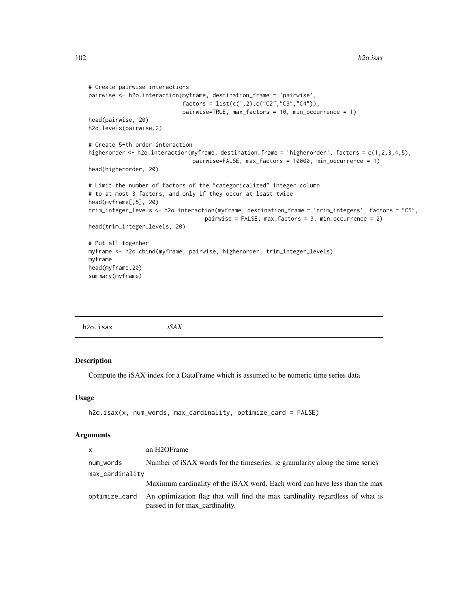```
# Create pairwise interactions
pairwise <- h2o.interaction(myframe, destination_frame = 'pairwise',
                            factors = list(c(1, 2), c("C2", "C3", "C4")),
                            pairwise=TRUE, max_factors = 10, min_occurrence = 1)
head(pairwise, 20)
h2o.levels(pairwise,2)
# Create 5-th order interaction
higherorder <- h2o.interaction(myframe, destination_frame = 'higherorder', factors = c(1,2,3,4,5),
                               pairwise=FALSE, max_factors = 10000, min_occurrence = 1)
head(higherorder, 20)
# Limit the number of factors of the "categoricalized" integer column
# to at most 3 factors, and only if they occur at least twice
head(myframe[,5], 20)
trim_integer_levels <- h2o.interaction(myframe, destination_frame = 'trim_integers', factors = "C5",
                                   pairwise = FALSE, max_factors = 3, min_occurrence = 2)
head(trim_integer_levels, 20)
# Put all together
myframe <- h2o.cbind(myframe, pairwise, higherorder, trim_integer_levels)
myframe
head(myframe,20)
summary(myframe)
```

| $\sim$<br>h2o.isax | iSAX |  |  |
|--------------------|------|--|--|
|--------------------|------|--|--|

Compute the iSAX index for a DataFrame which is assumed to be numeric time series data

#### Usage

```
h2o.isax(x, num_words, max_cardinality, optimize_card = FALSE)
```

| <b>X</b>        | an H2OFrame                                                                                                     |
|-----------------|-----------------------------------------------------------------------------------------------------------------|
| num_words       | Number of iSAX words for the timeseries, ie granularity along the time series                                   |
| max_cardinality |                                                                                                                 |
|                 | Maximum cardinality of the iSAX word. Each word can have less than the max                                      |
| optimize_card   | An optimization flag that will find the max cardinality regardless of what is<br>passed in for max_cardinality. |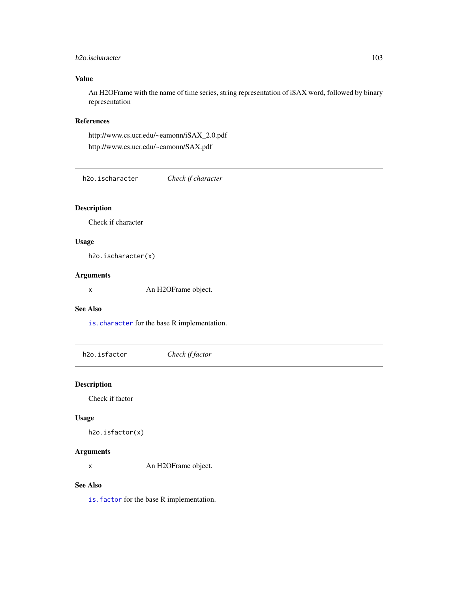## h2o.ischaracter 103

# Value

An H2OFrame with the name of time series, string representation of iSAX word, followed by binary representation

## References

http://www.cs.ucr.edu/~eamonn/iSAX\_2.0.pdf http://www.cs.ucr.edu/~eamonn/SAX.pdf

h2o.ischaracter *Check if character*

# Description

Check if character

# Usage

h2o.ischaracter(x)

# Arguments

x An H2OFrame object.

# See Also

[is.character](#page-191-0) for the base R implementation.

h2o.isfactor *Check if factor*

# Description

Check if factor

## Usage

h2o.isfactor(x)

## Arguments

x An H2OFrame object.

# See Also

[is.factor](#page-191-1) for the base R implementation.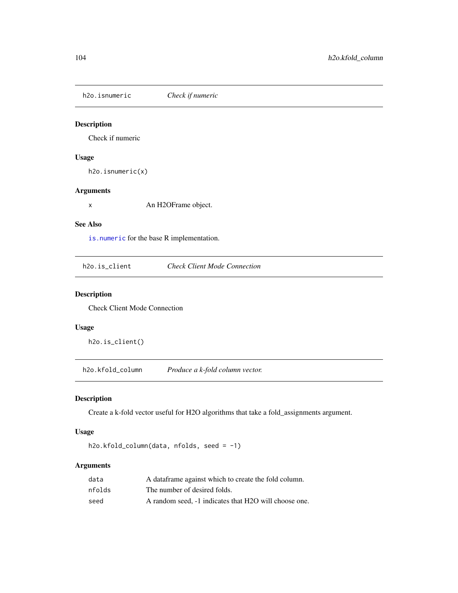h2o.isnumeric *Check if numeric*

# Description

Check if numeric

# Usage

h2o.isnumeric(x)

## Arguments

x An H2OFrame object.

#### See Also

[is.numeric](#page-192-0) for the base R implementation.

h2o.is\_client *Check Client Mode Connection*

### Description

Check Client Mode Connection

#### Usage

h2o.is\_client()

h2o.kfold\_column *Produce a k-fold column vector.*

# Description

Create a k-fold vector useful for H2O algorithms that take a fold\_assignments argument.

# Usage

h2o.kfold\_column(data, nfolds, seed = -1)

| data   | A data frame against which to create the fold column. |
|--------|-------------------------------------------------------|
| nfolds | The number of desired folds.                          |
| seed   | A random seed. -1 indicates that H2O will choose one. |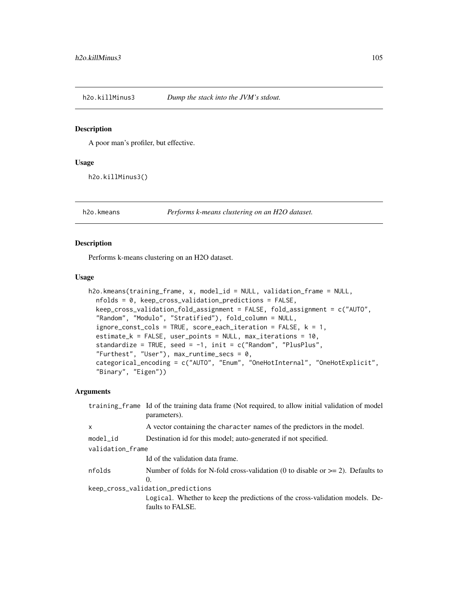A poor man's profiler, but effective.

#### Usage

h2o.killMinus3()

<span id="page-104-0"></span>h2o.kmeans *Performs k-means clustering on an H2O dataset.*

# Description

Performs k-means clustering on an H2O dataset.

#### Usage

```
h2o.kmeans(training_frame, x, model_id = NULL, validation_frame = NULL,
  nfolds = 0, keep_cross_validation_predictions = FALSE,
  keep_cross_validation_fold_assignment = FALSE, fold_assignment = c("AUTO",
  "Random", "Modulo", "Stratified"), fold_column = NULL,
  ignore_const_cols = TRUE, score_each_iteration = FALSE, k = 1,
  estimate_k = FALSE, user_points = NULL, max_iterations = 10,
  standardize = TRUE, seed = -1, init = c("Random", "PlusPlus",
  "Furthest", "User"), max\_runtime\_secs = 0,
  categorical_encoding = c("AUTO", "Enum", "OneHotInternal", "OneHotExplicit",
  "Binary", "Eigen"))
```

| training frame Id of the training data frame (Not required, to allow initial validation of model<br>parameters). |  |  |
|------------------------------------------------------------------------------------------------------------------|--|--|
| A vector containing the character names of the predictors in the model.                                          |  |  |
| Destination id for this model; auto-generated if not specified.                                                  |  |  |
| validation_frame                                                                                                 |  |  |
| Id of the validation data frame.                                                                                 |  |  |
| Number of folds for N-fold cross-validation (0 to disable or $\geq$ 2). Defaults to<br>$\Omega$ .                |  |  |
| keep_cross_validation_predictions                                                                                |  |  |
| Logical. Whether to keep the predictions of the cross-validation models. De-<br>faults to FALSE.                 |  |  |
|                                                                                                                  |  |  |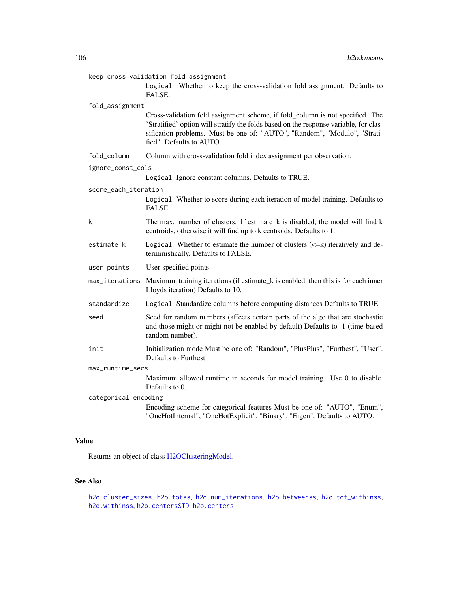| keep_cross_validation_fold_assignment |                                                                                                                                                                                                                                                                                 |  |
|---------------------------------------|---------------------------------------------------------------------------------------------------------------------------------------------------------------------------------------------------------------------------------------------------------------------------------|--|
|                                       | Logical. Whether to keep the cross-validation fold assignment. Defaults to<br>FALSE.                                                                                                                                                                                            |  |
| fold_assignment                       |                                                                                                                                                                                                                                                                                 |  |
|                                       | Cross-validation fold assignment scheme, if fold_column is not specified. The<br>'Stratified' option will stratify the folds based on the response variable, for clas-<br>sification problems. Must be one of: "AUTO", "Random", "Modulo", "Strati-<br>fied". Defaults to AUTO. |  |
| fold_column                           | Column with cross-validation fold index assignment per observation.                                                                                                                                                                                                             |  |
| ignore_const_cols                     |                                                                                                                                                                                                                                                                                 |  |
|                                       | Logical. Ignore constant columns. Defaults to TRUE.                                                                                                                                                                                                                             |  |
| score_each_iteration                  |                                                                                                                                                                                                                                                                                 |  |
|                                       | Logical. Whether to score during each iteration of model training. Defaults to<br>FALSE.                                                                                                                                                                                        |  |
| k                                     | The max. number of clusters. If estimate k is disabled, the model will find k<br>centroids, otherwise it will find up to k centroids. Defaults to 1.                                                                                                                            |  |
| estimate_k                            | Logical. Whether to estimate the number of clusters $(\leq=k)$ iteratively and de-<br>terministically. Defaults to FALSE.                                                                                                                                                       |  |
| user_points                           | User-specified points                                                                                                                                                                                                                                                           |  |
|                                       | max_iterations Maximum training iterations (if estimate_k is enabled, then this is for each inner<br>Lloyds iteration) Defaults to 10.                                                                                                                                          |  |
| standardize                           | Logical. Standardize columns before computing distances Defaults to TRUE.                                                                                                                                                                                                       |  |
| seed                                  | Seed for random numbers (affects certain parts of the algo that are stochastic<br>and those might or might not be enabled by default) Defaults to -1 (time-based<br>random number).                                                                                             |  |
| init                                  | Initialization mode Must be one of: "Random", "PlusPlus", "Furthest", "User".<br>Defaults to Furthest.                                                                                                                                                                          |  |
| max_runtime_secs                      |                                                                                                                                                                                                                                                                                 |  |
|                                       | Maximum allowed runtime in seconds for model training. Use 0 to disable.<br>Defaults to 0.                                                                                                                                                                                      |  |
| categorical_encoding                  |                                                                                                                                                                                                                                                                                 |  |
|                                       | Encoding scheme for categorical features Must be one of: "AUTO", "Enum",<br>"OneHotInternal", "OneHotExplicit", "Binary", "Eigen". Defaults to AUTO.                                                                                                                            |  |

# Value

Returns an object of class [H2OClusteringModel.](#page-184-0)

# See Also

[h2o.cluster\\_sizes](#page-28-0), [h2o.totss](#page-176-0), [h2o.num\\_iterations](#page-131-0), [h2o.betweenss](#page-23-0), [h2o.tot\\_withinss](#page-176-1), [h2o.withinss](#page-183-0), [h2o.centersSTD](#page-25-0), [h2o.centers](#page-25-1)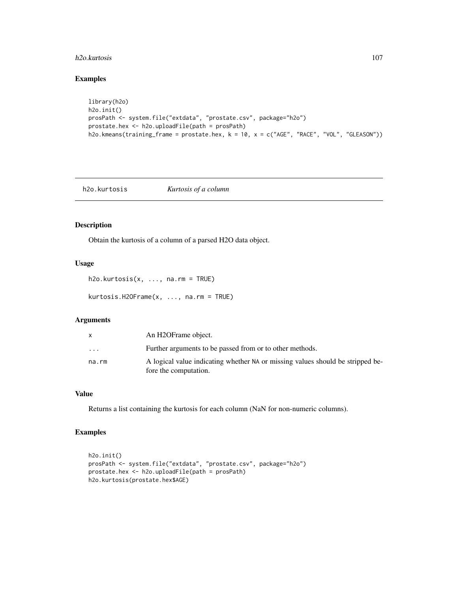#### h2o.kurtosis 107

# Examples

```
library(h2o)
h2o.init()
prosPath <- system.file("extdata", "prostate.csv", package="h2o")
prostate.hex <- h2o.uploadFile(path = prosPath)
h2o.kmeans(training_frame = prostate.hex, k = 10, x = c("AGE", "RACE", "VOL", "GLEASON"))
```
h2o.kurtosis *Kurtosis of a column*

## Description

Obtain the kurtosis of a column of a parsed H2O data object.

# Usage

h2o.kurtosis(x, ..., na.rm = TRUE)

kurtosis.H2OFrame(x, ..., na.rm = TRUE)

### Arguments

|                         | An H2OFrame object.                                                                                     |
|-------------------------|---------------------------------------------------------------------------------------------------------|
| $\cdot$ $\cdot$ $\cdot$ | Further arguments to be passed from or to other methods.                                                |
| na.rm                   | A logical value indicating whether NA or missing values should be stripped be-<br>fore the computation. |

# Value

Returns a list containing the kurtosis for each column (NaN for non-numeric columns).

```
h2o.init()
prosPath <- system.file("extdata", "prostate.csv", package="h2o")
prostate.hex <- h2o.uploadFile(path = prosPath)
h2o.kurtosis(prostate.hex$AGE)
```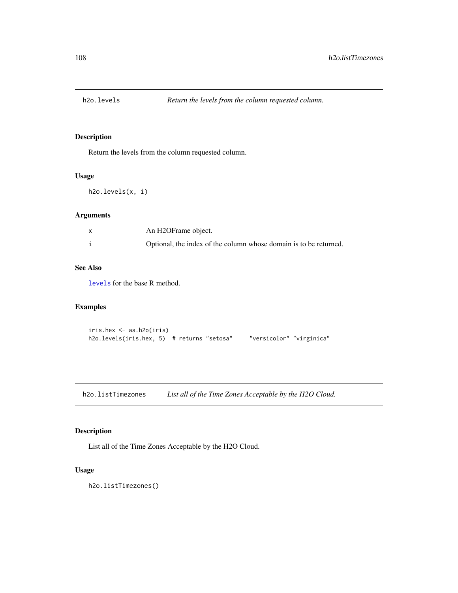Return the levels from the column requested column.

### Usage

```
h2o.levels(x, i)
```
# Arguments

| An H2OFrame object.                                               |
|-------------------------------------------------------------------|
| Optional, the index of the column whose domain is to be returned. |

# See Also

[levels](#page-0-0) for the base R method.

# Examples

```
iris.hex <- as.h2o(iris)
h2o.levels(iris.hex, 5) # returns "setosa" "versicolor" "virginica"
```
h2o.listTimezones *List all of the Time Zones Acceptable by the H2O Cloud.*

# Description

List all of the Time Zones Acceptable by the H2O Cloud.

# Usage

h2o.listTimezones()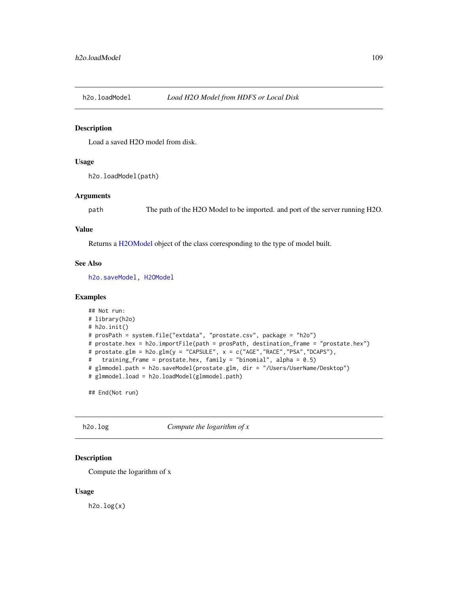Load a saved H2O model from disk.

#### Usage

h2o.loadModel(path)

#### Arguments

path The path of the H2O Model to be imported. and port of the server running H2O.

#### Value

Returns a [H2OModel](#page-188-0) object of the class corresponding to the type of model built.

#### See Also

[h2o.saveModel,](#page-155-0) [H2OModel](#page-188-0)

## Examples

```
## Not run:
# library(h2o)
# h2o.init()
# prosPath = system.file("extdata", "prostate.csv", package = "h2o")
# prostate.hex = h2o.importFile(path = prosPath, destination_frame = "prostate.hex")
# prostate.glm = h2o.glm(y = "CAPSULE", x = c("AGE","RACE","PSA","DCAPS"),
# training_frame = prostate.hex, family = "binomial", alpha = 0.5)
# glmmodel.path = h2o.saveModel(prostate.glm, dir = "/Users/UserName/Desktop")
# glmmodel.load = h2o.loadModel(glmmodel.path)
```
## End(Not run)

h2o.log *Compute the logarithm of x*

#### Description

Compute the logarithm of x

#### Usage

 $h2o.log(x)$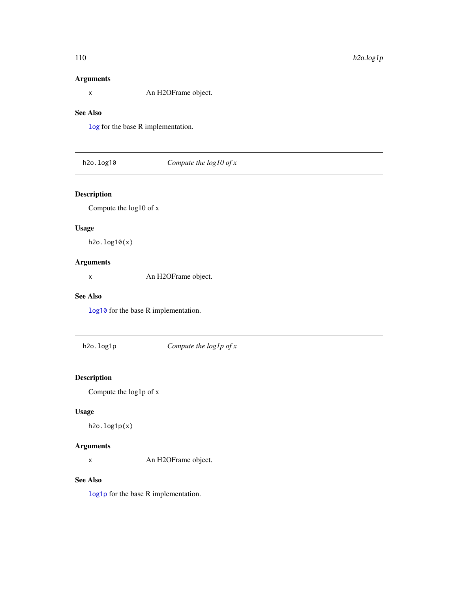# Arguments

x An H2OFrame object.

## See Also

[log](#page-194-0) for the base R implementation.

# h2o.log10 *Compute the log10 of x*

# Description

Compute the log10 of x

# Usage

h2o.log10(x)

# Arguments

x An H2OFrame object.

## See Also

[log10](#page-194-0) for the base R implementation.

h2o.log1p *Compute the log1p of x*

## Description

Compute the log1p of x

# Usage

h2o.log1p(x)

# Arguments

x An H2OFrame object.

# See Also

[log1p](#page-194-0) for the base R implementation.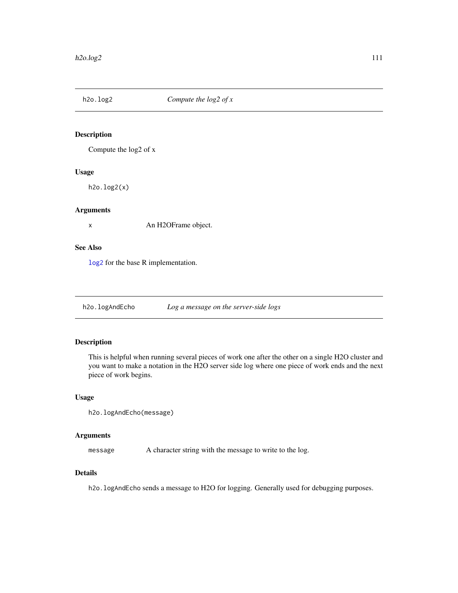Compute the log2 of x

## Usage

h2o.log2(x)

## Arguments

x An H2OFrame object.

## See Also

[log2](#page-194-0) for the base R implementation.

h2o.logAndEcho *Log a message on the server-side logs*

## Description

This is helpful when running several pieces of work one after the other on a single H2O cluster and you want to make a notation in the H2O server side log where one piece of work ends and the next piece of work begins.

#### Usage

```
h2o.logAndEcho(message)
```
#### Arguments

message A character string with the message to write to the log.

#### Details

h2o.logAndEcho sends a message to H2O for logging. Generally used for debugging purposes.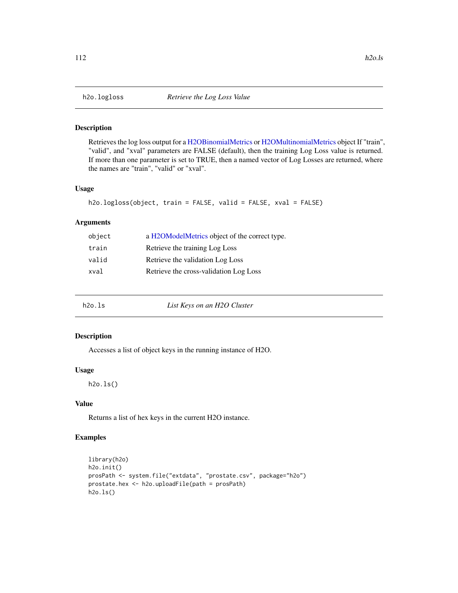Retrieves the log loss output for a [H2OBinomialMetrics](#page-189-0) or [H2OMultinomialMetrics](#page-189-0) object If "train", "valid", and "xval" parameters are FALSE (default), then the training Log Loss value is returned. If more than one parameter is set to TRUE, then a named vector of Log Losses are returned, where the names are "train", "valid" or "xval".

#### Usage

```
h2o.logloss(object, train = FALSE, valid = FALSE, xval = FALSE)
```
## Arguments

| a H2OModelMetrics object of the correct type. |
|-----------------------------------------------|
| Retrieve the training Log Loss                |
| Retrieve the validation Log Loss              |
| Retrieve the cross-validation Log Loss        |
|                                               |

| h2o.ls | List Keys on an H2O Cluster |  |
|--------|-----------------------------|--|
|--------|-----------------------------|--|

#### Description

Accesses a list of object keys in the running instance of H2O.

#### Usage

h2o.ls()

## Value

Returns a list of hex keys in the current H2O instance.

```
library(h2o)
h2o.init()
prosPath <- system.file("extdata", "prostate.csv", package="h2o")
prostate.hex <- h2o.uploadFile(path = prosPath)
h2o.ls()
```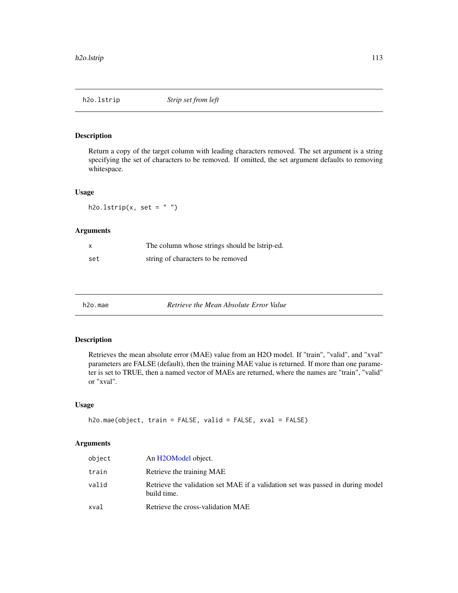Return a copy of the target column with leading characters removed. The set argument is a string specifying the set of characters to be removed. If omitted, the set argument defaults to removing whitespace.

#### Usage

h2o.lstrip(x, set =  $"$ ")

## Arguments

| x   | The column whose strings should be latrip-ed. |
|-----|-----------------------------------------------|
| set | string of characters to be removed            |

h2o.mae *Retrieve the Mean Absolute Error Value*

## Description

Retrieves the mean absolute error (MAE) value from an H2O model. If "train", "valid", and "xval" parameters are FALSE (default), then the training MAE value is returned. If more than one parameter is set to TRUE, then a named vector of MAEs are returned, where the names are "train", "valid" or "xval".

## Usage

```
h2o.mae(object, train = FALSE, valid = FALSE, xval = FALSE)
```

| object | An H2OModel object.                                                                           |
|--------|-----------------------------------------------------------------------------------------------|
| train  | Retrieve the training MAE                                                                     |
| valid  | Retrieve the validation set MAE if a validation set was passed in during model<br>build time. |
| xval   | Retrieve the cross-validation MAE                                                             |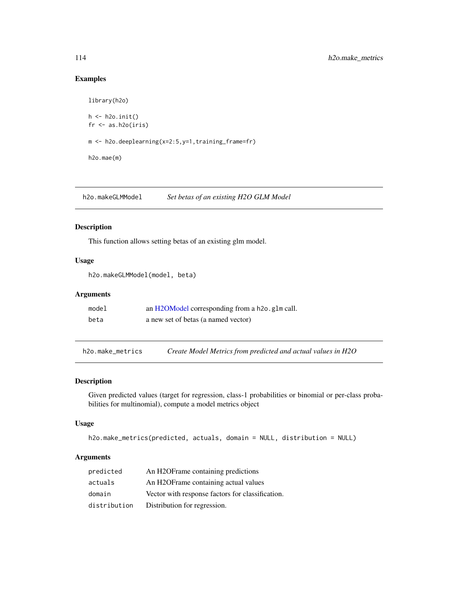## Examples

```
library(h2o)
h \leftarrow h20.init()fr < -as.h2o(iris)m <- h2o.deeplearning(x=2:5,y=1,training_frame=fr)
h2o.mae(m)
```
h2o.makeGLMModel *Set betas of an existing H2O GLM Model*

## Description

This function allows setting betas of an existing glm model.

## Usage

h2o.makeGLMModel(model, beta)

#### Arguments

| model | an H2OModel corresponding from a h2o. g1m call. |
|-------|-------------------------------------------------|
| beta  | a new set of betas (a named vector)             |

h2o.make\_metrics *Create Model Metrics from predicted and actual values in H2O*

#### Description

Given predicted values (target for regression, class-1 probabilities or binomial or per-class probabilities for multinomial), compute a model metrics object

## Usage

```
h2o.make_metrics(predicted, actuals, domain = NULL, distribution = NULL)
```

| predicted    | An H2OFrame containing predictions                 |
|--------------|----------------------------------------------------|
| actuals      | An H <sub>2</sub> OF rame containing actual values |
| domain       | Vector with response factors for classification.   |
| distribution | Distribution for regression.                       |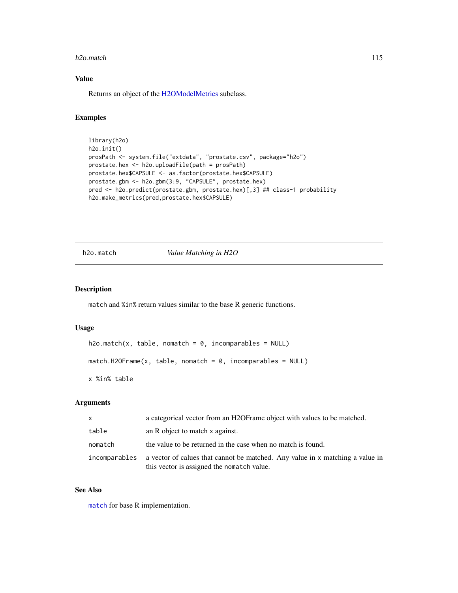#### h2o.match 115

# Value

Returns an object of the [H2OModelMetrics](#page-189-1) subclass.

## Examples

```
library(h2o)
h2o.init()
prosPath <- system.file("extdata", "prostate.csv", package="h2o")
prostate.hex <- h2o.uploadFile(path = prosPath)
prostate.hex$CAPSULE <- as.factor(prostate.hex$CAPSULE)
prostate.gbm <- h2o.gbm(3:9, "CAPSULE", prostate.hex)
pred <- h2o.predict(prostate.gbm, prostate.hex)[,3] ## class-1 probability
h2o.make_metrics(pred,prostate.hex$CAPSULE)
```
h2o.match *Value Matching in H2O*

## Description

match and %in% return values similar to the base R generic functions.

#### Usage

```
h2o.match(x, table, nomatch = 0, incomparable = NULL)match.H2OFrame(x, table, nomatch = 0, incomparables = NULL)
x %in% table
```
#### Arguments

| X             | a categorical vector from an H2OF rame object with values to be matched.                                                    |
|---------------|-----------------------------------------------------------------------------------------------------------------------------|
| table         | an R object to match x against.                                                                                             |
| nomatch       | the value to be returned in the case when no match is found.                                                                |
| incomparables | a vector of calues that cannot be matched. Any value in x matching a value in<br>this vector is assigned the nomatch value. |

## See Also

[match](#page-0-0) for base R implementation.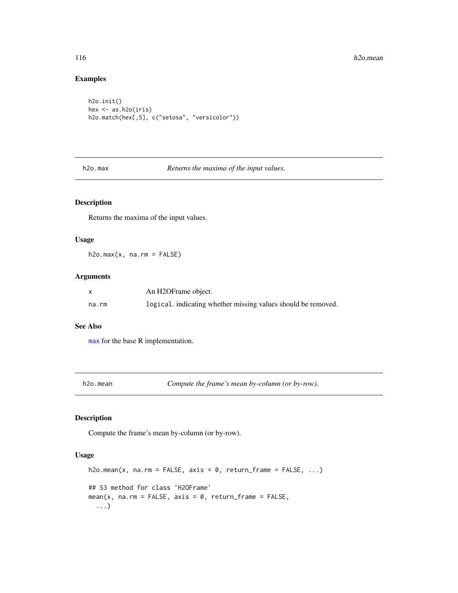## Examples

```
h2o.init()
hex <- as.h2o(iris)
h2o.match(hex[,5], c("setosa", "versicolor"))
```
h2o.max *Returns the maxima of the input values.*

# Description

Returns the maxima of the input values.

#### Usage

 $h2o.max(x, na.rm = FALSE)$ 

## Arguments

|       | An H2OFrame object.                                           |
|-------|---------------------------------------------------------------|
| na.rm | logical, indicating whether missing values should be removed. |

#### See Also

[max](#page-0-0) for the base R implementation.

h2o.mean *Compute the frame's mean by-column (or by-row).*

## Description

Compute the frame's mean by-column (or by-row).

#### Usage

```
h2o.mean(x, na.rm = FALSE, axis = 0, return_frame = FALSE, ...)
## S3 method for class 'H2OFrame'
mean(x, na.rm = FALSE, axis = 0, return_frame = FALSE,
  ...)
```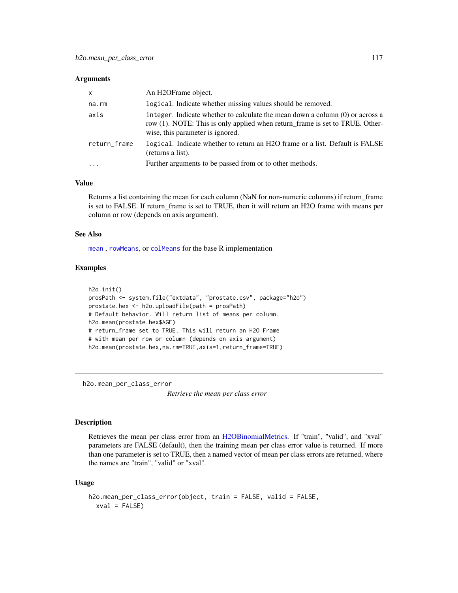#### **Arguments**

| $\times$     | An H <sub>2</sub> OFrame object.                                                                                                                                                                  |
|--------------|---------------------------------------------------------------------------------------------------------------------------------------------------------------------------------------------------|
| na.rm        | logical. Indicate whether missing values should be removed.                                                                                                                                       |
| axis         | integer. Indicate whether to calculate the mean down a column (0) or across a<br>row (1). NOTE: This is only applied when return_frame is set to TRUE. Other-<br>wise, this parameter is ignored. |
| return_frame | logical. Indicate whether to return an H2O frame or a list. Default is FALSE<br>(returns a list).                                                                                                 |
| $\ddotsc$    | Further arguments to be passed from or to other methods.                                                                                                                                          |

#### Value

Returns a list containing the mean for each column (NaN for non-numeric columns) if return\_frame is set to FALSE. If return\_frame is set to TRUE, then it will return an H2O frame with means per column or row (depends on axis argument).

#### See Also

[mean](#page-0-0) , [rowMeans](#page-0-0), or [colMeans](#page-0-0) for the base R implementation

## Examples

```
h2o.init()
prosPath <- system.file("extdata", "prostate.csv", package="h2o")
prostate.hex <- h2o.uploadFile(path = prosPath)
# Default behavior. Will return list of means per column.
h2o.mean(prostate.hex$AGE)
# return_frame set to TRUE. This will return an H2O Frame
# with mean per row or column (depends on axis argument)
h2o.mean(prostate.hex,na.rm=TRUE,axis=1,return_frame=TRUE)
```
h2o.mean\_per\_class\_error

*Retrieve the mean per class error*

#### Description

Retrieves the mean per class error from an [H2OBinomialMetrics.](#page-189-0) If "train", "valid", and "xval" parameters are FALSE (default), then the training mean per class error value is returned. If more than one parameter is set to TRUE, then a named vector of mean per class errors are returned, where the names are "train", "valid" or "xval".

#### Usage

```
h2o.mean_per_class_error(object, train = FALSE, valid = FALSE,
  xval = FALSE)
```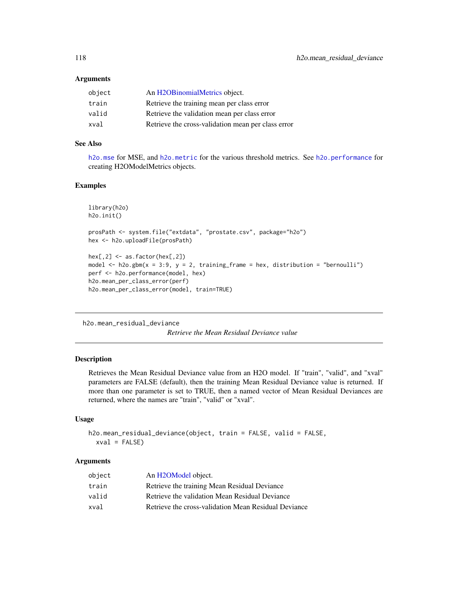#### **Arguments**

| An H2OBinomialMetrics object.                      |
|----------------------------------------------------|
| Retrieve the training mean per class error         |
| Retrieve the validation mean per class error       |
| Retrieve the cross-validation mean per class error |
|                                                    |

# See Also

[h2o.mse](#page-123-0) for MSE, and [h2o.metric](#page-120-0) for the various threshold metrics. See [h2o.performance](#page-136-0) for creating H2OModelMetrics objects.

#### Examples

```
library(h2o)
h2o.init()
prosPath <- system.file("extdata", "prostate.csv", package="h2o")
hex <- h2o.uploadFile(prosPath)
hex[, 2] <- as. factor(hex[, 2])
model \leq h2o.gbm(x = 3:9, y = 2, training_frame = hex, distribution = "bernoulli")
perf <- h2o.performance(model, hex)
h2o.mean_per_class_error(perf)
h2o.mean_per_class_error(model, train=TRUE)
```
h2o.mean\_residual\_deviance

*Retrieve the Mean Residual Deviance value*

#### Description

Retrieves the Mean Residual Deviance value from an H2O model. If "train", "valid", and "xval" parameters are FALSE (default), then the training Mean Residual Deviance value is returned. If more than one parameter is set to TRUE, then a named vector of Mean Residual Deviances are returned, where the names are "train", "valid" or "xval".

## Usage

```
h2o.mean_residual_deviance(object, train = FALSE, valid = FALSE,
  xval = FALSE)
```

| object | An H2OModel object.                                  |
|--------|------------------------------------------------------|
| train  | Retrieve the training Mean Residual Deviance         |
| valid  | Retrieve the validation Mean Residual Deviance       |
| xval   | Retrieve the cross-validation Mean Residual Deviance |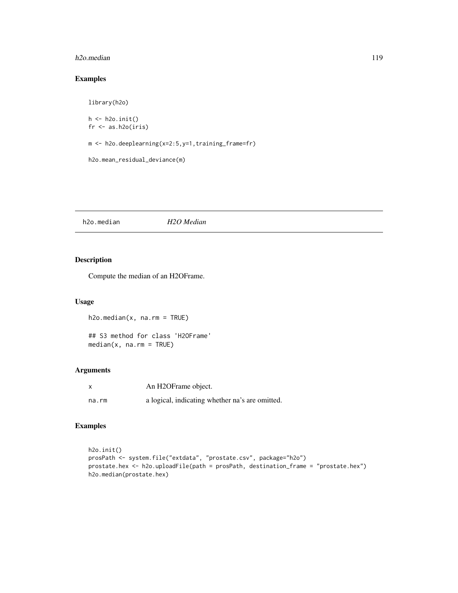#### h2o.median 119

# Examples

```
library(h2o)
h \leftarrow h20.init()fr <- as.h2o(iris)
m <- h2o.deeplearning(x=2:5,y=1,training_frame=fr)
h2o.mean_residual_deviance(m)
```
h2o.median *H2O Median*

# Description

Compute the median of an H2OFrame.

## Usage

h2o.median(x, na.rm = TRUE)

## S3 method for class 'H2OFrame' median(x, na.rm = TRUE)

# Arguments

|       | An H2OFrame object.                             |
|-------|-------------------------------------------------|
| na.rm | a logical, indicating whether na's are omitted. |

```
h2o.init()
prosPath <- system.file("extdata", "prostate.csv", package="h2o")
prostate.hex <- h2o.uploadFile(path = prosPath, destination_frame = "prostate.hex")
h2o.median(prostate.hex)
```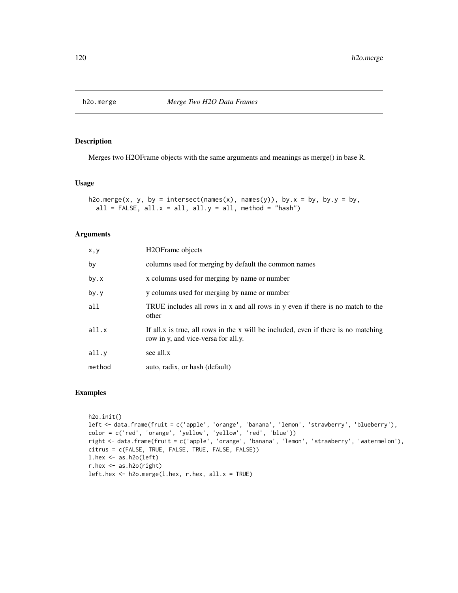Merges two H2OFrame objects with the same arguments and meanings as merge() in base R.

#### Usage

```
h2o.merge(x, y, by = intersect(names(x), names(y)), by.x = by, by.y = by,
  all = FALSE, all.x = all, all.y = all, method = "hash")
```
## Arguments

| H <sub>2</sub> OFrame objects                                                                                             |
|---------------------------------------------------------------------------------------------------------------------------|
| columns used for merging by default the common names                                                                      |
| x columns used for merging by name or number                                                                              |
| y columns used for merging by name or number                                                                              |
| TRUE includes all rows in x and all rows in y even if there is no match to the<br>other                                   |
| If all x is true, all rows in the x will be included, even if there is no matching<br>row in y, and vice-versa for all.y. |
| see all.x                                                                                                                 |
| auto, radix, or hash (default)                                                                                            |
|                                                                                                                           |

```
h2o.init()
left <- data.frame(fruit = c('apple', 'orange', 'banana', 'lemon', 'strawberry', 'blueberry'),
color = c('red', 'orange', 'yellow', 'yellow', 'red', 'blue'))
right <- data.frame(fruit = c('apple', 'orange', 'banana', 'lemon', 'strawberry', 'watermelon'),
citrus = c(FALSE, TRUE, FALSE, TRUE, FALSE, FALSE))
l.hex <- as.h2o(left)
r.hex <- as.h2o(right)
left.hex \leq h2o.merge(l.hex, r.hex, all.x = TRUE)
```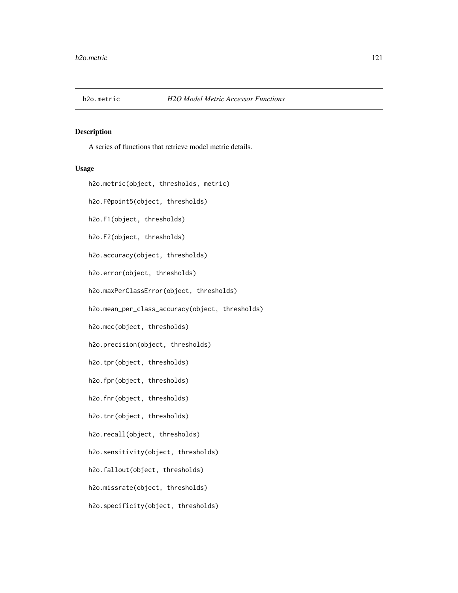<span id="page-120-0"></span>

A series of functions that retrieve model metric details.

#### Usage

h2o.metric(object, thresholds, metric) h2o.F0point5(object, thresholds) h2o.F1(object, thresholds) h2o.F2(object, thresholds) h2o.accuracy(object, thresholds) h2o.error(object, thresholds) h2o.maxPerClassError(object, thresholds) h2o.mean\_per\_class\_accuracy(object, thresholds) h2o.mcc(object, thresholds) h2o.precision(object, thresholds) h2o.tpr(object, thresholds) h2o.fpr(object, thresholds) h2o.fnr(object, thresholds) h2o.tnr(object, thresholds) h2o.recall(object, thresholds) h2o.sensitivity(object, thresholds) h2o.fallout(object, thresholds) h2o.missrate(object, thresholds) h2o.specificity(object, thresholds)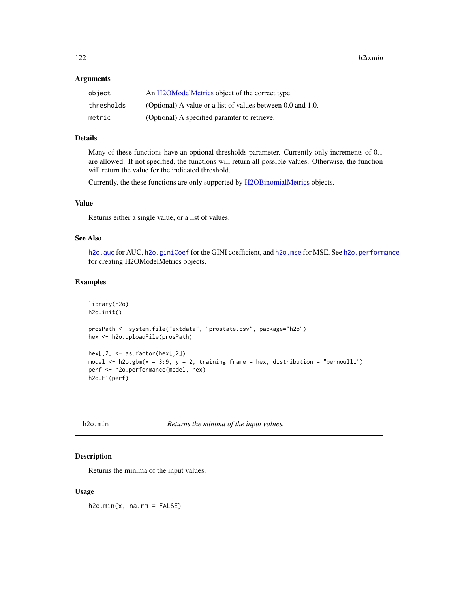#### Arguments

| object     | An H2OModelMetrics object of the correct type.                   |
|------------|------------------------------------------------------------------|
| thresholds | (Optional) A value or a list of values between $0.0$ and $1.0$ . |
| metric     | (Optional) A specified paramter to retrieve.                     |

#### Details

Many of these functions have an optional thresholds parameter. Currently only increments of 0.1 are allowed. If not specified, the functions will return all possible values. Otherwise, the function will return the value for the indicated threshold.

Currently, the these functions are only supported by [H2OBinomialMetrics](#page-189-0) objects.

## Value

Returns either a single value, or a list of values.

## See Also

h2o. auc for AUC, [h2o.giniCoef](#page-77-0) for the GINI coefficient, and [h2o.mse](#page-123-0) for MSE. See [h2o.performance](#page-136-0) for creating H2OModelMetrics objects.

#### Examples

```
library(h2o)
h2o.init()
prosPath <- system.file("extdata", "prostate.csv", package="h2o")
hex <- h2o.uploadFile(prosPath)
hex[, 2] \leftarrow as.factor(hex[, 2])model \leq h2o.gbm(x = 3:9, y = 2, training_frame = hex, distribution = "bernoulli")
perf <- h2o.performance(model, hex)
h2o.F1(perf)
```

| h2o.min |  |
|---------|--|

Returns the minima of the input values.

#### Description

Returns the minima of the input values.

#### Usage

 $h2o.min(x, na.rm = FALSE)$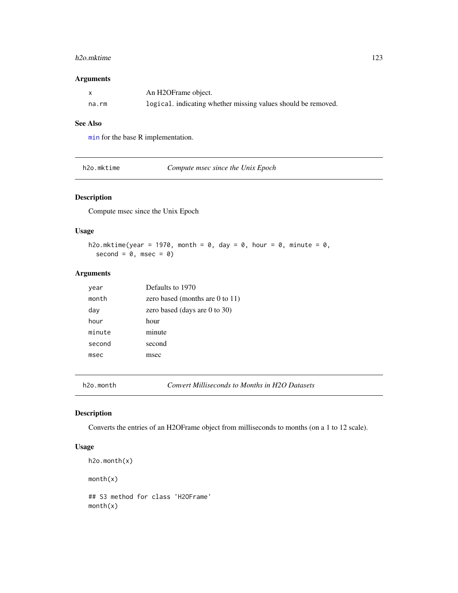#### h2o.mktime 123

#### Arguments

|       | An H2OFrame object.                                           |
|-------|---------------------------------------------------------------|
| na.rm | logical. indicating whether missing values should be removed. |

# See Also

[min](#page-0-0) for the base R implementation.

h2o.mktime *Compute msec since the Unix Epoch*

## Description

Compute msec since the Unix Epoch

## Usage

h2o.mktime(year = 1970, month =  $0$ , day =  $0$ , hour =  $0$ , minute =  $0$ , second =  $0$ , msec =  $0$ )

#### Arguments

| year   | Defaults to 1970                |
|--------|---------------------------------|
| month  | zero based (months are 0 to 11) |
| day    | zero based (days are 0 to 30)   |
| hour   | hour                            |
| minute | minute                          |
| second | second                          |
| msec   | msec                            |
|        |                                 |

h2o.month *Convert Milliseconds to Months in H2O Datasets*

## Description

Converts the entries of an H2OFrame object from milliseconds to months (on a 1 to 12 scale).

## Usage

```
h2o.month(x)
month(x)
## S3 method for class 'H2OFrame'
month(x)
```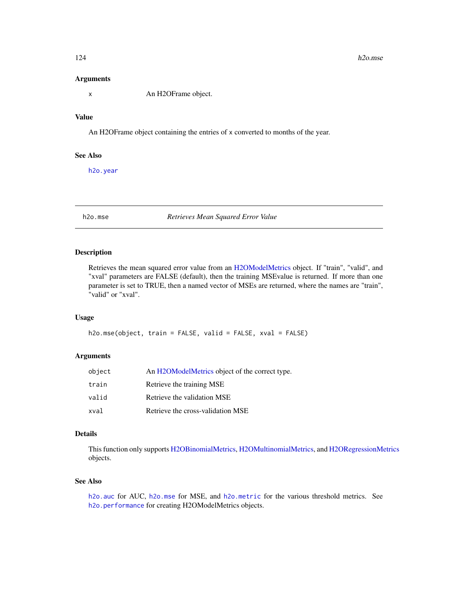#### Arguments

x An H2OFrame object.

# Value

An H2OFrame object containing the entries of x converted to months of the year.

## See Also

[h2o.year](#page-184-0)

<span id="page-123-0"></span>h2o.mse *Retrieves Mean Squared Error Value*

#### Description

Retrieves the mean squared error value from an [H2OModelMetrics](#page-189-1) object. If "train", "valid", and "xval" parameters are FALSE (default), then the training MSEvalue is returned. If more than one parameter is set to TRUE, then a named vector of MSEs are returned, where the names are "train", "valid" or "xval".

## Usage

```
h2o.mse(object, train = FALSE, valid = FALSE, xval = FALSE)
```
#### Arguments

| object | An H2OModelMetrics object of the correct type. |
|--------|------------------------------------------------|
| train  | Retrieve the training MSE                      |
| valid  | Retrieve the validation MSE                    |
| xval   | Retrieve the cross-validation MSE              |

## Details

This function only supports [H2OBinomialMetrics,](#page-189-0) [H2OMultinomialMetrics,](#page-189-0) and [H2ORegressionMetrics](#page-189-0) objects.

## See Also

[h2o.auc](#page-22-0) for AUC, [h2o.mse](#page-123-0) for MSE, and [h2o.metric](#page-120-0) for the various threshold metrics. See [h2o.performance](#page-136-0) for creating H2OModelMetrics objects.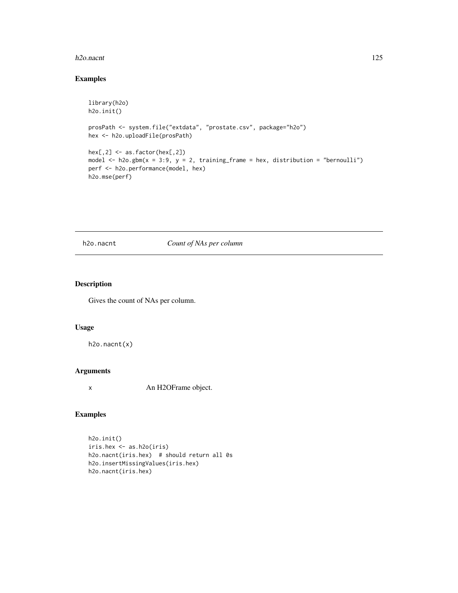#### h2o.nacnt 125

## Examples

```
library(h2o)
h2o.init()
prosPath <- system.file("extdata", "prostate.csv", package="h2o")
hex <- h2o.uploadFile(prosPath)
hex[,2] <- as.factor(hex[,2])
model \leq h2o.gbm(x = 3:9, y = 2, training_frame = hex, distribution = "bernoulli")
perf <- h2o.performance(model, hex)
h2o.mse(perf)
```
## h2o.nacnt *Count of NAs per column*

# Description

Gives the count of NAs per column.

#### Usage

h2o.nacnt(x)

## Arguments

x An H2OFrame object.

## Examples

h2o.init() iris.hex <- as.h2o(iris) h2o.nacnt(iris.hex) # should return all 0s h2o.insertMissingValues(iris.hex) h2o.nacnt(iris.hex)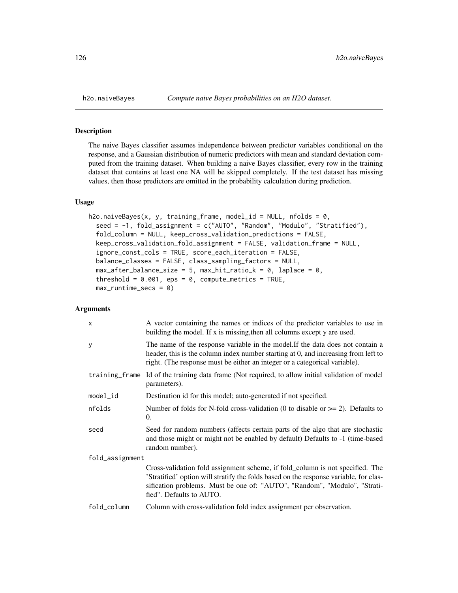The naive Bayes classifier assumes independence between predictor variables conditional on the response, and a Gaussian distribution of numeric predictors with mean and standard deviation computed from the training dataset. When building a naive Bayes classifier, every row in the training dataset that contains at least one NA will be skipped completely. If the test dataset has missing values, then those predictors are omitted in the probability calculation during prediction.

#### Usage

```
h2o.naiveBayes(x, y, training-frame, model_id = NULL, nfolds = 0,seed = -1, fold_assignment = c("AUTO", "Random", "Modulo", "Stratified"),
  fold_column = NULL, keep_cross_validation_predictions = FALSE,
  keep_cross_validation_fold_assignment = FALSE, validation_frame = NULL,
  ignore_const_cols = TRUE, score_each_iteration = FALSE,
  balance_classes = FALSE, class_sampling_factors = NULL,
 max_{a}fter_balance_size = 5, max_hit_ratio_k = 0, laplace = 0,
  threshold = 0.001, eps = 0, compute_metrics = TRUE,
 max_runtime_secs = 0)
```

| $\mathsf{x}$    | A vector containing the names or indices of the predictor variables to use in<br>building the model. If x is missing, then all columns except y are used.                                                                                                                       |  |
|-----------------|---------------------------------------------------------------------------------------------------------------------------------------------------------------------------------------------------------------------------------------------------------------------------------|--|
| y               | The name of the response variable in the model. If the data does not contain a<br>header, this is the column index number starting at 0, and increasing from left to<br>right. (The response must be either an integer or a categorical variable).                              |  |
|                 | training frame Id of the training data frame (Not required, to allow initial validation of model<br>parameters).                                                                                                                                                                |  |
| $model_id$      | Destination id for this model; auto-generated if not specified.                                                                                                                                                                                                                 |  |
| nfolds          | Number of folds for N-fold cross-validation (0 to disable or $\geq$ 2). Defaults to<br>$\Omega$ .                                                                                                                                                                               |  |
| seed            | Seed for random numbers (affects certain parts of the algo that are stochastic<br>and those might or might not be enabled by default) Defaults to -1 (time-based<br>random number).                                                                                             |  |
| fold_assignment |                                                                                                                                                                                                                                                                                 |  |
|                 | Cross-validation fold assignment scheme, if fold_column is not specified. The<br>'Stratified' option will stratify the folds based on the response variable, for clas-<br>sification problems. Must be one of: "AUTO", "Random", "Modulo", "Strati-<br>fied". Defaults to AUTO. |  |
| fold_column     | Column with cross-validation fold index assignment per observation.                                                                                                                                                                                                             |  |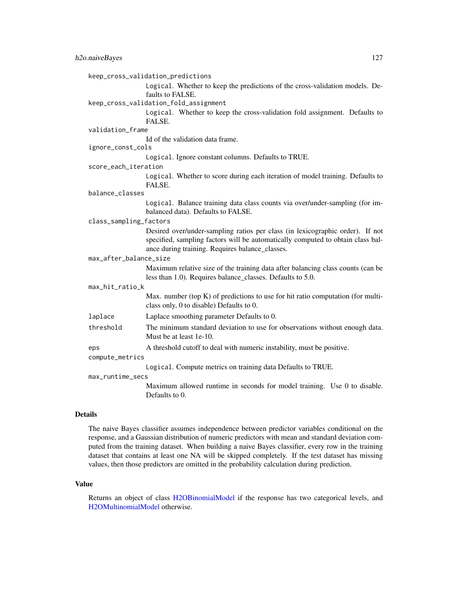|                        | keep_cross_validation_predictions                                                                                                                                                                                   |
|------------------------|---------------------------------------------------------------------------------------------------------------------------------------------------------------------------------------------------------------------|
|                        | Logical. Whether to keep the predictions of the cross-validation models. De-<br>faults to FALSE.                                                                                                                    |
|                        | keep_cross_validation_fold_assignment                                                                                                                                                                               |
|                        | Logical. Whether to keep the cross-validation fold assignment. Defaults to<br>FALSE.                                                                                                                                |
| validation_frame       |                                                                                                                                                                                                                     |
|                        | Id of the validation data frame.                                                                                                                                                                                    |
| ignore_const_cols      |                                                                                                                                                                                                                     |
|                        | Logical. Ignore constant columns. Defaults to TRUE.                                                                                                                                                                 |
| score_each_iteration   |                                                                                                                                                                                                                     |
|                        | Logical. Whether to score during each iteration of model training. Defaults to<br>FALSE.                                                                                                                            |
| balance_classes        |                                                                                                                                                                                                                     |
|                        | Logical. Balance training data class counts via over/under-sampling (for im-<br>balanced data). Defaults to FALSE.                                                                                                  |
| class_sampling_factors |                                                                                                                                                                                                                     |
|                        | Desired over/under-sampling ratios per class (in lexicographic order). If not<br>specified, sampling factors will be automatically computed to obtain class bal-<br>ance during training. Requires balance_classes. |
| max_after_balance_size |                                                                                                                                                                                                                     |
|                        | Maximum relative size of the training data after balancing class counts (can be<br>less than 1.0). Requires balance_classes. Defaults to 5.0.                                                                       |
| max_hit_ratio_k        |                                                                                                                                                                                                                     |
|                        | Max. number (top $K$ ) of predictions to use for hit ratio computation (for multi-<br>class only, 0 to disable) Defaults to 0.                                                                                      |
| laplace                | Laplace smoothing parameter Defaults to 0.                                                                                                                                                                          |
| threshold              | The minimum standard deviation to use for observations without enough data.<br>Must be at least 1e-10.                                                                                                              |
| eps                    | A threshold cutoff to deal with numeric instability, must be positive.                                                                                                                                              |
| compute_metrics        |                                                                                                                                                                                                                     |
|                        | Logical. Compute metrics on training data Defaults to TRUE.                                                                                                                                                         |
| max_runtime_secs       |                                                                                                                                                                                                                     |
|                        | Maximum allowed runtime in seconds for model training. Use 0 to disable.<br>Defaults to 0.                                                                                                                          |

## Details

The naive Bayes classifier assumes independence between predictor variables conditional on the response, and a Gaussian distribution of numeric predictors with mean and standard deviation computed from the training dataset. When building a naive Bayes classifier, every row in the training dataset that contains at least one NA will be skipped completely. If the test dataset has missing values, then those predictors are omitted in the probability calculation during prediction.

#### Value

Returns an object of class [H2OBinomialModel](#page-188-1) if the response has two categorical levels, and [H2OMultinomialModel](#page-188-1) otherwise.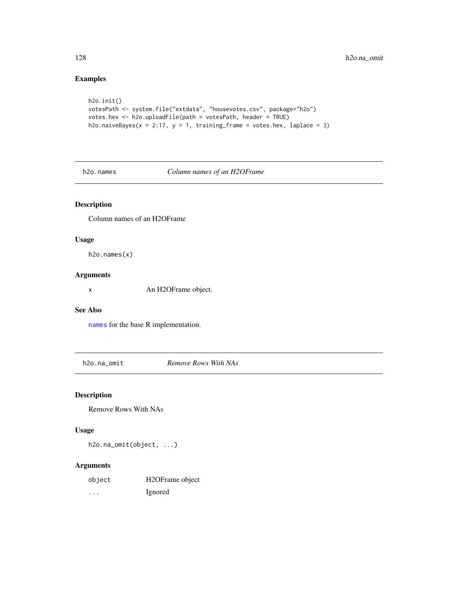## Examples

```
h2o.init()
votesPath <- system.file("extdata", "housevotes.csv", package="h2o")
votes.hex <- h2o.uploadFile(path = votesPath, header = TRUE)
h2o.naiveBayes(x = 2:17, y = 1, training-frame = votes.hex, laplace = 3)
```
h2o.names *Column names of an H2OFrame*

## Description

Column names of an H2OFrame

#### Usage

h2o.names(x)

#### Arguments

x An H2OFrame object.

#### See Also

[names](#page-0-0) for the base R implementation.

h2o.na\_omit *Remove Rows With NAs*

## Description

Remove Rows With NAs

## Usage

h2o.na\_omit(object, ...)

| object   | H <sub>2</sub> OFrame object |
|----------|------------------------------|
| $\cdots$ | Ignored                      |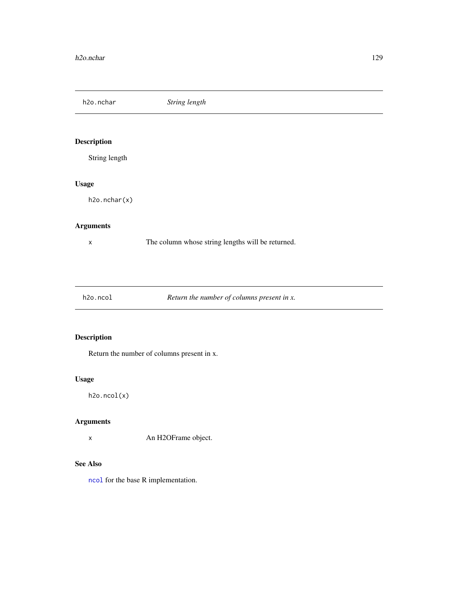h2o.nchar *String length*

# Description

String length

## Usage

h2o.nchar(x)

## Arguments

x The column whose string lengths will be returned.

h2o.ncol *Return the number of columns present in x.*

# Description

Return the number of columns present in x.

# Usage

h2o.ncol(x)

## Arguments

x An H2OFrame object.

# See Also

[ncol](#page-0-0) for the base R implementation.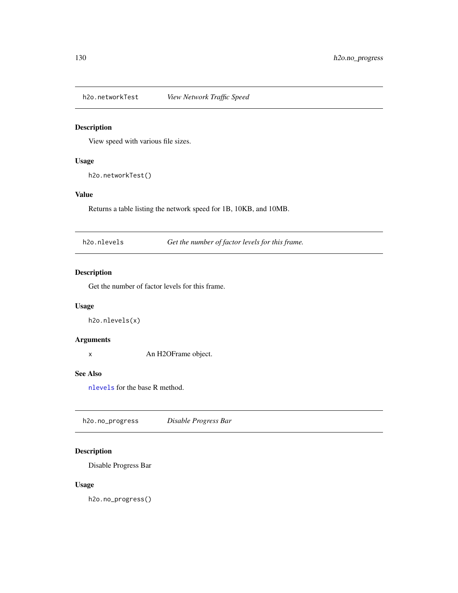h2o.networkTest *View Network Traffic Speed*

## Description

View speed with various file sizes.

## Usage

h2o.networkTest()

# Value

Returns a table listing the network speed for 1B, 10KB, and 10MB.

h2o.nlevels *Get the number of factor levels for this frame.*

# Description

Get the number of factor levels for this frame.

## Usage

h2o.nlevels(x)

## Arguments

x An H2OFrame object.

#### See Also

[nlevels](#page-0-0) for the base R method.

h2o.no\_progress *Disable Progress Bar*

## Description

Disable Progress Bar

#### Usage

h2o.no\_progress()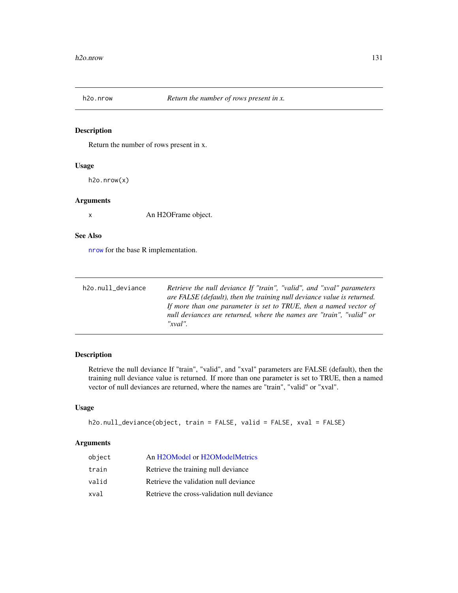Return the number of rows present in x.

#### Usage

h2o.nrow(x)

#### Arguments

x An H2OFrame object.

#### See Also

[nrow](#page-0-0) for the base R implementation.

| h2o.null_deviance | Retrieve the null deviance If "train", "valid", and "xval" parameters   |
|-------------------|-------------------------------------------------------------------------|
|                   | are FALSE (default), then the training null deviance value is returned. |
|                   | If more than one parameter is set to TRUE, then a named vector of       |
|                   | null deviances are returned, where the names are "train", "valid" or    |
|                   | "xval"                                                                  |

# Description

Retrieve the null deviance If "train", "valid", and "xval" parameters are FALSE (default), then the training null deviance value is returned. If more than one parameter is set to TRUE, then a named vector of null deviances are returned, where the names are "train", "valid" or "xval".

## Usage

```
h2o.null_deviance(object, train = FALSE, valid = FALSE, xval = FALSE)
```

| object | An H2OModel or H2OModelMetrics              |
|--------|---------------------------------------------|
| train  | Retrieve the training null deviance         |
| valid  | Retrieve the validation null deviance       |
| xval   | Retrieve the cross-validation null deviance |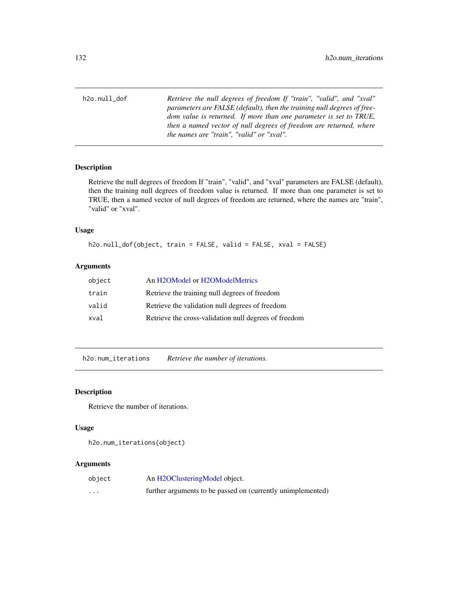h2o.null\_dof *Retrieve the null degrees of freedom If "train", "valid", and "xval" parameters are FALSE (default), then the training null degrees of freedom value is returned. If more than one parameter is set to TRUE, then a named vector of null degrees of freedom are returned, where the names are "train", "valid" or "xval".*

### Description

Retrieve the null degrees of freedom If "train", "valid", and "xval" parameters are FALSE (default), then the training null degrees of freedom value is returned. If more than one parameter is set to TRUE, then a named vector of null degrees of freedom are returned, where the names are "train", "valid" or "xval".

## Usage

h2o.null\_dof(object, train = FALSE, valid = FALSE, xval = FALSE)

#### Arguments

| object | An H2OModel or H2OModelMetrics                        |
|--------|-------------------------------------------------------|
| train  | Retrieve the training null degrees of freedom         |
| valid  | Retrieve the validation null degrees of freedom       |
| xval   | Retrieve the cross-validation null degrees of freedom |

h2o.num\_iterations *Retrieve the number of iterations.*

#### Description

Retrieve the number of iterations.

## Usage

h2o.num\_iterations(object)

| object   | An H2OClusteringModel object.                               |
|----------|-------------------------------------------------------------|
| $\cdots$ | further arguments to be passed on (currently unimplemented) |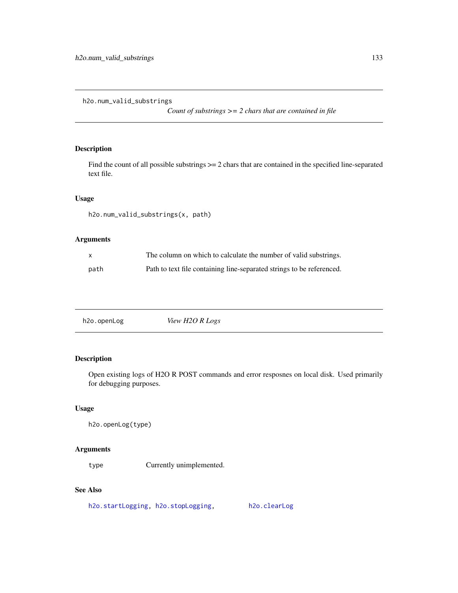h2o.num\_valid\_substrings

*Count of substrings >= 2 chars that are contained in file*

# Description

Find the count of all possible substrings  $\geq$  2 chars that are contained in the specified line-separated text file.

#### Usage

h2o.num\_valid\_substrings(x, path)

## Arguments

| $\mathsf{x}$ | The column on which to calculate the number of valid substrings.      |
|--------------|-----------------------------------------------------------------------|
| path         | Path to text file containing line-separated strings to be referenced. |

h2o.openLog *View H2O R Logs*

# Description

Open existing logs of H2O R POST commands and error resposnes on local disk. Used primarily for debugging purposes.

## Usage

h2o.openLog(type)

#### Arguments

type Currently unimplemented.

# See Also

[h2o.startLogging,](#page-165-0) [h2o.stopLogging,](#page-166-0) [h2o.clearLog](#page-26-0)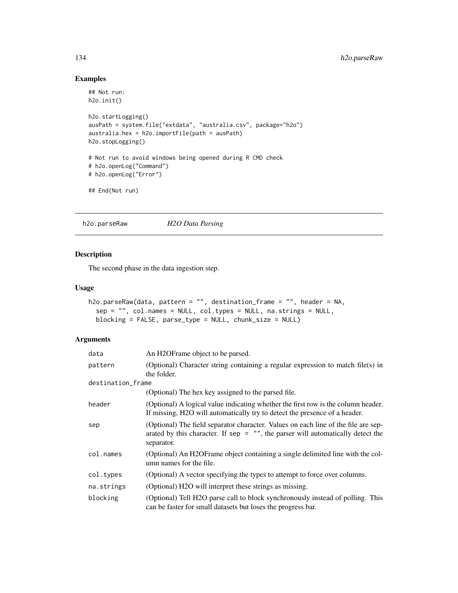## Examples

```
## Not run:
h2o.init()
h2o.startLogging()
ausPath = system.file("extdata", "australia.csv", package="h2o")
australia.hex = h2o.importFile(path = ausPath)
h2o.stopLogging()
# Not run to avoid windows being opened during R CMD check
# h2o.openLog("Command")
# h2o.openLog("Error")
## End(Not run)
```
<span id="page-133-0"></span>h2o.parseRaw *H2O Data Parsing*

#### Description

The second phase in the data ingestion step.

## Usage

```
h2o.parseRaw(data, pattern = "", destination_frame = "", header = NA,
  sep = "", col.names = NULL, col.types = NULL, na.strings = NULL,
 blocking = FALSE, parse_type = NULL, chunk_size = NULL)
```

| data              | An H2OF rame object to be parsed.                                                                                                                                                     |
|-------------------|---------------------------------------------------------------------------------------------------------------------------------------------------------------------------------------|
| pattern           | (Optional) Character string containing a regular expression to match file(s) in<br>the folder.                                                                                        |
| destination_frame |                                                                                                                                                                                       |
|                   | (Optional) The hex key assigned to the parsed file.                                                                                                                                   |
| header            | (Optional) A logical value indicating whether the first row is the column header.<br>If missing, H2O will automatically try to detect the presence of a header.                       |
| sep               | (Optional) The field separator character. Values on each line of the file are sep-<br>arated by this character. If sep $=$ "", the parser will automatically detect the<br>separator. |
| col.names         | (Optional) An H2OFrame object containing a single delimited line with the col-<br>umn names for the file.                                                                             |
| col.types         | (Optional) A vector specifying the types to attempt to force over columns.                                                                                                            |
| na.strings        | (Optional) H2O will interpret these strings as missing.                                                                                                                               |
| blocking          | (Optional) Tell H2O parse call to block synchronously instead of polling. This<br>can be faster for small datasets but loses the progress bar.                                        |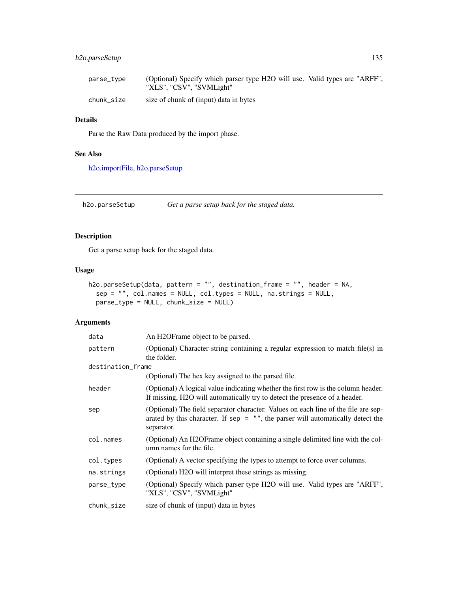## h2o.parseSetup 135

| parse_type | (Optional) Specify which parser type H2O will use. Valid types are "ARFF",<br>"XLS", "CSV", "SVMLight" |  |
|------------|--------------------------------------------------------------------------------------------------------|--|
| chunk size | size of chunk of (input) data in bytes                                                                 |  |

# Details

Parse the Raw Data produced by the import phase.

## See Also

[h2o.importFile,](#page-92-0) [h2o.parseSetup](#page-134-0)

<span id="page-134-0"></span>h2o.parseSetup *Get a parse setup back for the staged data.*

# Description

Get a parse setup back for the staged data.

#### Usage

```
h2o.parseSetup(data, pattern = "", destination_frame = "", header = NA,
  sep = "", col.names = NULL, col.types = NULL, na.strings = NULL,
 parse_type = NULL, chunk_size = NULL)
```

| data              | An H2OF rame object to be parsed.                                                                                                                                                     |
|-------------------|---------------------------------------------------------------------------------------------------------------------------------------------------------------------------------------|
| pattern           | (Optional) Character string containing a regular expression to match file(s) in<br>the folder.                                                                                        |
| destination_frame |                                                                                                                                                                                       |
|                   | (Optional) The hex key assigned to the parsed file.                                                                                                                                   |
| header            | (Optional) A logical value indicating whether the first row is the column header.<br>If missing, H2O will automatically try to detect the presence of a header.                       |
| sep               | (Optional) The field separator character. Values on each line of the file are sep-<br>arated by this character. If sep $=$ "", the parser will automatically detect the<br>separator. |
| col.names         | (Optional) An H2OFrame object containing a single delimited line with the col-<br>umn names for the file.                                                                             |
| col.types         | (Optional) A vector specifying the types to attempt to force over columns.                                                                                                            |
| na.strings        | (Optional) H2O will interpret these strings as missing.                                                                                                                               |
| parse_type        | (Optional) Specify which parser type H2O will use. Valid types are "ARFF",<br>"XLS", "CSV", "SVMLight"                                                                                |
| chunk_size        | size of chunk of (input) data in bytes                                                                                                                                                |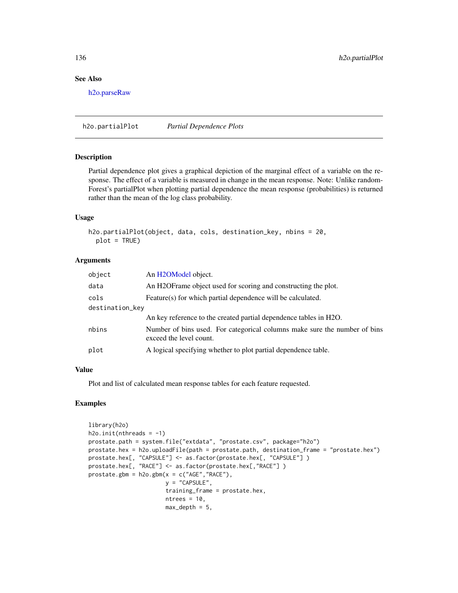## See Also

[h2o.parseRaw](#page-133-0)

h2o.partialPlot *Partial Dependence Plots*

#### Description

Partial dependence plot gives a graphical depiction of the marginal effect of a variable on the response. The effect of a variable is measured in change in the mean response. Note: Unlike random-Forest's partialPlot when plotting partial dependence the mean response (probabilities) is returned rather than the mean of the log class probability.

#### Usage

```
h2o.partialPlot(object, data, cols, destination_key, nbins = 20,
 plot = TRUE)
```
## Arguments

| object          | An H <sub>2</sub> OModel object.                                                                     |  |
|-----------------|------------------------------------------------------------------------------------------------------|--|
| data            | An H2OFrame object used for scoring and constructing the plot.                                       |  |
| cols            | Feature(s) for which partial dependence will be calculated.                                          |  |
| destination_key |                                                                                                      |  |
|                 | An key reference to the created partial dependence tables in H2O.                                    |  |
| nbins           | Number of bins used. For categorical columns make sure the number of bins<br>exceed the level count. |  |
| plot            | A logical specifying whether to plot partial dependence table.                                       |  |

## Value

Plot and list of calculated mean response tables for each feature requested.

```
library(h2o)
h2o.init(nthreads = -1)
prostate.path = system.file("extdata", "prostate.csv", package="h2o")
prostate.hex = h2o.uploadFile(path = prostate.path, destination_frame = "prostate.hex")
prostate.hex[, "CAPSULE"] <- as.factor(prostate.hex[, "CAPSULE"] )
prostate.hex[, "RACE"] <- as.factor(prostate.hex[,"RACE"] )
prostate.gbm = h2o.gbm(x = c("AGE", "RACE"),y = "CAPSULE",
                       training_frame = prostate.hex,
                       ntrees = 10,
                       max\_depth = 5,
```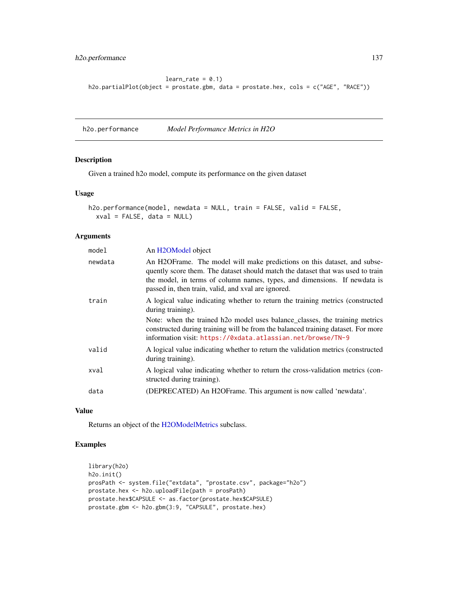## h2o.performance 137

```
learn_rate = 0.1h2o.partialPlot(object = prostate.gbm, data = prostate.hex, cols = c("AGE", "RACE"))
```
<span id="page-136-0"></span>h2o.performance *Model Performance Metrics in H2O*

## Description

Given a trained h2o model, compute its performance on the given dataset

#### Usage

```
h2o.performance(model, newdata = NULL, train = FALSE, valid = FALSE,
  xval = FALSE, data = NULL)
```
## Arguments

| newdata<br>An H2OFrame. The model will make predictions on this dataset, and subse-<br>quently score them. The dataset should match the dataset that was used to train<br>the model, in terms of column names, types, and dimensions. If newdata is<br>passed in, then train, valid, and xval are ignored.<br>A logical value indicating whether to return the training metrics (constructed<br>train<br>during training).<br>Note: when the trained h <sub>20</sub> model uses balance_classes, the training metrics<br>constructed during training will be from the balanced training dataset. For more<br>information visit: https://0xdata.atlassian.net/browse/TN-9<br>valid<br>A logical value indicating whether to return the validation metrics (constructed<br>during training). |
|--------------------------------------------------------------------------------------------------------------------------------------------------------------------------------------------------------------------------------------------------------------------------------------------------------------------------------------------------------------------------------------------------------------------------------------------------------------------------------------------------------------------------------------------------------------------------------------------------------------------------------------------------------------------------------------------------------------------------------------------------------------------------------------------|
|                                                                                                                                                                                                                                                                                                                                                                                                                                                                                                                                                                                                                                                                                                                                                                                            |
|                                                                                                                                                                                                                                                                                                                                                                                                                                                                                                                                                                                                                                                                                                                                                                                            |
|                                                                                                                                                                                                                                                                                                                                                                                                                                                                                                                                                                                                                                                                                                                                                                                            |
|                                                                                                                                                                                                                                                                                                                                                                                                                                                                                                                                                                                                                                                                                                                                                                                            |
| xval<br>A logical value indicating whether to return the cross-validation metrics (con-<br>structed during training).                                                                                                                                                                                                                                                                                                                                                                                                                                                                                                                                                                                                                                                                      |
| (DEPRECATED) An H2OFrame. This argument is now called 'newdata'.<br>data                                                                                                                                                                                                                                                                                                                                                                                                                                                                                                                                                                                                                                                                                                                   |

#### Value

Returns an object of the [H2OModelMetrics](#page-189-1) subclass.

```
library(h2o)
h2o.init()
prosPath <- system.file("extdata", "prostate.csv", package="h2o")
prostate.hex <- h2o.uploadFile(path = prosPath)
prostate.hex$CAPSULE <- as.factor(prostate.hex$CAPSULE)
prostate.gbm <- h2o.gbm(3:9, "CAPSULE", prostate.hex)
```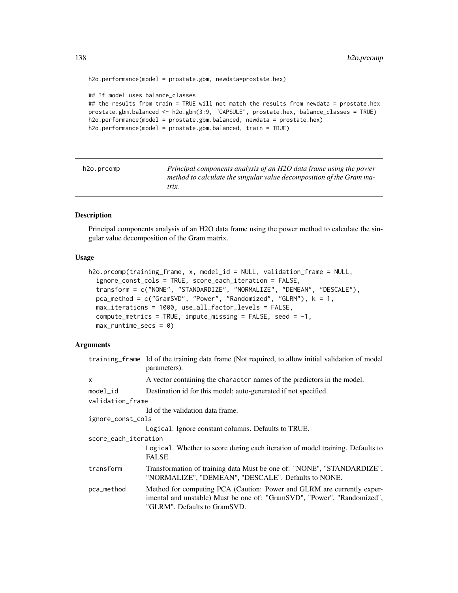```
h2o.performance(model = prostate.gbm, newdata=prostate.hex)
## If model uses balance_classes
## the results from train = TRUE will not match the results from newdata = prostate.hex
prostate.gbm.balanced <- h2o.gbm(3:9, "CAPSULE", prostate.hex, balance_classes = TRUE)
h2o.performance(model = prostate.gbm.balanced, newdata = prostate.hex)
h2o.performance(model = prostate.gbm.balanced, train = TRUE)
```

| h2o.prcomp | Principal components analysis of an H2O data frame using the power   |
|------------|----------------------------------------------------------------------|
|            | method to calculate the singular value decomposition of the Gram ma- |
|            | trix.                                                                |

Principal components analysis of an H2O data frame using the power method to calculate the singular value decomposition of the Gram matrix.

#### Usage

```
h2o.prcomp(training_frame, x, model_id = NULL, validation_frame = NULL,
  ignore_const_cols = TRUE, score_each_iteration = FALSE,
  transform = c("NONE", "STANDARDIZE", "NORMALIZE", "DEMEAN", "DESCALE"),
  pca_method = c("GramSVD", "Power", "Randomized", "GLRM"), k = 1,
 max_iterations = 1000, use_all_factor_levels = FALSE,
  compute_metrics = TRUE, impute_missing = FALSE, seed = -1,
 max_runtime_secs = 0)
```

|                      | training frame Id of the training data frame (Not required, to allow initial validation of model<br>parameters).                                                                  |
|----------------------|-----------------------------------------------------------------------------------------------------------------------------------------------------------------------------------|
| X                    | A vector containing the character names of the predictors in the model.                                                                                                           |
| model_id             | Destination id for this model; auto-generated if not specified.                                                                                                                   |
| validation_frame     |                                                                                                                                                                                   |
|                      | Id of the validation data frame.                                                                                                                                                  |
| ignore_const_cols    |                                                                                                                                                                                   |
|                      | Logical. Ignore constant columns. Defaults to TRUE.                                                                                                                               |
| score_each_iteration |                                                                                                                                                                                   |
|                      | Logical. Whether to score during each iteration of model training. Defaults to<br>FALSE.                                                                                          |
| transform            | Transformation of training data Must be one of: "NONE", "STANDARDIZE",<br>"NORMALIZE", "DEMEAN", "DESCALE". Defaults to NONE.                                                     |
| pca_method           | Method for computing PCA (Caution: Power and GLRM are currently exper-<br>imental and unstable) Must be one of: "GramSVD", "Power", "Randomized",<br>"GLRM". Defaults to GramSVD. |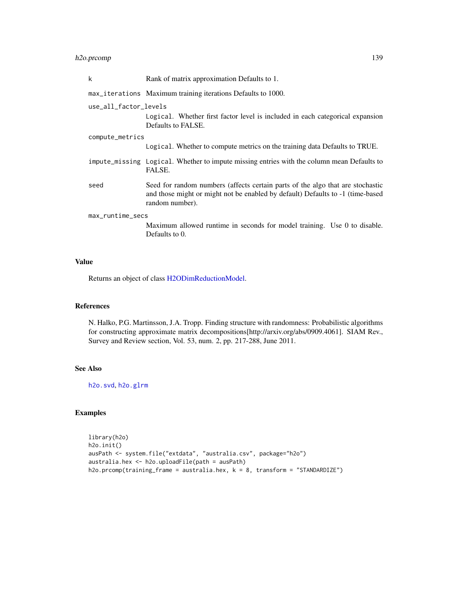## h2o.prcomp 139

| k                     | Rank of matrix approximation Defaults to 1.                                                                                                                                         |  |
|-----------------------|-------------------------------------------------------------------------------------------------------------------------------------------------------------------------------------|--|
|                       | max_iterations Maximum training iterations Defaults to 1000.                                                                                                                        |  |
| use_all_factor_levels | Logical. Whether first factor level is included in each categorical expansion<br>Defaults to FALSE.                                                                                 |  |
| compute_metrics       |                                                                                                                                                                                     |  |
|                       | Logical. Whether to compute metrics on the training data Defaults to TRUE.                                                                                                          |  |
|                       | impute_missing Logical. Whether to impute missing entries with the column mean Defaults to<br>FALSE.                                                                                |  |
| seed                  | Seed for random numbers (affects certain parts of the algo that are stochastic<br>and those might or might not be enabled by default) Defaults to -1 (time-based<br>random number). |  |
| max_runtime_secs      |                                                                                                                                                                                     |  |
|                       | Maximum allowed runtime in seconds for model training. Use 0 to disable.<br>Defaults to 0.                                                                                          |  |

## Value

Returns an object of class [H2ODimReductionModel.](#page-188-1)

#### References

N. Halko, P.G. Martinsson, J.A. Tropp. Finding structure with randomness: Probabilistic algorithms for constructing approximate matrix decompositions[http://arxiv.org/abs/0909.4061]. SIAM Rev., Survey and Review section, Vol. 53, num. 2, pp. 217-288, June 2011.

## See Also

[h2o.svd](#page-170-0), [h2o.glrm](#page-82-0)

```
library(h2o)
h2o.init()
ausPath <- system.file("extdata", "australia.csv", package="h2o")
australia.hex <- h2o.uploadFile(path = ausPath)
h2o.prcomp(training_frame = australia.hex, k = 8, transform = "STANDARDIZE")
```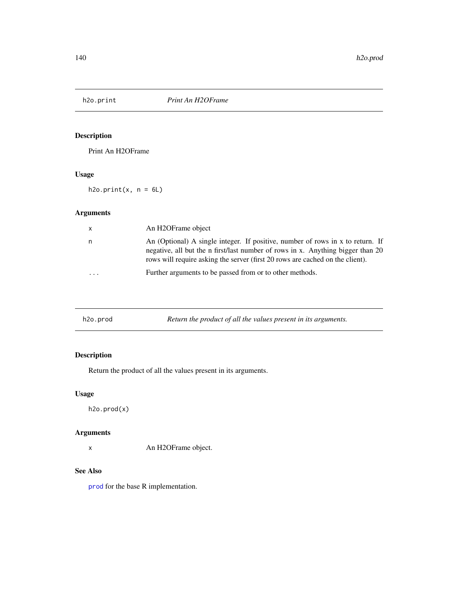Print An H2OFrame

## Usage

 $h2o.print(x, n = 6L)$ 

# Arguments

| $\mathsf{x}$         | An H2OFrame object                                                                                                                                                                                                                                 |
|----------------------|----------------------------------------------------------------------------------------------------------------------------------------------------------------------------------------------------------------------------------------------------|
| n                    | An (Optional) A single integer. If positive, number of rows in x to return. If<br>negative, all but the n first/last number of rows in x. Anything bigger than 20<br>rows will require asking the server (first 20 rows are cached on the client). |
| $\ddot{\phantom{0}}$ | Further arguments to be passed from or to other methods.                                                                                                                                                                                           |

| h2o.prod | Return the product of all the values present in its arguments. |
|----------|----------------------------------------------------------------|
|----------|----------------------------------------------------------------|

# Description

Return the product of all the values present in its arguments.

## Usage

h2o.prod(x)

# Arguments

x An H2OFrame object.

## See Also

[prod](#page-0-0) for the base R implementation.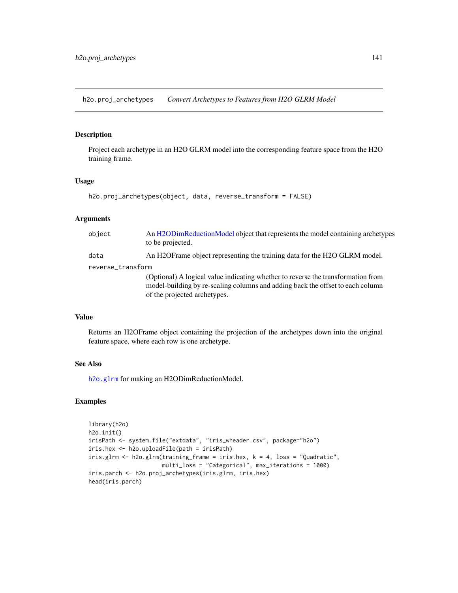h2o.proj\_archetypes *Convert Archetypes to Features from H2O GLRM Model*

#### Description

Project each archetype in an H2O GLRM model into the corresponding feature space from the H2O training frame.

### Usage

```
h2o.proj_archetypes(object, data, reverse_transform = FALSE)
```
#### Arguments

| object            | An H2ODimReductionModel object that represents the model containing archetypes<br>to be projected.                                                                                                 |  |
|-------------------|----------------------------------------------------------------------------------------------------------------------------------------------------------------------------------------------------|--|
| data              | An H2OF rame object representing the training data for the H2O GLRM model.                                                                                                                         |  |
| reverse_transform |                                                                                                                                                                                                    |  |
|                   | (Optional) A logical value indicating whether to reverse the transformation from<br>model-building by re-scaling columns and adding back the offset to each column<br>of the projected archetypes. |  |

# Value

Returns an H2OFrame object containing the projection of the archetypes down into the original feature space, where each row is one archetype.

#### See Also

[h2o.glrm](#page-82-0) for making an H2ODimReductionModel.

```
library(h2o)
h2o.init()
irisPath <- system.file("extdata", "iris_wheader.csv", package="h2o")
iris.hex <- h2o.uploadFile(path = irisPath)
iris.glrm <- h2o.glrm(training_frame = iris.hex, k = 4, loss = "Quadratic",
                      multi_loss = "Categorical", max_iterations = 1000)
iris.parch <- h2o.proj_archetypes(iris.glrm, iris.hex)
head(iris.parch)
```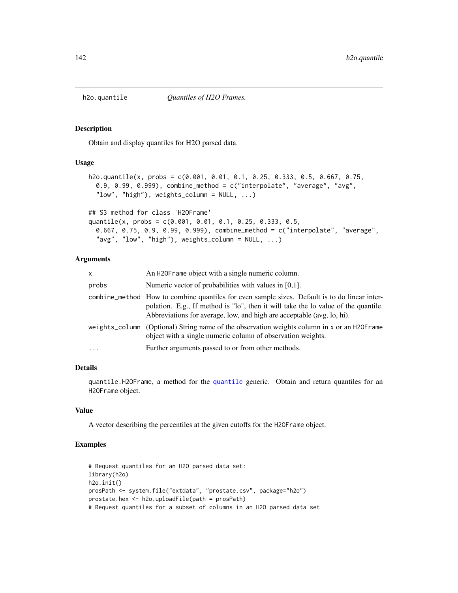Obtain and display quantiles for H2O parsed data.

#### Usage

```
h2o.quantile(x, probs = c(0.001, 0.01, 0.1, 0.25, 0.333, 0.5, 0.667, 0.75,
  0.9, 0.99, 0.999), combine_method = c("interpolate", "average", "avg",
  "low", "high"), weights_column = NULL, ...)
```
## S3 method for class 'H2OFrame'

```
quantile(x, probs = c(0.001, 0.01, 0.1, 0.25, 0.333, 0.5,
 0.667, 0.75, 0.9, 0.99, 0.999), combine_method = c("interpolate", "average",
  "avg", "low", "high"), weights_column = NULL, ...)
```
## Arguments

| X.       | An H2OF rame object with a single numeric column.                                                                                                                                                                                                             |
|----------|---------------------------------------------------------------------------------------------------------------------------------------------------------------------------------------------------------------------------------------------------------------|
| probs    | Numeric vector of probabilities with values in [0,1].                                                                                                                                                                                                         |
|          | combine_method How to combine quantiles for even sample sizes. Default is to do linear inter-<br>polation. E.g., If method is "lo", then it will take the lo value of the quantile.<br>Abbreviations for average, low, and high are acceptable (avg, lo, hi). |
|          | weights_column (Optional) String name of the observation weights column in x or an H2OFrame<br>object with a single numeric column of observation weights.                                                                                                    |
| $\cdots$ | Further arguments passed to or from other methods.                                                                                                                                                                                                            |
|          |                                                                                                                                                                                                                                                               |

#### Details

quantile.H2OFrame, a method for the [quantile](#page-0-0) generic. Obtain and return quantiles for an H2OFrame object.

#### Value

A vector describing the percentiles at the given cutoffs for the H2OFrame object.

```
# Request quantiles for an H2O parsed data set:
library(h2o)
h2o.init()
prosPath <- system.file("extdata", "prostate.csv", package="h2o")
prostate.hex <- h2o.uploadFile(path = prosPath)
# Request quantiles for a subset of columns in an H2O parsed data set
```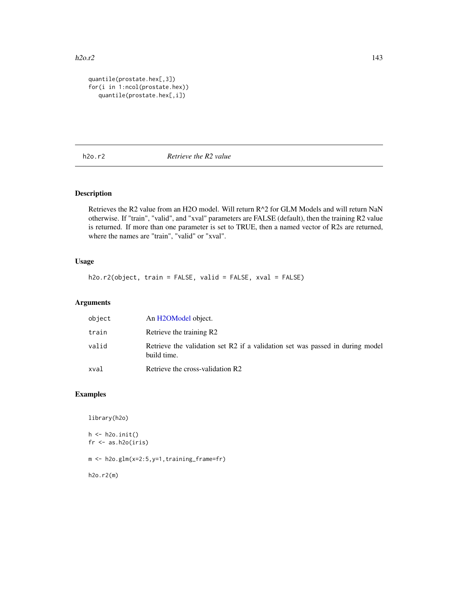```
quantile(prostate.hex[,3])
for(i in 1:ncol(prostate.hex))
  quantile(prostate.hex[,i])
```
h2o.r2 *Retrieve the R2 value*

# Description

Retrieves the R2 value from an H2O model. Will return R^2 for GLM Models and will return NaN otherwise. If "train", "valid", and "xval" parameters are FALSE (default), then the training R2 value is returned. If more than one parameter is set to TRUE, then a named vector of R2s are returned, where the names are "train", "valid" or "xval".

## Usage

h2o.r2(object, train = FALSE, valid = FALSE, xval = FALSE)

## Arguments

| object | An H2OModel object.                                                                          |
|--------|----------------------------------------------------------------------------------------------|
| train  | Retrieve the training R2                                                                     |
| valid  | Retrieve the validation set R2 if a validation set was passed in during model<br>build time. |
| xval   | Retrieve the cross-validation R2                                                             |

```
library(h2o)
h \leftarrow h20.init()fr < - as.h2o(iris)
m <- h2o.glm(x=2:5,y=1,training_frame=fr)
h2o.r2(m)
```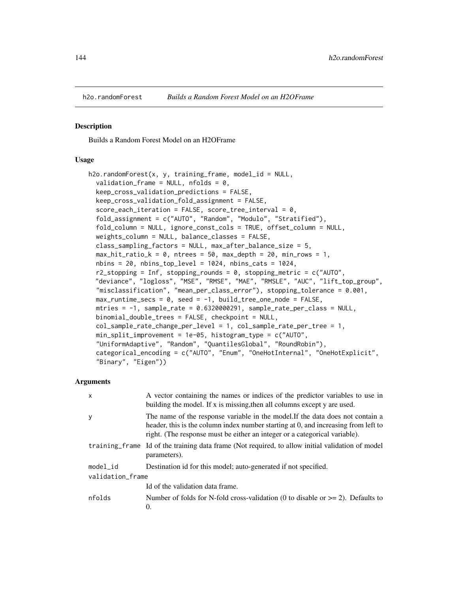Builds a Random Forest Model on an H2OFrame

#### Usage

```
h2o.randomForest(x, y, training-frame, model_id = NULL,validation_frame = NULL, nfolds = 0,
  keep_cross_validation_predictions = FALSE,
  keep_cross_validation_fold_assignment = FALSE,
  score_each_iteration = FALSE, score_tree_interval = 0,
  fold_assignment = c("AUTO", "Random", "Modulo", "Stratified"),
  fold_column = NULL, ignore_const_cols = TRUE, offset_column = NULL,
  weights_column = NULL, balance_classes = FALSE,
  class_sampling_factors = NULL, max_after_balance_size = 5,
  max\_hit\_ratio\_k = 0, ntrees = 50, max_{def} = 20, min_{rows} = 1,
  nbins = 20, nbins\_top\_level = 1024, nbins\_cats = 1024,
  r2_stopping = Inf, stopping_rounds = 0, stopping_metric = c("AUTO","deviance", "logloss", "MSE", "RMSE", "MAE", "RMSLE", "AUC", "lift_top_group",
  "misclassification", "mean_per_class_error"), stopping_tolerance = 0.001,
  max_runtime_secs = 0, seed = -1, build_tree_one_node = FALSE,
  mtries = -1, sample_rate = 0.6320000291, sample_rate_per_class = NULL,
  binomial_double_trees = FALSE, checkpoint = NULL,
  col\_sample\_rate\_change\_per\_level = 1, col\_sample\_rate\_per\_tree = 1,min_split_improvement = 1e-05, histogram_type = c("AUTO",
  "UniformAdaptive", "Random", "QuantilesGlobal", "RoundRobin"),
  categorical_encoding = c("AUTO", "Enum", "OneHotInternal", "OneHotExplicit",
  "Binary", "Eigen"))
```

| $\mathsf{x}$     | A vector containing the names or indices of the predictor variables to use in<br>building the model. If x is missing, then all columns except y are used.                                                                                          |  |
|------------------|----------------------------------------------------------------------------------------------------------------------------------------------------------------------------------------------------------------------------------------------------|--|
| У                | The name of the response variable in the model. If the data does not contain a<br>header, this is the column index number starting at 0, and increasing from left to<br>right. (The response must be either an integer or a categorical variable). |  |
|                  | training_frame Id of the training data frame (Not required, to allow initial validation of model<br>parameters).                                                                                                                                   |  |
| model id         | Destination id for this model; auto-generated if not specified.                                                                                                                                                                                    |  |
| validation_frame |                                                                                                                                                                                                                                                    |  |
|                  | Id of the validation data frame.                                                                                                                                                                                                                   |  |
| nfolds           | Number of folds for N-fold cross-validation (0 to disable or $\geq$ 2). Defaults to<br>$\Omega$                                                                                                                                                    |  |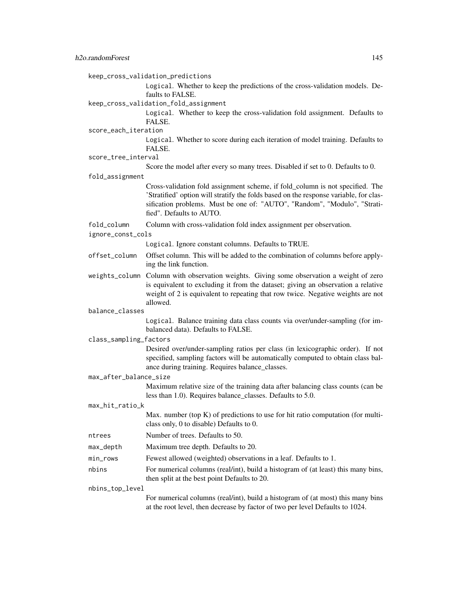|                        | keep_cross_validation_predictions                                                                                                                                                                                                                                               |  |
|------------------------|---------------------------------------------------------------------------------------------------------------------------------------------------------------------------------------------------------------------------------------------------------------------------------|--|
|                        | Logical. Whether to keep the predictions of the cross-validation models. De-                                                                                                                                                                                                    |  |
|                        | faults to FALSE.                                                                                                                                                                                                                                                                |  |
|                        | keep_cross_validation_fold_assignment                                                                                                                                                                                                                                           |  |
|                        | Logical. Whether to keep the cross-validation fold assignment. Defaults to<br>FALSE.                                                                                                                                                                                            |  |
| score_each_iteration   |                                                                                                                                                                                                                                                                                 |  |
|                        | Logical. Whether to score during each iteration of model training. Defaults to<br>FALSE.                                                                                                                                                                                        |  |
| score_tree_interval    |                                                                                                                                                                                                                                                                                 |  |
|                        | Score the model after every so many trees. Disabled if set to 0. Defaults to 0.                                                                                                                                                                                                 |  |
| fold_assignment        |                                                                                                                                                                                                                                                                                 |  |
|                        | Cross-validation fold assignment scheme, if fold_column is not specified. The<br>'Stratified' option will stratify the folds based on the response variable, for clas-<br>sification problems. Must be one of: "AUTO", "Random", "Modulo", "Strati-<br>fied". Defaults to AUTO. |  |
| fold_column            | Column with cross-validation fold index assignment per observation.                                                                                                                                                                                                             |  |
| ignore_const_cols      |                                                                                                                                                                                                                                                                                 |  |
|                        | Logical. Ignore constant columns. Defaults to TRUE.                                                                                                                                                                                                                             |  |
| offset_column          | Offset column. This will be added to the combination of columns before apply-<br>ing the link function.                                                                                                                                                                         |  |
| weights_column         | Column with observation weights. Giving some observation a weight of zero<br>is equivalent to excluding it from the dataset; giving an observation a relative<br>weight of 2 is equivalent to repeating that row twice. Negative weights are not<br>allowed.                    |  |
| balance_classes        |                                                                                                                                                                                                                                                                                 |  |
|                        | Logical. Balance training data class counts via over/under-sampling (for im-<br>balanced data). Defaults to FALSE.                                                                                                                                                              |  |
| class_sampling_factors |                                                                                                                                                                                                                                                                                 |  |
|                        | Desired over/under-sampling ratios per class (in lexicographic order). If not<br>specified, sampling factors will be automatically computed to obtain class bal-<br>ance during training. Requires balance_classes.                                                             |  |
| max_after_balance_size |                                                                                                                                                                                                                                                                                 |  |
|                        | Maximum relative size of the training data after balancing class counts (can be<br>less than 1.0). Requires balance_classes. Defaults to 5.0.                                                                                                                                   |  |
| max_hit_ratio_k        |                                                                                                                                                                                                                                                                                 |  |
|                        | Max. number (top $K$ ) of predictions to use for hit ratio computation (for multi-<br>class only, 0 to disable) Defaults to 0.                                                                                                                                                  |  |
| ntrees                 | Number of trees. Defaults to 50.                                                                                                                                                                                                                                                |  |
| max_depth              | Maximum tree depth. Defaults to 20.                                                                                                                                                                                                                                             |  |
| min_rows               | Fewest allowed (weighted) observations in a leaf. Defaults to 1.                                                                                                                                                                                                                |  |
| nbins                  | For numerical columns (real/int), build a histogram of (at least) this many bins,<br>then split at the best point Defaults to 20.                                                                                                                                               |  |
| nbins_top_level        |                                                                                                                                                                                                                                                                                 |  |
|                        | For numerical columns (real/int), build a histogram of (at most) this many bins<br>at the root level, then decrease by factor of two per level Defaults to 1024.                                                                                                                |  |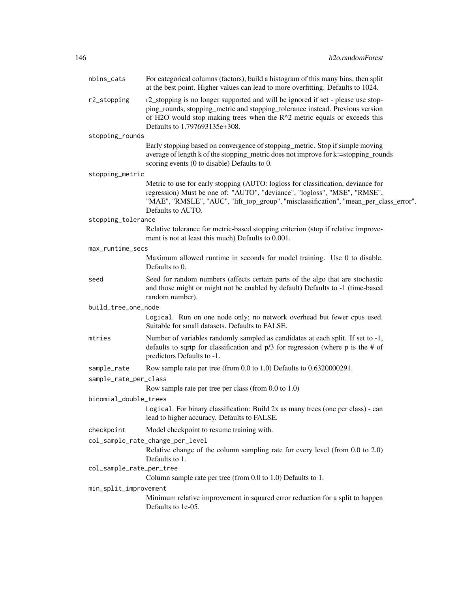| nbins_cats               | For categorical columns (factors), build a histogram of this many bins, then split<br>at the best point. Higher values can lead to more overfitting. Defaults to 1024.                                                                                                          |  |
|--------------------------|---------------------------------------------------------------------------------------------------------------------------------------------------------------------------------------------------------------------------------------------------------------------------------|--|
| r2_stopping              | r2_stopping is no longer supported and will be ignored if set - please use stop-<br>ping_rounds, stopping_metric and stopping_tolerance instead. Previous version<br>of H2O would stop making trees when the R^2 metric equals or exceeds this<br>Defaults to 1.797693135e+308. |  |
| stopping_rounds          |                                                                                                                                                                                                                                                                                 |  |
|                          | Early stopping based on convergence of stopping_metric. Stop if simple moving<br>average of length k of the stopping_metric does not improve for k:=stopping_rounds<br>scoring events (0 to disable) Defaults to 0.                                                             |  |
| stopping_metric          |                                                                                                                                                                                                                                                                                 |  |
|                          | Metric to use for early stopping (AUTO: logloss for classification, deviance for<br>regression) Must be one of: "AUTO", "deviance", "logloss", "MSE", "RMSE",<br>"MAE", "RMSLE", "AUC", "lift_top_group", "misclassification", "mean_per_class_error".<br>Defaults to AUTO.     |  |
| stopping_tolerance       |                                                                                                                                                                                                                                                                                 |  |
|                          | Relative tolerance for metric-based stopping criterion (stop if relative improve-<br>ment is not at least this much) Defaults to 0.001.                                                                                                                                         |  |
| max_runtime_secs         |                                                                                                                                                                                                                                                                                 |  |
|                          | Maximum allowed runtime in seconds for model training. Use 0 to disable.<br>Defaults to 0.                                                                                                                                                                                      |  |
| seed                     | Seed for random numbers (affects certain parts of the algo that are stochastic<br>and those might or might not be enabled by default) Defaults to -1 (time-based<br>random number).                                                                                             |  |
| build_tree_one_node      |                                                                                                                                                                                                                                                                                 |  |
|                          | Logical. Run on one node only; no network overhead but fewer cpus used.<br>Suitable for small datasets. Defaults to FALSE.                                                                                                                                                      |  |
| mtries                   | Number of variables randomly sampled as candidates at each split. If set to -1,<br>defaults to sqrtp for classification and $p/3$ for regression (where p is the # of<br>predictors Defaults to -1.                                                                             |  |
| sample_rate              | Row sample rate per tree (from 0.0 to 1.0) Defaults to 0.6320000291.                                                                                                                                                                                                            |  |
| sample_rate_per_class    |                                                                                                                                                                                                                                                                                 |  |
|                          | Row sample rate per tree per class (from $0.0$ to $1.0$ )                                                                                                                                                                                                                       |  |
| binomial_double_trees    |                                                                                                                                                                                                                                                                                 |  |
|                          | Logical. For binary classification: Build 2x as many trees (one per class) - can<br>lead to higher accuracy. Defaults to FALSE.                                                                                                                                                 |  |
| checkpoint               | Model checkpoint to resume training with.                                                                                                                                                                                                                                       |  |
|                          | col_sample_rate_change_per_level                                                                                                                                                                                                                                                |  |
|                          | Relative change of the column sampling rate for every level (from 0.0 to 2.0)<br>Defaults to 1.                                                                                                                                                                                 |  |
| col_sample_rate_per_tree |                                                                                                                                                                                                                                                                                 |  |
|                          | Column sample rate per tree (from 0.0 to 1.0) Defaults to 1.                                                                                                                                                                                                                    |  |
| min_split_improvement    |                                                                                                                                                                                                                                                                                 |  |
|                          | Minimum relative improvement in squared error reduction for a split to happen<br>Defaults to 1e-05.                                                                                                                                                                             |  |
|                          |                                                                                                                                                                                                                                                                                 |  |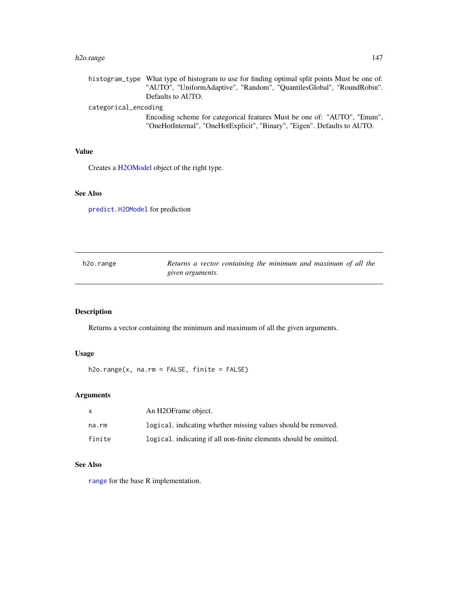#### h2o.range 147

histogram\_type What type of histogram to use for finding optimal split points Must be one of: "AUTO", "UniformAdaptive", "Random", "QuantilesGlobal", "RoundRobin". Defaults to AUTO.

#### categorical\_encoding

Encoding scheme for categorical features Must be one of: "AUTO", "Enum", "OneHotInternal", "OneHotExplicit", "Binary", "Eigen". Defaults to AUTO.

## Value

Creates a [H2OModel](#page-188-0) object of the right type.

## See Also

[predict.H2OModel](#page-198-0) for prediction

| h2o.range | Returns a vector containing the minimum and maximum of all the |
|-----------|----------------------------------------------------------------|
|           | given arguments.                                               |

## Description

Returns a vector containing the minimum and maximum of all the given arguments.

## Usage

h2o.range(x, na.rm = FALSE, finite = FALSE)

## Arguments

| x      | An H <sub>2</sub> OFrame object.                                  |
|--------|-------------------------------------------------------------------|
| na.rm  | logical, indicating whether missing values should be removed.     |
| finite | logical, indicating if all non-finite elements should be omitted. |

## See Also

[range](#page-0-0) for the base R implementation.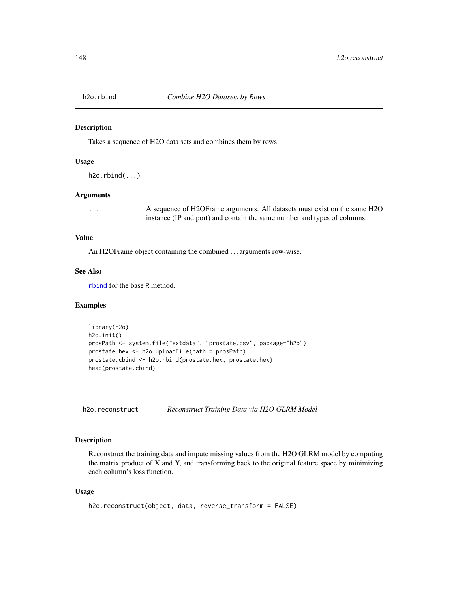Takes a sequence of H2O data sets and combines them by rows

#### Usage

```
h2o.rbind(...)
```
#### Arguments

... A sequence of H2OFrame arguments. All datasets must exist on the same H2O instance (IP and port) and contain the same number and types of columns.

## Value

An H2OFrame object containing the combined . . . arguments row-wise.

## See Also

[rbind](#page-0-0) for the base R method.

## Examples

```
library(h2o)
h2o.init()
prosPath <- system.file("extdata", "prostate.csv", package="h2o")
prostate.hex <- h2o.uploadFile(path = prosPath)
prostate.cbind <- h2o.rbind(prostate.hex, prostate.hex)
head(prostate.cbind)
```
h2o.reconstruct *Reconstruct Training Data via H2O GLRM Model*

#### Description

Reconstruct the training data and impute missing values from the H2O GLRM model by computing the matrix product of X and Y, and transforming back to the original feature space by minimizing each column's loss function.

#### Usage

```
h2o.reconstruct(object, data, reverse_transform = FALSE)
```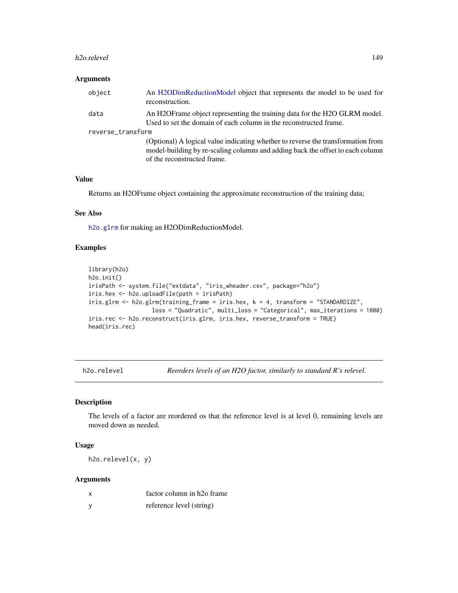#### h2o.relevel 149

## Arguments

| object            | An H2ODimReductionModel object that represents the model to be used for<br>reconstruction.                                                                                                        |  |
|-------------------|---------------------------------------------------------------------------------------------------------------------------------------------------------------------------------------------------|--|
| data              | An H2OFrame object representing the training data for the H2O GLRM model.<br>Used to set the domain of each column in the reconstructed frame.                                                    |  |
| reverse_transform |                                                                                                                                                                                                   |  |
|                   | (Optional) A logical value indicating whether to reverse the transformation from<br>model-building by re-scaling columns and adding back the offset to each column<br>of the reconstructed frame. |  |

## Value

Returns an H2OFrame object containing the approximate reconstruction of the training data;

#### See Also

[h2o.glrm](#page-82-0) for making an H2ODimReductionModel.

## Examples

```
library(h2o)
h2o.init()
irisPath <- system.file("extdata", "iris_wheader.csv", package="h2o")
iris.hex <- h2o.uploadFile(path = irisPath)
iris.glrm <- h2o.glrm(training_frame = iris.hex, k = 4, transform = "STANDARDIZE",
                  loss = "Quadratic", multi_loss = "Categorical", max_iterations = 1000)
iris.rec <- h2o.reconstruct(iris.glrm, iris.hex, reverse_transform = TRUE)
head(iris.rec)
```
h2o.relevel *Reorders levels of an H2O factor, similarly to standard R's relevel.*

## Description

The levels of a factor are reordered os that the reference level is at level 0, remaining levels are moved down as needed.

## Usage

h2o.relevel(x, y)

| x        | factor column in h <sub>20</sub> frame |
|----------|----------------------------------------|
| <b>V</b> | reference level (string)               |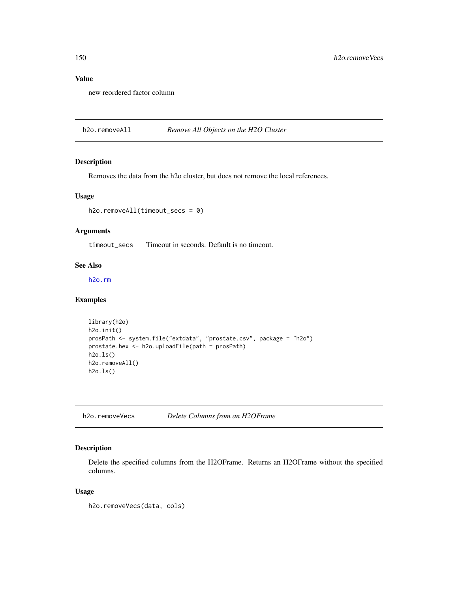## Value

new reordered factor column

h2o.removeAll *Remove All Objects on the H2O Cluster*

## Description

Removes the data from the h2o cluster, but does not remove the local references.

## Usage

```
h2o.removeAll(timeout_secs = 0)
```
## Arguments

timeout\_secs Timeout in seconds. Default is no timeout.

## See Also

[h2o.rm](#page-151-0)

## Examples

```
library(h2o)
h2o.init()
prosPath <- system.file("extdata", "prostate.csv", package = "h2o")
prostate.hex <- h2o.uploadFile(path = prosPath)
h2o.ls()
h2o.removeAll()
h2o.ls()
```
h2o.removeVecs *Delete Columns from an H2OFrame*

## Description

Delete the specified columns from the H2OFrame. Returns an H2OFrame without the specified columns.

#### Usage

```
h2o.removeVecs(data, cols)
```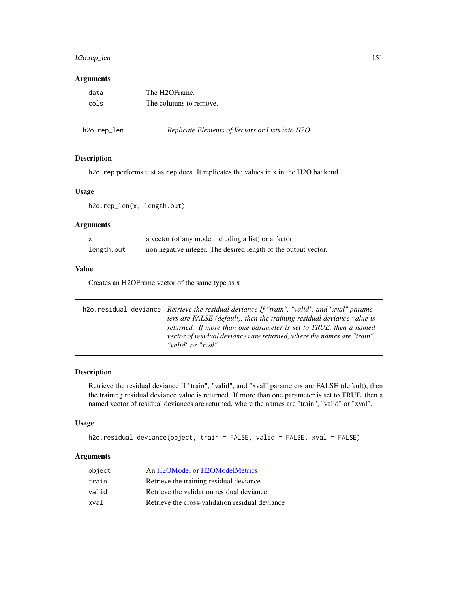## h2o.rep\_len 151

## Arguments

| data | The H2OFrame.          |
|------|------------------------|
| cols | The columns to remove. |

| h2o.rep_len |  |
|-------------|--|
|             |  |

#### Replicate Elements of Vectors or Lists into H2O

#### Description

h2o.rep performs just as rep does. It replicates the values in x in the H2O backend.

#### Usage

h2o.rep\_len(x, length.out)

#### Arguments

|            | a vector (of any mode including a list) or a factor            |
|------------|----------------------------------------------------------------|
| length.out | non negative integer. The desired length of the output vector. |

#### Value

Creates an H2OFrame vector of the same type as x

| h2o.residual_deviance Retrieve the residual deviance If "train", "valid", and "xval" parame- |
|----------------------------------------------------------------------------------------------|
| ters are FALSE (default), then the training residual deviance value is                       |
| returned. If more than one parameter is set to TRUE, then a named                            |
| vector of residual deviances are returned, where the names are "train",                      |
| "valid" or "xval".                                                                           |

#### Description

Retrieve the residual deviance If "train", "valid", and "xval" parameters are FALSE (default), then the training residual deviance value is returned. If more than one parameter is set to TRUE, then a named vector of residual deviances are returned, where the names are "train", "valid" or "xval".

#### Usage

```
h2o.residual_deviance(object, train = FALSE, valid = FALSE, xval = FALSE)
```

| object | An H2OModel or H2OModelMetrics                  |
|--------|-------------------------------------------------|
| train  | Retrieve the training residual deviance         |
| valid  | Retrieve the validation residual deviance       |
| xval   | Retrieve the cross-validation residual deviance |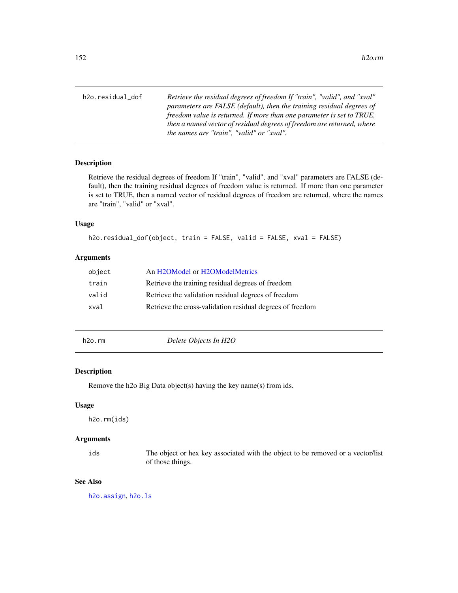h2o.residual\_dof *Retrieve the residual degrees of freedom If "train", "valid", and "xval" parameters are FALSE (default), then the training residual degrees of freedom value is returned. If more than one parameter is set to TRUE, then a named vector of residual degrees of freedom are returned, where the names are "train", "valid" or "xval".*

#### Description

Retrieve the residual degrees of freedom If "train", "valid", and "xval" parameters are FALSE (default), then the training residual degrees of freedom value is returned. If more than one parameter is set to TRUE, then a named vector of residual degrees of freedom are returned, where the names are "train", "valid" or "xval".

#### Usage

```
h2o.residual_dof(object, train = FALSE, valid = FALSE, xval = FALSE)
```
## Arguments

| object | An H2OModel or H2OModelMetrics                            |
|--------|-----------------------------------------------------------|
| train  | Retrieve the training residual degrees of freedom         |
| valid  | Retrieve the validation residual degrees of freedom       |
| xval   | Retrieve the cross-validation residual degrees of freedom |

<span id="page-151-0"></span>h2o.rm *Delete Objects In H2O*

#### Description

Remove the h2o Big Data object(s) having the key name(s) from ids.

#### Usage

h2o.rm(ids)

#### Arguments

ids The object or hex key associated with the object to be removed or a vector/list of those things.

## See Also

[h2o.assign](#page-21-0), [h2o.ls](#page-111-0)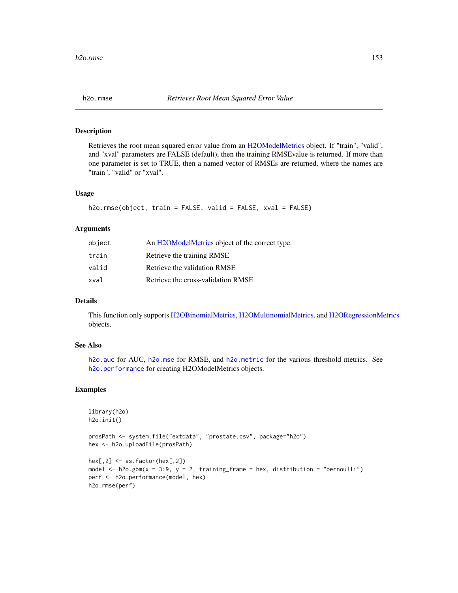Retrieves the root mean squared error value from an [H2OModelMetrics](#page-189-0) object. If "train", "valid", and "xval" parameters are FALSE (default), then the training RMSEvalue is returned. If more than one parameter is set to TRUE, then a named vector of RMSEs are returned, where the names are "train", "valid" or "xval".

#### Usage

```
h2o.rmse(object, train = FALSE, valid = FALSE, xval = FALSE)
```
#### Arguments

| object | An H2OModelMetrics object of the correct type. |
|--------|------------------------------------------------|
| train  | Retrieve the training RMSE                     |
| valid  | Retrieve the validation RMSE                   |
| xval   | Retrieve the cross-validation RMSE             |

## Details

This function only supports [H2OBinomialMetrics,](#page-189-1) [H2OMultinomialMetrics,](#page-189-1) and [H2ORegressionMetrics](#page-189-1) objects.

## See Also

[h2o.auc](#page-22-0) for AUC, [h2o.mse](#page-123-0) for RMSE, and [h2o.metric](#page-120-0) for the various threshold metrics. See [h2o.performance](#page-136-0) for creating H2OModelMetrics objects.

```
library(h2o)
h2o.init()
prosPath <- system.file("extdata", "prostate.csv", package="h2o")
hex <- h2o.uploadFile(prosPath)
hex[,2] <- as.factor(hex[,2])
model \leq h2o.gbm(x = 3:9, y = 2, training_frame = hex, distribution = "bernoulli")
perf <- h2o.performance(model, hex)
h2o.rmse(perf)
```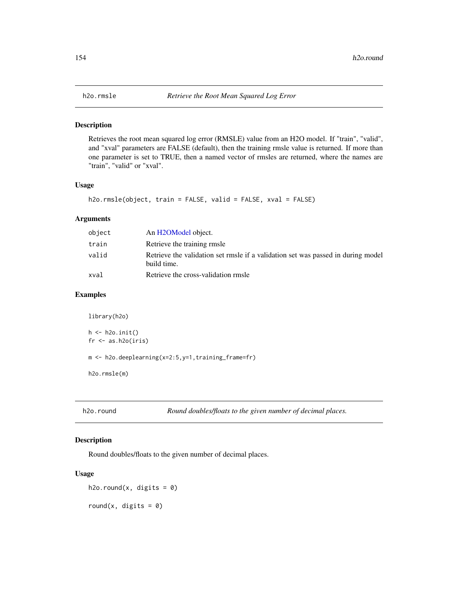Retrieves the root mean squared log error (RMSLE) value from an H2O model. If "train", "valid", and "xval" parameters are FALSE (default), then the training rmsle value is returned. If more than one parameter is set to TRUE, then a named vector of rmsles are returned, where the names are "train", "valid" or "xval".

#### Usage

```
h2o.rmsle(object, train = FALSE, valid = FALSE, xval = FALSE)
```
## Arguments

| object | An H <sub>2</sub> OM <sub>odel</sub> object.                                                    |
|--------|-------------------------------------------------------------------------------------------------|
| train  | Retrieve the training rmsle                                                                     |
| valid  | Retrieve the validation set rmsle if a validation set was passed in during model<br>build time. |
| xval   | Retrieve the cross-validation rmsle                                                             |

#### Examples

```
library(h2o)
```

```
h \leftarrow h2o.init()fr < - as.h2o(iris)
m <- h2o.deeplearning(x=2:5,y=1,training_frame=fr)
h2o.rmsle(m)
```
h2o.round *Round doubles/floats to the given number of decimal places.*

#### <span id="page-153-0"></span>Description

Round doubles/floats to the given number of decimal places.

#### Usage

h2o.round(x, digits =  $0$ )

round(x, digits =  $\theta$ )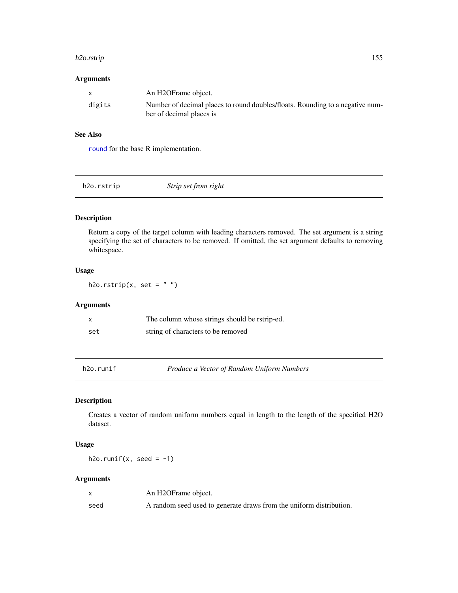#### h2o.rstrip 155

#### Arguments

|        | An H2OFrame object.                                                           |
|--------|-------------------------------------------------------------------------------|
| digits | Number of decimal places to round doubles/floats. Rounding to a negative num- |
|        | ber of decimal places is                                                      |

#### See Also

[round](#page-153-0) for the base R implementation.

| h2o.rstrip | Strip set from right |
|------------|----------------------|
|            |                      |

## Description

Return a copy of the target column with leading characters removed. The set argument is a string specifying the set of characters to be removed. If omitted, the set argument defaults to removing whitespace.

## Usage

h2o.rstrip(x, set =  $"$ )

## Arguments

| x   | The column whose strings should be ratrip-ed. |
|-----|-----------------------------------------------|
| set | string of characters to be removed            |

h2o.runif *Produce a Vector of Random Uniform Numbers*

# Description

Creates a vector of random uniform numbers equal in length to the length of the specified H2O dataset.

## Usage

h2o.runif(x, seed =  $-1$ )

|      | An H2OFrame object.                                                 |
|------|---------------------------------------------------------------------|
| seed | A random seed used to generate draws from the uniform distribution. |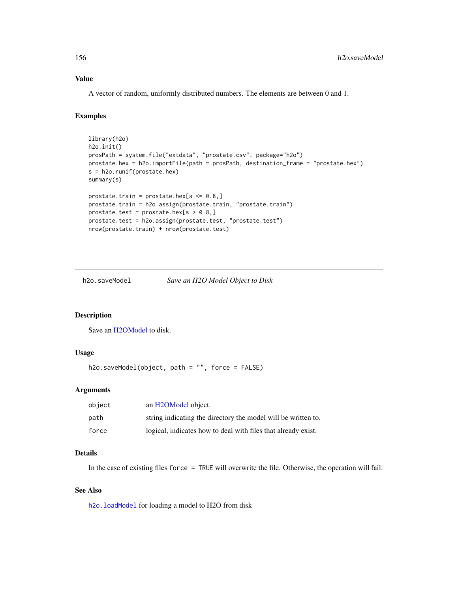## Value

A vector of random, uniformly distributed numbers. The elements are between 0 and 1.

#### Examples

```
library(h2o)
h2o.init()
prosPath = system.file("extdata", "prostate.csv", package="h2o")
prostate.hex = h2o.importFile(path = prosPath, destination_frame = "prostate.hex")
s = h2o.runif(prostate.hex)
summary(s)
prostate.train = prostate.hex[s \le 0.8,]
prostate.train = h2o.assign(prostate.train, "prostate.train")
prostate.test = prostate.hex[s > 0.8,]prostate.test = h2o.assign(prostate.test, "prostate.test")
nrow(prostate.train) + nrow(prostate.test)
```
<span id="page-155-0"></span>h2o.saveModel *Save an H2O Model Object to Disk*

#### Description

Save an [H2OModel](#page-188-0) to disk.

#### Usage

```
h2o.saveModel(object, path = "", force = FALSE)
```
#### Arguments

| object | an H2OModel object.                                           |
|--------|---------------------------------------------------------------|
| path   | string indicating the directory the model will be written to. |
| force  | logical, indicates how to deal with files that already exist. |

## Details

In the case of existing files force = TRUE will overwrite the file. Otherwise, the operation will fail.

## See Also

h2o. loadModel for loading a model to H2O from disk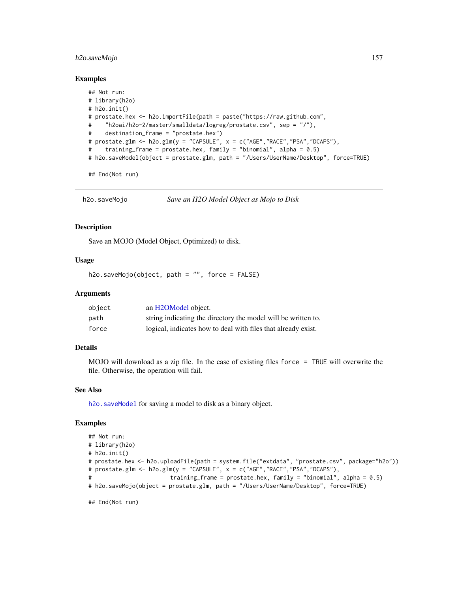## h2o.saveMojo 157

#### Examples

```
## Not run:
# library(h2o)
# h2o.init()
# prostate.hex <- h2o.importFile(path = paste("https://raw.github.com",
# "h2oai/h2o-2/master/smalldata/logreg/prostate.csv", sep = "/"),
# destination_frame = "prostate.hex")
# prostate.glm <- h2o.glm(y = "CAPSULE", x = c("AGE","RACE","PSA","DCAPS"),
# training_frame = prostate.hex, family = "binomial", alpha = 0.5)
# h2o.saveModel(object = prostate.glm, path = "/Users/UserName/Desktop", force=TRUE)
```
## End(Not run)

h2o.saveMojo *Save an H2O Model Object as Mojo to Disk*

#### **Description**

Save an MOJO (Model Object, Optimized) to disk.

#### Usage

h2o.saveMojo(object, path = "", force = FALSE)

#### Arguments

| object | an H2OModel object.                                           |
|--------|---------------------------------------------------------------|
| path   | string indicating the directory the model will be written to. |
| force  | logical, indicates how to deal with files that already exist. |

#### Details

MOJO will download as a zip file. In the case of existing files force = TRUE will overwrite the file. Otherwise, the operation will fail.

#### See Also

[h2o.saveModel](#page-155-0) for saving a model to disk as a binary object.

#### Examples

```
## Not run:
# library(h2o)
# h2o.init()
# prostate.hex <- h2o.uploadFile(path = system.file("extdata", "prostate.csv", package="h2o"))
# prostate.glm <- h2o.glm(y = "CAPSULE", x = c("AGE","RACE","PSA","DCAPS"),
# training_frame = prostate.hex, family = "binomial", alpha = 0.5)
# h2o.saveMojo(object = prostate.glm, path = "/Users/UserName/Desktop", force=TRUE)
```
## End(Not run)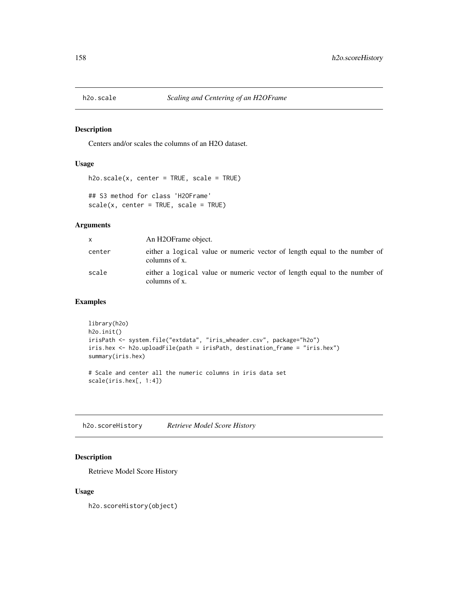Centers and/or scales the columns of an H2O dataset.

#### Usage

```
h2o.scale(x, center = TRUE, scale = TRUE)## S3 method for class 'H2OFrame'
scale(x, center = TRUE, scale = TRUE)
```
#### Arguments

| X.     | An H2OFrame object.                                                                        |
|--------|--------------------------------------------------------------------------------------------|
| center | either a logical value or numeric vector of length equal to the number of<br>columns of x. |
| scale  | either a logical value or numeric vector of length equal to the number of<br>columns of x. |

## Examples

```
library(h2o)
h2o.init()
irisPath <- system.file("extdata", "iris_wheader.csv", package="h2o")
iris.hex <- h2o.uploadFile(path = irisPath, destination_frame = "iris.hex")
summary(iris.hex)
# Scale and center all the numeric columns in iris data set
```
scale(iris.hex[, 1:4])

h2o.scoreHistory *Retrieve Model Score History*

## Description

Retrieve Model Score History

#### Usage

h2o.scoreHistory(object)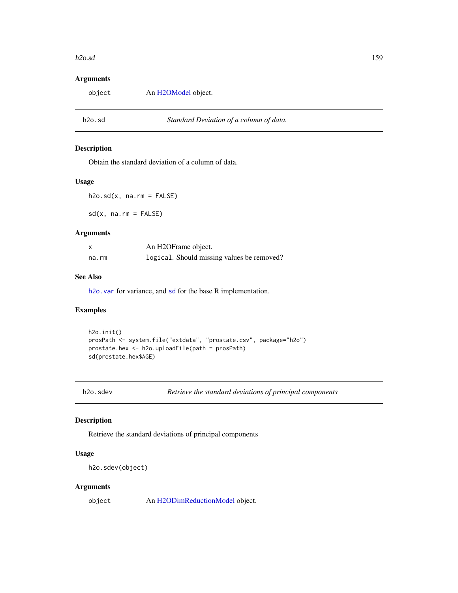#### h2o.sd 159

## Arguments

<span id="page-158-1"></span>

| object | An H2OModel object.                     |  |
|--------|-----------------------------------------|--|
|        |                                         |  |
| h2o.sd | Standard Deviation of a column of data. |  |

# <span id="page-158-0"></span>Description

Obtain the standard deviation of a column of data.

## Usage

 $h2o.sd(x, na.rm = FALSE)$ 

sd(x, na.rm = FALSE)

#### Arguments

| x     | An H2OFrame object.                        |
|-------|--------------------------------------------|
| na.rm | logical. Should missing values be removed? |

## See Also

h2o. var for variance, and [sd](#page-158-0) for the base R implementation.

#### Examples

```
h2o.init()
prosPath <- system.file("extdata", "prostate.csv", package="h2o")
prostate.hex <- h2o.uploadFile(path = prosPath)
sd(prostate.hex$AGE)
```
#### Description

Retrieve the standard deviations of principal components

## Usage

h2o.sdev(object)

## Arguments

object An [H2ODimReductionModel](#page-188-1) object.

h2o.sdev *Retrieve the standard deviations of principal components*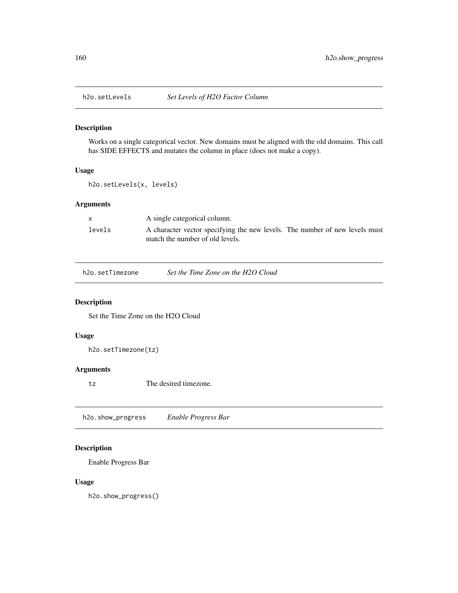Works on a single categorical vector. New domains must be aligned with the old domains. This call has SIDE EFFECTS and mutates the column in place (does not make a copy).

## Usage

h2o.setLevels(x, levels)

## Arguments

|        | A single categorical column.                                                                                   |
|--------|----------------------------------------------------------------------------------------------------------------|
| levels | A character vector specifying the new levels. The number of new levels must<br>match the number of old levels. |

| h2o.setTimezone | Set the Time Zone on the H2O Cloud |  |
|-----------------|------------------------------------|--|
|                 |                                    |  |

## Description

Set the Time Zone on the H2O Cloud

#### Usage

h2o.setTimezone(tz)

## Arguments

tz The desired timezone.

h2o.show\_progress *Enable Progress Bar*

## Description

Enable Progress Bar

# Usage

h2o.show\_progress()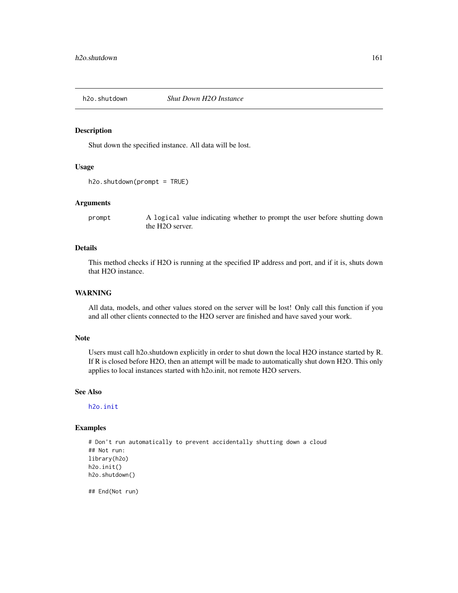Shut down the specified instance. All data will be lost.

#### Usage

```
h2o.shutdown(prompt = TRUE)
```
#### Arguments

prompt A logical value indicating whether to prompt the user before shutting down the H2O server.

#### Details

This method checks if H2O is running at the specified IP address and port, and if it is, shuts down that H2O instance.

### WARNING

All data, models, and other values stored on the server will be lost! Only call this function if you and all other clients connected to the H2O server are finished and have saved your work.

#### Note

Users must call h2o.shutdown explicitly in order to shut down the local H2O instance started by R. If R is closed before H2O, then an attempt will be made to automatically shut down H2O. This only applies to local instances started with h2o.init, not remote H2O servers.

## See Also

[h2o.init](#page-96-0)

#### Examples

```
# Don't run automatically to prevent accidentally shutting down a cloud
## Not run:
library(h2o)
h2o.init()
h2o.shutdown()
```
## End(Not run)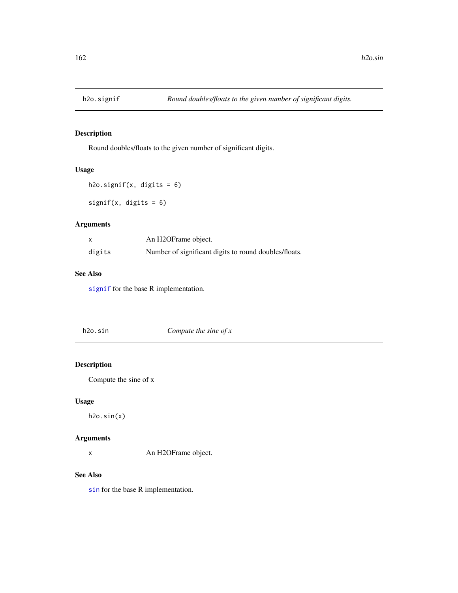<span id="page-161-0"></span>

Round doubles/floats to the given number of significant digits.

## Usage

```
h2o.signif(x, digits = 6)
```
signif(x, digits = 6)

## Arguments

|        | An H2OFrame object.                                   |
|--------|-------------------------------------------------------|
| digits | Number of significant digits to round doubles/floats. |

## See Also

[signif](#page-161-0) for the base R implementation.

| h2o.sin | Compute the sine of $x$ |  |
|---------|-------------------------|--|
|         |                         |  |

# Description

Compute the sine of x

## Usage

h2o.sin(x)

## Arguments

x An H2OFrame object.

#### See Also

[sin](#page-0-0) for the base R implementation.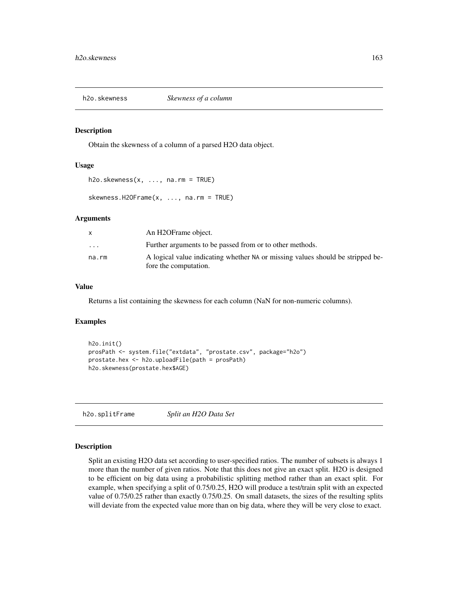h2o.skewness *Skewness of a column*

#### Description

Obtain the skewness of a column of a parsed H2O data object.

#### Usage

 $h2o.$ skewness $(x, \ldots, na.rm = TRUE)$ 

skewness.H2OFrame(x, ..., na.rm = TRUE)

#### Arguments

|                         | An H2OFrame object.                                                                                     |
|-------------------------|---------------------------------------------------------------------------------------------------------|
| $\cdot$ $\cdot$ $\cdot$ | Further arguments to be passed from or to other methods.                                                |
| na.rm                   | A logical value indicating whether NA or missing values should be stripped be-<br>fore the computation. |

#### Value

Returns a list containing the skewness for each column (NaN for non-numeric columns).

## Examples

```
h2o.init()
prosPath <- system.file("extdata", "prostate.csv", package="h2o")
prostate.hex <- h2o.uploadFile(path = prosPath)
h2o.skewness(prostate.hex$AGE)
```
h2o.splitFrame *Split an H2O Data Set*

#### Description

Split an existing H2O data set according to user-specified ratios. The number of subsets is always 1 more than the number of given ratios. Note that this does not give an exact split. H2O is designed to be efficient on big data using a probabilistic splitting method rather than an exact split. For example, when specifying a split of 0.75/0.25, H2O will produce a test/train split with an expected value of 0.75/0.25 rather than exactly 0.75/0.25. On small datasets, the sizes of the resulting splits will deviate from the expected value more than on big data, where they will be very close to exact.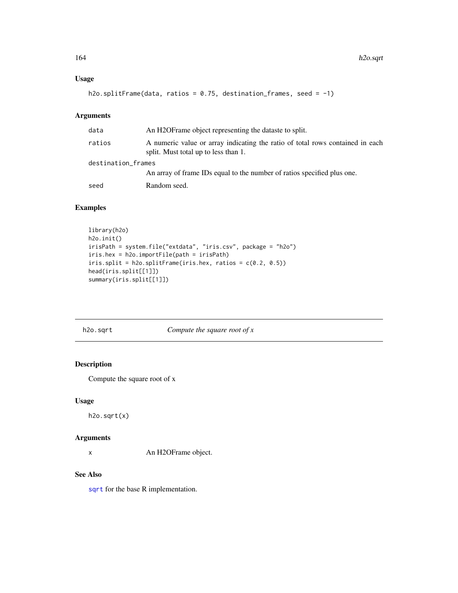## Usage

```
h2o.splitFrame(data, ratios = 0.75, destination_frames, seed = -1)
```
# Arguments

| data               | An H2OF rame object representing the dataste to split.                                                                |
|--------------------|-----------------------------------------------------------------------------------------------------------------------|
| ratios             | A numeric value or array indicating the ratio of total rows contained in each<br>split. Must total up to less than 1. |
| destination_frames |                                                                                                                       |
|                    | An array of frame IDs equal to the number of ratios specified plus one.                                               |
| seed               | Random seed.                                                                                                          |

## Examples

```
library(h2o)
h2o.init()
irisPath = system.file("extdata", "iris.csv", package = "h2o")
iris.hex = h2o.importFile(path = irisPath)
iris.split = h2o.splitFrame(iris.hex, ratios = c(0.2, 0.5))
head(iris.split[[1]])
summary(iris.split[[1]])
```
h2o.sqrt *Compute the square root of x*

## Description

Compute the square root of x

#### Usage

h2o.sqrt(x)

#### Arguments

x An H2OFrame object.

#### See Also

[sqrt](#page-0-0) for the base R implementation.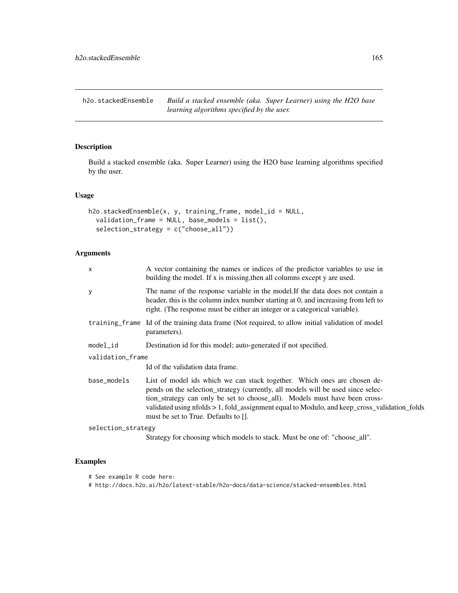h2o.stackedEnsemble *Build a stacked ensemble (aka. Super Learner) using the H2O base learning algorithms specified by the user.*

## Description

Build a stacked ensemble (aka. Super Learner) using the H2O base learning algorithms specified by the user.

## Usage

```
h2o.stackedEnsemble(x, y, training-frame, model_id = NULL,validation_frame = NULL, base_models = list(),
  selection_strategy = c("choose_all"))
```
## Arguments

| X                  | A vector containing the names or indices of the predictor variables to use in<br>building the model. If x is missing, then all columns except y are used.                                                                                                                                                                                                                          |
|--------------------|------------------------------------------------------------------------------------------------------------------------------------------------------------------------------------------------------------------------------------------------------------------------------------------------------------------------------------------------------------------------------------|
| y                  | The name of the response variable in the model. If the data does not contain a<br>header, this is the column index number starting at 0, and increasing from left to<br>right. (The response must be either an integer or a categorical variable).                                                                                                                                 |
|                    | training frame Id of the training data frame (Not required, to allow initial validation of model<br>parameters).                                                                                                                                                                                                                                                                   |
| model_id           | Destination id for this model; auto-generated if not specified.                                                                                                                                                                                                                                                                                                                    |
| validation_frame   |                                                                                                                                                                                                                                                                                                                                                                                    |
|                    | Id of the validation data frame.                                                                                                                                                                                                                                                                                                                                                   |
| base_models        | List of model ids which we can stack together. Which ones are chosen de-<br>pends on the selection_strategy (currently, all models will be used since selec-<br>tion strategy can only be set to choose all). Models must have been cross-<br>validated using nfolds > 1, fold_assignment equal to Modulo, and keep_cross_validation_folds<br>must be set to True. Defaults to []. |
| selection_strategy |                                                                                                                                                                                                                                                                                                                                                                                    |
|                    | Strategy for choosing which models to stack. Must be one of: "choose_all".                                                                                                                                                                                                                                                                                                         |

- # See example R code here:
- # http://docs.h2o.ai/h2o/latest-stable/h2o-docs/data-science/stacked-ensembles.html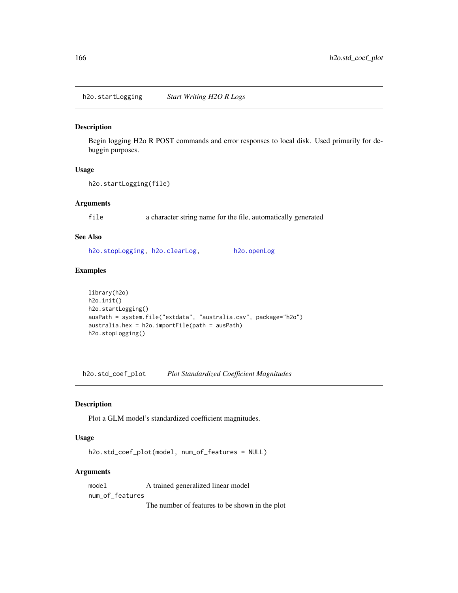<span id="page-165-0"></span>h2o.startLogging *Start Writing H2O R Logs*

## Description

Begin logging H2o R POST commands and error responses to local disk. Used primarily for debuggin purposes.

#### Usage

```
h2o.startLogging(file)
```
#### Arguments

file a character string name for the file, automatically generated

#### See Also

[h2o.stopLogging,](#page-166-0) [h2o.clearLog,](#page-26-0) [h2o.openLog](#page-132-0)

#### Examples

```
library(h2o)
h2o.init()
h2o.startLogging()
ausPath = system.file("extdata", "australia.csv", package="h2o")
australia.hex = h2o.importFile(path = ausPath)
h2o.stopLogging()
```
h2o.std\_coef\_plot *Plot Standardized Coefficient Magnitudes*

### Description

Plot a GLM model's standardized coefficient magnitudes.

#### Usage

```
h2o.std_coef_plot(model, num_of_features = NULL)
```
#### Arguments

model A trained generalized linear model num\_of\_features

The number of features to be shown in the plot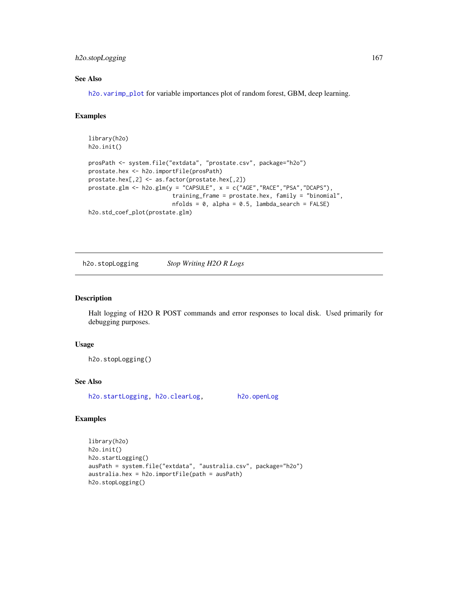## h2o.stopLogging 167

## See Also

[h2o.varimp\\_plot](#page-180-0) for variable importances plot of random forest, GBM, deep learning.

#### Examples

```
library(h2o)
h2o.init()
prosPath <- system.file("extdata", "prostate.csv", package="h2o")
prostate.hex <- h2o.importFile(prosPath)
prostate.hex[,2] <- as.factor(prostate.hex[,2])
prostate.glm <- h2o.glm(y = "CAPSULE", x = c("AGE","RACE","PSA","DCAPS"),
                         training_frame = prostate.hex, family = "binomial",
                         nfolds = 0, alpha = 0.5, lambda_search = FALSE)
h2o.std_coef_plot(prostate.glm)
```
<span id="page-166-0"></span>h2o.stopLogging *Stop Writing H2O R Logs*

#### Description

Halt logging of H2O R POST commands and error responses to local disk. Used primarily for debugging purposes.

#### Usage

h2o.stopLogging()

## See Also

[h2o.startLogging,](#page-165-0) [h2o.clearLog,](#page-26-0) [h2o.openLog](#page-132-0)

```
library(h2o)
h2o.init()
h2o.startLogging()
ausPath = system.file("extdata", "australia.csv", package="h2o")
australia.hex = h2o.importFile(path = ausPath)
h2o.stopLogging()
```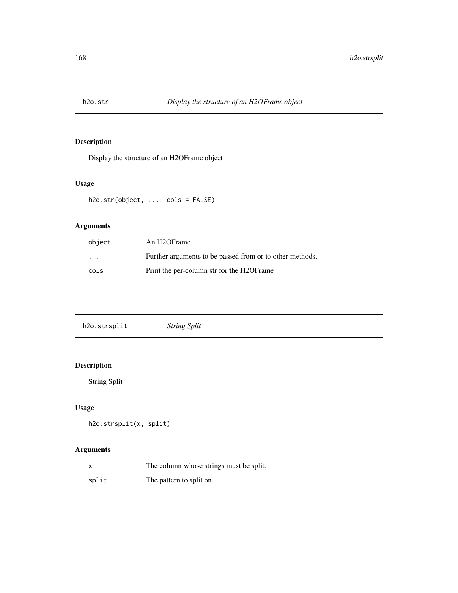Display the structure of an H2OFrame object

## Usage

h2o.str(object, ..., cols = FALSE)

## Arguments

| object                  | An H2OFrame.                                             |
|-------------------------|----------------------------------------------------------|
| $\cdot$ $\cdot$ $\cdot$ | Further arguments to be passed from or to other methods. |
| cols                    | Print the per-column str for the H2OF rame               |

# Description

String Split

# Usage

```
h2o.strsplit(x, split)
```

|       | The column whose strings must be split. |
|-------|-----------------------------------------|
| split | The pattern to split on.                |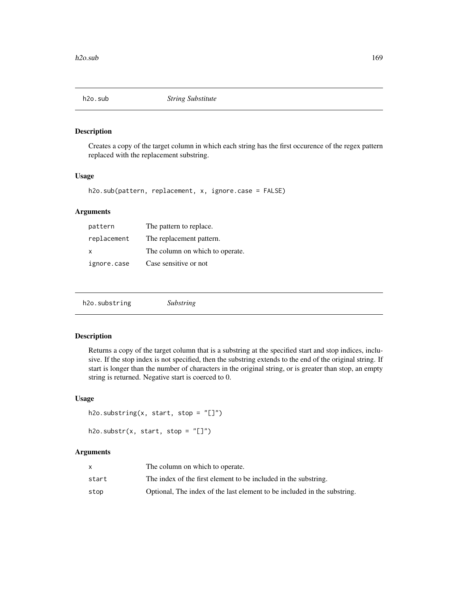Creates a copy of the target column in which each string has the first occurence of the regex pattern replaced with the replacement substring.

#### Usage

```
h2o.sub(pattern, replacement, x, ignore.case = FALSE)
```
## Arguments

| pattern     | The pattern to replace.         |
|-------------|---------------------------------|
| replacement | The replacement pattern.        |
| X           | The column on which to operate. |
| ignore.case | Case sensitive or not           |

## Description

Returns a copy of the target column that is a substring at the specified start and stop indices, inclusive. If the stop index is not specified, then the substring extends to the end of the original string. If start is longer than the number of characters in the original string, or is greater than stop, an empty string is returned. Negative start is coerced to 0.

#### Usage

```
h2o.substring(x, start, stop = "[]")
```
# $h2o.substr(x, start, stop = "[]")$

|       | The column on which to operate.                                          |
|-------|--------------------------------------------------------------------------|
| start | The index of the first element to be included in the substring.          |
| stop  | Optional, The index of the last element to be included in the substring. |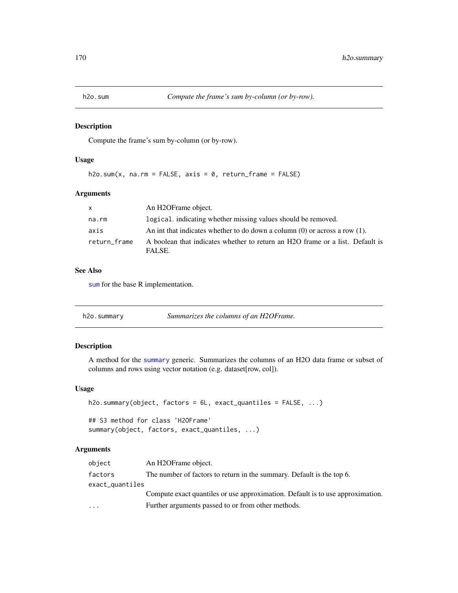Compute the frame's sum by-column (or by-row).

## Usage

h2o.sum $(x, \text{na.m = FALSE}, \text{axis = 0}, \text{return\_frame = FALSE})$ 

## Arguments

| $\mathsf{x}$ | An H2OFrame object.                                                                     |
|--------------|-----------------------------------------------------------------------------------------|
| na.rm        | logical, indicating whether missing values should be removed.                           |
| axis         | An int that indicates whether to do down a column $(0)$ or across a row $(1)$ .         |
| return frame | A boolean that indicates whether to return an H2O frame or a list. Default is<br>FALSE. |

#### See Also

[sum](#page-0-0) for the base R implementation.

| h2o.summary<br>Summarizes the columns of an H2OFrame. |  |
|-------------------------------------------------------|--|
|-------------------------------------------------------|--|

#### Description

A method for the [summary](#page-0-0) generic. Summarizes the columns of an H2O data frame or subset of columns and rows using vector notation (e.g. dataset[row, col]).

#### Usage

```
h2o.summary(object, factors = 6L, exact_quantiles = FALSE, ...)
```
## S3 method for class 'H2OFrame' summary(object, factors, exact\_quantiles, ...)

| object          | An H <sub>2</sub> OFrame object.                                               |
|-----------------|--------------------------------------------------------------------------------|
| factors         | The number of factors to return in the summary. Default is the top 6.          |
| exact_quantiles |                                                                                |
|                 | Compute exact quantiles or use approximation. Default is to use approximation. |
| $\cdots$        | Further arguments passed to or from other methods.                             |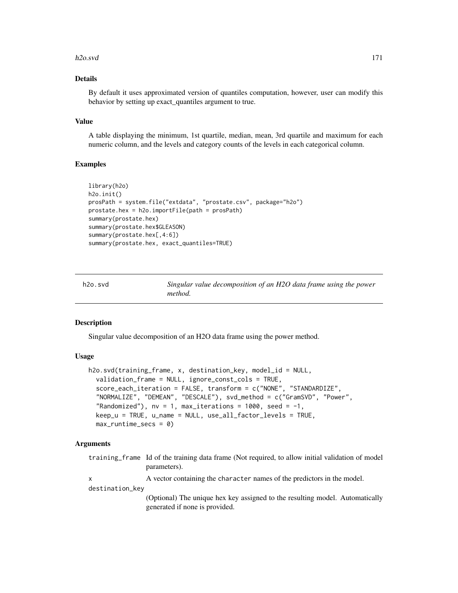#### h2o.svd 171

#### Details

By default it uses approximated version of quantiles computation, however, user can modify this behavior by setting up exact\_quantiles argument to true.

#### Value

A table displaying the minimum, 1st quartile, median, mean, 3rd quartile and maximum for each numeric column, and the levels and category counts of the levels in each categorical column.

#### Examples

```
library(h2o)
h2o.init()
prosPath = system.file("extdata", "prostate.csv", package="h2o")
prostate.hex = h2o.importFile(path = prosPath)
summary(prostate.hex)
summary(prostate.hex$GLEASON)
summary(prostate.hex[,4:6])
summary(prostate.hex, exact_quantiles=TRUE)
```

| h2o.svd | Singular value decomposition of an H2O data frame using the power |
|---------|-------------------------------------------------------------------|
|         | method.                                                           |

#### Description

Singular value decomposition of an H2O data frame using the power method.

#### Usage

```
h2o.svd(training_frame, x, destination_key, model_id = NULL,
  validation_frame = NULL, ignore_const_cols = TRUE,
  score_each_iteration = FALSE, transform = c("NONE", "STANDARDIZE",
  "NORMALIZE", "DEMEAN", "DESCALE"), svd_method = c("GramSVD", "Power",
  "Randomized"), nv = 1, max\_iterations = 1000, seed = -1,
  keep_u = TRUE, u_name = NULL, use_all_factor_levels = TRUE,
  max_runtime_secs = 0)
```

|                 | training frame Id of the training data frame (Not required, to allow initial validation of model |  |
|-----------------|--------------------------------------------------------------------------------------------------|--|
|                 | parameters).                                                                                     |  |
| x               | A vector containing the character names of the predictors in the model.                          |  |
| destination_kev |                                                                                                  |  |
|                 | (Optional) The unique hex key assigned to the resulting model. Automatically                     |  |
|                 | generated if none is provided.                                                                   |  |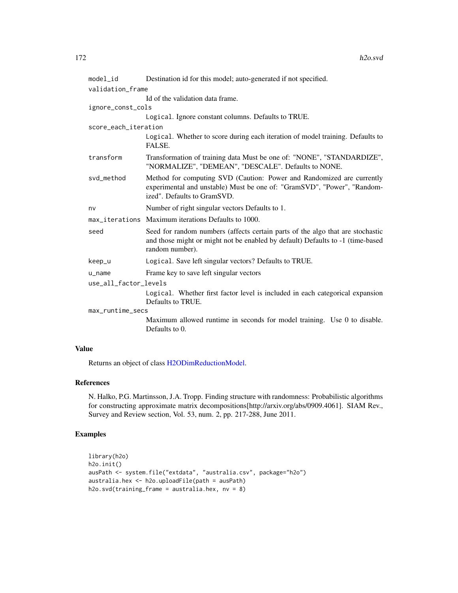| model_id              | Destination id for this model; auto-generated if not specified.                                                                                                                     |  |
|-----------------------|-------------------------------------------------------------------------------------------------------------------------------------------------------------------------------------|--|
| validation_frame      |                                                                                                                                                                                     |  |
|                       | Id of the validation data frame.                                                                                                                                                    |  |
| ignore_const_cols     |                                                                                                                                                                                     |  |
|                       | Logical. Ignore constant columns. Defaults to TRUE.                                                                                                                                 |  |
| score_each_iteration  |                                                                                                                                                                                     |  |
|                       | Logical. Whether to score during each iteration of model training. Defaults to<br>FALSE.                                                                                            |  |
| transform             | Transformation of training data Must be one of: "NONE", "STANDARDIZE",<br>"NORMALIZE", "DEMEAN", "DESCALE". Defaults to NONE.                                                       |  |
| svd_method            | Method for computing SVD (Caution: Power and Randomized are currently<br>experimental and unstable) Must be one of: "GramSVD", "Power", "Random-<br>ized". Defaults to GramSVD.     |  |
| nv                    | Number of right singular vectors Defaults to 1.                                                                                                                                     |  |
|                       | max_iterations Maximum iterations Defaults to 1000.                                                                                                                                 |  |
| seed                  | Seed for random numbers (affects certain parts of the algo that are stochastic<br>and those might or might not be enabled by default) Defaults to -1 (time-based<br>random number). |  |
| keep_u                | Logical. Save left singular vectors? Defaults to TRUE.                                                                                                                              |  |
| $u$ <sub>name</sub>   | Frame key to save left singular vectors                                                                                                                                             |  |
| use_all_factor_levels |                                                                                                                                                                                     |  |
|                       | Logical. Whether first factor level is included in each categorical expansion<br>Defaults to TRUE.                                                                                  |  |
| max_runtime_secs      |                                                                                                                                                                                     |  |
|                       | Maximum allowed runtime in seconds for model training. Use 0 to disable.<br>Defaults to 0.                                                                                          |  |
|                       |                                                                                                                                                                                     |  |

## Value

Returns an object of class [H2ODimReductionModel.](#page-188-1)

# References

N. Halko, P.G. Martinsson, J.A. Tropp. Finding structure with randomness: Probabilistic algorithms for constructing approximate matrix decompositions[http://arxiv.org/abs/0909.4061]. SIAM Rev., Survey and Review section, Vol. 53, num. 2, pp. 217-288, June 2011.

```
library(h2o)
h2o.init()
ausPath <- system.file("extdata", "australia.csv", package="h2o")
australia.hex <- h2o.uploadFile(path = ausPath)
h2o.svd(training_frame = australia.hex, nv = 8)
```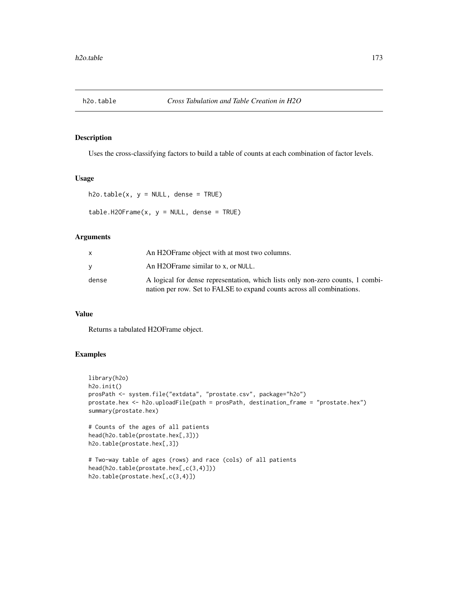Uses the cross-classifying factors to build a table of counts at each combination of factor levels.

#### Usage

 $h2o.table(x, y = NULL, dense = TRUE)$ 

 $table.H20Frame(x, y = NULL, dense = TRUE)$ 

#### Arguments

|       | An H2OF rame object with at most two columns.                                                                                                            |
|-------|----------------------------------------------------------------------------------------------------------------------------------------------------------|
|       | An H2OFrame similar to x, or NULL.                                                                                                                       |
| dense | A logical for dense representation, which lists only non-zero counts, 1 combi-<br>nation per row. Set to FALSE to expand counts across all combinations. |

## Value

Returns a tabulated H2OFrame object.

h2o.table(prostate.hex[,c(3,4)])

```
library(h2o)
h2o.init()
prosPath <- system.file("extdata", "prostate.csv", package="h2o")
prostate.hex <- h2o.uploadFile(path = prosPath, destination_frame = "prostate.hex")
summary(prostate.hex)
# Counts of the ages of all patients
head(h2o.table(prostate.hex[,3]))
h2o.table(prostate.hex[,3])
# Two-way table of ages (rows) and race (cols) of all patients
head(h2o.table(prostate.hex[,c(3,4)]))
```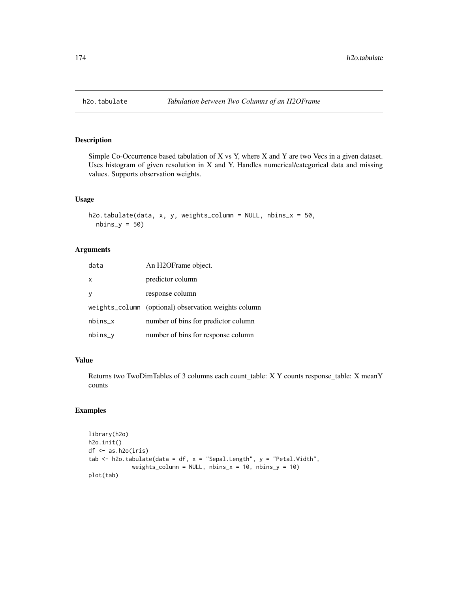Simple Co-Occurrence based tabulation of X vs Y, where X and Y are two Vecs in a given dataset. Uses histogram of given resolution in  $X$  and  $Y$ . Handles numerical/categorical data and missing values. Supports observation weights.

#### Usage

```
h2o.tabulate(data, x, y, weights_column = NULL, nbins_x = 50,
  nbins_y = 50
```
## Arguments

| data         | An H2OFrame object.                                  |
|--------------|------------------------------------------------------|
| $\mathsf{x}$ | predictor column                                     |
| <b>V</b>     | response column                                      |
|              | weights_column (optional) observation weights column |
| $nbins_x$    | number of bins for predictor column                  |
| nbins_y      | number of bins for response column                   |

#### Value

Returns two TwoDimTables of 3 columns each count\_table: X Y counts response\_table: X meanY counts

```
library(h2o)
h2o.init()
df <- as.h2o(iris)
tab \le h2o.tabulate(data = df, x = "Sepal.Length", y = "Petal.Width",
             weights_column = NULL, nbins_x = 10, nbins_y = 10)
plot(tab)
```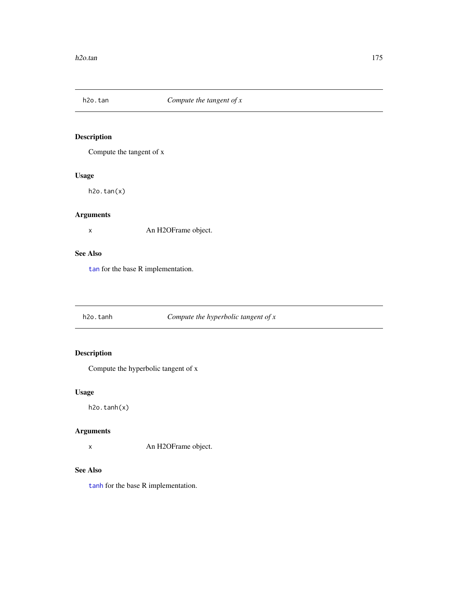Compute the tangent of x

## Usage

h2o.tan(x)

# Arguments

x An H2OFrame object.

## See Also

[tan](#page-0-0) for the base R implementation.

# h2o.tanh *Compute the hyperbolic tangent of x*

# Description

Compute the hyperbolic tangent of x

## Usage

h2o.tanh(x)

## Arguments

x An H2OFrame object.

## See Also

[tanh](#page-0-0) for the base R implementation.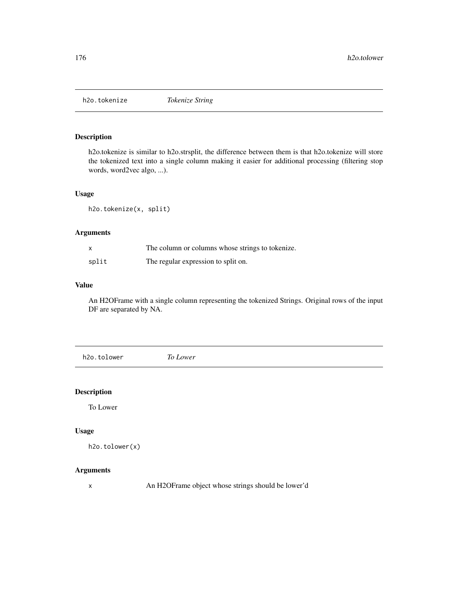h2o.tokenize *Tokenize String*

#### Description

h2o.tokenize is similar to h2o.strsplit, the difference between them is that h2o.tokenize will store the tokenized text into a single column making it easier for additional processing (filtering stop words, word2vec algo, ...).

## Usage

h2o.tokenize(x, split)

#### Arguments

| $\boldsymbol{\mathsf{x}}$ | The column or columns whose strings to tokenize. |
|---------------------------|--------------------------------------------------|
| split                     | The regular expression to split on.              |

## Value

An H2OFrame with a single column representing the tokenized Strings. Original rows of the input DF are separated by NA.

h2o.tolower *To Lower*

## Description

To Lower

#### Usage

```
h2o.tolower(x)
```
# Arguments

x An H2OFrame object whose strings should be lower'd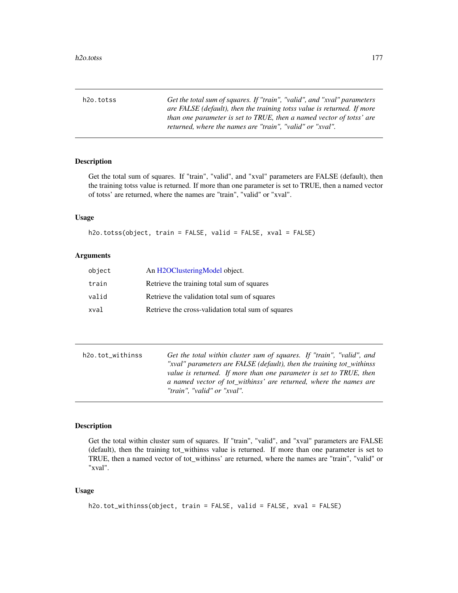h2o.totss *Get the total sum of squares. If "train", "valid", and "xval" parameters are FALSE (default), then the training totss value is returned. If more than one parameter is set to TRUE, then a named vector of totss' are returned, where the names are "train", "valid" or "xval".*

#### Description

Get the total sum of squares. If "train", "valid", and "xval" parameters are FALSE (default), then the training totss value is returned. If more than one parameter is set to TRUE, then a named vector of totss' are returned, where the names are "train", "valid" or "xval".

## Usage

h2o.totss(object, train = FALSE, valid = FALSE, xval = FALSE)

## Arguments

| object | An H2OClusteringModel object.                      |
|--------|----------------------------------------------------|
| train  | Retrieve the training total sum of squares         |
| valid  | Retrieve the validation total sum of squares       |
| xval   | Retrieve the cross-validation total sum of squares |

| h2o.tot_withinss | Get the total within cluster sum of squares. If "train", "valid", and |
|------------------|-----------------------------------------------------------------------|
|                  | "xval" parameters are FALSE (default), then the training tot_withinss |
|                  | value is returned. If more than one parameter is set to TRUE, then    |
|                  | a named vector of tot_withinss' are returned, where the names are     |
|                  | "train", "valid" or "xval".                                           |

## Description

Get the total within cluster sum of squares. If "train", "valid", and "xval" parameters are FALSE (default), then the training tot\_withinss value is returned. If more than one parameter is set to TRUE, then a named vector of tot\_withinss' are returned, where the names are "train", "valid" or "xval".

#### Usage

```
h2o.tot_withinss(object, train = FALSE, valid = FALSE, xval = FALSE)
```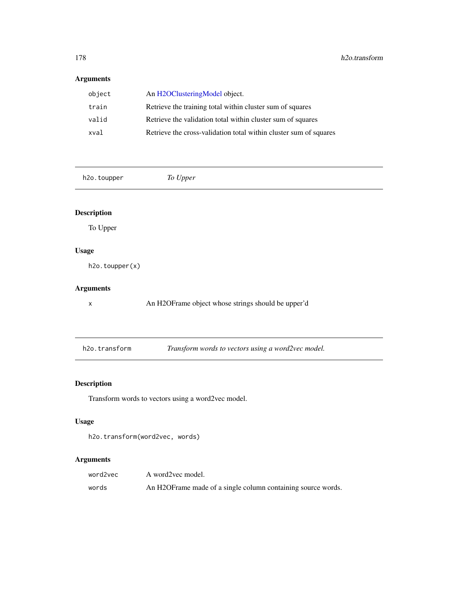# Arguments

| An H <sub>2</sub> OClusteringModel object.                        |
|-------------------------------------------------------------------|
| Retrieve the training total within cluster sum of squares         |
| Retrieve the validation total within cluster sum of squares       |
| Retrieve the cross-validation total within cluster sum of squares |
|                                                                   |

h2o.toupper *To Upper*

# Description

To Upper

## Usage

h2o.toupper(x)

# Arguments

x An H2OFrame object whose strings should be upper'd

fransform words to vectors using a word2vec model.

# Description

Transform words to vectors using a word2vec model.

## Usage

```
h2o.transform(word2vec, words)
```

| word2vec | A word2vec model.                                            |
|----------|--------------------------------------------------------------|
| words    | An H2OFrame made of a single column containing source words. |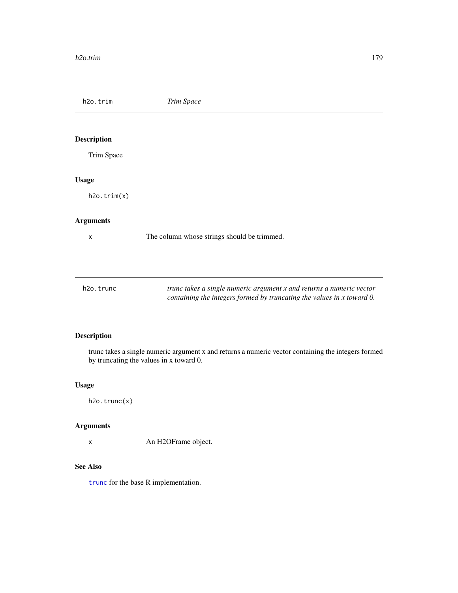h2o.trim *Trim Space*

Description

Trim Space

## Usage

h2o.trim(x)

## Arguments

x The column whose strings should be trimmed.

| h2o.trunc | trunc takes a single numeric argument x and returns a numeric vector   |
|-----------|------------------------------------------------------------------------|
|           | containing the integers formed by truncating the values in x toward 0. |

# Description

trunc takes a single numeric argument x and returns a numeric vector containing the integers formed by truncating the values in x toward 0.

## Usage

h2o.trunc(x)

# Arguments

x An H2OFrame object.

## See Also

[trunc](#page-194-0) for the base R implementation.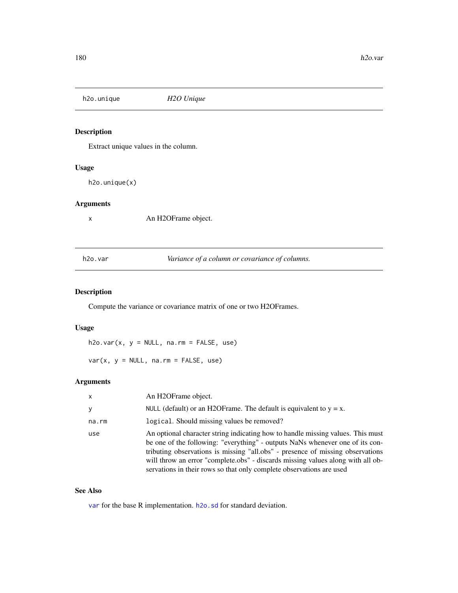h2o.unique *H2O Unique*

# Description

Extract unique values in the column.

#### Usage

h2o.unique(x)

## Arguments

x An H2OFrame object.

<span id="page-179-0"></span>h2o.var *Variance of a column or covariance of columns.*

## <span id="page-179-1"></span>Description

Compute the variance or covariance matrix of one or two H2OFrames.

#### Usage

h2o.var(x, y = NULL, na.rm = FALSE, use)

 $var(x, y = NULL, na.rm = FALSE, use)$ 

## Arguments

| $\mathsf{x}$ | An H <sub>2</sub> OFrame object.                                                                                                                                                                                                                                                                                                                                                                              |
|--------------|---------------------------------------------------------------------------------------------------------------------------------------------------------------------------------------------------------------------------------------------------------------------------------------------------------------------------------------------------------------------------------------------------------------|
| У            | NULL (default) or an H2OF rame. The default is equivalent to $y = x$ .                                                                                                                                                                                                                                                                                                                                        |
| na.rm        | logical. Should missing values be removed?                                                                                                                                                                                                                                                                                                                                                                    |
| use          | An optional character string indicating how to handle missing values. This must<br>be one of the following: "everything" - outputs NaNs whenever one of its con-<br>tributing observations is missing "all.obs" - presence of missing observations<br>will throw an error "complete.obs" - discards missing values along with all ob-<br>servations in their rows so that only complete observations are used |

## See Also

[var](#page-179-1) for the base R implementation. [h2o.sd](#page-158-1) for standard deviation.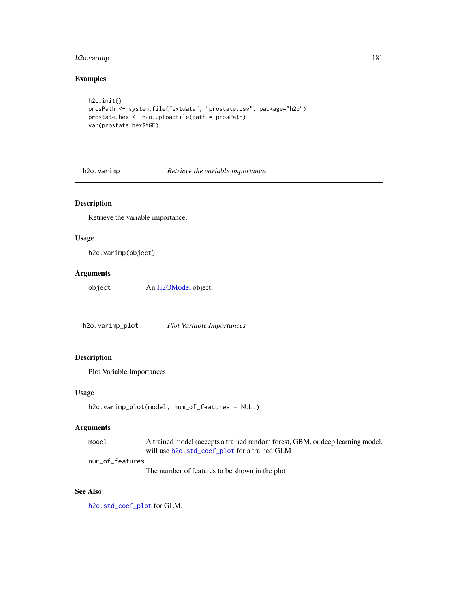## <span id="page-180-0"></span>h<sub>2</sub>o.varimp 181

## Examples

```
h2o.init()
prosPath <- system.file("extdata", "prostate.csv", package="h2o")
prostate.hex <- h2o.uploadFile(path = prosPath)
var(prostate.hex$AGE)
```
h2o.varimp *Retrieve the variable importance.*

## Description

Retrieve the variable importance.

## Usage

h2o.varimp(object)

## Arguments

object An [H2OModel](#page-188-0) object.

h2o.varimp\_plot *Plot Variable Importances*

## Description

Plot Variable Importances

#### Usage

```
h2o.varimp_plot(model, num_of_features = NULL)
```
## Arguments

```
model A trained model (accepts a trained random forest, GBM, or deep learning model,
                will use h2o.std_coef_plot for a trained GLM
```
num\_of\_features

The number of features to be shown in the plot

## See Also

[h2o.std\\_coef\\_plot](#page-165-0) for GLM.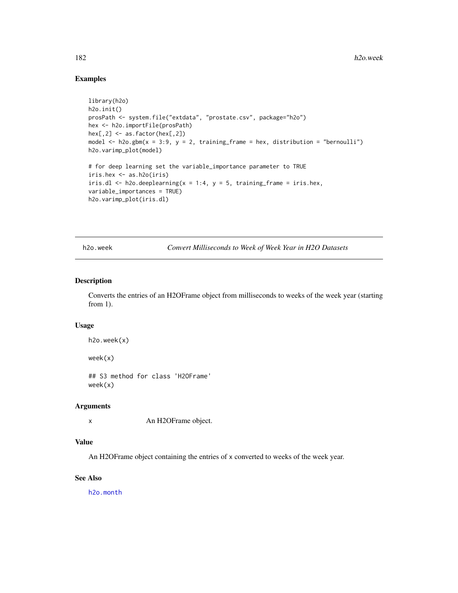## Examples

```
library(h2o)
h2o.init()
prosPath <- system.file("extdata", "prostate.csv", package="h2o")
hex <- h2o.importFile(prosPath)
hex[, 2] <- as. factor(hex[, 2])
model \leq h2o.gbm(x = 3:9, y = 2, training_frame = hex, distribution = "bernoulli")
h2o.varimp_plot(model)
# for deep learning set the variable_importance parameter to TRUE
iris.hex <- as.h2o(iris)
iris.dl <- h2o.deeplearning(x = 1:4, y = 5, training_frame = iris.hex,
variable_importances = TRUE)
h2o.varimp_plot(iris.dl)
```
h2o.week *Convert Milliseconds to Week of Week Year in H2O Datasets*

## Description

Converts the entries of an H2OFrame object from milliseconds to weeks of the week year (starting from 1).

#### Usage

```
h2o.week(x)
```
week(x)

## S3 method for class 'H2OFrame' week(x)

#### Arguments

x An H2OFrame object.

## Value

An H2OFrame object containing the entries of x converted to weeks of the week year.

## See Also

[h2o.month](#page-122-0)

<span id="page-181-0"></span>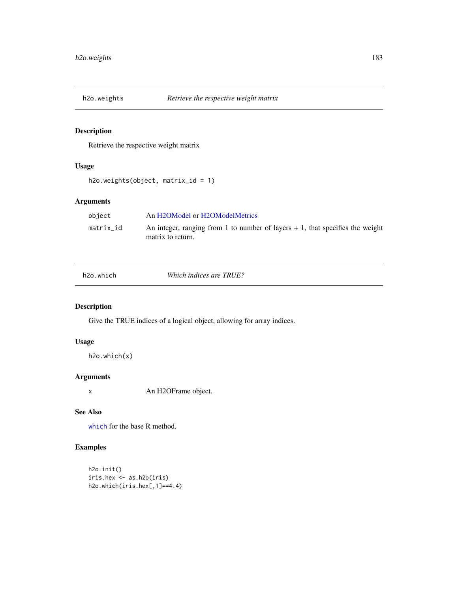<span id="page-182-0"></span>

## Description

Retrieve the respective weight matrix

## Usage

```
h2o.weights(object, matrix_id = 1)
```
## Arguments

| object    | An H2OModel or H2OModelMetrics                                                                       |
|-----------|------------------------------------------------------------------------------------------------------|
| matrix id | An integer, ranging from 1 to number of layers $+1$ , that specifies the weight<br>matrix to return. |

| h2o.which |  |
|-----------|--|
|           |  |
|           |  |

**Which indices are TRUE?** 

## Description

Give the TRUE indices of a logical object, allowing for array indices.

## Usage

h2o.which(x)

## Arguments

x An H2OFrame object.

## See Also

[which](#page-0-0) for the base R method.

## Examples

```
h2o.init()
iris.hex <- as.h2o(iris)
h2o.which(iris.hex[,1]==4.4)
```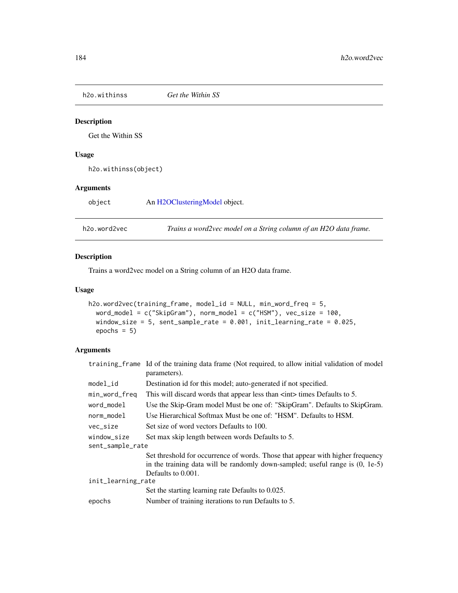<span id="page-183-0"></span>h2o.withinss *Get the Within SS*

## Description

Get the Within SS

## Usage

h2o.withinss(object)

## Arguments

object An [H2OClusteringModel](#page-184-0) object.

h2o.word2vec *Trains a word2vec model on a String column of an H2O data frame.*

## Description

Trains a word2vec model on a String column of an H2O data frame.

## Usage

```
h2o.word2vec(training_frame, model_id = NULL, min_word_freq = 5,
  word_model = c("SkipGram"), norm_model = c("HSM"), vec_size = 100,
 window_size = 5, sent_sample_rate = 0.001, init_learning_rate = 0.025,
 epochs = 5)
```
## Arguments

|                    | training frame Id of the training data frame (Not required, to allow initial validation of model<br>parameters).                                                                        |  |
|--------------------|-----------------------------------------------------------------------------------------------------------------------------------------------------------------------------------------|--|
| $model_id$         | Destination id for this model; auto-generated if not specified.                                                                                                                         |  |
| min_word_freq      | This will discard words that appear less than $\langle$ int> times Defaults to 5.                                                                                                       |  |
| word_model         | Use the Skip-Gram model Must be one of: "SkipGram". Defaults to SkipGram.                                                                                                               |  |
| norm_model         | Use Hierarchical Softmax Must be one of: "HSM". Defaults to HSM.                                                                                                                        |  |
| vec_size           | Set size of word vectors Defaults to 100.                                                                                                                                               |  |
| window size        | Set max skip length between words Defaults to 5.                                                                                                                                        |  |
| sent_sample_rate   |                                                                                                                                                                                         |  |
|                    | Set threshold for occurrence of words. Those that appear with higher frequency<br>in the training data will be randomly down-sampled; useful range is $(0, 1e-5)$<br>Defaults to 0.001. |  |
| init_learning_rate |                                                                                                                                                                                         |  |
|                    | Set the starting learning rate Defaults to 0.025.                                                                                                                                       |  |
| epochs             | Number of training iterations to run Defaults to 5.                                                                                                                                     |  |
|                    |                                                                                                                                                                                         |  |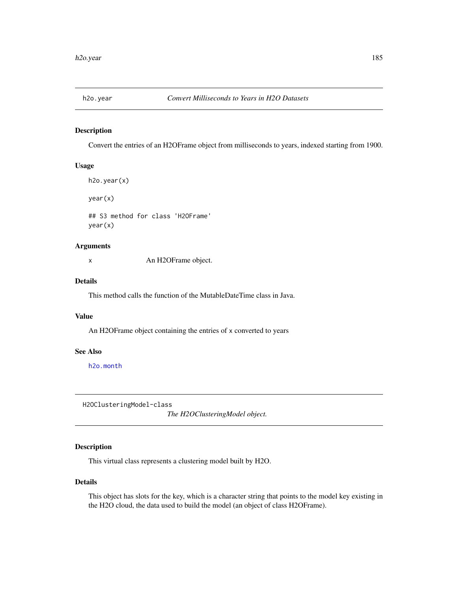<span id="page-184-1"></span>

## Description

Convert the entries of an H2OFrame object from milliseconds to years, indexed starting from 1900.

### Usage

```
h2o.year(x)
year(x)
```
## S3 method for class 'H2OFrame' year(x)

## Arguments

x An H2OFrame object.

## Details

This method calls the function of the MutableDateTime class in Java.

## Value

An H2OFrame object containing the entries of x converted to years

## See Also

[h2o.month](#page-122-0)

<span id="page-184-0"></span>H2OClusteringModel-class

*The H2OClusteringModel object.*

## Description

This virtual class represents a clustering model built by H2O.

## Details

This object has slots for the key, which is a character string that points to the model key existing in the H2O cloud, the data used to build the model (an object of class H2OFrame).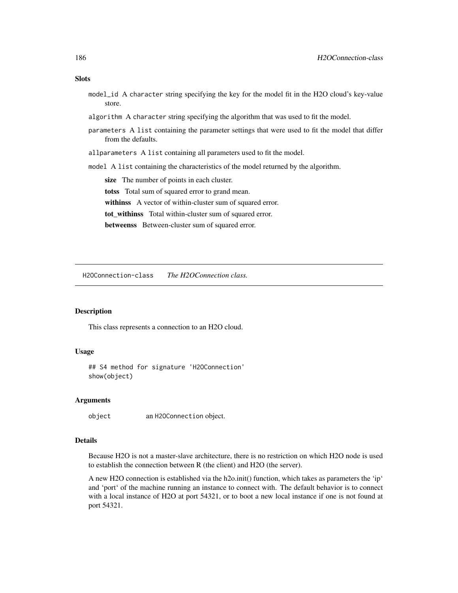## <span id="page-185-0"></span>**Slots**

- model\_id A character string specifying the key for the model fit in the H2O cloud's key-value store.
- algorithm A character string specifying the algorithm that was used to fit the model.
- parameters A list containing the parameter settings that were used to fit the model that differ from the defaults.
- allparameters A list containing all parameters used to fit the model.
- model A list containing the characteristics of the model returned by the algorithm.

size The number of points in each cluster.

totss Total sum of squared error to grand mean.

withinss A vector of within-cluster sum of squared error.

tot\_withinss Total within-cluster sum of squared error.

betweenss Between-cluster sum of squared error.

H2OConnection-class *The H2OConnection class.*

#### Description

This class represents a connection to an H2O cloud.

## Usage

## S4 method for signature 'H2OConnection' show(object)

#### **Arguments**

object an H2OConnection object.

## Details

Because H2O is not a master-slave architecture, there is no restriction on which H2O node is used to establish the connection between R (the client) and H2O (the server).

A new H2O connection is established via the h2o.init() function, which takes as parameters the 'ip' and 'port' of the machine running an instance to connect with. The default behavior is to connect with a local instance of H2O at port 54321, or to boot a new local instance if one is not found at port 54321.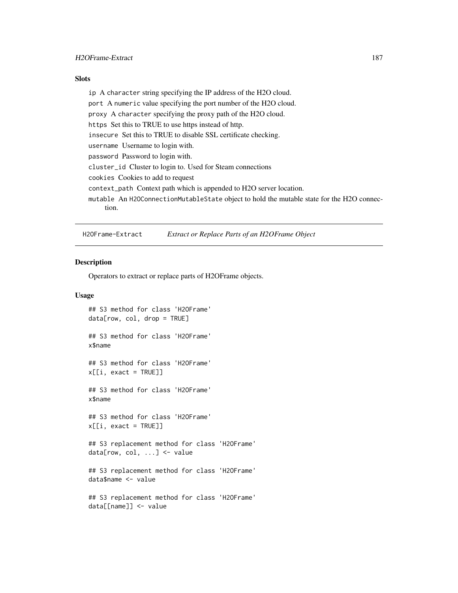## <span id="page-186-0"></span>H2OFrame-Extract 187

## Slots

ip A character string specifying the IP address of the H2O cloud. port A numeric value specifying the port number of the H2O cloud. proxy A character specifying the proxy path of the H2O cloud. https Set this to TRUE to use https instead of http. insecure Set this to TRUE to disable SSL certificate checking. username Username to login with. password Password to login with. cluster\_id Cluster to login to. Used for Steam connections cookies Cookies to add to request context\_path Context path which is appended to H2O server location. mutable An H2OConnectionMutableState object to hold the mutable state for the H2O connection.

H2OFrame-Extract *Extract or Replace Parts of an H2OFrame Object*

## Description

Operators to extract or replace parts of H2OFrame objects.

### Usage

```
## S3 method for class 'H2OFrame'
data[row, col, drop = TRUE]
## S3 method for class 'H2OFrame'
x$name
## S3 method for class 'H2OFrame'
x[[i, exact = TRUE]]## S3 method for class 'H2OFrame'
x$name
## S3 method for class 'H2OFrame'
x[[i, exact = TRUE]]## S3 replacement method for class 'H2OFrame'
data[row, col, ...] <- value
## S3 replacement method for class 'H2OFrame'
data$name <- value
## S3 replacement method for class 'H2OFrame'
data[[name]] <- value
```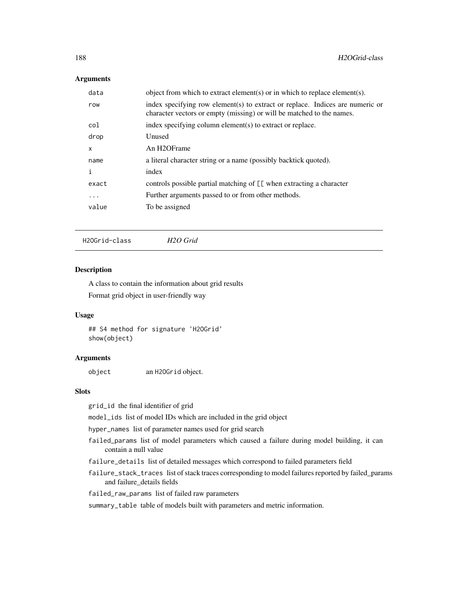## <span id="page-187-0"></span>Arguments

| data         | object from which to extract element(s) or in which to replace element(s).                                                                             |
|--------------|--------------------------------------------------------------------------------------------------------------------------------------------------------|
| row          | index specifying row element(s) to extract or replace. Indices are numeric or<br>character vectors or empty (missing) or will be matched to the names. |
| col          | index specifying column element(s) to extract or replace.                                                                                              |
| drop         | Unused                                                                                                                                                 |
| $\mathsf{x}$ | An H <sub>2</sub> OFrame                                                                                                                               |
| name         | a literal character string or a name (possibly backtick quoted).                                                                                       |
| i            | index                                                                                                                                                  |
| exact        | controls possible partial matching of [[ when extracting a character                                                                                   |
| $\cdots$     | Further arguments passed to or from other methods.                                                                                                     |
| value        | To be assigned                                                                                                                                         |
|              |                                                                                                                                                        |

H2OGrid-class *H2O Grid*

## Description

A class to contain the information about grid results Format grid object in user-friendly way

### Usage

## S4 method for signature 'H2OGrid' show(object)

## Arguments

object an H2OGrid object.

## Slots

grid\_id the final identifier of grid

model\_ids list of model IDs which are included in the grid object

hyper\_names list of parameter names used for grid search

- failed\_params list of model parameters which caused a failure during model building, it can contain a null value
- failure\_details list of detailed messages which correspond to failed parameters field
- failure\_stack\_traces list of stack traces corresponding to model failures reported by failed\_params and failure\_details fields
- failed\_raw\_params list of failed raw parameters

summary\_table table of models built with parameters and metric information.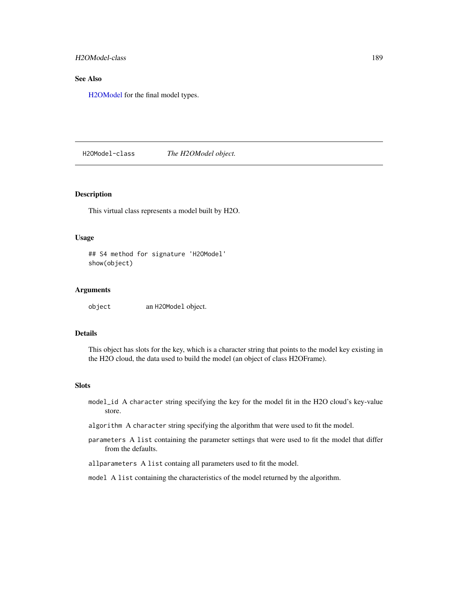<span id="page-188-1"></span>H2OModel-class 189

## See Also

[H2OModel](#page-188-0) for the final model types.

<span id="page-188-0"></span>H2OModel-class *The H2OModel object.*

## Description

This virtual class represents a model built by H2O.

## Usage

```
## S4 method for signature 'H2OModel'
show(object)
```
## Arguments

object an H2OModel object.

## Details

This object has slots for the key, which is a character string that points to the model key existing in the H2O cloud, the data used to build the model (an object of class H2OFrame).

#### **Slots**

- model\_id A character string specifying the key for the model fit in the H2O cloud's key-value store.
- algorithm A character string specifying the algorithm that were used to fit the model.
- parameters A list containing the parameter settings that were used to fit the model that differ from the defaults.
- allparameters A list containg all parameters used to fit the model.
- model A list containing the characteristics of the model returned by the algorithm.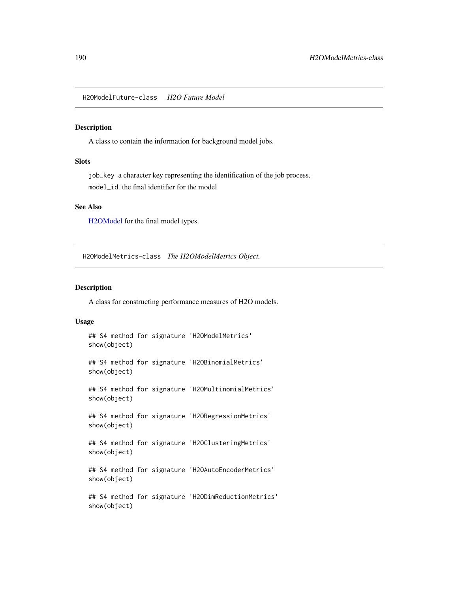<span id="page-189-1"></span>H2OModelFuture-class *H2O Future Model*

## Description

A class to contain the information for background model jobs.

## Slots

job\_key a character key representing the identification of the job process. model\_id the final identifier for the model

## See Also

[H2OModel](#page-188-0) for the final model types.

<span id="page-189-0"></span>H2OModelMetrics-class *The H2OModelMetrics Object.*

## Description

A class for constructing performance measures of H2O models.

## Usage

```
## S4 method for signature 'H2OModelMetrics'
show(object)
## S4 method for signature 'H2OBinomialMetrics'
show(object)
## S4 method for signature 'H2OMultinomialMetrics'
show(object)
## S4 method for signature 'H2ORegressionMetrics'
show(object)
```

```
## S4 method for signature 'H2OClusteringMetrics'
show(object)
```

```
## S4 method for signature 'H2OAutoEncoderMetrics'
show(object)
```

```
## S4 method for signature 'H2ODimReductionMetrics'
show(object)
```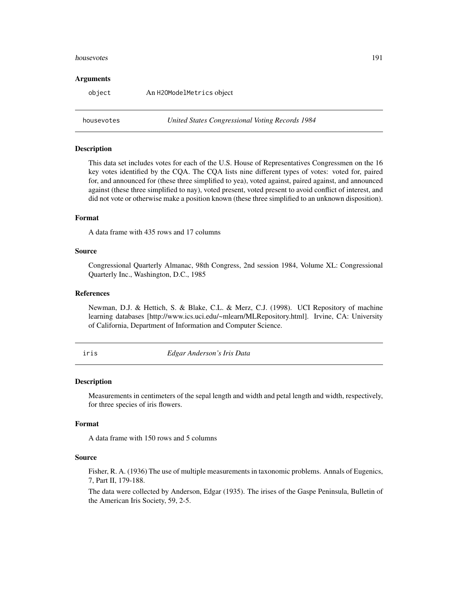#### <span id="page-190-0"></span>housevotes 191

#### Arguments

object An H2OModelMetrics object

housevotes *United States Congressional Voting Records 1984*

## Description

This data set includes votes for each of the U.S. House of Representatives Congressmen on the 16 key votes identified by the CQA. The CQA lists nine different types of votes: voted for, paired for, and announced for (these three simplified to yea), voted against, paired against, and announced against (these three simplified to nay), voted present, voted present to avoid conflict of interest, and did not vote or otherwise make a position known (these three simplified to an unknown disposition).

## Format

A data frame with 435 rows and 17 columns

## Source

Congressional Quarterly Almanac, 98th Congress, 2nd session 1984, Volume XL: Congressional Quarterly Inc., Washington, D.C., 1985

## References

Newman, D.J. & Hettich, S. & Blake, C.L. & Merz, C.J. (1998). UCI Repository of machine learning databases [http://www.ics.uci.edu/~mlearn/MLRepository.html]. Irvine, CA: University of California, Department of Information and Computer Science.

iris *Edgar Anderson's Iris Data*

## Description

Measurements in centimeters of the sepal length and width and petal length and width, respectively, for three species of iris flowers.

## Format

A data frame with 150 rows and 5 columns

## Source

Fisher, R. A. (1936) The use of multiple measurements in taxonomic problems. Annals of Eugenics, 7, Part II, 179-188.

The data were collected by Anderson, Edgar (1935). The irises of the Gaspe Peninsula, Bulletin of the American Iris Society, 59, 2-5.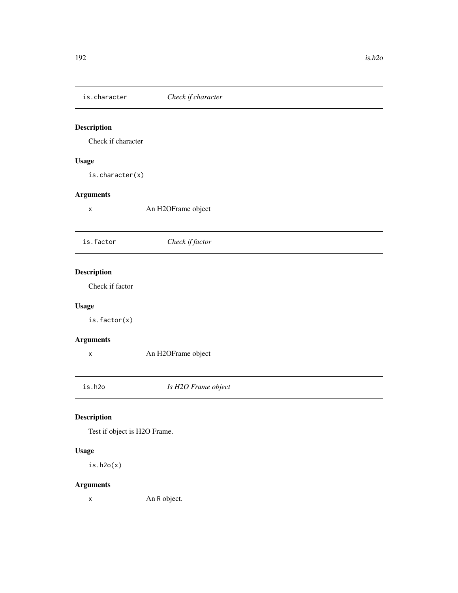<span id="page-191-0"></span>

| is.character                 | Check if character  |  |
|------------------------------|---------------------|--|
| Description                  |                     |  |
| Check if character           |                     |  |
| <b>Usage</b>                 |                     |  |
| is. character(x)             |                     |  |
| <b>Arguments</b>             |                     |  |
| $\pmb{\mathsf{X}}$           | An H2OFrame object  |  |
|                              |                     |  |
| is.factor                    | Check if factor     |  |
|                              |                     |  |
| <b>Description</b>           |                     |  |
| Check if factor              |                     |  |
| <b>Usage</b>                 |                     |  |
| is.factor(x)                 |                     |  |
| <b>Arguments</b>             |                     |  |
| $\pmb{\times}$               | An H2OFrame object  |  |
| is.h2o                       | Is H2O Frame object |  |
| Description                  |                     |  |
| Test if object is H2O Frame. |                     |  |
| <b>Usage</b>                 |                     |  |

is.h2o(x)

## Arguments

x An R object.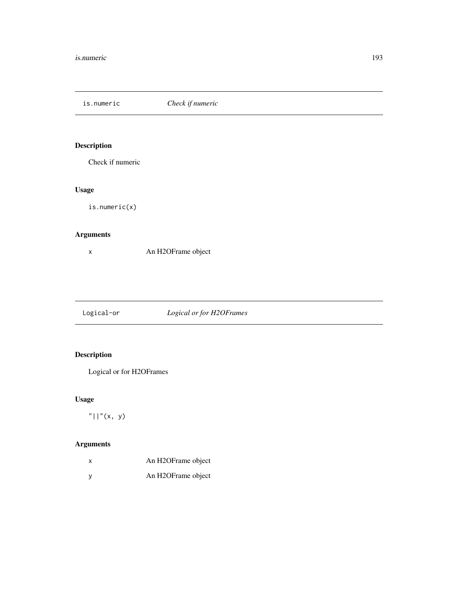<span id="page-192-0"></span>is.numeric *Check if numeric*

## Description

Check if numeric

## Usage

is.numeric(x)

## Arguments

x An H2OFrame object

Logical-or *Logical or for H2OFrames*

## Description

Logical or for H2OFrames

## Usage

 $"||"$ (x, y)

## Arguments

| X. | An H2OFrame object |
|----|--------------------|
|    | An H2OFrame object |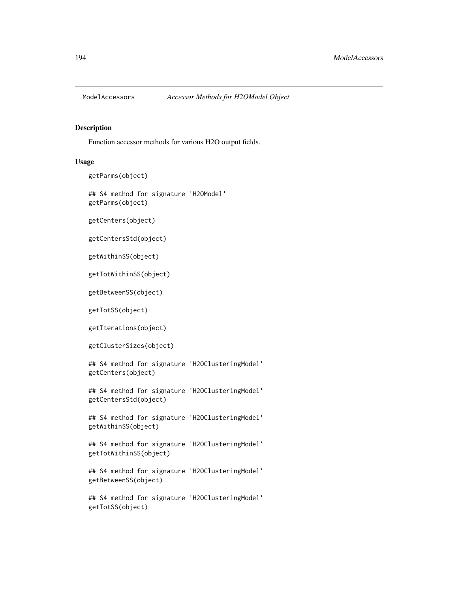<span id="page-193-0"></span>

#### Description

Function accessor methods for various H2O output fields.

### Usage

```
getParms(object)
```
## S4 method for signature 'H2OModel' getParms(object)

getCenters(object)

getCentersStd(object)

getWithinSS(object)

getTotWithinSS(object)

getBetweenSS(object)

getTotSS(object)

getIterations(object)

getClusterSizes(object)

## S4 method for signature 'H2OClusteringModel' getCenters(object)

## S4 method for signature 'H2OClusteringModel' getCentersStd(object)

## S4 method for signature 'H2OClusteringModel' getWithinSS(object)

## S4 method for signature 'H2OClusteringModel' getTotWithinSS(object)

## S4 method for signature 'H2OClusteringModel' getBetweenSS(object)

## S4 method for signature 'H2OClusteringModel' getTotSS(object)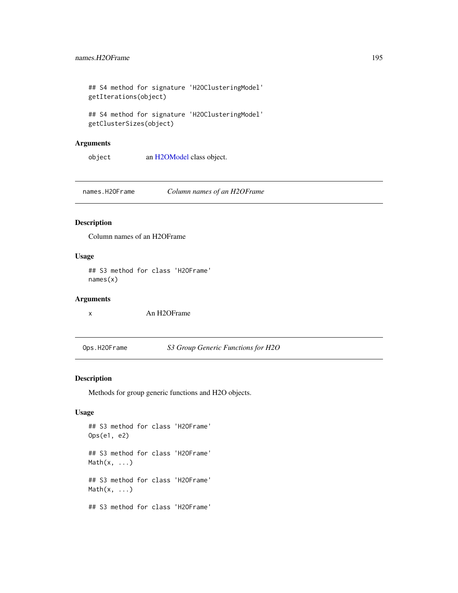<span id="page-194-0"></span>## S4 method for signature 'H2OClusteringModel' getIterations(object)

```
## S4 method for signature 'H2OClusteringModel'
getClusterSizes(object)
```
## Arguments

object an [H2OModel](#page-188-0) class object.

names.H2OFrame *Column names of an H2OFrame*

## Description

Column names of an H2OFrame

## Usage

## S3 method for class 'H2OFrame' names(x)

## Arguments

x An H2OFrame

Ops.H2OFrame *S3 Group Generic Functions for H2O*

## Description

Methods for group generic functions and H2O objects.

## Usage

## S3 method for class 'H2OFrame' Ops(e1, e2) ## S3 method for class 'H2OFrame'  $Math(x, \ldots)$ ## S3 method for class 'H2OFrame' Math(x, ...) ## S3 method for class 'H2OFrame'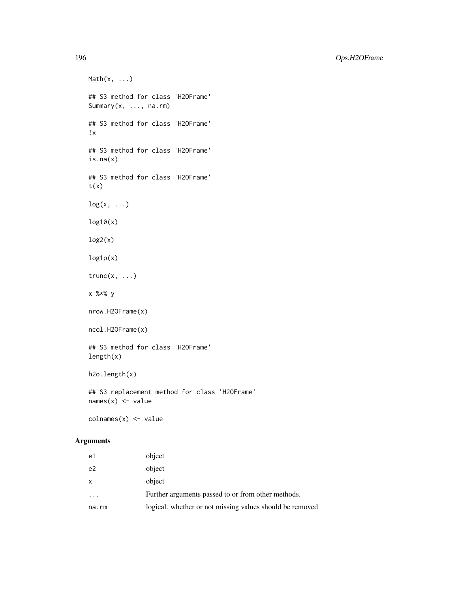196 Ops.H2OFrame

 $Math(x, \ldots)$ ## S3 method for class 'H2OFrame' Summary(x, ..., na.rm) ## S3 method for class 'H2OFrame' !x ## S3 method for class 'H2OFrame' is.na(x) ## S3 method for class 'H2OFrame'  $t(x)$  $log(x, \ldots)$ log10(x)  $log2(x)$ log1p(x)  $trunc(x, \ldots)$ x %\*% y nrow.H2OFrame(x) ncol.H2OFrame(x) ## S3 method for class 'H2OFrame' length(x) h2o.length(x) ## S3 replacement method for class 'H2OFrame'  $names(x)$  <- value colnames(x) <- value

## Arguments

| e1                      | object                                                   |
|-------------------------|----------------------------------------------------------|
| e <sub>2</sub>          | object                                                   |
| X                       | object                                                   |
| $\cdot$ $\cdot$ $\cdot$ | Further arguments passed to or from other methods.       |
| na.rm                   | logical. whether or not missing values should be removed |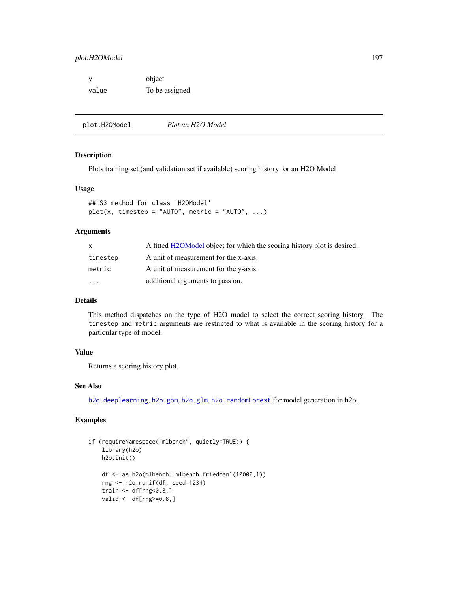<span id="page-196-0"></span>

| - V   | object         |
|-------|----------------|
| value | To be assigned |

plot.H2OModel *Plot an H2O Model*

#### Description

Plots training set (and validation set if available) scoring history for an H2O Model

## Usage

```
## S3 method for class 'H2OModel'
plot(x, timestep = "AUT0", metric = "AUT0", ...)
```
## Arguments

| X.        | A fitted H2OModel object for which the scoring history plot is desired. |
|-----------|-------------------------------------------------------------------------|
| timestep  | A unit of measurement for the x-axis.                                   |
| metric    | A unit of measurement for the y-axis.                                   |
| $\ddotsc$ | additional arguments to pass on.                                        |

## Details

This method dispatches on the type of H2O model to select the correct scoring history. The timestep and metric arguments are restricted to what is available in the scoring history for a particular type of model.

## Value

Returns a scoring history plot.

## See Also

[h2o.deeplearning](#page-46-0), [h2o.gbm](#page-68-0), [h2o.glm](#page-78-0), [h2o.randomForest](#page-143-0) for model generation in h2o.

## Examples

```
if (requireNamespace("mlbench", quietly=TRUE)) {
    library(h2o)
   h2o.init()
    df <- as.h2o(mlbench::mlbench.friedman1(10000,1))
    rng <- h2o.runif(df, seed=1234)
    train \leq df[rng\leq 0.8,]
   valid \leq df[rng>=0.8,]
```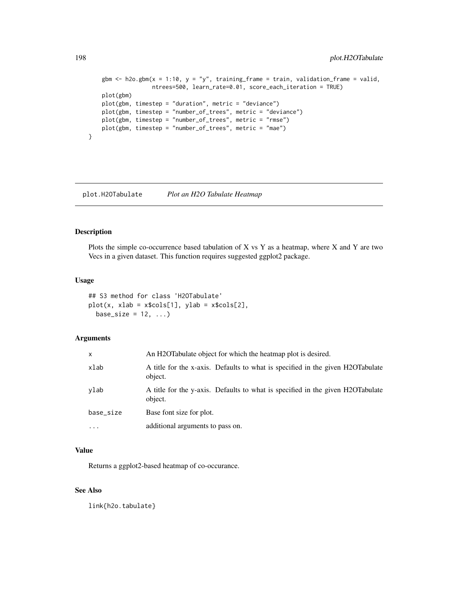```
gbm \leq h2o.gbm(x = 1:10, y = "y", training_frame = train, validation_frame = valid,
               ntrees=500, learn_rate=0.01, score_each_iteration = TRUE)
plot(gbm)
plot(gbm, timestep = "duration", metric = "deviance")
plot(gbm, timestep = "number_of_trees", metric = "deviance")
plot(gbm, timestep = "number_of_trees", metric = "rmse")
plot(gbm, timestep = "number_of_trees", metric = "mae")
```
plot.H2OTabulate *Plot an H2O Tabulate Heatmap*

## Description

}

Plots the simple co-occurrence based tabulation of  $X$  vs  $Y$  as a heatmap, where  $X$  and  $Y$  are two Vecs in a given dataset. This function requires suggested ggplot2 package.

#### Usage

## S3 method for class 'H2OTabulate' plot(x, xlab = x\$cols[1], ylab = x\$cols[2], base\_size =  $12, ...$ )

## Arguments

| x         | An H2OTabulate object for which the heatmap plot is desired.                              |
|-----------|-------------------------------------------------------------------------------------------|
| xlab      | A title for the x-axis. Defaults to what is specified in the given H2OTabulate<br>object. |
| vlab      | A title for the y-axis. Defaults to what is specified in the given H2OTabulate<br>object. |
| base_size | Base font size for plot.                                                                  |
| .         | additional arguments to pass on.                                                          |

## Value

Returns a ggplot2-based heatmap of co-occurance.

## See Also

link{h2o.tabulate}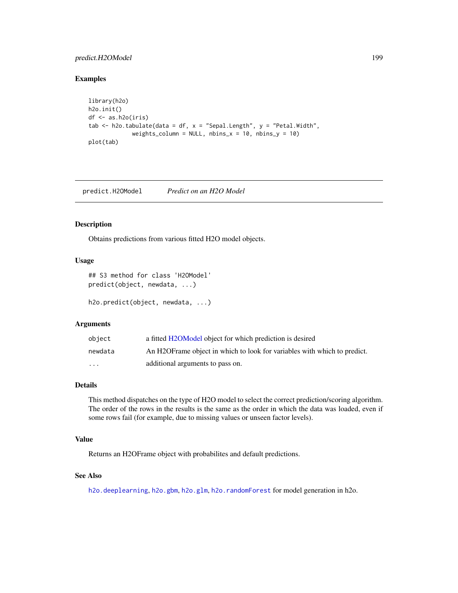## <span id="page-198-0"></span>predict.H2OModel 199

## Examples

```
library(h2o)
h2o.init()
df <- as.h2o(iris)
tab \le h2o.tabulate(data = df, x = "Sepal.Length", y = "Petal.Width",
             weights_column = NULL, nbins_x = 10, nbins_y = 10)
plot(tab)
```
predict.H2OModel *Predict on an H2O Model*

## Description

Obtains predictions from various fitted H2O model objects.

## Usage

```
## S3 method for class 'H2OModel'
predict(object, newdata, ...)
```
h2o.predict(object, newdata, ...)

## Arguments

| obiect  | a fitted H2OModel object for which prediction is desired                  |
|---------|---------------------------------------------------------------------------|
| newdata | An H2OF rame object in which to look for variables with which to predict. |
| .       | additional arguments to pass on.                                          |

## Details

This method dispatches on the type of H2O model to select the correct prediction/scoring algorithm. The order of the rows in the results is the same as the order in which the data was loaded, even if some rows fail (for example, due to missing values or unseen factor levels).

## Value

Returns an H2OFrame object with probabilites and default predictions.

## See Also

[h2o.deeplearning](#page-46-0), [h2o.gbm](#page-68-0), [h2o.glm](#page-78-0), [h2o.randomForest](#page-143-0) for model generation in h2o.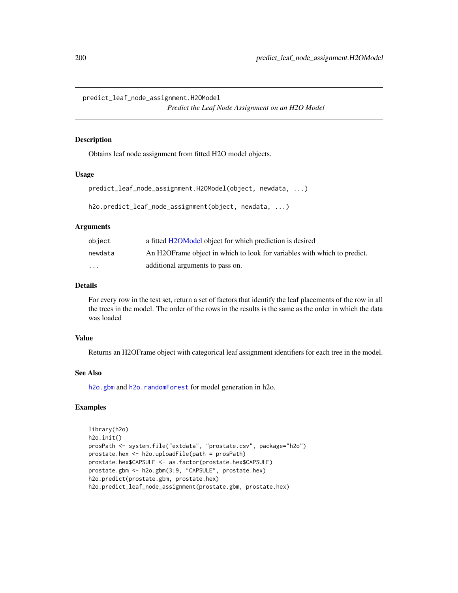<span id="page-199-0"></span>predict\_leaf\_node\_assignment.H2OModel

*Predict the Leaf Node Assignment on an H2O Model*

## Description

Obtains leaf node assignment from fitted H2O model objects.

## Usage

```
predict_leaf_node_assignment.H2OModel(object, newdata, ...)
```
h2o.predict\_leaf\_node\_assignment(object, newdata, ...)

## Arguments

| obiect   | a fitted H2OModel object for which prediction is desired                  |
|----------|---------------------------------------------------------------------------|
| newdata  | An H2OF rame object in which to look for variables with which to predict. |
| $\cdots$ | additional arguments to pass on.                                          |

## Details

For every row in the test set, return a set of factors that identify the leaf placements of the row in all the trees in the model. The order of the rows in the results is the same as the order in which the data was loaded

## Value

Returns an H2OFrame object with categorical leaf assignment identifiers for each tree in the model.

#### See Also

[h2o.gbm](#page-68-0) and [h2o.randomForest](#page-143-0) for model generation in h2o.

## Examples

```
library(h2o)
h2o.init()
prosPath <- system.file("extdata", "prostate.csv", package="h2o")
prostate.hex <- h2o.uploadFile(path = prosPath)
prostate.hex$CAPSULE <- as.factor(prostate.hex$CAPSULE)
prostate.gbm <- h2o.gbm(3:9, "CAPSULE", prostate.hex)
h2o.predict(prostate.gbm, prostate.hex)
h2o.predict_leaf_node_assignment(prostate.gbm, prostate.hex)
```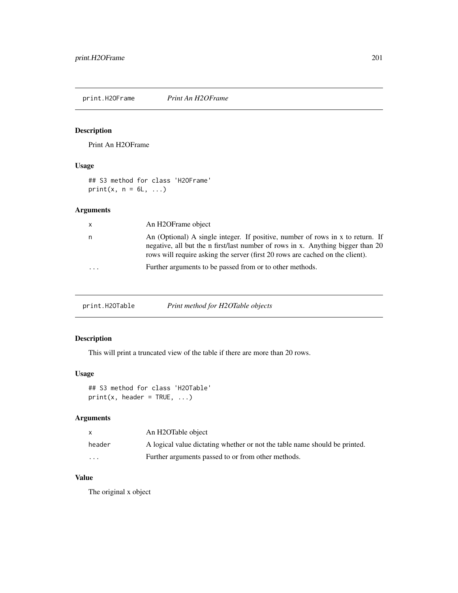<span id="page-200-0"></span>print.H2OFrame *Print An H2OFrame*

## Description

Print An H2OFrame

## Usage

## S3 method for class 'H2OFrame' print(x,  $n = 6L, ...$ )

## Arguments

| $\mathsf{x}$ | An H2OFrame object                                                                                                                                                                                                                                 |
|--------------|----------------------------------------------------------------------------------------------------------------------------------------------------------------------------------------------------------------------------------------------------|
| n.           | An (Optional) A single integer. If positive, number of rows in x to return. If<br>negative, all but the n first/last number of rows in x. Anything bigger than 20<br>rows will require asking the server (first 20 rows are cached on the client). |
| $\cdot$      | Further arguments to be passed from or to other methods.                                                                                                                                                                                           |

print.H2OTable *Print method for H2OTable objects*

## Description

This will print a truncated view of the table if there are more than 20 rows.

## Usage

```
## S3 method for class 'H2OTable'
print(x, header = TRUE, ...)
```
## Arguments

| X        | An H2OTable object                                                         |
|----------|----------------------------------------------------------------------------|
| header   | A logical value dictating whether or not the table name should be printed. |
| $\cdots$ | Further arguments passed to or from other methods.                         |

## Value

The original x object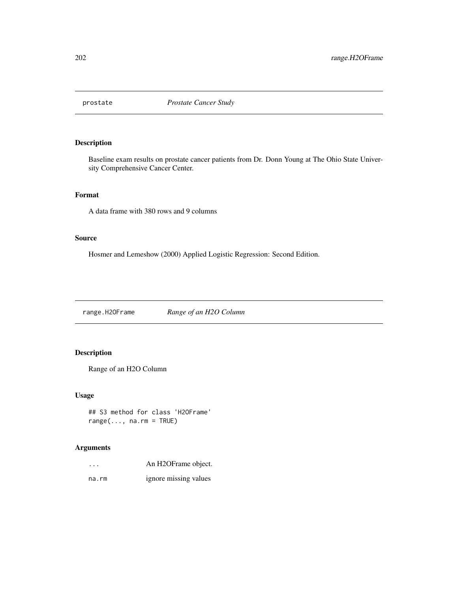<span id="page-201-0"></span>

## Description

Baseline exam results on prostate cancer patients from Dr. Donn Young at The Ohio State University Comprehensive Cancer Center.

## Format

A data frame with 380 rows and 9 columns

## Source

Hosmer and Lemeshow (2000) Applied Logistic Regression: Second Edition.

range.H2OFrame *Range of an H2O Column*

## Description

Range of an H2O Column

## Usage

## S3 method for class 'H2OFrame'  $range(..., na.rm = TRUE)$ 

## Arguments

| $\cdots$ | An H2OFrame object.   |
|----------|-----------------------|
| na.rm    | ignore missing values |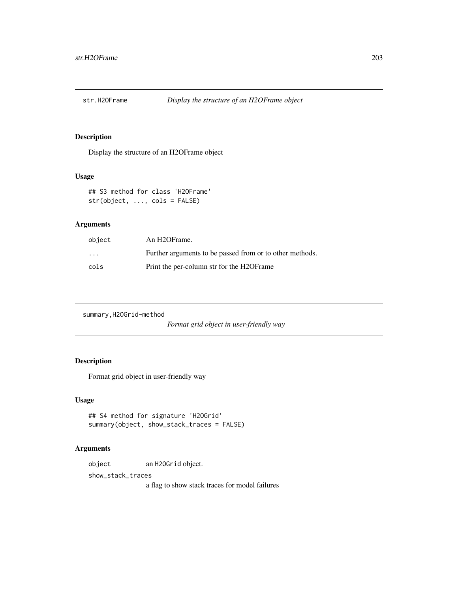<span id="page-202-0"></span>

## Description

Display the structure of an H2OFrame object

## Usage

## S3 method for class 'H2OFrame' str(object, ..., cols = FALSE)

## Arguments

| object | An H <sub>2</sub> OFrame.                                |
|--------|----------------------------------------------------------|
| .      | Further arguments to be passed from or to other methods. |
| cols   | Print the per-column str for the H2OFrame                |

```
summary,H2OGrid-method
```
*Format grid object in user-friendly way*

## Description

Format grid object in user-friendly way

## Usage

```
## S4 method for signature 'H2OGrid'
summary(object, show_stack_traces = FALSE)
```
## Arguments

object an H2OGrid object.

show\_stack\_traces

a flag to show stack traces for model failures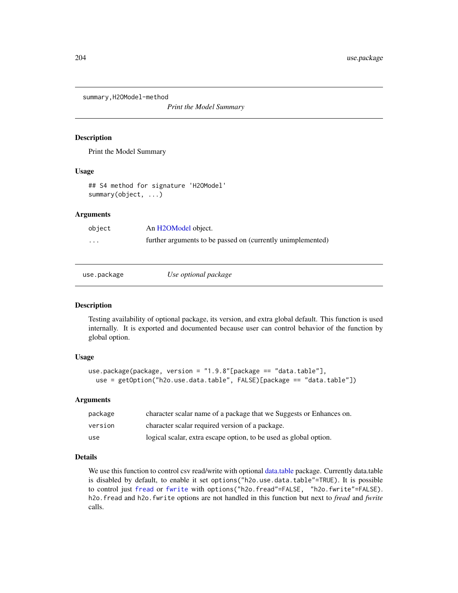<span id="page-203-0"></span>summary,H2OModel-method

*Print the Model Summary*

#### Description

Print the Model Summary

### Usage

## S4 method for signature 'H2OModel' summary(object, ...)

## Arguments

| object                  | An H2OModel object.                                         |
|-------------------------|-------------------------------------------------------------|
| $\cdot$ $\cdot$ $\cdot$ | further arguments to be passed on (currently unimplemented) |

| use.package | Use optional package |  |
|-------------|----------------------|--|
|-------------|----------------------|--|

## Description

Testing availability of optional package, its version, and extra global default. This function is used internally. It is exported and documented because user can control behavior of the function by global option.

## Usage

```
use.package(package, version = "1.9.8"[package == "data.table"],
 use = getOption("h2o.use.data.table", FALSE)[package == "data.table"])
```
## Arguments

| package | character scalar name of a package that we Suggests or Enhances on. |
|---------|---------------------------------------------------------------------|
| version | character scalar required version of a package.                     |
| use     | logical scalar, extra escape option, to be used as global option.   |

## Details

We use this function to control csv read/write with optional [data.table](#page-0-0) package. Currently data.table is disabled by default, to enable it set options("h2o.use.data.table"=TRUE). It is possible to control just [fread](#page-0-0) or [fwrite](#page-0-0) with options("h2o.fread"=FALSE, "h2o.fwrite"=FALSE). h2o.fread and h2o.fwrite options are not handled in this function but next to *fread* and *fwrite* calls.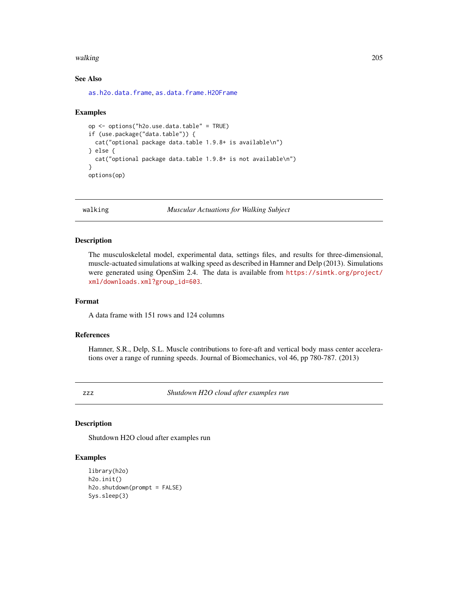#### <span id="page-204-0"></span>walking 205

## See Also

[as.h2o.data.frame](#page-11-0), [as.data.frame.H2OFrame](#page-9-0)

#### Examples

```
op <- options("h2o.use.data.table" = TRUE)
if (use.package("data.table")) {
 cat("optional package data.table 1.9.8+ is available\n")
} else {
 cat("optional package data.table 1.9.8+ is not available\n")
}
options(op)
```
walking *Muscular Actuations for Walking Subject*

## Description

The musculoskeletal model, experimental data, settings files, and results for three-dimensional, muscle-actuated simulations at walking speed as described in Hamner and Delp (2013). Simulations were generated using OpenSim 2.4. The data is available from [https://simtk.org/project/](https://simtk.org/project/xml/downloads.xml?group_id=603) [xml/downloads.xml?group\\_id=603](https://simtk.org/project/xml/downloads.xml?group_id=603).

## Format

A data frame with 151 rows and 124 columns

## References

Hamner, S.R., Delp, S.L. Muscle contributions to fore-aft and vertical body mass center accelerations over a range of running speeds. Journal of Biomechanics, vol 46, pp 780-787. (2013)

zzz *Shutdown H2O cloud after examples run*

## Description

Shutdown H2O cloud after examples run

## Examples

```
library(h2o)
h2o.init()
h2o.shutdown(prompt = FALSE)
Sys.sleep(3)
```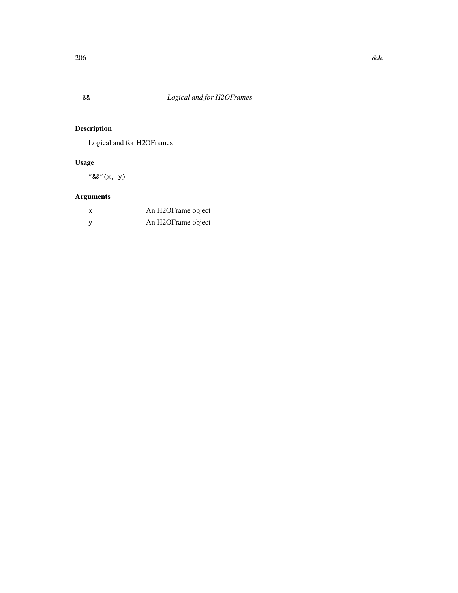<span id="page-205-0"></span>

## Description

Logical and for H2OFrames

## Usage

"&&"(x, y)

## Arguments

| x | An H2OFrame object |
|---|--------------------|
|   | An H2OFrame object |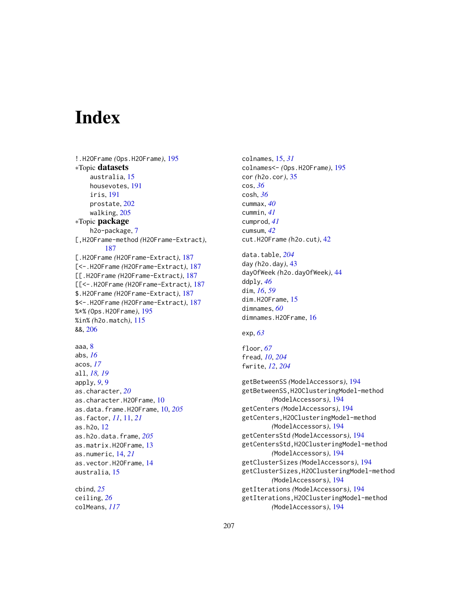# **Index**

```
!.H2OFrame (Ops.H2OFrame), 195
∗Topic datasets
    australia, 15
    housevotes, 191
    iris, 191
    prostate, 202
    walking, 205
∗Topic package
    h2o-package, 7
[,H2OFrame-method (H2OFrame-Extract),
         187
[.H2OFrame (H2OFrame-Extract), 187
[<-.H2OFrame (H2OFrame-Extract), 187
[[.H2OFrame (H2OFrame-Extract), 187
[[<-.H2OFrame (H2OFrame-Extract), 187
$.H2OFrame (H2OFrame-Extract), 187
$<-.H2OFrame (H2OFrame-Extract), 187
%*% (Ops.H2OFrame), 195
%in% (h2o.match), 115
&&, 206
aaa, 8
abs, 16
acos, 17
all, 18, 19
apply, 9, 9
as.character, 20
as.character.H2OFrame, 10
as.data.frame.H2OFrame, 10, 205
as.factor, 11, 11, 21
as.h2o, 12
as.h2o.data.frame, 205
as.matrix.H2OFrame, 13
as.numeric, 14, 21
as.vector.H2OFrame, 14
australia, 15
cbind, 25
```
ceiling, *[26](#page-25-0)* colMeans, *[117](#page-116-0)* colnames, [15,](#page-14-0) *[31](#page-30-0)* colnames<- *(*Ops.H2OFrame*)*, [195](#page-194-0) cor *(*h2o.cor*)*, [35](#page-34-0) cos, *[36](#page-35-0)* cosh, *[36](#page-35-0)* cummax, *[40](#page-39-0)* cummin, *[41](#page-40-0)* cumprod, *[41](#page-40-0)* cumsum, *[42](#page-41-0)* cut.H2OFrame *(*h2o.cut*)*, [42](#page-41-0)

data.table, *[204](#page-203-0)* day *(*h2o.day*)*, [43](#page-42-0) dayOfWeek *(*h2o.dayOfWeek*)*, [44](#page-43-0) ddply, *[46](#page-45-0)* dim, *[16](#page-15-0)*, *[59](#page-58-0)* dim.H2OFrame, [15](#page-14-0) dimnames, *[60](#page-59-0)* dimnames.H2OFrame, [16](#page-15-0)

exp, *[63](#page-62-0)*

floor, *[67](#page-66-0)* fread, *[10](#page-9-1)*, *[204](#page-203-0)* fwrite, *[12](#page-11-1)*, *[204](#page-203-0)*

getBetweenSS *(*ModelAccessors*)*, [194](#page-193-0) getBetweenSS,H2OClusteringModel-method *(*ModelAccessors*)*, [194](#page-193-0) getCenters *(*ModelAccessors*)*, [194](#page-193-0) getCenters,H2OClusteringModel-method *(*ModelAccessors*)*, [194](#page-193-0) getCentersStd *(*ModelAccessors*)*, [194](#page-193-0) getCentersStd,H2OClusteringModel-method *(*ModelAccessors*)*, [194](#page-193-0) getClusterSizes *(*ModelAccessors*)*, [194](#page-193-0) getClusterSizes,H2OClusteringModel-method *(*ModelAccessors*)*, [194](#page-193-0) getIterations *(*ModelAccessors*)*, [194](#page-193-0) getIterations,H2OClusteringModel-method *(*ModelAccessors*)*, [194](#page-193-0)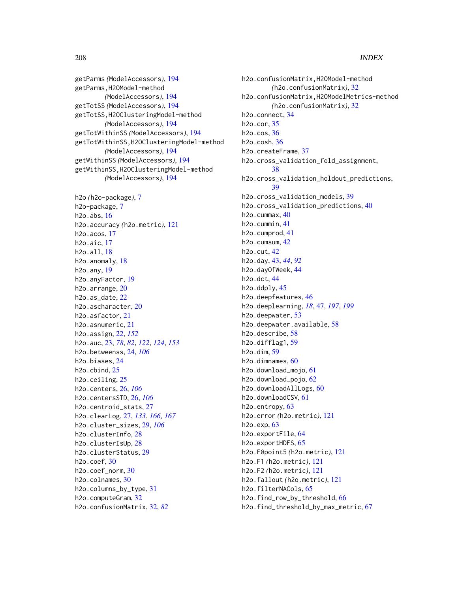## 208 **INDEX**

getParms *(*ModelAccessors*)*, [194](#page-193-0) getParms,H2OModel-method *(*ModelAccessors*)*, [194](#page-193-0) getTotSS *(*ModelAccessors*)*, [194](#page-193-0) getTotSS,H2OClusteringModel-method *(*ModelAccessors*)*, [194](#page-193-0) getTotWithinSS *(*ModelAccessors*)*, [194](#page-193-0) getTotWithinSS,H2OClusteringModel-method *(*ModelAccessors*)*, [194](#page-193-0) getWithinSS *(*ModelAccessors*)*, [194](#page-193-0) getWithinSS,H2OClusteringModel-method *(*ModelAccessors*)*, [194](#page-193-0)

h2o *(*h2o-package*)*, [7](#page-6-0) h2o-package, [7](#page-6-0) h2o.abs, [16](#page-15-0) h2o.accuracy *(*h2o.metric*)*, [121](#page-120-0) h2o.acos, [17](#page-16-0) h2o.aic, [17](#page-16-0) h2o.all, [18](#page-17-0) h2o.anomaly, [18](#page-17-0) h2o.any, [19](#page-18-0) h2o.anyFactor, [19](#page-18-0) h2o.arrange, [20](#page-19-0) h2o.as\_date, [22](#page-21-0) h2o.ascharacter, [20](#page-19-0) h2o.asfactor, [21](#page-20-0) h2o.asnumeric, [21](#page-20-0) h2o.assign, [22,](#page-21-0) *[152](#page-151-0)* h2o.auc, [23,](#page-22-0) *[78](#page-77-0)*, *[82](#page-81-0)*, *[122](#page-121-0)*, *[124](#page-123-0)*, *[153](#page-152-0)* h2o.betweenss, [24,](#page-23-0) *[106](#page-105-0)* h2o.biases, [24](#page-23-0) h2o.cbind, [25](#page-24-0) h2o.ceiling, [25](#page-24-0) h2o.centers, [26,](#page-25-0) *[106](#page-105-0)* h2o.centersSTD, [26,](#page-25-0) *[106](#page-105-0)* h2o.centroid\_stats, [27](#page-26-0) h2o.clearLog, [27,](#page-26-0) *[133](#page-132-0)*, *[166,](#page-165-1) [167](#page-166-0)* h2o.cluster\_sizes, [29,](#page-28-0) *[106](#page-105-0)* h2o.clusterInfo, [28](#page-27-0) h2o.clusterIsUp, [28](#page-27-0) h2o.clusterStatus, [29](#page-28-0) h2o.coef, [30](#page-29-0) h2o.coef\_norm, [30](#page-29-0) h2o.colnames, [30](#page-29-0) h2o.columns\_by\_type, [31](#page-30-0) h2o.computeGram, [32](#page-31-0) h2o.confusionMatrix, [32,](#page-31-0) *[82](#page-81-0)*

h2o.confusionMatrix,H2OModel-method *(*h2o.confusionMatrix*)*, [32](#page-31-0) h2o.confusionMatrix,H2OModelMetrics-method *(*h2o.confusionMatrix*)*, [32](#page-31-0) h2o.connect, [34](#page-33-0) h2o.cor, [35](#page-34-0) h2o.cos, [36](#page-35-0) h2o.cosh, [36](#page-35-0) h2o.createFrame, [37](#page-36-0) h2o.cross\_validation\_fold\_assignment, [38](#page-37-0) h2o.cross\_validation\_holdout\_predictions, [39](#page-38-0) h2o.cross\_validation\_models, [39](#page-38-0) h2o.cross\_validation\_predictions, [40](#page-39-0) h2o.cummax,  $40$ h2o.cummin, [41](#page-40-0) h2o.cumprod, [41](#page-40-0) h2o.cumsum, [42](#page-41-0) h2o.cut, [42](#page-41-0) h2o.day, [43,](#page-42-0) *[44](#page-43-0)*, *[92](#page-91-0)* h2o.dayOfWeek, [44](#page-43-0) h2o.dct, [44](#page-43-0) h2o.ddply, [45](#page-44-0) h2o.deepfeatures, [46](#page-45-0) h2o.deeplearning, *[18](#page-17-0)*, [47,](#page-46-1) *[197](#page-196-0)*, *[199](#page-198-0)* h2o.deepwater, [53](#page-52-0) h2o.deepwater.available, [58](#page-57-0) h2o.describe, [58](#page-57-0) h2o.difflag1, [59](#page-58-0) h2o.dim, [59](#page-58-0) h2o.dimnames, [60](#page-59-0) h2o.download\_mojo, [61](#page-60-0) h2o.download\_pojo, [62](#page-61-0) h2o.downloadAllLogs, [60](#page-59-0) h2o.downloadCSV, [61](#page-60-0) h2o.entropy, [63](#page-62-0) h2o.error *(*h2o.metric*)*, [121](#page-120-0) h2o.exp, [63](#page-62-0) h2o.exportFile, [64](#page-63-0) h2o.exportHDFS, [65](#page-64-0) h2o.F0point5 *(*h2o.metric*)*, [121](#page-120-0) h2o.F1 *(*h2o.metric*)*, [121](#page-120-0) h2o.F2 *(*h2o.metric*)*, [121](#page-120-0) h2o.fallout *(*h2o.metric*)*, [121](#page-120-0) h2o.filterNACols, [65](#page-64-0) h2o.find\_row\_by\_threshold, [66](#page-65-0) h2o.find\_threshold\_by\_max\_metric, [67](#page-66-0)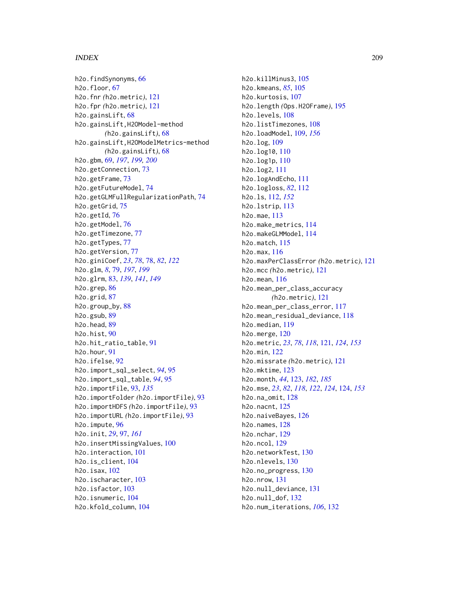## INDEX 209

h2o.findSynonyms, [66](#page-65-0) h2o.floor, [67](#page-66-0) h2o.fnr *(*h2o.metric*)*, [121](#page-120-0) h2o.fpr *(*h2o.metric*)*, [121](#page-120-0) h2o.gainsLift, [68](#page-67-0) h2o.gainsLift,H2OModel-method *(*h2o.gainsLift*)*, [68](#page-67-0) h2o.gainsLift,H2OModelMetrics-method *(*h2o.gainsLift*)*, [68](#page-67-0) h2o.gbm, [69,](#page-68-1) *[197](#page-196-0)*, *[199,](#page-198-0) [200](#page-199-0)* h2o.getConnection, [73](#page-72-0) h2o.getFrame, [73](#page-72-0) h2o.getFutureModel, [74](#page-73-0) h2o.getGLMFullRegularizationPath, [74](#page-73-0) h2o.getGrid, [75](#page-74-0) h2o.getId, [76](#page-75-0) h2o.getModel, [76](#page-75-0) h2o.getTimezone, [77](#page-76-0) h2o.getTypes, [77](#page-76-0) h2o.getVersion, [77](#page-76-0) h2o.giniCoef, *[23](#page-22-0)*, *[78](#page-77-0)*, [78,](#page-77-0) *[82](#page-81-0)*, *[122](#page-121-0)* h2o.glm, *[8](#page-7-0)*, [79,](#page-78-1) *[197](#page-196-0)*, *[199](#page-198-0)* h2o.glrm, [83,](#page-82-0) *[139](#page-138-0)*, *[141](#page-140-0)*, *[149](#page-148-0)* h2o.grep, [86](#page-85-0) h2o.grid, [87](#page-86-0) h2o.group\_by, [88](#page-87-0) h2o.gsub, [89](#page-88-0) h2o.head, [89](#page-88-0) h2o.hist, [90](#page-89-0) h2o.hit\_ratio\_table, [91](#page-90-0) h2o.hour, [91](#page-90-0) h2o.ifelse, [92](#page-91-0) h2o.import\_sql\_select, *[94](#page-93-0)*, [95](#page-94-0) h2o.import\_sql\_table, *[94](#page-93-0)*, [95](#page-94-0) h2o.importFile, [93,](#page-92-0) *[135](#page-134-0)* h2o.importFolder *(*h2o.importFile*)*, [93](#page-92-0) h2o.importHDFS *(*h2o.importFile*)*, [93](#page-92-0) h2o.importURL *(*h2o.importFile*)*, [93](#page-92-0) h2o.impute, [96](#page-95-0) h2o.init, *[29](#page-28-0)*, [97,](#page-96-0) *[161](#page-160-0)* h2o.insertMissingValues, [100](#page-99-0) h2o.interaction, [101](#page-100-0) h2o.is\_client, [104](#page-103-0) h2o.isax, [102](#page-101-0) h2o.ischaracter, [103](#page-102-0) h2o.isfactor, [103](#page-102-0) h2o.isnumeric, [104](#page-103-0) h2o.kfold\_column, [104](#page-103-0)

h2o.killMinus3, [105](#page-104-0) h2o.kmeans, *[85](#page-84-0)*, [105](#page-104-0) h2o.kurtosis, [107](#page-106-0) h2o.length *(*Ops.H2OFrame*)*, [195](#page-194-0) h2o.levels, [108](#page-107-0) h2o.listTimezones, [108](#page-107-0) h2o.loadModel, [109,](#page-108-0) *[156](#page-155-0)* h2o.log, [109](#page-108-0) h2o.log10, [110](#page-109-0) h2o.log1p, [110](#page-109-0) h2o.log2, [111](#page-110-0) h2o.logAndEcho, [111](#page-110-0) h2o.logloss, *[82](#page-81-0)*, [112](#page-111-0) h2o.ls, [112,](#page-111-0) *[152](#page-151-0)* h2o.lstrip, [113](#page-112-0) h2o.mae, [113](#page-112-0) h2o.make\_metrics, [114](#page-113-0) h2o.makeGLMModel, [114](#page-113-0) h2o.match, [115](#page-114-0) h2o.max, [116](#page-115-0) h2o.maxPerClassError *(*h2o.metric*)*, [121](#page-120-0) h2o.mcc *(*h2o.metric*)*, [121](#page-120-0) h2o.mean, [116](#page-115-0) h2o.mean\_per\_class\_accuracy *(*h2o.metric*)*, [121](#page-120-0) h2o.mean\_per\_class\_error, [117](#page-116-0) h2o.mean\_residual\_deviance, [118](#page-117-0) h2o.median, [119](#page-118-0) h2o.merge, [120](#page-119-0) h2o.metric, *[23](#page-22-0)*, *[78](#page-77-0)*, *[118](#page-117-0)*, [121,](#page-120-0) *[124](#page-123-0)*, *[153](#page-152-0)* h2o.min, [122](#page-121-0) h2o.missrate *(*h2o.metric*)*, [121](#page-120-0) h2o.mktime, [123](#page-122-1) h2o.month, *[44](#page-43-0)*, [123,](#page-122-1) *[182](#page-181-0)*, *[185](#page-184-1)* h2o.mse, *[23](#page-22-0)*, *[82](#page-81-0)*, *[118](#page-117-0)*, *[122](#page-121-0)*, *[124](#page-123-0)*, [124,](#page-123-0) *[153](#page-152-0)* h2o.na\_omit, [128](#page-127-0) h2o.nacnt, [125](#page-124-0) h2o.naiveBayes, [126](#page-125-0) h2o.names, [128](#page-127-0) h2o.nchar, [129](#page-128-0) h2o.ncol, [129](#page-128-0) h2o.networkTest, [130](#page-129-0) h2o.nlevels, [130](#page-129-0) h2o.no\_progress, [130](#page-129-0) h2o.nrow, [131](#page-130-0) h2o.null\_deviance, [131](#page-130-0) h2o.null\_dof, [132](#page-131-0) h2o.num\_iterations, *[106](#page-105-0)*, [132](#page-131-0)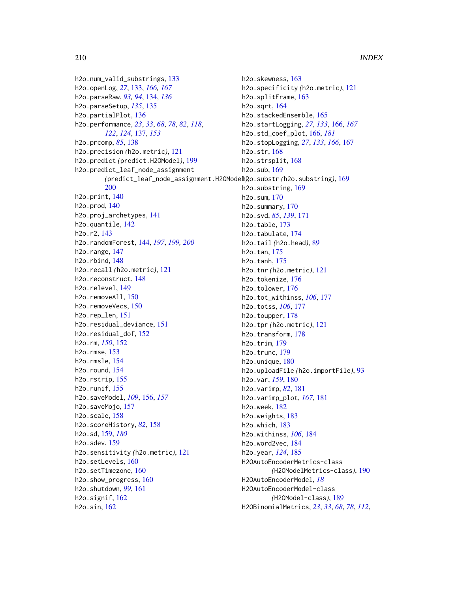h2o.num\_valid\_substrings, [133](#page-132-0) h2o.openLog, *[27](#page-26-0)*, [133,](#page-132-0) *[166,](#page-165-1) [167](#page-166-0)* h2o.parseRaw, *[93,](#page-92-0) [94](#page-93-0)*, [134,](#page-133-0) *[136](#page-135-0)* h2o.parseSetup, *[135](#page-134-0)*, [135](#page-134-0) h2o.partialPlot, [136](#page-135-0) h2o.performance, *[23](#page-22-0)*, *[33](#page-32-0)*, *[68](#page-67-0)*, *[78](#page-77-0)*, *[82](#page-81-0)*, *[118](#page-117-0)*, *[122](#page-121-0)*, *[124](#page-123-0)*, [137,](#page-136-0) *[153](#page-152-0)* h2o.prcomp, *[85](#page-84-0)*, [138](#page-137-0) h2o.precision *(*h2o.metric*)*, [121](#page-120-0) h2o.predict *(*predict.H2OModel*)*, [199](#page-198-0) h2o.predict\_leaf\_node\_assignment [200](#page-199-0) h2o.print, [140](#page-139-0) h2o.prod, [140](#page-139-0) h2o.proj\_archetypes, [141](#page-140-0) h2o.quantile, [142](#page-141-0) h2o.r2, [143](#page-142-0) h2o.randomForest, [144,](#page-143-1) *[197](#page-196-0)*, *[199,](#page-198-0) [200](#page-199-0)* h2o.range, [147](#page-146-0) h2o.rbind, [148](#page-147-0) h2o.recall *(*h2o.metric*)*, [121](#page-120-0) h2o.reconstruct, [148](#page-147-0) h2o.relevel, [149](#page-148-0) h2o.removeAll, [150](#page-149-0) h2o.removeVecs, [150](#page-149-0) h2o.rep\_len, [151](#page-150-0) h2o.residual\_deviance, [151](#page-150-0) h2o.residual\_dof, [152](#page-151-0) h2o.rm, *[150](#page-149-0)*, [152](#page-151-0) h2o.rmse, [153](#page-152-0) h2o.rmsle, [154](#page-153-0) h2o.round, [154](#page-153-0) h2o.rstrip, [155](#page-154-0) h2o.runif, [155](#page-154-0) h2o.saveModel, *[109](#page-108-0)*, [156,](#page-155-0) *[157](#page-156-0)* h2o.saveMojo, [157](#page-156-0) h2o.scale, [158](#page-157-0) h2o.scoreHistory, *[82](#page-81-0)*, [158](#page-157-0) h2o.sd, [159,](#page-158-0) *[180](#page-179-0)* h2o.sdev, [159](#page-158-0) h2o.sensitivity *(*h2o.metric*)*, [121](#page-120-0) h2o.setLevels, [160](#page-159-0) h2o.setTimezone, [160](#page-159-0) h2o.show\_progress, [160](#page-159-0) h2o.shutdown, *[99](#page-98-0)*, [161](#page-160-0) h2o.signif, [162](#page-161-0) h2o.sin, [162](#page-161-0)

*(*predict\_leaf\_node\_assignment.H2OModel*)*, h2o.substr *(*h2o.substring*)*, [169](#page-168-0) h2o.skewness, [163](#page-162-0) h2o.specificity *(*h2o.metric*)*, [121](#page-120-0) h2o.splitFrame, [163](#page-162-0) h2o.sqrt, [164](#page-163-0) h2o.stackedEnsemble, [165](#page-164-0) h2o.startLogging, *[27](#page-26-0)*, *[133](#page-132-0)*, [166,](#page-165-1) *[167](#page-166-0)* h2o.std\_coef\_plot, [166,](#page-165-1) *[181](#page-180-0)* h2o.stopLogging, *[27](#page-26-0)*, *[133](#page-132-0)*, *[166](#page-165-1)*, [167](#page-166-0) h2o.str, [168](#page-167-0) h2o.strsplit, [168](#page-167-0) h2o.sub, [169](#page-168-0) h2o.substring, [169](#page-168-0) h2o.sum, [170](#page-169-0) h2o.summary, [170](#page-169-0) h2o.svd, *[85](#page-84-0)*, *[139](#page-138-0)*, [171](#page-170-0) h2o.table, [173](#page-172-0) h2o.tabulate, [174](#page-173-0) h2o.tail *(*h2o.head*)*, [89](#page-88-0) h2o.tan, [175](#page-174-0) h2o.tanh, [175](#page-174-0) h2o.tnr *(*h2o.metric*)*, [121](#page-120-0) h2o.tokenize, [176](#page-175-0) h2o.tolower, [176](#page-175-0) h2o.tot\_withinss, *[106](#page-105-0)*, [177](#page-176-0) h2o.totss, *[106](#page-105-0)*, [177](#page-176-0) h2o.toupper, [178](#page-177-0) h2o.tpr *(*h2o.metric*)*, [121](#page-120-0) h2o.transform, [178](#page-177-0) h2o.trim, [179](#page-178-0) h2o.trunc, [179](#page-178-0) h2o.unique, [180](#page-179-0) h2o.uploadFile *(*h2o.importFile*)*, [93](#page-92-0) h2o.var, *[159](#page-158-0)*, [180](#page-179-0) h2o.varimp, *[82](#page-81-0)*, [181](#page-180-0) h2o.varimp\_plot, *[167](#page-166-0)*, [181](#page-180-0) h2o.week, [182](#page-181-0) h2o.weights, [183](#page-182-0) h2o.which, [183](#page-182-0) h2o.withinss, *[106](#page-105-0)*, [184](#page-183-0) h2o.word2vec, [184](#page-183-0) h2o.year, *[124](#page-123-0)*, [185](#page-184-1) H2OAutoEncoderMetrics-class *(*H2OModelMetrics-class*)*, [190](#page-189-1) H2OAutoEncoderModel, *[18](#page-17-0)* H2OAutoEncoderModel-class *(*H2OModel-class*)*, [189](#page-188-1) H2OBinomialMetrics, *[23](#page-22-0)*, *[33](#page-32-0)*, *[68](#page-67-0)*, *[78](#page-77-0)*, *[112](#page-111-0)*,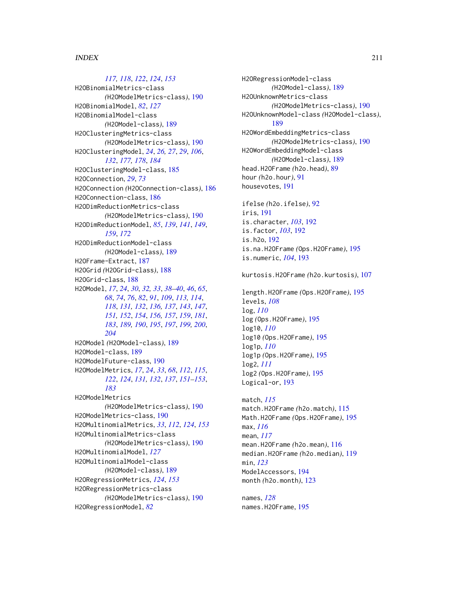## *[117,](#page-116-0) [118](#page-117-0)*, *[122](#page-121-0)*, *[124](#page-123-0)*, *[153](#page-152-0)*

H2OBinomialMetrics-class *(*H2OModelMetrics-class*)*, [190](#page-189-1) H2OBinomialModel, *[82](#page-81-0)*, *[127](#page-126-0)* H2OBinomialModel-class *(*H2OModel-class*)*, [189](#page-188-1) H2OClusteringMetrics-class *(*H2OModelMetrics-class*)*, [190](#page-189-1) H2OClusteringModel, *[24](#page-23-0)*, *[26,](#page-25-0) [27](#page-26-0)*, *[29](#page-28-0)*, *[106](#page-105-0)*, *[132](#page-131-0)*, *[177,](#page-176-0) [178](#page-177-0)*, *[184](#page-183-0)* H2OClusteringModel-class, [185](#page-184-1) H2OConnection, *[29](#page-28-0)*, *[73](#page-72-0)* H2OConnection *(*H2OConnection-class*)*, [186](#page-185-0) H2OConnection-class, [186](#page-185-0) H2ODimReductionMetrics-class *(*H2OModelMetrics-class*)*, [190](#page-189-1) H2ODimReductionModel, *[85](#page-84-0)*, *[139](#page-138-0)*, *[141](#page-140-0)*, *[149](#page-148-0)*, *[159](#page-158-0)*, *[172](#page-171-0)* H2ODimReductionModel-class *(*H2OModel-class*)*, [189](#page-188-1) H2OFrame-Extract, [187](#page-186-0) H2OGrid *(*H2OGrid-class*)*, [188](#page-187-0) H2OGrid-class, [188](#page-187-0) H2OModel, *[17](#page-16-0)*, *[24](#page-23-0)*, *[30](#page-29-0)*, *[32,](#page-31-0) [33](#page-32-0)*, *[38–](#page-37-0)[40](#page-39-0)*, *[46](#page-45-0)*, *[65](#page-64-0)*, *[68](#page-67-0)*, *[74](#page-73-0)*, *[76](#page-75-0)*, *[82](#page-81-0)*, *[91](#page-90-0)*, *[109](#page-108-0)*, *[113,](#page-112-0) [114](#page-113-0)*, *[118](#page-117-0)*, *[131,](#page-130-0) [132](#page-131-0)*, *[136,](#page-135-0) [137](#page-136-0)*, *[143](#page-142-0)*, *[147](#page-146-0)*, *[151,](#page-150-0) [152](#page-151-0)*, *[154](#page-153-0)*, *[156,](#page-155-0) [157](#page-156-0)*, *[159](#page-158-0)*, *[181](#page-180-0)*, *[183](#page-182-0)*, *[189,](#page-188-1) [190](#page-189-1)*, *[195](#page-194-0)*, *[197](#page-196-0)*, *[199,](#page-198-0) [200](#page-199-0)*, *[204](#page-203-0)* H2OModel *(*H2OModel-class*)*, [189](#page-188-1) H2OModel-class, [189](#page-188-1) H2OModelFuture-class, [190](#page-189-1) H2OModelMetrics, *[17](#page-16-0)*, *[24](#page-23-0)*, *[33](#page-32-0)*, *[68](#page-67-0)*, *[112](#page-111-0)*, *[115](#page-114-0)*, *[122](#page-121-0)*, *[124](#page-123-0)*, *[131,](#page-130-0) [132](#page-131-0)*, *[137](#page-136-0)*, *[151–](#page-150-0)[153](#page-152-0)*, *[183](#page-182-0)* H2OModelMetrics *(*H2OModelMetrics-class*)*, [190](#page-189-1) H2OModelMetrics-class, [190](#page-189-1) H2OMultinomialMetrics, *[33](#page-32-0)*, *[112](#page-111-0)*, *[124](#page-123-0)*, *[153](#page-152-0)* H2OMultinomialMetrics-class *(*H2OModelMetrics-class*)*, [190](#page-189-1) H2OMultinomialModel, *[127](#page-126-0)* H2OMultinomialModel-class *(*H2OModel-class*)*, [189](#page-188-1) H2ORegressionMetrics, *[124](#page-123-0)*, *[153](#page-152-0)* H2ORegressionMetrics-class *(*H2OModelMetrics-class*)*, [190](#page-189-1) H2ORegressionModel, *[82](#page-81-0)*

H2ORegressionModel-class *(*H2OModel-class*)*, [189](#page-188-1) H2OUnknownMetrics-class *(*H2OModelMetrics-class*)*, [190](#page-189-1) H2OUnknownModel-class *(*H2OModel-class*)*, [189](#page-188-1) H2OWordEmbeddingMetrics-class *(*H2OModelMetrics-class*)*, [190](#page-189-1) H2OWordEmbeddingModel-class *(*H2OModel-class*)*, [189](#page-188-1) head.H2OFrame *(*h2o.head*)*, [89](#page-88-0) hour *(*h2o.hour*)*, [91](#page-90-0) housevotes, [191](#page-190-0)

ifelse *(*h2o.ifelse*)*, [92](#page-91-0) iris, [191](#page-190-0) is.character, *[103](#page-102-0)*, [192](#page-191-0) is.factor, *[103](#page-102-0)*, [192](#page-191-0) is.h2o, [192](#page-191-0) is.na.H2OFrame *(*Ops.H2OFrame*)*, [195](#page-194-0) is.numeric, *[104](#page-103-0)*, [193](#page-192-0)

kurtosis.H2OFrame *(*h2o.kurtosis*)*, [107](#page-106-0)

length.H2OFrame *(*Ops.H2OFrame*)*, [195](#page-194-0) levels, *[108](#page-107-0)* log, *[110](#page-109-0)* log *(*Ops.H2OFrame*)*, [195](#page-194-0) log10, *[110](#page-109-0)* log10 *(*Ops.H2OFrame*)*, [195](#page-194-0) log1p, *[110](#page-109-0)* log1p *(*Ops.H2OFrame*)*, [195](#page-194-0) log2, *[111](#page-110-0)* log2 *(*Ops.H2OFrame*)*, [195](#page-194-0) Logical-or, [193](#page-192-0)

match, *[115](#page-114-0)* match.H2OFrame *(*h2o.match*)*, [115](#page-114-0) Math.H2OFrame *(*Ops.H2OFrame*)*, [195](#page-194-0) max, *[116](#page-115-0)* mean, *[117](#page-116-0)* mean.H2OFrame *(*h2o.mean*)*, [116](#page-115-0) median.H2OFrame *(*h2o.median*)*, [119](#page-118-0) min, *[123](#page-122-1)* ModelAccessors, [194](#page-193-0) month *(*h2o.month*)*, [123](#page-122-1)

names, *[128](#page-127-0)* names.H2OFrame, [195](#page-194-0)